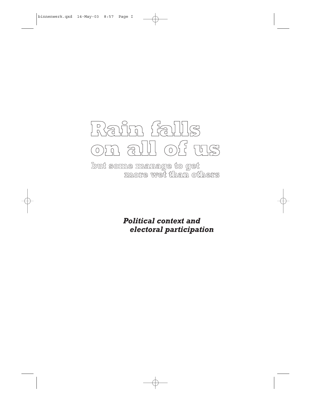## Rain falls  $\sum_{i=1}^{n}$ SH US  $\widehat{O}$  $\bigcirc$

Y

but some manage to get<br>more wet than others

 $\overline{\triangle}$ 

**Political context and** electoral participation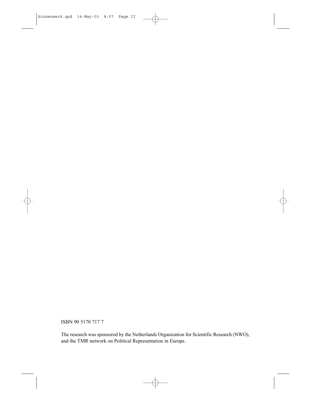ISBN 90 5170 717 7

 $\rightarrow$ 

The research was sponsored by the Netherlands Organization for Scientific Research (NWO), and the TMR network on Political Representation in Europe.

 $\overline{\mathbb{A}}$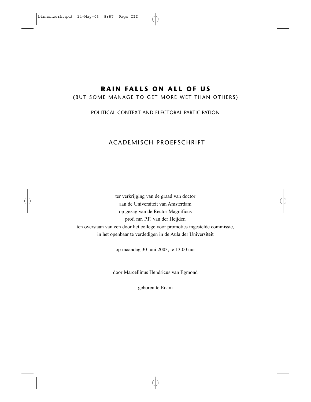# **RAIN FALLS ON ALL OF US**

Ŧ

(BUT SOME MANAGE TO GET MORE WET THAN OTHERS)

POLITICAL CONTEXT AND ELECTORAL PARTICIPATION

## ACADEMISCH PROEFSCHRIFT

ter verkrijging van de graad van doctor aan de Universiteit van Amsterdam op gezag van de Rector Magnificus prof. mr. P.F. van der Heijden ten overstaan van een door het college voor promoties ingestelde commissie, in het openbaar te verdedigen in de Aula der Universiteit

op maandag 30 juni 2003, te 13.00 uur

door Marcellinus Hendricus van Egmond

geboren te Edam

 $\overline{\mathbb{A}}$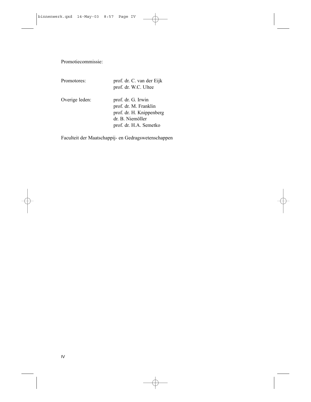Promotiecommissie:

Promotores: prof. dr. C. van der Eijk prof. dr. W.C. Ultee

 $\forall$ 

Overige leden: prof. dr. G. Irwin

prof. dr. M. Franklin prof. dr. H. Knippenberg dr. B. Niemöller prof. dr. H.A. Semetko

 $\overline{\mathbb{A}}$ 

Faculteit der Maatschappij- en Gedragswetenschappen

→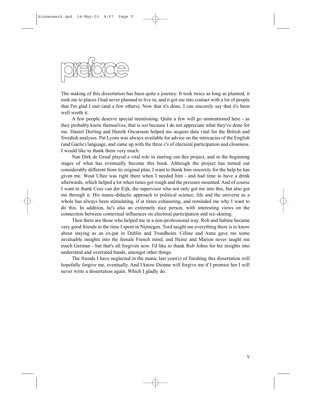

The making of this dissertation has been quite a journey. It took twice as long as planned, it took me to places I had never planned to live in, and it got me into contact with a lot of people that I'm glad I met (and a few others). Now that it's done, I can sincerely say that it's been well worth it.

A few people deserve special mentioning. Quite a few will go unmentioned here - as they probably know themselves, that is *not* because I do not appreciate what they've done for me. Daniel Dorling and Henrik Oscarsson helped me acquire data vital for the British and Swedish analyses. Pat Lyons was always available for advice on the intricacies of the English (and Gaelic) language, and came up with the three c's of electoral participation and closeness. I would like to thank them very much.

Nan Dirk de Graaf played a vital role in starting out this project, and in the beginning stages of what has eventually become this book. Although the project has turned out considerably different from its original plan, I want to thank him sincerely for the help he has given me. Wout Ultee was right there when I needed him - and had time to have a drink afterwards, which helped a lot when times got rough and the pressure mounted. And of course I want to thank Cees van der Eijk, the supervisor who not only got me into this, but also got me through it. His manic-didactic approach to political science, life and the universe as a whole has always been stimulating, if at times exhausting, and reminded me why I want to do this. In addition, he's also an extremely nice person, with interesting views on the connection between contextual influences on electoral participation and ice-skating.

Then there are those who helped me in a non-professional way. Rob and Sabine became very good friends in the time I spent in Nijmegen. Toril taught me everything there is to know about staying as an ex-pat in Dublin and Trondheim. CÈline and Anne gave me some invaluable insights into the female French mind, and Heinz and Marion never taught me much German - but that's all forgiven now. I'd like to thank Rob Johns for his insights into underrated and overrated bands, amongst other things.

The friends I have neglected in the manic last year(s) of finishing this dissertation will hopefully forgive me, eventually. And I know Dionne will forgive me if I promise her I will never write a dissertation again. Which I gladly do.

 $\rightarrow$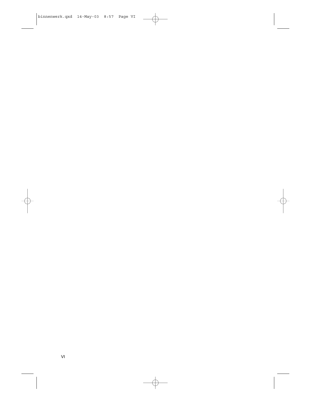VI

D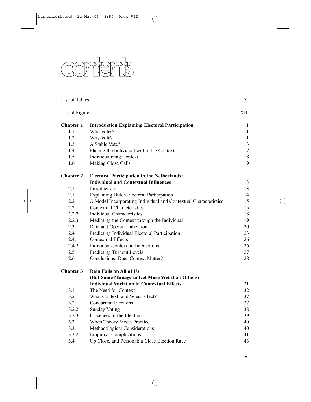

 $\rightarrow$ 

 $\overline{\phantom{a}}$ 

| List of Tables   |                                                                 | XI                      |  |  |  |  |
|------------------|-----------------------------------------------------------------|-------------------------|--|--|--|--|
| List of Figures  |                                                                 | XIII                    |  |  |  |  |
| <b>Chapter 1</b> | <b>Introduction Explaining Electoral Participation</b>          |                         |  |  |  |  |
| 1.1              | Who Votes?                                                      | $\mathbf{1}$            |  |  |  |  |
| 1.2              | Why Vote?                                                       | $\mathbf{1}$            |  |  |  |  |
| 1.3              | A Stable Vote?                                                  | $\overline{\mathbf{3}}$ |  |  |  |  |
| 1.4              | Placing the Individual within the Context                       | $\overline{7}$          |  |  |  |  |
| 1.5              | <b>Individualizing Context</b>                                  | $8\,$                   |  |  |  |  |
| 1.6              | Making Close Calls                                              | 9                       |  |  |  |  |
| <b>Chapter 2</b> | <b>Electoral Participation in the Netherlands:</b>              |                         |  |  |  |  |
|                  | <b>Individual and Contextual Influences</b>                     | 13                      |  |  |  |  |
| 2.1              | Introduction                                                    | 13                      |  |  |  |  |
| 2.1.1            | <b>Explaining Dutch Electoral Participation</b>                 | 14                      |  |  |  |  |
| 2.2              | A Model Incorporating Individual and Contextual Characteristics | 15                      |  |  |  |  |
| 2.2.1            | <b>Contextual Characteristics</b>                               | 15                      |  |  |  |  |
| 2.2.2            | <b>Individual Characteristics</b>                               | 18                      |  |  |  |  |
| 2.2.3            | Mediating the Context through the Individual                    | 19                      |  |  |  |  |
| 2.3              | Data and Operationalization                                     | 20                      |  |  |  |  |
| 2.4              | Predicting Individual Electoral Participation                   | 23                      |  |  |  |  |
| 2.4.1            | <b>Contextual Effects</b>                                       | 26                      |  |  |  |  |
| 2.4.2            | Individual-contextual Interactions                              | 26                      |  |  |  |  |
| 2.5              | <b>Predicting Turnout Levels</b>                                | 27                      |  |  |  |  |
| 2.6              | <b>Conclusions: Does Context Matter?</b>                        | 28                      |  |  |  |  |
| <b>Chapter 3</b> | <b>Rain Falls on All of Us</b>                                  |                         |  |  |  |  |
|                  | (But Some Manage to Get More Wet than Others)                   |                         |  |  |  |  |
|                  | <b>Individual Variation in Contextual Effects</b>               | 31                      |  |  |  |  |
| 3.1              | The Need for Context                                            | 32                      |  |  |  |  |
| 3.2              | What Context, and What Effect?                                  | 37                      |  |  |  |  |
| 3.2.1            | <b>Concurrent Elections</b>                                     | 37                      |  |  |  |  |
| 3.2.2            | <b>Sunday Voting</b>                                            | 38                      |  |  |  |  |
| 3.2.3            | Closeness of the Election                                       | 39                      |  |  |  |  |
| 3.3              | When Theory Meets Practice                                      | 40                      |  |  |  |  |
| 3.3.1            | Methodological Considerations                                   | 40                      |  |  |  |  |
| 3.3.2            | <b>Empirical Complications</b>                                  | 41                      |  |  |  |  |
| 3.4              | Up Close, and Personal: a Close Election Race                   | 43                      |  |  |  |  |

 $\overline{\mathbb{A}}$ 

 $\overline{\phantom{0}}$ 

Y

Ξ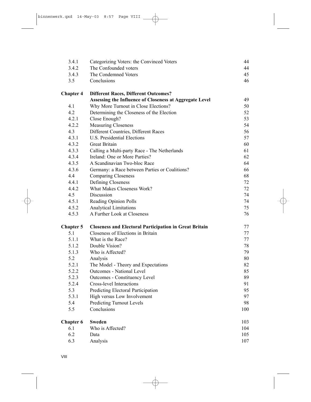| 3.4.1            | Categorizing Voters: the Convinced Voters                     | 44  |
|------------------|---------------------------------------------------------------|-----|
| 3.4.2            | The Confounded voters                                         | 44  |
| 3.4.3            | The Condemned Voters                                          | 45  |
| 3.5              | Conclusions                                                   | 46  |
| <b>Chapter 4</b> | <b>Different Races, Different Outcomes?</b>                   |     |
|                  | Assessing the Influence of Closeness at Aggregate Level       | 49  |
| 4.1              | Why More Turnout in Close Elections?                          | 50  |
| 4.2              | Determining the Closeness of the Election                     | 52  |
| 4.2.1            | Close Enough?                                                 | 53  |
| 4.2.2            | <b>Measuring Closeness</b>                                    | 54  |
| 4.3              | Different Countries, Different Races                          | 56  |
| 4.3.1            | U.S. Presidential Elections                                   | 57  |
| 4.3.2            | Great Britain                                                 | 60  |
| 4.3.3            | Calling a Multi-party Race - The Netherlands                  | 61  |
| 4.3.4            | Ireland: One or More Parties?                                 | 62  |
| 4.3.5            | A Scandinavian Two-bloc Race                                  | 64  |
| 4.3.6            | Germany: a Race between Parties or Coalitions?                | 66  |
| 4.4              | <b>Comparing Closeness</b>                                    | 68  |
| 4.4.1            | Defining Closeness                                            | 72  |
| 4.4.2            | What Makes Closeness Work?                                    | 72  |
| 4.5              | Discussion                                                    | 74  |
| 4.5.1            | Reading Opinion Polls                                         | 74  |
| 4.5.2            | <b>Analytical Limitations</b>                                 | 75  |
| 4.5.3            | A Further Look at Closeness                                   | 76  |
| <b>Chapter 5</b> | <b>Closeness and Electoral Participation in Great Britain</b> | 77  |
| 5.1              | Closeness of Elections in Britain                             | 77  |
| 5.1.1            | What is the Race?                                             | 77  |
| 5.1.2            | Double Vision?                                                | 78  |
| 5.1.3            | Who is Affected?                                              | 79  |
| 5.2              | Analysis                                                      | 80  |
| 5.2.1            | The Model - Theory and Expectations                           | 82  |
| 5.2.2            | <b>Outcomes - National Level</b>                              | 85  |
| 5.2.3            | Outcomes - Constituency Level                                 | 89  |
| 5.2.4            | Cross-level Interactions                                      | 91  |
| 5.3              | Predicting Electoral Participation                            | 95  |
| 5.3.1            | High versus Low Involvement                                   | 97  |
| 5.4              | Predicting Turnout Levels                                     | 98  |
| 5.5              | Conclusions                                                   | 100 |
| <b>Chapter 6</b> | Sweden                                                        | 103 |
| 6.1              | Who is Affected?                                              | 104 |
| 6.2              | Data                                                          | 105 |
| 6.3              | Analysis                                                      | 107 |
|                  |                                                               |     |

 $\overline{\phantom{0}}$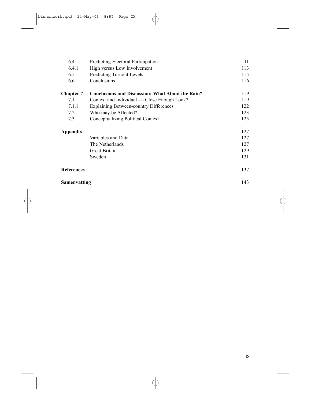| 6.4               | Predicting Electoral Participation                      | 111 |
|-------------------|---------------------------------------------------------|-----|
| 6.4.1             | High versus Low Involvement                             | 113 |
| 6.5               | <b>Predicting Turnout Levels</b>                        | 115 |
| 6.6               | Conclusions                                             | 116 |
| <b>Chapter 7</b>  | <b>Conclusions and Discussion: What About the Rain?</b> | 119 |
| 7.1               | Context and Individual - a Close Enough Look?           | 119 |
| 7.1.1             | Explaining Between-country Differences                  | 122 |
| 7.2               | Who may be Affected?                                    | 123 |
| 7.3               | Conceptualizing Political Context                       | 125 |
| <b>Appendix</b>   |                                                         | 127 |
|                   | Variables and Data                                      | 127 |
|                   | The Netherlands                                         | 127 |
|                   | <b>Great Britain</b>                                    | 129 |
|                   | Sweden                                                  | 131 |
| <b>References</b> |                                                         | 137 |
| Samenvatting      |                                                         | 143 |

 $\overline{\phantom{a}}$ 

 $\mathbb {P}$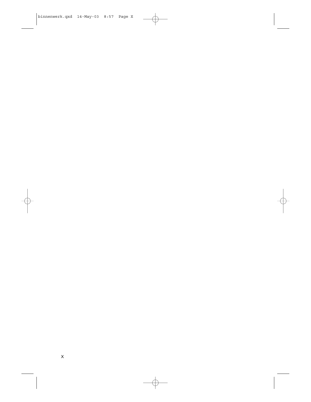X

 $\rightarrow$ 

 $\mathbb {P}$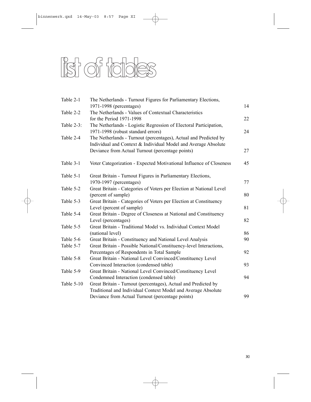# Is of tobles

 $\rightarrow$ 

| Table 2-1  | The Netherlands - Turnout Figures for Parliamentary Elections,      |    |
|------------|---------------------------------------------------------------------|----|
|            | 1971-1998 (percentages)                                             | 14 |
| Table 2-2  | The Netherlands - Values of Contextual Characteristics              |    |
|            | for the Period 1971-1998                                            | 22 |
| Table 2-3: | The Netherlands - Logistic Regression of Electoral Participation,   |    |
|            | 1971-1998 (robust standard errors)                                  | 24 |
| Table 2-4  | The Netherlands - Turnout (percentages), Actual and Predicted by    |    |
|            | Individual and Context & Individual Model and Average Absolute      |    |
|            | Deviance from Actual Turnout (percentage points)                    | 27 |
| Table 3-1  | Voter Categorization - Expected Motivational Influence of Closeness | 45 |
| Table 5-1  | Great Britain - Turnout Figures in Parliamentary Elections,         |    |
|            | 1970-1997 (percentages)                                             | 77 |
| Table 5-2  | Great Britain - Categories of Voters per Election at National Level |    |
|            | (percent of sample)                                                 | 80 |
| Table 5-3  | Great Britain - Categories of Voters per Election at Constituency   |    |
|            | Level (percent of sample)                                           | 81 |
| Table 5-4  | Great Britain - Degree of Closeness at National and Constituency    |    |
|            | Level (percentages)                                                 | 82 |
| Table 5-5  | Great Britain - Traditional Model vs. Individual Context Model      |    |
|            | (national level)                                                    | 86 |
| Table 5-6  | Great Britain - Constituency and National Level Analysis            | 90 |
| Table 5-7  | Great Britain - Possible National/Constituency-level Interactions,  |    |
|            | Percentages of Respondents in Total Sample                          | 92 |
| Table 5-8  | Great Britain - National Level Convinced/Constituency Level         |    |
|            | Convinced Interaction (condensed table)                             | 93 |
| Table 5-9  | Great Britain - National Level Convinced/Constituency Level         |    |
|            | Condemned Interaction (condensed table)                             | 94 |
| Table 5-10 | Great Britain - Turnout (percentages), Actual and Predicted by      |    |
|            | Traditional and Individual Context Model and Average Absolute       |    |
|            | Deviance from Actual Turnout (percentage points)                    | 99 |

 $\overline{\triangle}$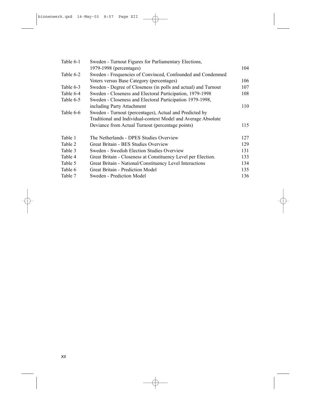| Table 6-1 | Sweden - Turnout Figures for Parliamentary Elections,          |     |  |  |  |  |
|-----------|----------------------------------------------------------------|-----|--|--|--|--|
|           | 1979-1998 (percentages)                                        | 104 |  |  |  |  |
| Table 6-2 | Sweden - Frequencies of Convinced, Confounded and Condemned    |     |  |  |  |  |
|           | Voters versus Base Category (percentages)                      | 106 |  |  |  |  |
| Table 6-3 | Sweden - Degree of Closeness (in polls and actual) and Turnout | 107 |  |  |  |  |
| Table 6-4 | Sweden - Closeness and Electoral Participation, 1979-1998      | 108 |  |  |  |  |
| Table 6-5 | Sweden - Closeness and Electoral Participation 1979-1998,      |     |  |  |  |  |
|           | including Party Attachment                                     | 110 |  |  |  |  |
| Table 6-6 | Sweden - Turnout (percentages), Actual and Predicted by        |     |  |  |  |  |
|           | Traditional and Individual-context Model and Average Absolute  |     |  |  |  |  |
|           | Deviance from Actual Turnout (percentage points)               | 115 |  |  |  |  |
| Table 1   | The Netherlands - DPES Studies Overview                        | 127 |  |  |  |  |
| Table 2   | Great Britain - BES Studies Overview                           | 129 |  |  |  |  |
| Table 3   | Sweden - Swedish Election Studies Overview                     | 131 |  |  |  |  |
| Table 4   | Great Britain - Closeness at Constituency Level per Election.  | 133 |  |  |  |  |
| Table 5   | Great Britain - National/Constituency Level Interactions       | 134 |  |  |  |  |
| Table 6   | Great Britain - Prediction Model                               | 135 |  |  |  |  |
| Table 7   | Sweden - Prediction Model                                      | 136 |  |  |  |  |

 $\mathbb {P}$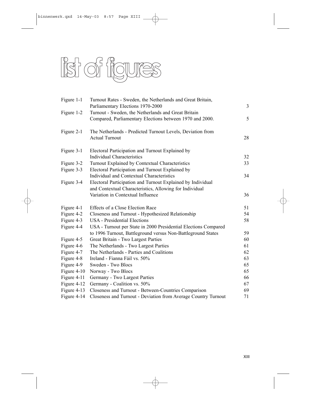

 $\rightarrow$ 

 $\overline{\phantom{0}}$ 

Y

| Figure 1-1  | Turnout Rates - Sweden, the Netherlands and Great Britain,      |    |
|-------------|-----------------------------------------------------------------|----|
|             | Parliamentary Elections 1970-2000                               | 3  |
| Figure 1-2  | Turnout - Sweden, the Netherlands and Great Britain             |    |
|             | Compared, Parliamentary Elections between 1970 and 2000.        | 5  |
| Figure 2-1  | The Netherlands - Predicted Turnout Levels, Deviation from      |    |
|             | <b>Actual Turnout</b>                                           | 28 |
| Figure 3-1  | Electoral Participation and Turnout Explained by                |    |
|             | <b>Individual Characteristics</b>                               | 32 |
| Figure 3-2  | Turnout Explained by Contextual Characteristics                 | 33 |
| Figure 3-3  | Electoral Participation and Turnout Explained by                |    |
|             | Individual and Contextual Characteristics                       | 34 |
| Figure 3-4  | Electoral Participation and Turnout Explained by Individual     |    |
|             | and Contextual Characteristics, Allowing for Individual         |    |
|             | Variation in Contextual Influence                               | 36 |
| Figure 4-1  | Effects of a Close Election Race                                | 51 |
| Figure 4-2  | Closeness and Turnout - Hypothesized Relationship               | 54 |
| Figure 4-3  | <b>USA</b> - Presidential Elections                             | 58 |
| Figure 4-4  | USA - Turnout per State in 2000 Presidential Elections Compared |    |
|             | to 1996 Turnout, Battleground versus Non-Battleground States    | 59 |
| Figure 4-5  | Great Britain - Two Largest Parties                             | 60 |
| Figure 4-6  | The Netherlands - Two Largest Parties                           | 61 |
| Figure 4-7  | The Netherlands - Parties and Coalitions                        | 62 |
| Figure 4-8  | Ireland - Fianna Fáil vs. 50%                                   | 63 |
| Figure 4-9  | Sweden - Two Blocs                                              | 65 |
| Figure 4-10 | Norway - Two Blocs                                              | 65 |
| Figure 4-11 | Germany - Two Largest Parties                                   | 66 |
| Figure 4-12 | Germany - Coalition vs. 50%                                     | 67 |
| Figure 4-13 | Closeness and Turnout - Between-Countries Comparison            | 69 |
| Figure 4-14 | Closeness and Turnout - Deviation from Average Country Turnout  | 71 |

 $\overline{\overline{}}$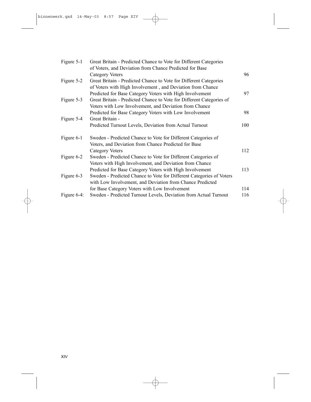| Great Britain - Predicted Chance to Vote for Different Categories    |     |
|----------------------------------------------------------------------|-----|
| of Voters, and Deviation from Chance Predicted for Base              |     |
| <b>Category Voters</b>                                               | 96  |
| Great Britain - Predicted Chance to Vote for Different Categories    |     |
| of Voters with High Involvement, and Deviation from Chance           |     |
| Predicted for Base Category Voters with High Involvement             | 97  |
| Great Britain - Predicted Chance to Vote for Different Categories of |     |
| Voters with Low Involvement, and Deviation from Chance               |     |
| Predicted for Base Category Voters with Low Involvement              | 98  |
| Great Britain -                                                      |     |
| Predicted Turnout Levels, Deviation from Actual Turnout              | 100 |
| Sweden - Predicted Chance to Vote for Different Categories of        |     |
| Voters, and Deviation from Chance Predicted for Base                 |     |
| Category Voters                                                      | 112 |
| Sweden - Predicted Chance to Vote for Different Categories of        |     |
| Voters with High Involvement, and Deviation from Chance              |     |
| Predicted for Base Category Voters with High Involvement             | 113 |
| Sweden - Predicted Chance to Vote for Different Categories of Voters |     |
| with Low Involvement, and Deviation from Chance Predicted            |     |
| for Base Category Voters with Low Involvement                        | 114 |
| Sweden - Predicted Turnout Levels, Deviation from Actual Turnout     | 116 |
|                                                                      |     |

 $\overline{\phantom{0}}$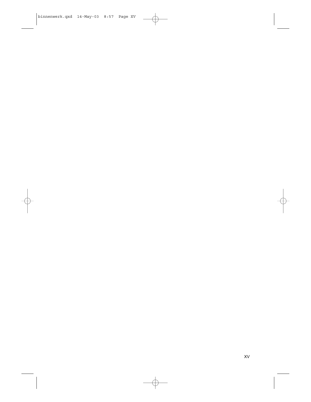XV

 $\overline{\phantom{0}}$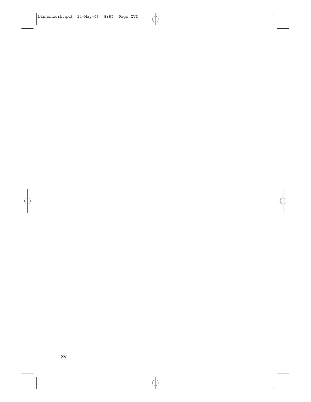XVI

 $\rightarrow$ 

 $\overline{\phantom{0}}$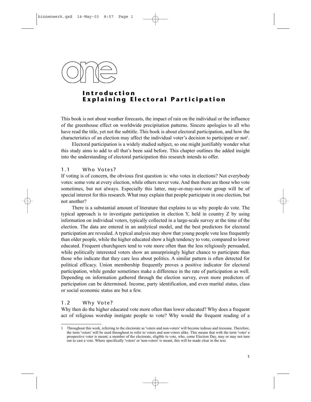

## **Introduction Explaining Electoral Participation**

This book is not about weather forecasts, the impact of rain on the individual or the influence of the greenhouse effect on worldwide precipitation patterns. Sincere apologies to all who have read the title, yet not the subtitle. This book is about electoral participation, and how the characteristics of an election may affect the individual voter's decision to participate or not<sup>1</sup>.

Electoral participation is a widely studied subject, so one might justifiably wonder what this study aims to add to all that's been said before. This chapter outlines the added insight into the understanding of electoral participation this research intends to offer.

## 1.1 Who Votes?

If voting is of concern, the obvious first question is: who votes in elections? Not everybody votes: some vote at every election, while others never vote. And then there are those who vote sometimes, but not always. Especially this latter, may-or-may-not-vote group will be of special interest for this research. What may explain that people participate in one election, but not another?

There is a substantial amount of literature that explains to us why people do vote. The typical approach is to investigate participation in election Y, held in country Z by using information on individual voters, typically collected in a large-scale survey at the time of the election. The data are entered in an analytical model, and the best predictors for electoral participation are revealed. A typical analysis may show that young people vote less frequently than older people, while the higher educated show a high tendency to vote, compared to lower educated. Frequent churchgoers tend to vote more often than the less religiously persuaded, while politically interested voters show an unsurprisingly higher chance to participate than those who indicate that they care less about politics. A similar pattern is often detected for political efficacy. Union membership frequently proves a positive indicator for electoral participation, while gender sometimes make a difference in the rate of participation as well. Depending on information gathered through the election survey, even more predictors of participation can be determined. Income, party identification, and even marital status, class or social economic status are but a few.

## 1.2 Why Vote?

Why then do the higher educated vote more often than lower educated? Why does a frequent act of religious worship instigate people to vote? Why would the frequent reading of a

<sup>1</sup> Throughout this work, referring to the electorate as 'voters and non-voters' will become tedious and tiresome. Therefore, the term 'voters' will be used throughout to refer to voters and non-voters alike. This means that with the term 'voter' a prospective voter is meant; a member of the electorate, eligible to vote, who, come Election Day, may or may not turn out to cast a vote. Where specifically 'voters' or 'non-voters' is meant, this will be made clear in the text.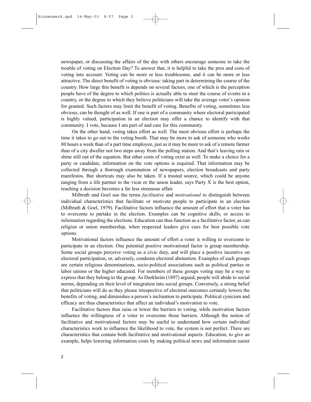newspaper, or discussing the affairs of the day with others encourage someone to take the trouble of voting on Election Day? To answer that, it is helpful to take the pros and cons of voting into account. Voting can be more or less troublesome, and it can be more or less attractive. The direct benefit of voting is obvious: taking part in determining the course of the country. How large this benefit is depends on several factors, one of which is the perception people have of the degree to which politics is actually able to steer the course of events in a country, or the degree to which they believe politicians will take the average voter's opinion for granted. Such factors may limit the benefit of voting. Benefits of voting, sometimes less obvious, can be thought of as well. If one is part of a community where electoral participated is highly valued, participation in an election may offer a chance to identify with that community. I vote, because I am part of and care for this community.

On the other hand, voting takes effort as well. The most obvious effort is perhaps the time it takes to go out to the voting booth. That may be more to ask of someone who works 80 hours a week than of a part time employee, just as it may be more to ask of a remote farmer than of a city dweller not two steps away from the polling station. And that's leaving rain or shine still out of the equation. But other costs of voting exist as well. To make a choice for a party or candidate, information on the vote options is required. That information may be collected through a thorough examination of newspapers, election broadcasts and party manifestos. But shortcuts may also be taken. If a trusted source, which could be anyone ranging from a life partner to the vicar or the union leader, says Party X is the best option, reaching a decision becomes a far less strenuous affair.

Milbrath and Goel use the terms *facilitative* and *motivational* to distinguish between individual characteristics that facilitate or motivate people to participate in an election (Milbrath & Goel, 1979). Facilitative factors influence the amount of effort that a voter has to overcome to partake in the election. Examples can be cognitive skills, or access to information regarding the elections. Education can thus function as a facilitative factor, as can religion or union membership, when respected leaders give cues for best possible vote options.

Motivational factors influence the amount of effort a voter is willing to overcome to participate in an election. One potential positive motivational factor is group membership. Some social groups perceive voting as a civic duty, and will place a positive incentive on electoral participation, or, adversely, condemn electoral abstention. Examples of such groups are certain religious denominations, socio-political associations such as political parties or labor unions or the higher educated. For members of these groups voting may be a way to express that they belong to the group. As Durkheim (1897) argued, people will abide to social norms, depending on their level of integration into social groups. Conversely, a strong belief that politicians will do as they please irrespective of electoral outcomes certainly lowers the benefits of voting, and diminishes a person's inclination to participate. Political cynicism and efficacy are thus characteristics that affect an individual's motivation to vote.

Facilitative factors thus raise or lower the barriers to voting, while motivation factors influence the willingness of a voter to overcome those barriers. Although the notion of facilitative and motivational factors may be useful to understand how certain individual characteristics work to influence the likelihood to vote, the system is not perfect. There are characteristics that contain both facilitative and motivational aspects. Education, to give an example, helps lowering information costs by making political news and information easier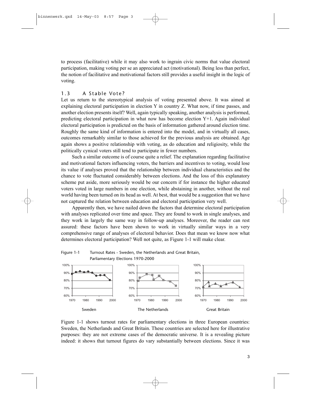to process (facilitative) while it may also work to ingrain civic norms that value electoral participation, making voting per se an appreciated act (motivational). Being less than perfect, the notion of facilitative and motivational factors still provides a useful insight in the logic of voting.

## 1.3 A Stable Vote?

Let us return to the stereotypical analysis of voting presented above. It was aimed at explaining electoral participation in election Y in country Z. What now, if time passes, and another election presents itself? Well, again typically speaking, another analysis is performed, predicting electoral participation in what now has become election Y+1. Again individual electoral participation is predicted on the basis of information gathered around election time. Roughly the same kind of information is entered into the model, and in virtually all cases, outcomes remarkably similar to those achieved for the previous analysis are obtained. Age again shows a positive relationship with voting, as do education and religiosity, while the politically cynical voters still tend to participate in fewer numbers.

Such a similar outcome is of course quite a relief. The explanation regarding facilitative and motivational factors influencing voters, the barriers and incentives to voting, would lose its value if analyses proved that the relationship between individual characteristics and the chance to vote fluctuated considerably between elections. And the loss of this explanatory scheme put aside, more seriously would be our concern if for instance the higher educated voters voted in large numbers in one election, while abstaining in another, without the real world having been turned on its head as well. At best, that would be a suggestion that we have not captured the relation between education and electoral participation very well.

Apparently then, we have nailed down the factors that determine electoral participation with analyses replicated over time and space. They are found to work in single analyses, and they work in largely the same way in follow-up analyses. Moreover, the reader can rest assured: these factors have been shown to work in virtually similar ways in a very comprehensive range of analyses of electoral behavior. Does that mean we know now what determines electoral participation? Well not quite, as Figure 1-1 will make clear.



Figure 1-1 Turnout Rates - Sweden, the Netherlands and Great Britain, Parliamentary Elections 1970-2000

Figure 1-1 shows turnout rates for parliamentary elections in three European countries: Sweden, the Netherlands and Great Britain. These countries are selected here for illustrative purposes: they are not extreme cases of the democratic universe. It is a revealing picture indeed: it shows that turnout figures do vary substantially between elections. Since it was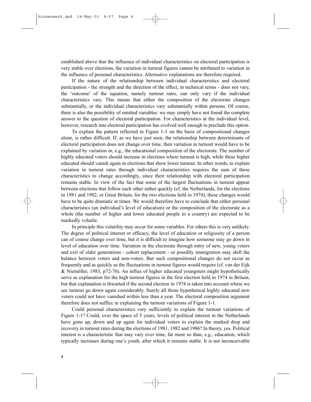established above that the influence of individual characteristics on electoral participation is very stable over elections, the variation in turnout figures cannot be attributed to variation in the influence of personal characteristics. Alternative explanations are therefore required.

If the nature of the relationship between individual characteristics and electoral participation - the strength and the direction of the effect, in technical terms - does not vary, the ëoutcomeí of the equation, namely turnout rates, can only vary if the individual characteristics vary. This means that either the composition of the electorate changes substantially, or the individual characteristics vary substantially within persons. Of course, there is also the possibility of omitted variables: we may simply have not found the complete answer to the question of electoral participation. For characteristics at the individual level, however, research into electoral participation has evolved well enough to preclude this option.

To explain the pattern reflected in Figure 1-1 on the basis of compositional changes alone, is rather difficult. If, as we have just seen, the relationship between determinants of electoral participation does not change over time, then variation in turnout would have to be explained by variation in, e.g., the educational composition of the electorate. The number of highly educated voters should increase in elections where turnout is high, while these higher educated should vanish again in elections that show lower turnout. In other words, to explain variation in turnout rates through individual characteristics requires the sum of these characteristics to change accordingly, since their relationship with electoral participation remains stable. In view of the fact that some of the largest fluctuations in turnout appear between elections that follow each other rather quickly (cf. the Netherlands, for the elections in 1981 and 1982, or Great Britain, for the two elections held in 1974), these changes would have to be quite dramatic at times. We would therefore have to conclude that either personal characteristics (an individual's level of education) or the composition of the electorate as a whole (the number of higher and lower educated people in a country) are expected to be markedly volatile.

In principle this volatility may occur for some variables. For others this is very unlikely. The degree of political interest or efficacy, the level of education or religiosity of a person can of course change over time, but it is difficult to imagine how someone may go down in level of education over time. Variation in the electorate through entry of new, young voters and exit of older generations - cohort replacement - or possibly immigration may shift the balance between voters and non-voters. But such compositional changes do not occur as frequently and as quickly as the fluctuations in turnout figures would require (cf. van der Eijk & Niemˆller, 1983, p72-76). An influx of higher educated youngsters might hypothetically serve as explanation for the high turnout figures in the first election held in 1974 in Britain, but that explanation is thwarted if the second election in 1974 is taken into account where we see turnout go down again considerably. Surely all those hypothetical highly educated new voters could not have vanished within less than a year. The electoral composition argument therefore does not suffice in explaining the turnout variations of Figure 1-1.

Could personal characteristics vary sufficiently to explain the turnout variations of Figure 1-1? Could, over the space of 5 years, levels of political interest in the Netherlands have gone up, down and up again for individual voters to explain the marked drop and recovery in turnout rates during the elections of 1981, 1982 and 1986? In theory, yes. Political interest is a characteristic that may vary over time, far more so than, e.g., education, which typically increases during one's youth, after which it remains stable. It is not inconceivable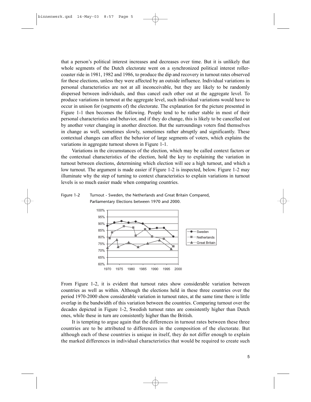that a personís political interest increases and decreases over time. But it is unlikely that whole segments of the Dutch electorate went on a synchronized political interest rollercoaster ride in 1981, 1982 and 1986, to produce the dip and recovery in turnout rates observed for these elections, unless they were affected by an outside influence. Individual variations in personal characteristics are not at all inconceivable, but they are likely to be randomly dispersed between individuals, and thus cancel each other out at the aggregate level. To produce variations in turnout at the aggregate level, such individual variations would have to occur in unison for (segments of) the electorate. The explanation for the picture presented in Figure 1-1 then becomes the following. People tend to be rather stable in most of their personal characteristics and behavior, and if they do change, this is likely to be cancelled out by another voter changing in another direction. But the surroundings voters find themselves in change as well, sometimes slowly, sometimes rather abruptly and significantly. These contextual changes can affect the behavior of large segments of voters, which explains the variations in aggregate turnout shown in Figure 1-1.

Variations in the circumstances of the election, which may be called context factors or the contextual characteristics of the election, hold the key to explaining the variation in turnout between elections, determining which election will see a high turnout, and which a low turnout. The argument is made easier if Figure 1-2 is inspected, below. Figure 1-2 may illuminate why the step of turning to context characteristics to explain variations in turnout levels is so much easier made when comparing countries.

#### Figure 1-2 Turnout - Sweden, the Netherlands and Great Britain Compared, Parliamentary Elections between 1970 and 2000.



From Figure 1-2, it is evident that turnout rates show considerable variation between countries as well as within. Although the elections held in these three countries over the period 1970-2000 show considerable variation in turnout rates, at the same time there is little overlap in the bandwidth of this variation between the countries. Comparing turnout over the decades depicted in Figure 1-2, Swedish turnout rates are consistently higher than Dutch ones, while these in turn are consistently higher than the British.

It is tempting to argue again that the differences in turnout rates between these three countries are to be attributed to differences in the composition of the electorate. But although each of these countries is unique in itself, they do not differ enough to explain the marked differences in individual characteristics that would be required to create such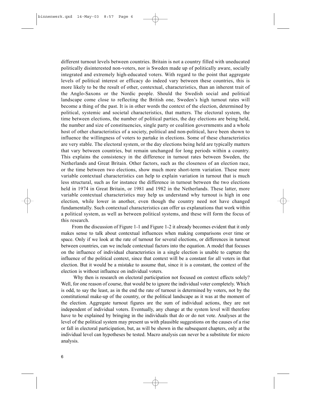different turnout levels between countries. Britain is not a country filled with uneducated politically disinterested non-voters, nor is Sweden made up of politically aware, socially integrated and extremely high-educated voters. With regard to the point that aggregate levels of political interest or efficacy do indeed vary between these countries, this is more likely to be the result of other, contextual, characteristics, than an inherent trait of the Anglo-Saxons or the Nordic people. Should the Swedish social and political landscape come close to reflecting the British one, Sweden's high turnout rates will become a thing of the past. It is in other words the context of the election, determined by political, systemic and societal characteristics, that matters. The electoral system, the time between elections, the number of political parties, the day elections are being held, the number and size of constituencies, single party or coalition governments and a whole host of other characteristics of a society, political and non-political, have been shown to influence the willingness of voters to partake in elections. Some of these characteristics are very stable. The electoral system, or the day elections being held are typically matters that vary between countries, but remain unchanged for long periods within a country. This explains the consistency in the difference in turnout rates between Sweden, the Netherlands and Great Britain. Other factors, such as the closeness of an election race, or the time between two elections, show much more short-term variation. These more variable contextual characteristics can help to explain variation in turnout that is much less structural, such as for instance the difference in turnout between the two elections held in 1974 in Great Britain, or 1981 and 1982 in the Netherlands. These latter, more variable contextual characteristics may help us understand why turnout is high in one election, while lower in another, even though the country need not have changed fundamentally. Such contextual characteristics can offer us explanations that work within a political system, as well as between political systems, and these will form the focus of this research.

From the discussion of Figure 1-1 and Figure 1-2 it already becomes evident that it only makes sense to talk about contextual influences when making comparisons over time or space. Only if we look at the rate of turnout for several elections, or differences in turnout between countries, can we include contextual factors into the equation. A model that focuses on the influence of individual characteristics in a single election is unable to capture the influence of the political context, since that context will be a constant for all voters in that election. But it would be a mistake to assume that, since it is a constant, the context of the election is without influence on individual voters.

Why then is research on electoral participation not focused on context effects solely? Well, for one reason of course, that would be to ignore the individual voter completely. Which is odd, to say the least, as in the end the rate of turnout is determined by voters, not by the constitutional make-up of the country, or the political landscape as it was at the moment of the election. Aggregate turnout figures are the sum of individual actions, they are not independent of individual voters. Eventually, any change at the system level will therefore have to be explained by bringing in the individuals that do or do not vote. Analyses at the level of the political system may present us with plausible suggestions on the causes of a rise or fall in electoral participation, but, as will be shown in the subsequent chapters, only at the individual level can hypotheses be tested. Macro analysis can never be a substitute for micro analysis.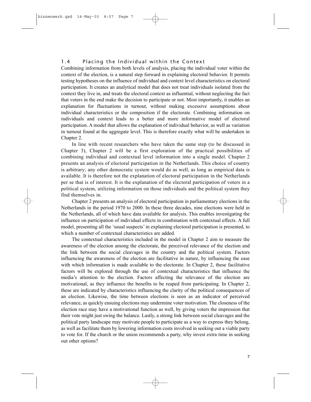## 1.4 Placing the Individual within the Context

Combining information from both levels of analysis, placing the individual voter within the context of the election, is a natural step forward in explaining electoral behavior. It permits testing hypotheses on the influence of individual and context level characteristics on electoral participation. It creates an analytical model that does not treat individuals isolated from the context they live in, and treats the electoral context as influential, without neglecting the fact that voters in the end make the decision to participate or not. Most importantly, it enables an explanation for fluctuations in turnout, without making excessive assumptions about individual characteristics or the composition if the electorate. Combining information on individuals and context leads to a better and more informative model of electoral participation. A model that allows the explanation of individual behavior, as well as variation in turnout found at the aggregate level. This is therefore exactly what will be undertaken in Chapter 2.

In line with recent researchers who have taken the same step (to be discussed in Chapter 3), Chapter 2 will be a first exploration of the practical possibilities of combining individual and contextual level information into a single model. Chapter 2 presents an analysis of electoral participation in the Netherlands. This choice of country is arbitrary; any other democratic system would do as well, as long as empirical data is available. It is therefore not the explanation of electoral participation in the Netherlands per se that is of interest. It is the explanation of the electoral participation of voters in a political system, utilizing information on those individuals and the political system they find themselves in.

Chapter 2 presents an analysis of electoral participation in parliamentary elections in the Netherlands in the period 1970 to 2000. In these three decades, nine elections were held in the Netherlands, all of which have data available for analysis. This enables investigating the influence on participation of individual effects in combination with contextual effects. A full model, presenting all the 'usual suspects' in explaining electoral participation is presented, to which a number of contextual characteristics are added.

The contextual characteristics included in the model in Chapter 2 aim to measure the awareness of the election among the electorate, the perceived relevance of the election and the link between the social cleavages in the country and the political system. Factors influencing the awareness of the election are facilitative in nature, by influencing the ease with which information is made available to the electorate. In Chapter 2, these facilitative factors will be explored through the use of contextual characteristics that influence the mediaís attention to the election. Factors affecting the relevance of the election are motivational, as they influence the benefits to be reaped from participating. In Chapter 2, these are indicated by characteristics influencing the clarity of the political consequences of an election. Likewise, the time between elections is seen as an indicator of perceived relevance, as quickly ensuing elections may undermine voter motivation. The closeness of the election race may have a motivational function as well, by giving voters the impression that their vote might just swing the balance. Lastly, a strong link between social cleavages and the political party landscape may motivate people to participate as a way to express they belong, as well as facilitate them by lowering information costs involved in seeking out a viable party to vote for. If the church or the union recommends a party, why invest extra time in seeking out other options?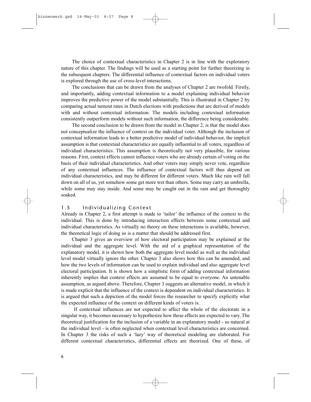The choice of contextual characteristics in Chapter 2 is in line with the exploratory nature of this chapter. The findings will be used as a starting point for further theorizing in the subsequent chapters. The differential influence of contextual factors on individual voters is explored through the use of cross-level interactions.

The conclusions that can be drawn from the analyses of Chapter 2 are twofold. Firstly, and importantly, adding contextual information to a model explaining individual behavior improves the predictive power of the model substantially. This is illustrated in Chapter 2 by comparing actual turnout rates in Dutch elections with predictions that are derived of models with and without contextual information. The models including contextual information consistently outperform models without such information, the difference being considerable.

The second conclusion to be drawn from the model in Chapter 2, is that the model does not conceptualize the influence of context on the individual voter. Although the inclusion of contextual information leads to a better predictive model of individual behavior, the implicit assumption is that contextual characteristics are equally influential to all voters, regardless of individual characteristics. This assumption is theoretically not very plausible, for various reasons. First, context effects cannot influence voters who are already certain of voting on the basis of their individual characteristics. And other voters may simply never vote, regardless of any contextual influences. The influence of contextual factors will thus depend on individual characteristics, and may be different for different voters. Much like rain will fall down on all of us, yet somehow some get more wet than others. Some may carry an umbrella, while some may stay inside. And some may be caught out in the rain and get thoroughly soaked.

## 1.5 Individualizing Context

Already in Chapter 2, a first attempt is made to 'tailor' the influence of the context to the individual. This is done by introducing interaction effects between some contextual and individual characteristics. As virtually no theory on these interactions is available, however, the theoretical logic of doing so is a matter that should be addressed first.

Chapter 3 gives an overview of how electoral participation may be explained at the individual and the aggregate level. With the aid of a graphical representation of the explanatory model, it is shown how both the aggregate level model as well as the individual level model virtually ignore the other. Chapter 3 also shows how this can be amended, and how the two levels of information can be used to explain individual and also aggregate level electoral participation. It is shown how a simplistic form of adding contextual information inherently implies that context effects are assumed to be equal to everyone. An untenable assumption, as argued above. Therefore, Chapter 3 suggests an alternative model, in which it is made explicit that the influence of the context is dependent on individual characteristics. It is argued that such a depiction of the model forces the researcher to specify explicitly what the expected influence of the context on different kinds of voters is.

If contextual influences are not expected to affect the whole of the electorate in a singular way, it becomes necessary to hypothesize how these effects are expected to vary. The theoretical justification for the inclusion of a variable in an explanatory model - so natural at the individual level - is often neglected when contextual level characteristics are concerned. In Chapter 3 the risks of such a 'lazy' way of theoretical modeling are elaborated. For different contextual characteristics, differential effects are theorized. One of these, of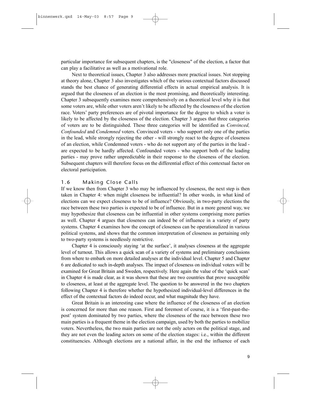particular importance for subsequent chapters, is the "closeness" of the election, a factor that can play a facilitative as well as a motivational role.

Next to theoretical issues, Chapter 3 also addresses more practical issues. Not stopping at theory alone, Chapter 3 also investigates which of the various contextual factors discussed stands the best chance of generating differential effects in actual empirical analysis. It is argued that the closeness of an election is the most promising, and theoretically interesting. Chapter 3 subsequently examines more comprehensively on a theoretical level why it is that some voters are, while other voters aren't likely to be affected by the closeness of the election race. Voters' party preferences are of pivotal importance for the degree to which a voter is likely to be affected by the closeness of the election. Chapter 3 argues that three categories of voters are to be distinguished. These three categories will be identified as *Convinced, Confounded* and *Condemned* voters. Convinced voters - who support only one of the parties in the lead, while strongly rejecting the other - will strongly react to the degree of closeness of an election, while Condemned voters - who do not support any of the parties in the lead are expected to be hardly affected. Confounded voters - who support both of the leading parties - may prove rather unpredictable in their response to the closeness of the election. Subsequent chapters will therefore focus on the differential effect of this contextual factor on electoral participation.

#### 1.6 Making Close Calls

If we know then from Chapter 3 who may be influenced by closeness, the next step is then taken in Chapter 4: when might closeness be influential? In other words, in what kind of elections can we expect closeness to be of influence? Obviously, in two-party elections the race between these two parties is expected to be of influence. But in a more general way, we may hypothesize that closeness can be influential in other systems comprising more parties as well. Chapter 4 argues that closeness can indeed be of influence in a variety of party systems. Chapter 4 examines how the concept of closeness can be operationalized in various political systems, and shows that the common interpretation of closeness as pertaining only to two-party systems is needlessly restrictive.

Chapter  $4$  is consciously staying 'at the surface', it analyses closeness at the aggregate level of turnout. This allows a quick scan of a variety of systems and preliminary conclusions from where to embark on more detailed analyses at the individual level. Chapter 5 and Chapter 6 are dedicated to such in-depth analyses. The impact of closeness on individual voters will be examined for Great Britain and Sweden, respectively. Here again the value of the 'quick scan' in Chapter 4 is made clear, as it was shown that these are two countries that prove susceptible to closeness, at least at the aggregate level. The question to be answered in the two chapters following Chapter 4 is therefore whether the hypothesized individual-level differences in the effect of the contextual factors do indeed occur, and what magnitude they have.

Great Britain is an interesting case where the influence of the closeness of an election is concerned for more than one reason. First and foremost of course, it is a ëfirst-past-thepostí system dominated by two parties, where the closeness of the race between these two main parties is a frequent theme in the election campaign, used by both the parties to mobilize voters. Nevertheless, the two main parties are not the only actors on the political stage, and they are not even the leading actors on some of the election stages: i.e., within the different constituencies. Although elections are a national affair, in the end the influence of each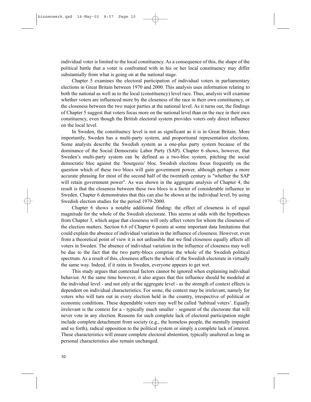individual voter is limited to the local constituency. As a consequence of this, the shape of the political battle that a voter is confronted with in his or her local constituency may differ substantially from what is going on at the national stage.

Chapter 5 examines the electoral participation of individual voters in parliamentary elections in Great Britain between 1970 and 2000. This analysis uses information relating to both the national as well as to the local (constituency) level race. Thus, analysis will examine whether voters are influenced more by the closeness of the race in their own constituency, or the closeness between the two major parties at the national level. As it turns out, the findings of Chapter 5 suggest that voters focus more on the national level than on the race in their own constituency, even though the British electoral system provides voters only direct influence on the local level.

In Sweden, the constituency level is not as significant as it is in Great Britain. More importantly, Sweden has a multi-party system, and proportional representation elections. Some analysts describe the Swedish system as a one-plus party system because of the dominance of the Social Democratic Labor Party (SAP). Chapter 6 shows, however, that Sweden's multi-party system can be defined as a two-bloc system, pitching the social democratic bloc against the ëbourgeoisí bloc. Swedish elections focus frequently on the question which of these two blocs will gain government power, although perhaps a more accurate phrasing for most of the second half of the twentieth century is "whether the SAP will retain government power". As was shown in the aggregate analysis of Chapter 4, the result is that the closeness between these two blocs is a factor of considerable influence in Sweden. Chapter 6 demonstrates that this can also be shown at the individual level, by using Swedish election studies for the period 1979-2000.

Chapter 6 shows a notable additional finding: the effect of closeness is of equal magnitude for the whole of the Swedish electorate. This seems at odds with the hypotheses from Chapter 3, which argue that closeness will only affect voters for whom the closeness of the election matters. Section 6.6 of Chapter 6 points at some important data limitations that could explain the absence of individual variation in the influence of closeness. However, even from a theoretical point of view it is not unfeasible that we find closeness equally affects all voters in Sweden. The absence of individual variation in the influence of closeness may well be due to the fact that the two party-blocs comprise the whole of the Swedish political spectrum. As a result of this, closeness affects the whole of the Swedish electorate in virtually the same way. Indeed, if it rains in Sweden, everyone appears to get wet.

This study argues that contextual factors cannot be ignored when explaining individual behavior. At the same time however, it also argues that this influence should be modeled at the individual level - and not only at the aggregate level - as the strength of context effects is dependent on individual characteristics. For some, the context may be irrelevant, namely for voters who will turn out in every election held in the country, irrespective of political or economic conditions. These dependable voters may well be called 'habitual voters'. Equally irrelevant is the context for a - typically much smaller - segment of the electorate that will never vote in any election. Reasons for such complete lack of electoral participation might include complete detachment from society (e.g., the homeless people, the mentally impaired and so forth), radical opposition to the political system or simply a complete lack of interest. These characteristics will ensure complete electoral abstention, typically unaltered as long as personal characteristics also remain unchanged.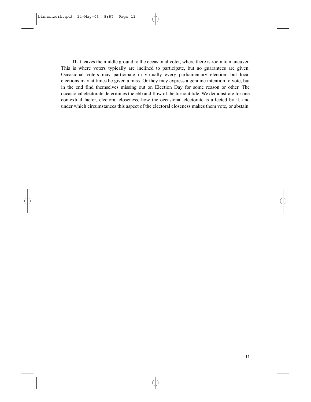That leaves the middle ground to the occasional voter, where there is room to maneuver. This is where voters typically are inclined to participate, but no guarantees are given. Occasional voters may participate in virtually every parliamentary election, but local elections may at times be given a miss. Or they may express a genuine intention to vote, but in the end find themselves missing out on Election Day for some reason or other. The occasional electorate determines the ebb and flow of the turnout tide. We demonstrate for one contextual factor, electoral closeness, how the occasional electorate is affected by it, and under which circumstances this aspect of the electoral closeness makes them vote, or abstain.

 $\overline{\triangle}$ 

Ŧ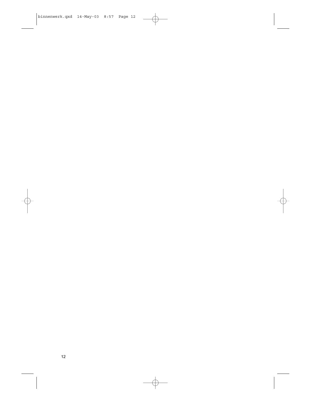12

 $\rightarrow$ 

 $\overline{\phantom{0}}$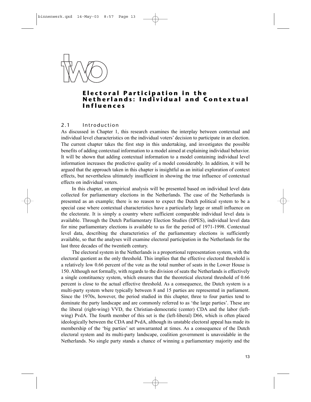

## **Electoral Participation in the Netherlands: Individual and Contextual Influences**

## 2.1 Introduction

As discussed in Chapter 1, this research examines the interplay between contextual and individual level characteristics on the individual voters' decision to participate in an election. The current chapter takes the first step in this undertaking, and investigates the possible benefits of adding contextual information to a model aimed at explaining individual behavior. It will be shown that adding contextual information to a model containing individual level information increases the predictive quality of a model considerably. In addition, it will be argued that the approach taken in this chapter is insightful as an initial exploration of context effects, but nevertheless ultimately insufficient in showing the true influence of contextual effects on individual voters.

In this chapter, an empirical analysis will be presented based on individual level data collected for parliamentary elections in the Netherlands. The case of the Netherlands is presented as an example; there is no reason to expect the Dutch political system to be a special case where contextual characteristics have a particularly large or small influence on the electorate. It is simply a country where sufficient comparable individual level data is available. Through the Dutch Parliamentary Election Studies (DPES), individual level data for nine parliamentary elections is available to us for the period of 1971-1998. Contextual level data, describing the characteristics of the parliamentary elections is sufficiently available, so that the analyses will examine electoral participation in the Netherlands for the last three decades of the twentieth century.

The electoral system in the Netherlands is a proportional representation system, with the electoral quotient as the only threshold. This implies that the effective electoral threshold is a relatively low 0.66 percent of the vote as the total number of seats in the Lower House is 150. Although not formally, with regards to the division of seats the Netherlands is effectively a single constituency system, which ensures that the theoretical electoral threshold of 0.66 percent is close to the actual effective threshold. As a consequence, the Dutch system is a multi-party system where typically between 8 and 15 parties are represented in parliament. Since the 1970s, however, the period studied in this chapter, three to four parties tend to dominate the party landscape and are commonly referred to as 'the large parties'. These are the liberal (right-wing) VVD, the Christian-democratic (center) CDA and the labor (leftwing) PvdA. The fourth member of this set is the (left-liberal) D66, which is often placed ideologically between the CDA and PvdA, although its unstable electoral appeal has made its membership of the 'big parties' set unwarranted at times. As a consequence of the Dutch electoral system and its multi-party landscape, coalition government is unavoidable in the Netherlands. No single party stands a chance of winning a parliamentary majority and the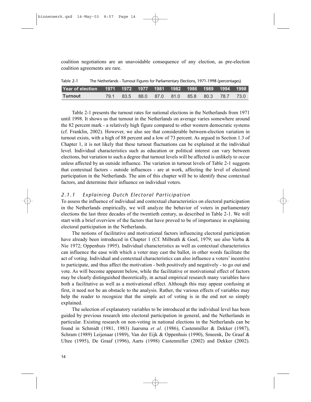coalition negotiations are an unavoidable consequence of any election, as pre-election coalition agreements are rare.

| l Year of election  1971  1972  1977  1981  1982  1986  1989  1994  1998 |  |  |                                              |  |  |
|--------------------------------------------------------------------------|--|--|----------------------------------------------|--|--|
| Turnout                                                                  |  |  | 79.1 83.5 88.0 87.0 81.0 85.8 80.3 78.7 73.0 |  |  |

Table 2-1 The Netherlands - Turnout Figures for Parliamentary Elections, 1971-1998 (percentages)

Table 2-1 presents the turnout rates for national elections in the Netherlands from 1971 until 1998. It shows us that turnout in the Netherlands on average varies somewhere around the 82 percent mark - a relatively high figure compared to other western democratic systems (cf. Franklin, 2002). However, we also see that considerable between-election variation in turnout exists, with a high of 88 percent and a low of 73 percent. As argued in Section 1.3 of Chapter 1, it is not likely that these turnout fluctuations can be explained at the individual level. Individual characteristics such as education or political interest can vary between elections, but variation to such a degree that turnout levels will be affected is unlikely to occur unless affected by an outside influence. The variation in turnout levels of Table 2-1 suggests that contextual factors - outside influences - are at work, affecting the level of electoral participation in the Netherlands. The aim of this chapter will be to identify these contextual factors, and determine their influence on individual voters.

### *2.1.1 Explaining Dutch Electoral Participation*

To assess the influence of individual and contextual characteristics on electoral participation in the Netherlands empirically, we will analyze the behavior of voters in parliamentary elections the last three decades of the twentieth century, as described in Table 2-1. We will start with a brief overview of the factors that have proved to be of importance in explaining electoral participation in the Netherlands.

The notions of facilitative and motivational factors influencing electoral participation have already been introduced in Chapter 1 (Cf. Milbrath & Goel, 1979; see also Verba & Nie 1972; Oppenhuis 1995). Individual characteristics as well as contextual characteristics can influence the ease with which a voter may cast the ballot, in other words facilitate the act of voting. Individual and contextual characteristics can also influence a voters' incentive to participate, and thus affect the motivation - both positively and negatively - to go out and vote. As will become apparent below, while the facilitative or motivational effect of factors may be clearly distinguished theoretically, in actual empirical research many variables have both a facilitative as well as a motivational effect. Although this may appear confusing at first, it need not be an obstacle to the analysis. Rather, the various effects of variables may help the reader to recognize that the simple act of voting is in the end not so simply explained.

The selection of explanatory variables to be introduced at the individual level has been guided by previous research into electoral participation in general, and the Netherlands in particular. Existing research on non-voting in national elections in the Netherlands can be found in Schmidt (1981, 1983) Jaarsma *et al.* (1986), Castenmiller & Dekker (1987), Schram (1989) Leijenaar (1989), Van der Eijk & Oppenhuis (1990), Smeenk, De Graaf & Ultee (1995), De Graaf (1996), Aarts (1998) Castenmiller (2002) and Dekker (2002).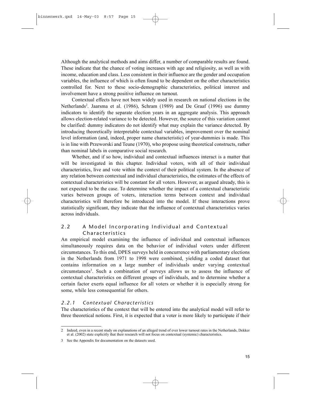Although the analytical methods and aims differ, a number of comparable results are found. These indicate that the chance of voting increases with age and religiosity, as well as with income, education and class. Less consistent in their influence are the gender and occupation variables, the influence of which is often found to be dependent on the other characteristics controlled for. Next to these socio-demographic characteristics, political interest and involvement have a strong positive influence on turnout.

Contextual effects have not been widely used in research on national elections in the Netherlands<sup>2</sup>. Jaarsma et al. (1986), Schram (1989) and De Graaf (1996) use dummy indicators to identify the separate election years in an aggregate analysis. This approach allows election-related variance to be detected. However, the source of this variation cannot be clarified: dummy indicators do not identify what may explain the variance detected. By introducing theoretically interpretable contextual variables, improvement over the nominal level information (and, indeed, proper name characteristic) of year-dummies is made. This is in line with Przeworski and Teune (1970), who propose using theoretical constructs, rather than nominal labels in comparative social research.

Whether, and if so how, individual and contextual influences interact is a matter that will be investigated in this chapter. Individual voters, with all of their individual characteristics, live and vote within the context of their political system. In the absence of any relation between contextual and individual characteristics, the estimates of the effects of contextual characteristics will be constant for all voters. However, as argued already, this is not expected to be the case. To determine whether the impact of a contextual characteristic varies between groups of voters, interaction terms between context and individual characteristics will therefore be introduced into the model. If these interactions prove statistically significant, they indicate that the influence of contextual characteristics varies across individuals.

## 2.2 A Model Incorporating Individual and Contextual Characteristics

An empirical model examining the influence of individual and contextual influences simultaneously requires data on the behavior of individual voters under different circumstances. To this end, DPES surveys held in concurrence with parliamentary elections in the Netherlands from 1971 to 1998 were combined, yielding a coded dataset that contains information on a large number of individuals under varying contextual circumstances3 . Such a combination of surveys allows us to assess the influence of contextual characteristics on different groups of individuals, and to determine whether a certain factor exerts equal influence for all voters or whether it is especially strong for some, while less consequential for others.

## *2.2.1 Contextual Characteristics*

The characteristics of the context that will be entered into the analytical model will refer to three theoretical notions. First, it is expected that a voter is more likely to participate if their

<sup>2</sup> Indeed, even in a recent study on explanations of an alleged trend of ever lower turnout rates in the Netherlands, Dekker et al. (2002) state explicitly that their research will not focus on contextual (systemic) characteristics.

<sup>3</sup> See the Appendix for documentation on the datasets used.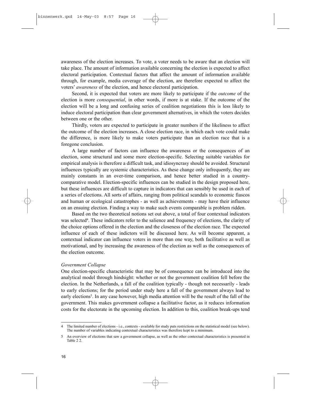awareness of the election increases. To vote, a voter needs to be aware that an election will take place. The amount of information available concerning the election is expected to affect electoral participation. Contextual factors that affect the amount of information available through, for example, media coverage of the election, are therefore expected to affect the voters' *awareness* of the election, and hence electoral participation.

Second, it is expected that voters are more likely to participate if the *outcome* of the election is more *consequential*, in other words, if more is at stake. If the outcome of the election will be a long and confusing series of coalition negotiations this is less likely to induce electoral participation than clear government alternatives, in which the voters decides between one or the other.

Thirdly, voters are expected to participate in greater numbers if the likeliness to affect the outcome of the election increases. A close election race, in which each vote could make the difference, is more likely to make voters participate than an election race that is a foregone conclusion.

A large number of factors can influence the awareness or the consequences of an election, some structural and some more election-specific. Selecting suitable variables for empirical analysis is therefore a difficult task, and idiosyncrasy should be avoided. Structural influences typically are systemic characteristics. As these change only infrequently, they are mainly constants in an over-time comparison, and hence better studied in a countrycomparative model. Election-specific influences can be studied in the design proposed here, but these influences are difficult to capture in indicators that can sensibly be used in each of a series of elections. All sorts of affairs, ranging from political scandals to economic fiascos and human or ecological catastrophes - as well as achievements - may have their influence on an ensuing election. Finding a way to make such events comparable is problem ridden.

Based on the two theoretical notions set out above, a total of four contextual indicators was selected<sup>4</sup>. These indicators refer to the salience and frequency of elections, the clarity of the choice options offered in the election and the closeness of the election race. The expected influence of each of these indictors will be discussed here. As will become apparent, a contextual indicator can influence voters in more than one way, both facilitative as well as motivational, and by increasing the awareness of the election as well as the consequences of the election outcome.

#### *Government Collapse*

One election-specific characteristic that may be of consequence can be introduced into the analytical model through hindsight: whether or not the government coalition fell before the election. In the Netherlands, a fall of the coalition typically - though not necessarily - leads to early elections; for the period under study here a fall of the government always lead to early elections<sup>5</sup>. In any case however, high media attention will be the result of the fall of the government. This makes government collapse a facilitative factor, as it reduces information costs for the electorate in the upcoming election. In addition to this, coalition break-ups tend

<sup>4</sup> The limited number of elections - i.e., contexts - available for study puts restrictions on the statistical model (see below). The number of variables indicating contextual characteristics was therefore kept to a minimum.

<sup>5</sup> An overview of elections that saw a government collapse, as well as the other contextual characteristics is presented in Table 2 2.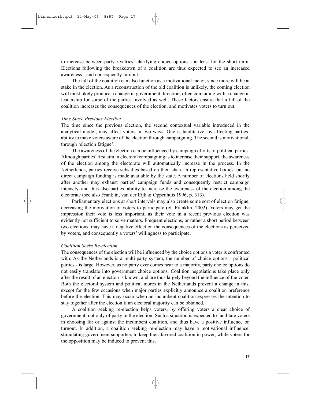to increase between-party rivalries, clarifying choice options - at least for the short term. Elections following the breakdown of a coalition are thus expected to see an increased awareness - and consequently turnout.

The fall of the coalition can also function as a motivational factor, since more will be at stake in the election. As a reconstruction of the old coalition is unlikely, the coming election will most likely produce a change in government direction, often coinciding with a change in leadership for some of the parties involved as well. These factors ensure that a fall of the coalition increases the consequences of the election, and motivates voters to turn out.

#### *Time Since Previous Election*

The time since the previous election, the second contextual variable introduced in the analytical model, may affect voters in two ways. One is facilitative, by affecting parties' ability to make voters aware of the election through campaigning. The second is motivational, through 'election fatigue'.

The awareness of the election can be influenced by campaign efforts of political parties. Although partiesí first aim in electoral campaigning is to increase their support, the awareness of the election among the electorate will automatically increase in the process. In the Netherlands, parties receive subsidies based on their share in representative bodies, but no direct campaign funding is made available by the state. A number of elections held shortly after another may exhaust partiesí campaign funds and consequently restrict campaign intensity, and thus also parties' ability to increase the awareness of the election among the electorate (see also Franklin, van der Eijk & Oppenhuis 1996, p. 313).

Parliamentary elections at short intervals may also create some sort of election fatigue, decreasing the motivation of voters to participate (cf. Franklin, 2002). Voters may get the impression their vote is less important, as their vote in a recent previous election was evidently not sufficient to solve matters. Frequent elections, or rather a short period between two elections, may have a negative effect on the consequences of the elections as perceived by voters, and consequently a voters' willingness to participate.

#### *Coalition Seeks Re-election*

The consequences of the election will be influenced by the choice options a voter is confronted with. As the Netherlands is a multi-party system, the number of choice options - political parties - is large. However, as no party ever comes near to a majority, party choice options do not easily translate into government choice options. Coalition negotiations take place only after the result of an election is known, and are thus largely beyond the influence of the voter. Both the electoral system and political mores in the Netherlands prevent a change in this, except for the few occasions when major parties explicitly announce a coalition preference before the election. This may occur when an incumbent coalition expresses the intention to stay together after the election if an electoral majority can be obtained.

A coalition seeking re-election helps voters, by offering voters a clear choice of government, not only of party in the election. Such a situation is expected to facilitate voters in choosing for or against the incumbent coalition, and thus have a positive influence on turnout. In addition, a coalition seeking re-election may have a motivational influence, stimulating government supporters to keep their favored coalition in power, while voters for the opposition may be induced to prevent this.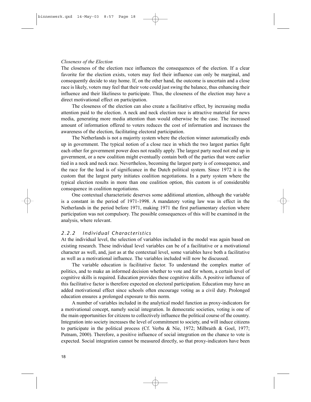#### *Closeness of the Election*

The closeness of the election race influences the consequences of the election. If a clear favorite for the election exists, voters may feel their influence can only be marginal, and consequently decide to stay home. If, on the other hand, the outcome is uncertain and a close race is likely, voters may feel that their vote could just swing the balance, thus enhancing their influence and their likeliness to participate. Thus, the closeness of the election may have a direct motivational effect on participation.

The closeness of the election can also create a facilitative effect, by increasing media attention paid to the election. A neck and neck election race is attractive material for news media, generating more media attention than would otherwise be the case. The increased amount of information offered to voters reduces the cost of information and increases the awareness of the election, facilitating electoral participation.

The Netherlands is not a majority system where the election winner automatically ends up in government. The typical notion of a close race in which the two largest parties fight each other for government power does not readily apply. The largest party need not end up in government, or a new coalition might eventually contain both of the parties that were earlier tied in a neck and neck race. Nevertheless, becoming the largest party is of consequence, and the race for the lead is of significance in the Dutch political system. Since 1972 it is the custom that the largest party initiates coalition negotiations. In a party system where the typical election results in more than one coalition option, this custom is of considerable consequence in coalition negotiations.

One contextual characteristic deserves some additional attention, although the variable is a constant in the period of 1971-1998. A mandatory voting law was in effect in the Netherlands in the period before 1971, making 1971 the first parliamentary election where participation was not compulsory. The possible consequences of this will be examined in the analysis, where relevant.

## *2.2.2 Individual Characteristics*

At the individual level, the selection of variables included in the model was again based on existing research. These individual level variables can be of a facilitative or a motivational character as well, and, just as at the contextual level, some variables have both a facilitative as well as a motivational influence. The variables included will now be discussed.

The variable education is facilitative factor. To understand the complex matter of politics, and to make an informed decision whether to vote and for whom, a certain level of cognitive skills is required. Education provides these cognitive skills. A positive influence of this facilitative factor is therefore expected on electoral participation. Education may have an added motivational effect since schools often encourage voting as a civil duty. Prolonged education ensures a prolonged exposure to this norm.

A number of variables included in the analytical model function as proxy-indicators for a motivational concept, namely social integration. In democratic societies, voting is one of the main opportunities for citizens to collectively influence the political course of the country. Integration into society increases the level of commitment to society, and will induce citizens to participate in the political process (Cf. Verba & Nie, 1972; Milbraith & Goel, 1977; Putnam, 2000). Therefore, a positive influence of social integration on the chance to vote is expected. Social integration cannot be measured directly, so that proxy-indicators have been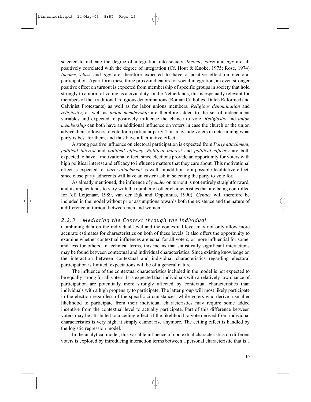selected to indicate the degree of integration into society. *Income, class* and *age* are all positively correlated with the degree of integration (Cf. Hout & Knoke, 1975; Rose, 1974) *Income, class* and *age* are therefore expected to have a positive effect on electoral participation. Apart form these three proxy-indicators for social integration, an even stronger positive effect on turnout is expected from membership of specific groups in society that hold strongly to a norm of voting as a civic duty. In the Netherlands, this is especially relevant for members of the 'traditional' religious denominations (Roman Catholics, Dutch Reformed and Calvinist Protestants) as well as for labor unions members. *Religious denomination* and *religiosity*, as well as *union membership* are therefore added to the set of independent variables and expected to positively influence the chance to vote. *Religiosity* and *union membership* can both have an additional influence on voters in case the church or the union advice their followers to vote for a particular party. This may aide voters in determining what party is best for them, and thus have a facilitative effect.

A strong positive influence on electoral participation is expected from *Party attachment, political interest* and *political efficacy*. *Political interest* and *political efficacy* are both expected to have a motivational effect, since elections provide an opportunity for voters with high political interest and efficacy to influence matters that they care about. This motivational effect is expected for *party attachment* as well, in addition to a possible facilitative effect, since close party adherents will have an easier task in selecting the party to vote for.

As already mentioned, the influence of *gender* on turnout is not entirely straightforward, and its impact tends to vary with the number of other characteristics that are being controlled for (cf. Leijenaar, 1989, van der Eijk and Oppenhuis, 1990). *Gender* will therefore be included in the model without prior assumptions towards both the existence and the nature of a difference in turnout between men and women.

#### *2.2.3 Mediating the Context through the Individual*

Combining data on the individual level and the contextual level may not only allow more accurate estimates for characteristics on both of these levels. It also offers the opportunity to examine whether contextual influences are equal for all voters, or more influential for some, and less for others. In technical terms, this means that statistically significant interactions may be found between contextual and individual characteristics. Since existing knowledge on the interaction between contextual and individual characteristics regarding electoral participation is limited, expectations will be of a general nature.

The influence of the contextual characteristics included in the model is not expected to be equally strong for all voters. It is expected that individuals with a relatively low chance of participation are potentially more strongly affected by contextual characteristics than individuals with a high propensity to participate. The latter group will most likely participate in the election regardless of the specific circumstances, while voters who derive a smaller likelihood to participate from their individual characteristics may require some added incentive from the contextual level to actually participate. Part of this difference between voters may be attributed to a ceiling effect: if the likelihood to vote derived from individual characteristics is very high, it simply cannot rise anymore. The ceiling effect is handled by the logistic regression model.

In the analytical model, this variable influence of contextual characteristics on different voters is explored by introducing interaction terms between a personal characteristic that is a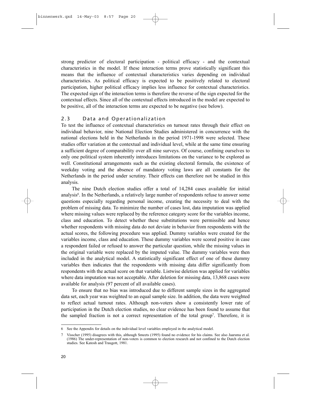strong predictor of electoral participation - political efficacy - and the contextual characteristics in the model. If these interaction terms prove statistically significant this means that the influence of contextual characteristics varies depending on individual characteristics. As political efficacy is expected to be positively related to electoral participation, higher political efficacy implies less influence for contextual characteristics. The expected sign of the interaction terms is therefore the reverse of the sign expected for the contextual effects. Since all of the contextual effects introduced in the model are expected to be positive, all of the interaction terms are expected to be negative (see below).

## 2.3 Data and Operationalization

To test the influence of contextual characteristics on turnout rates through their effect on individual behavior, nine National Election Studies administered in concurrence with the national elections held in the Netherlands in the period 1971-1998 were selected. These studies offer variation at the contextual and individual level, while at the same time ensuring a sufficient degree of comparability over all nine surveys. Of course, confining ourselves to only one political system inherently introduces limitations on the variance to be explored as well. Constitutional arrangements such as the existing electoral formula, the existence of weekday voting and the absence of mandatory voting laws are all constants for the Netherlands in the period under scrutiny. Their effects can therefore not be studied in this analysis.

The nine Dutch election studies offer a total of 14,284 cases available for initial analysis<sup>6</sup>. In the Netherlands, a relatively large number of respondents refuse to answer some questions especially regarding personal income, creating the necessity to deal with the problem of missing data. To minimize the number of cases lost, data imputation was applied where missing values were replaced by the reference category score for the variables income, class and education. To detect whether these substitutions were permissible and hence whether respondents with missing data do not deviate in behavior from respondents with the actual scores, the following procedure was applied. Dummy variables were created for the variables income, class and education. These dummy variables were scored positive in case a respondent failed or refused to answer the particular question, while the missing values in the original variable were replaced by the imputed value. The dummy variables were then included in the analytical model. A statistically significant effect of one of these dummy variables then indicates that the respondents with missing data differ significantly from respondents with the actual score on that variable. Listwise deletion was applied for variables where data imputation was not acceptable. After deletion for missing data, 13,868 cases were available for analysis (97 percent of all available cases).

To ensure that no bias was introduced due to different sample sizes in the aggregated data set, each year was weighted to an equal sample size. In addition, the data were weighted to reflect actual turnout rates. Although non-voters show a consistently lower rate of participation in the Dutch election studies, no clear evidence has been found to assume that the sampled fraction is not a correct representation of the total group7 . Therefore, it is

<sup>6</sup> See the Appendix for details on the individual level variables employed in the analytical model.

<sup>7</sup> Visscher (1995) disagrees with this, although Smeets (1995) found no evidence for his claims. See also Jaarsma et al. (1986) The under-representation of non-voters is common to election research and not confined to the Dutch election studies. See Katosh and Traugott, 1981.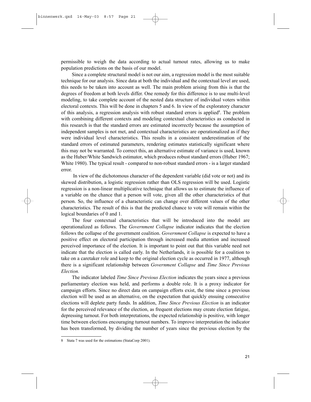permissible to weigh the data according to actual turnout rates, allowing us to make population predictions on the basis of our model.

Since a complete structural model is not our aim, a regression model is the most suitable technique for our analysis. Since data at both the individual and the contextual level are used, this needs to be taken into account as well. The main problem arising from this is that the degrees of freedom at both levels differ. One remedy for this difference is to use multi-level modeling, to take complete account of the nested data structure of individual voters within electoral contexts. This will be done in chapters 5 and 6. In view of the exploratory character of this analysis, a regression analysis with robust standard errors is applied<sup>8</sup>. The problem with combining different contexts and modeling contextual characteristics as conducted in this research is that the standard errors are estimated incorrectly because the assumption of independent samples is not met, and contextual characteristics are operationalized as if they were individual level characteristics. This results in a consistent underestimation of the standard errors of estimated parameters, rendering estimates statistically significant where this may not be warranted. To correct this, an alternative estimate of variance is used, known as the Huber/White Sandwich estimator, which produces robust standard errors (Huber 1967; White 1980). The typical result - compared to non-robust standard errors - is a larger standard error.

In view of the dichotomous character of the dependent variable (did vote or not) and its skewed distribution, a logistic regression rather than OLS regression will be used. Logistic regression is a non-linear multiplicative technique that allows us to estimate the influence of a variable on the chance that a person will vote, given all the other characteristics of that person. So, the influence of a characteristic can change over different values of the other characteristics. The result of this is that the predicted chance to vote will remain within the logical boundaries of 0 and 1.

The four contextual characteristics that will be introduced into the model are operationalized as follows. The *Government Collapse* indicator indicates that the election follows the collapse of the government coalition. *Government Collapse* is expected to have a positive effect on electoral participation through increased media attention and increased perceived importance of the election. It is important to point out that this variable need not indicate that the election is called early. In the Netherlands, it is possible for a coalition to take on a caretaker role and keep to the original election cycle as occurred in 1977, although there is a significant relationship between *Government Collapse* and *Time Since Previous Election.*

The indicator labeled *Time Since Previous Election* indicates the years since a previous parliamentary election was held, and performs a double role. It is a proxy indicator for campaign efforts. Since no direct data on campaign efforts exist, the time since a previous election will be used as an alternative, on the expectation that quickly ensuing consecutive elections will deplete party funds. In addition, *Time Since Previous Election* is an indicator for the perceived relevance of the election, as frequent elections may create election fatigue, depressing turnout. For both interpretations, the expected relationship is positive, with longer time between elections encouraging turnout numbers. To improve interpretation the indicator has been transformed, by dividing the number of years since the previous election by the

<sup>8</sup> Stata 7 was used for the estimations (StataCorp 2001).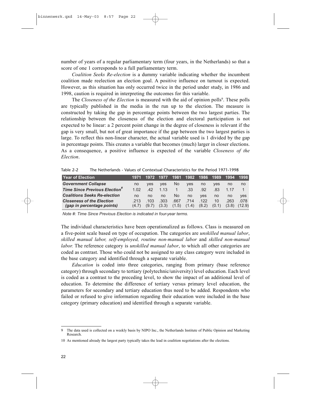number of years of a regular parliamentary term (four years, in the Netherlands) so that a score of one 1 corresponds to a full parliamentary term.

*Coalition Seeks Re-election* is a dummy variable indicating whether the incumbent coalition made reelection an election goal. A positive influence on turnout is expected. However, as this situation has only occurred twice in the period under study, in 1986 and 1998, caution is required in interpreting the outcomes for this variable.

The *Closeness of the Election* is measured with the aid of opinion polls<sup>9</sup>. These polls are typically published in the media in the run up to the election. The measure is constructed by taking the gap in percentage points between the two largest parties. The relationship between the closeness of the election and electoral participation is not expected to be linear: a 2 percent point change in the degree of closeness is relevant if the gap is very small, but not of great importance if the gap between the two largest parties is large. To reflect this non-linear character, the actual variable used is 1 divided by the gap in percentage points. This creates a variable that becomes (much) larger in closer elections. As a consequence, a positive influence is expected of the variable *Closeness of the Election*.

| The Netherlands - Values of Contextual Characteristics for the Period 1971-1998<br>Table 2-2 |  |  |  |  |
|----------------------------------------------------------------------------------------------|--|--|--|--|
|----------------------------------------------------------------------------------------------|--|--|--|--|

| Year of Election                    | 1971  | 1972.      | 1977       | 1981           | 1982  | 1986       | 1989       | 1994  | 1998       |
|-------------------------------------|-------|------------|------------|----------------|-------|------------|------------|-------|------------|
| <b>Government Collapse</b>          | no    | <b>ves</b> | <b>ves</b> | No             | ves   | no         | <b>ves</b> | no    | no         |
| Time Since Previous Election"       | 1.02  | 42         | 1.13       |                | .33   | .92        | .83        |       |            |
| <b>Coalitions Seeks Re-election</b> | no    | no         | no         | N <sub>o</sub> | no    | <b>ves</b> | no         | no    | <b>ves</b> |
| <b>Closeness of the Election</b>    | .213  | <b>103</b> | .303       | .667           | .714  | .122       | 10         | .263  | .078       |
| (gap in percentage points)          | (4.7) | (9.7)      | (3.3)      | (1.5)          | (1.4) | (8.2)      | (0.1)      | (3.8) | (12.9)     |

*Note #: Time Since Previous Election is indicated in four-year terms.*

The individual characteristics have been operationalized as follows. Class is measured on a five-point scale based on type of occupation. The categories are *unskilled manual labor*, *skilled manual labor, self-employed, routine non-manual labor* and *skilled non-manual labor.* The reference category is *unskilled manual labor*, to which all other categories are coded as contrast. Those who could not be assigned to any class category were included in the base category and identified through a separate variable.

*Education* is coded into three categories, ranging from primary (base reference category) through secondary to tertiary (polytechnic/university) level education. Each level is coded as a contrast to the preceding level, to show the impact of an additional level of education. To determine the difference of tertiary versus primary level education, the parameters for secondary and tertiary education thus need to be added. Respondents who failed or refused to give information regarding their education were included in the base category (primary education) and identified through a separate variable.

<sup>9</sup> The data used is collected on a weekly basis by NIPO Inc., the Netherlands Institute of Public Opinion and Marketing Research.

<sup>10</sup> As mentioned already the largest party typically takes the lead in coalition negotiations after the elections.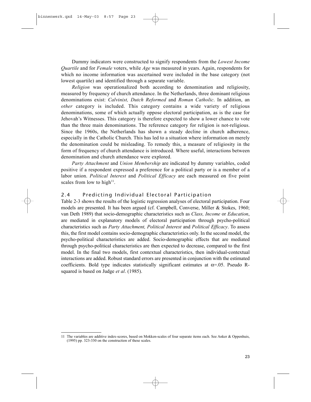Dummy indicators were constructed to signify respondents from the *Lowest Income Quartile* and for *Female* voters, while *Age* was measured in years. Again, respondents for which no income information was ascertained were included in the base category (not lowest quartile) and identified through a separate variable.

*Religion* was operationalized both according to denomination and religiosity, measured by frequency of church attendance. In the Netherlands, three dominant religious denominations exist: *Calvinist, Dutch Reformed* and *Roman Catholic*. In addition, an *other* category is included. This category contains a wide variety of religious denominations, some of which actually oppose electoral participation, as is the case for Jehovah's Witnesses. This category is therefore expected to show a lower chance to vote than the three main denominations. The reference category for religion is not-religious. Since the 1960s, the Netherlands has shown a steady decline in church adherence, especially in the Catholic Church. This has led to a situation where information on merely the denomination could be misleading. To remedy this, a measure of religiosity in the form of frequency of church attendance is introduced. Where useful, interactions between denomination and church attendance were explored.

*Party Attachment* and *Union Membership* are indicated by dummy variables, coded positive if a respondent expressed a preference for a political party or is a member of a labor union. *Political Interest* and *Political Efficacy* are each measured on five point scales from low to high $11$ .

### 2.4 Predicting Individual Electoral Participation

Table 2-3 shows the results of the logistic regression analyses of electoral participation. Four models are presented. It has been argued (cf. Campbell, Converse, Miller & Stokes, 1960; van Deth 1989) that socio-demographic characteristics such as *Class, Income* or *Education*, are mediated in explanatory models of electoral participation through psycho-political characteristics such as *Party Attachment, Political Interest* and *Political Efficacy*. To assess this, the first model contains socio-demographic characteristics only. In the second model, the psycho-political characteristics are added. Socio-demographic effects that are mediated through psycho-political characteristics are then expected to decrease, compared to the first model. In the final two models, first contextual characteristics, then individual-contextual interactions are added. Robust standard errors are presented in conjunction with the estimated coefficients. Bold type indicates statistically significant estimates at  $\alpha$ =.05. Pseudo Rsquared is based on Judge *et al*. (1985).

 $\overline{\wedge}$ 

<sup>11</sup> The variables are additive index-scores, based on Mokken-scales of four separate items each. See Anker & Oppenhuis, (1995) pp. 323-330 on the construction of these scales.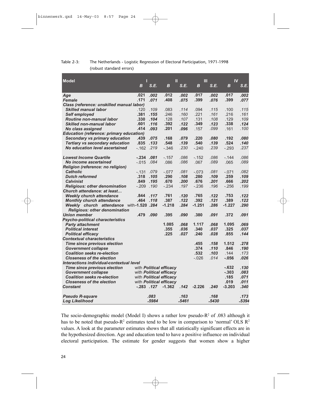| <b>Model</b>                              |              |       | M                              |         | Ш        |         | IV       |       |
|-------------------------------------------|--------------|-------|--------------------------------|---------|----------|---------|----------|-------|
|                                           | B            | S.E.  | $\overline{B}$                 | S.E.    | B        | S.E.    | B        | S.E.  |
| Age                                       | .021         | .002  | .012                           | .002    | .017     | .002    | .017     | .002  |
| <b>Female</b>                             | .171         | .071  | .408                           | .075    | .399     | .076    | .399     | .077  |
| Class (reference: unskilled manual labor) |              |       |                                |         |          |         |          |       |
| <b>Skilled manual labor</b>               | .120         | .109  | .083                           | .114    | .094     | .115    | .100     | .115  |
| Self employed                             | .381         | .155  | .246                           | .160    | .221     | .161    | .216     | .161  |
| <b>Routine non-manual labor</b>           | .330         | .104  | .128                           | .107    | .131     | .108    | .129     | .109  |
| <b>Skilled non-manual labor</b>           | .601         | .116  | .392                           | .122    | .349     | .123    | .338     | .124  |
| No class assigned                         | .414         | .093  | .201                           | .096    | .157     | .099    | .161     | .100  |
| Education (reference: primary education)  |              |       |                                |         |          |         |          |       |
| Secondary vs primary education            | .439         | .075  | .168                           | .079    | .220     | .080    | .192     | .080  |
| <b>Tertiary vs secondary education</b>    | .835         | .133  | .548                           | .139    | .540     | .139    | .524     | .140  |
| No education level ascertained            | $-162$       | .219  | $-.346$                        | .230    | $-.240$  | .239    | $-293$   | .237  |
| <b>Lowest Income Quartile</b>             | $-.234-.081$ |       | $-157$                         | .086    | $-152$   | .086    | $-.144$  | .086  |
| No income ascertained                     | $-.015$      | .084  | .086                           | .086    | .067     | .089    | .065     | .089  |
| Religion (reference: no religion)         |              |       |                                |         |          |         |          |       |
| Catholic                                  | $-0.131$     | .079  | $-.077$                        | .081    | $-.073$  | .081    | $-.071$  | .082  |
| <b>Dutch reformed</b>                     | .318         | .105  | .290                           | .108    | .280     | .109    | .259     | .109  |
| <b>Calvinist</b>                          | .849         | .195  | .670                           | .200    | .676     | .201    | .666     | .202  |
| <b>Religious: other denomination</b>      | $-.209$      | .190  | $-.234$                        | .197    | $-.236$  | .196    | $-256$   | .199  |
| Church attendance: at least               |              |       |                                |         |          |         |          |       |
| Weekly church attendance                  | .844         | .117  | .761                           | .120    | .765     | .122    | .753     | .122  |
| <b>Monthly church attendance</b>          | .464         | .118  | .387                           | .122    | .392     | .121    | .389     | .122  |
| Weekly church attendance with-1.520 .284  |              |       | $-1.218$                       | .284    | $-1.251$ | .286    | $-1.227$ | .290  |
| <b>Religious: other denomination</b>      |              |       |                                |         |          |         |          |       |
| Union member                              | .479         | .090  | .395                           | .090    | .380     | .091    | .372     | .091  |
| <b>Psycho-political characteristics</b>   |              |       |                                |         |          |         |          |       |
| <b>Party attachment</b>                   |              |       | 1.085                          | .068    | 1.117    | .068    | 1.095    | .069  |
| <b>Political interest</b>                 |              |       | .355                           | .036    | .340     | .037    | .325     | .037  |
| <b>Political efficacy</b>                 |              |       | .225                           | .027    | .240     | .028    | .855     | .144  |
| <b>Contextual characteristics</b>         |              |       |                                |         |          |         |          |       |
| <b>Time since previous election</b>       |              |       |                                |         | .455     | .158    | 1.512    | .278  |
| <b>Government collapse</b>                |              |       |                                |         | .374     | .110    | .846     | .190  |
| <b>Coalition seeks re-election</b>        |              |       |                                |         | .532     | .103    | .144     | .173  |
| <b>Closeness of the election</b>          |              |       |                                |         | $-.026$  | .014    | $-0.056$ | .026  |
| Interactions individual-contextual level  |              |       |                                |         |          |         |          |       |
| Time since previous election              |              |       | with <b>Political efficacy</b> |         |          |         | $-632$   | .130  |
| <b>Government collapse</b>                |              |       | with <b>Political efficacy</b> |         |          |         | $-.303$  | .083  |
| <b>Coalition seeks re-election</b>        |              |       | with <b>Political efficacy</b> |         |          |         | .185     | .071  |
| <b>Closeness of the election</b>          |              |       | with <b>Political efficacy</b> |         |          |         | .019     | .011  |
| Constant                                  | -.283 .127   |       | $-1.362$                       | .142    | $-2.226$ | .240    | $-3.203$ | .340  |
| <b>Pseudo R-square</b>                    |              | .083  |                                | .163    |          | .168    |          | .173  |
| <b>Log Likelihood</b>                     |              | -5984 |                                | $-5461$ |          | $-5430$ |          | -5394 |

## Table 2-3: The Netherlands - Logistic Regression of Electoral Participation, 1971-1998 (robust standard errors)

Ŧ

The socio-demographic model (Model I) shows a rather low pseudo-R<sup>2</sup> of .083 although it has to be noted that pseudo- $R^2$  estimates tend to be low in comparison to 'normal' OLS  $R^2$ values. A look at the parameter estimates shows that all statistically significant effects are in the hypothesized direction. Age and education tend to have a positive influence on individual electoral participation. The estimate for gender suggests that women show a higher

 $\overline{\triangle}$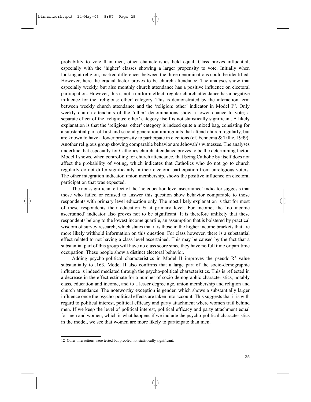probability to vote than men, other characteristics held equal. Class proves influential, especially with the 'higher' classes showing a larger propensity to vote. Initially when looking at religion, marked differences between the three denominations could be identified. However, here the crucial factor proves to be church attendance. The analyses show that especially weekly, but also monthly church attendance has a positive influence on electoral participation. However, this is not a uniform effect: regular church attendance has a negative influence for the 'religious: other' category. This is demonstrated by the interaction term between weekly church attendance and the 'religion: other' indicator in Model  $I<sup>12</sup>$ . Only weekly church attendants of the 'other' denominations show a lower chance to vote; a separate effect of the 'religious: other' category itself is not statistically significant. A likely explanation is that the 'religious: other' category is indeed quite a mixed bag, consisting for a substantial part of first and second generation immigrants that attend church regularly, but are known to have a lower propensity to participate in elections (cf. Fennema  $\&$  Tillie, 1999). Another religious group showing comparable behavior are Jehovah's witnesses. The analyses underline that especially for Catholics church attendance proves to be the determining factor. Model I shows, when controlling for church attendance, that being Catholic by itself does not affect the probability of voting, which indicates that Catholics who do not go to church regularly do not differ significantly in their electoral participation from unreligious voters. The other integration indicator, union membership, shows the positive influence on electoral participation that was expected.

The non-significant effect of the 'no education level ascertained' indicator suggests that those who failed or refused to answer this question show behavior comparable to those respondents with primary level education only. The most likely explanation is that for most of these respondents their education *is* at primary level. For income, the ëno income ascertained' indicator also proves not to be significant. It is therefore unlikely that these respondents belong to the lowest income quartile, an assumption that is bolstered by practical wisdom of survey research, which states that it is those in the higher income brackets that are more likely withhold information on this question. For class however, there is a substantial effect related to not having a class level ascertained. This may be caused by the fact that a substantial part of this group will have no class score since they have no full time or part time occupation. These people show a distinct electoral behavior.

Adding psycho-political characteristics in Model II improves the pseudo- $R^2$  value substantially to .163. Model II also confirms that a large part of the socio-demographic influence is indeed mediated through the psycho-political characteristics. This is reflected in a decrease in the effect estimate for a number of socio-demographic characteristics, notably class, education and income, and to a lesser degree age, union membership and religion and church attendance. The noteworthy exception is gender, which shows a substantially larger influence once the psycho-political effects are taken into account. This suggests that it is with regard to political interest, political efficacy and party attachment where women trail behind men. If we keep the level of political interest, political efficacy and party attachment equal for men and women, which is what happens if we include the psycho-political characteristics in the model, we see that women are more likely to participate than men.

<sup>12</sup> Other interactions were tested but proofed not statistically significant.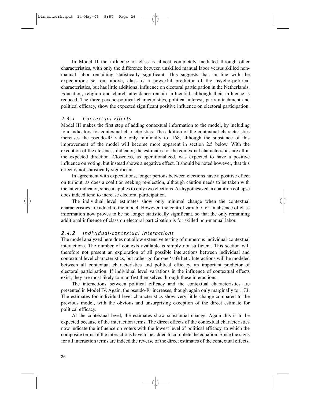In Model II the influence of class is almost completely mediated through other characteristics, with only the difference between unskilled manual labor versus skilled nonmanual labor remaining statistically significant. This suggests that, in line with the expectations set out above, class is a powerful predictor of the psycho-political characteristics, but has little additional influence on electoral participation in the Netherlands. Education, religion and church attendance remain influential, although their influence is reduced. The three psycho-political characteristics, political interest, party attachment and political efficacy, show the expected significant positive influence on electoral participation.

### *2.4.1 Contextual Effects*

Model III makes the first step of adding contextual information to the model, by including four indicators for contextual characteristics. The addition of the contextual characteristics increases the pseudo- $R^2$  value only minimally to .168, although the substance of this improvement of the model will become more apparent in section 2.5 below. With the exception of the closeness indicator, the estimates for the contextual characteristics are all in the expected direction. Closeness, as operationalized, was expected to have a positive influence on voting, but instead shows a negative effect. It should be noted however, that this effect is not statistically significant.

In agreement with expectations, longer periods between elections have a positive effect on turnout, as does a coalition seeking re-election, although caution needs to be taken with the latter indicator, since it applies to only two elections. As hypothesized, a coalition collapse does indeed tend to increase electoral participation.

The individual level estimates show only minimal change when the contextual characteristics are added to the model. However, the control variable for an absence of class information now proves to be no longer statistically significant, so that the only remaining additional influence of class on electoral participation is for skilled non-manual labor.

#### *2.4.2 Individual-contextual Interactions*

The model analyzed here does not allow extensive testing of numerous individual-contextual interactions. The number of contexts available is simply not sufficient. This section will therefore not present an exploration of all possible interactions between individual and contextual level characteristics, but rather go for one 'safe bet'. Interactions will be modeled between all contextual characteristics and political efficacy, an important predictor of electoral participation. If individual level variations in the influence of contextual effects exist, they are most likely to manifest themselves through these interactions.

The interactions between political efficacy and the contextual characteristics are presented in Model IV. Again, the pseudo-R<sup>2</sup> increases, though again only marginally to .173. The estimates for individual level characteristics show very little change compared to the previous model, with the obvious and unsurprising exception of the direct estimate for political efficacy.

At the contextual level, the estimates show substantial change. Again this is to be expected because of the interaction terms. The direct effects of the contextual characteristics now indicate the influence on voters with the lowest level of political efficacy, to which the composite terms of the interactions have to be added to complete the equation. Since the signs for all interaction terms are indeed the reverse of the direct estimates of the contextual effects,

 $\overline{\mathcal{A}}$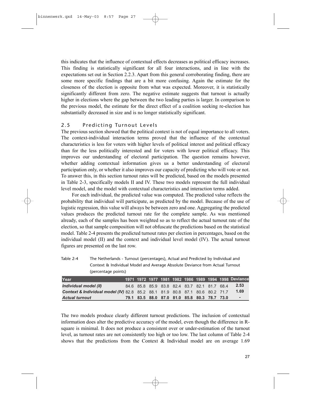this indicates that the influence of contextual effects decreases as political efficacy increases. This finding is statistically significant for all four interactions, and in line with the expectations set out in Section 2.2.3. Apart from this general corroborating finding, there are some more specific findings that are a bit more confusing. Again the estimate for the closeness of the election is opposite from what was expected. Moreover, it is statistically significantly different from zero. The negative estimate suggests that turnout is actually higher in elections where the gap between the two leading parties is larger. In comparison to the previous model, the estimate for the direct effect of a coalition seeking re-election has substantially decreased in size and is no longer statistically significant.

## 2.5 Predicting Turnout Levels

The previous section showed that the political context is not of equal importance to all voters. The context-individual interaction terms proved that the influence of the contextual characteristics is less for voters with higher levels of political interest and political efficacy than for the less politically interested and for voters with lower political efficacy. This improves our understanding of electoral participation. The question remains however, whether adding contextual information gives us a better understanding of electoral participation only, or whether it also improves our capacity of predicting who will vote or not. To answer this, in this section turnout rates will be predicted, based on the models presented in Table 2-3, specifically models II and IV. These two models represent the full individual level model, and the model with contextual characteristics and interaction terms added.

For each individual, the predicted value was computed. The predicted value reflects the probability that individual will participate, as predicted by the model. Because of the use of logistic regression, this value will always be between zero and one. Aggregating the predicted values produces the predicted turnout rate for the complete sample. As was mentioned already, each of the samples has been weighted so as to reflect the actual turnout rate of the election, so that sample composition will not obfuscate the predictions based on the statistical model. Table 2-4 presents the predicted turnout rates per election in percentages, based on the individual model (II) and the context and individual level model (IV). The actual turnout figures are presented on the last row.

Table 2-4 The Netherlands - Turnout (percentages), Actual and Predicted by Individual and Context & Individual Model and Average Absolute Deviance from Actual Turnout (percentage points)

| Year                                                                         |                                              |  |  |  | 1971 1972 1977 1981 1982 1986 1989 1994 1998 Deviance |
|------------------------------------------------------------------------------|----------------------------------------------|--|--|--|-------------------------------------------------------|
| Individual model (II)                                                        | 84.6 85.8 85.9 83.8 82.4 83.7 82.1 81.7 68.4 |  |  |  | 2.53                                                  |
| Context & Individual model (IV) 82.8 85.2 88.1 81.9 80.8 87.1 80.6 80.2 71.7 |                                              |  |  |  | 1.69                                                  |
| <b>Actual turnout</b>                                                        | 79.1 83.5 88.0 87.0 81.0 85.8 80.3 78.7 73.0 |  |  |  |                                                       |

The two models produce clearly different turnout predictions. The inclusion of contextual information does alter the predictive accuracy of the model, even though the difference in Rsquare is minimal. It does not produce a consistent over or under-estimation of the turnout level, as turnout rates are not consistently too high or too low. The last column of Table 2-4 shows that the predictions from the Context  $\&$  Individual model are on average 1.69

 $\overline{\wedge}$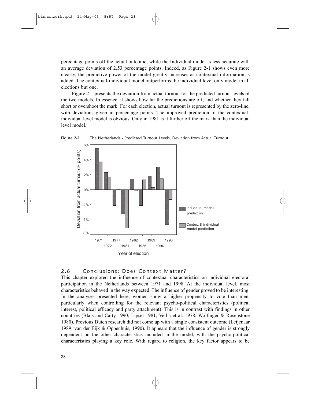percentage points off the actual outcome, while the Individual model is less accurate with an average deviation of 2.53 percentage points. Indeed, as Figure 2-1 shows even more clearly, the predictive power of the model greatly increases as contextual information is added. The contextual-individual model outperforms the individual level only model in all elections but one.

Figure 2-1 presents the deviation from actual turnout for the predicted turnout levels of the two models. In essence, it shows how far the predictions are off, and whether they fall short or overshoot the mark. For each election, actual turnout is represented by the zero-line, with deviations given in percentage points. The improved prediction of the contextualindividual level model is obvious. Only in 1981 is it further off the mark than the individual level model.





### 2.6 Conclusions: Does Context Matter?

This chapter explored the influence of contextual characteristics on individual electoral participation in the Netherlands between 1971 and 1998. At the individual level, most characteristics behaved in the way expected. The influence of gender proved to be interesting. In the analyses presented here, women show a higher propensity to vote than men, particularly when controlling for the relevant psycho-political characteristics (political interest, political efficacy and party attachment). This is in contrast with findings in other countries (Blais and Carty 1990; Lipset 1981; Verba et al. 1978; Wolfinger & Rosenstone 1980). Previous Dutch research did not come up with a single consistent outcome (Leijenaar 1989; van der Eijk & Oppenhuis, 1990). It appears that the influence of gender is strongly dependent on the other characteristics included in the model, with the psycho-political characteristics playing a key role. With regard to religion, the key factor appears to be

 $\overline{\wedge}$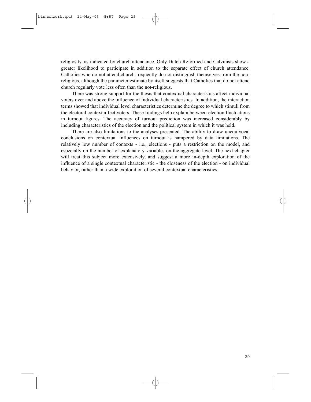religiosity, as indicated by church attendance. Only Dutch Reformed and Calvinists show a greater likelihood to participate in addition to the separate effect of church attendance. Catholics who do not attend church frequently do not distinguish themselves from the nonreligious, although the parameter estimate by itself suggests that Catholics that do not attend church regularly vote less often than the not-religious.

There was strong support for the thesis that contextual characteristics affect individual voters over and above the influence of individual characteristics. In addition, the interaction terms showed that individual level characteristics determine the degree to which stimuli from the electoral context affect voters. These findings help explain between-election fluctuations in turnout figures. The accuracy of turnout prediction was increased considerably by including characteristics of the election and the political system in which it was held.

There are also limitations to the analyses presented. The ability to draw unequivocal conclusions on contextual influences on turnout is hampered by data limitations. The relatively low number of contexts - i.e., elections - puts a restriction on the model, and especially on the number of explanatory variables on the aggregate level. The next chapter will treat this subject more extensively, and suggest a more in-depth exploration of the influence of a single contextual characteristic - the closeness of the election - on individual behavior, rather than a wide exploration of several contextual characteristics.

 $\triangle$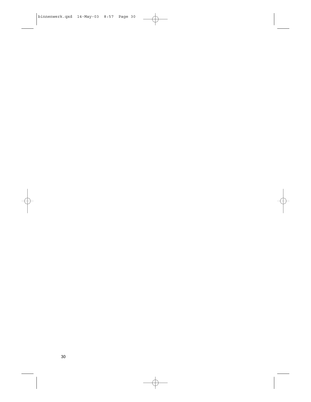30

 $\overline{\phantom{0}}$ 

Y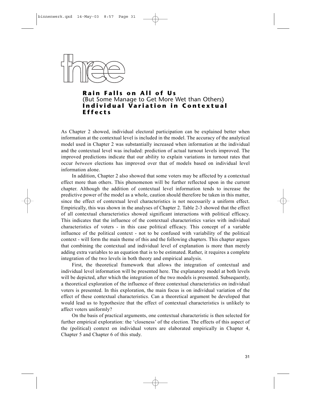

# **Rain Falls on All of Us**  (But Some Manage to Get More Wet than Others) **Individual Variation in Contextual Effects**

As Chapter 2 showed, individual electoral participation can be explained better when information at the contextual level is included in the model. The accuracy of the analytical model used in Chapter 2 was substantially increased when information at the individual and the contextual level was included: prediction of actual turnout levels improved. The improved predictions indicate that our ability to explain variations in turnout rates that occur *between* elections has improved over that of models based on individual level information alone.

In addition, Chapter 2 also showed that some voters may be affected by a contextual effect more than others. This phenomenon will be further reflected upon in the current chapter. Although the addition of contextual level information tends to increase the predictive power of the model as a whole, caution should therefore be taken in this matter, since the effect of contextual level characteristics is not necessarily a uniform effect. Empirically, this was shown in the analyses of Chapter 2. Table 2-3 showed that the effect of all contextual characteristics showed significant interactions with political efficacy. This indicates that the influence of the contextual characteristics varies with individual characteristics of voters - in this case political efficacy. This concept of a variable influence of the political context - not to be confused with variability of the political context - will form the main theme of this and the following chapters. This chapter argues that combining the contextual and individual level of explanation is more than merely adding extra variables to an equation that is to be estimated. Rather, it requires a complete integration of the two levels in both theory and empirical analysis.

First, the theoretical framework that allows the integration of contextual and individual level information will be presented here. The explanatory model at both levels will be depicted, after which the integration of the two models is presented. Subsequently, a theoretical exploration of the influence of three contextual characteristics on individual voters is presented. In this exploration, the main focus is on individual variation of the effect of these contextual characteristics. Can a theoretical argument be developed that would lead us to hypothesize that the effect of contextual characteristics is unlikely to affect voters uniformly?

On the basis of practical arguments, one contextual characteristic is then selected for further empirical exploration: the 'closeness' of the election. The effects of this aspect of the (political) context on individual voters are elaborated empirically in Chapter 4, Chapter 5 and Chapter 6 of this study.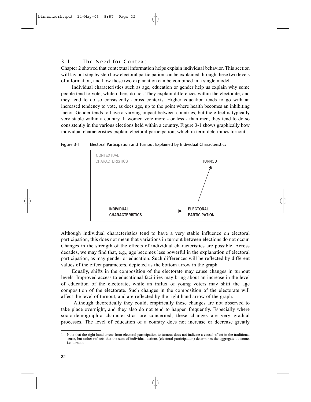## 3.1 The Need for Context

Chapter 2 showed that contextual information helps explain individual behavior. This section will lay out step by step how electoral participation can be explained through these two levels of information, and how these two explanation can be combined in a single model.

Individual characteristics such as age, education or gender help us explain why some people tend to vote, while others do not. They explain differences within the electorate, and they tend to do so consistently across contexts. Higher education tends to go with an increased tendency to vote, as does age, up to the point where health becomes an inhibiting factor. Gender tends to have a varying impact between countries, but the effect is typically very stable within a country. If women vote more - or less - than men, they tend to do so consistently in the various elections held within a country. Figure 3-1 shows graphically how individual characteristics explain electoral participation, which in term determines turnout<sup>1</sup>.





Although individual characteristics tend to have a very stable influence on electoral participation, this does not mean that variations in turnout between elections do not occur. Changes in the strength of the effects of individual characteristics are possible. Across decades, we may find that, e.g., age becomes less powerful in the explanation of electoral participation, as may gender or education. Such differences will be reflected by different values of the effect parameters, depicted as the bottom arrow in the graph.

Equally, shifts in the composition of the electorate may cause changes in turnout levels. Improved access to educational facilities may bring about an increase in the level of education of the electorate, while an influx of young voters may shift the age composition of the electorate. Such changes in the composition of the electorate will affect the level of turnout, and are reflected by the right hand arrow of the graph.

Although theoretically they could, empirically these changes are not observed to take place overnight, and they also do not tend to happen frequently. Especially where socio-demographic characteristics are concerned, these changes are very gradual processes. The level of education of a country does not increase or decrease greatly

<sup>1</sup> Note that the right hand arrow from electoral participation to turnout does not indicate a causal effect in the traditional sense, but rather reflects that the sum of individual actions (electoral participation) determines the aggregate outcome, i.e. turnout.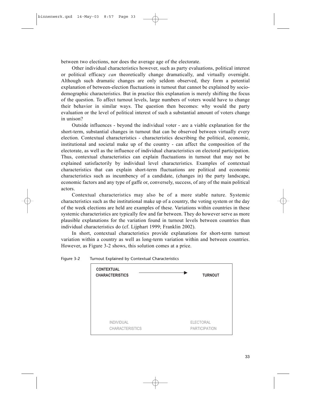between two elections, nor does the average age of the electorate.

Other individual characteristics however, such as party evaluations, political interest or political efficacy *can* theoretically change dramatically, and virtually overnight. Although such dramatic changes are only seldom observed, they form a potential explanation of between-election fluctuations in turnout that cannot be explained by sociodemographic characteristics. But in practice this explanation is merely shifting the focus of the question. To affect turnout levels, large numbers of voters would have to change their behavior in similar ways. The question then becomes: why would the party evaluation or the level of political interest of such a substantial amount of voters change in unison?

Outside influences - beyond the individual voter - are a viable explanation for the short-term, substantial changes in turnout that can be observed between virtually every election. Contextual characteristics - characteristics describing the political, economic, institutional and societal make up of the country - can affect the composition of the electorate, as well as the influence of individual characteristics on electoral participation. Thus, contextual characteristics can explain fluctuations in turnout that may not be explained satisfactorily by individual level characteristics. Examples of contextual characteristics that can explain short-term fluctuations are political and economic characteristics such as incumbency of a candidate, (changes in) the party landscape, economic factors and any type of gaffe or, conversely, success, of any of the main political actors.

Contextual characteristics may also be of a more stable nature. Systemic characteristics such as the institutional make up of a country, the voting system or the day of the week elections are held are examples of these. Variations within countries in these systemic characteristics are typically few and far between. They do however serve as more plausible explanations for the variation found in turnout levels between countries than individual characteristics do (cf. Lijphart 1999; Franklin 2002).

In short, contextual characteristics provide explanations for short-term turnout variation within a country as well as long-term variation within and between countries. However, as Figure 3-2 shows, this solution comes at a price.

Figure 3-2 Turnout Explained by Contextual Characteristics

| <b>CONTEXTUAL</b><br><b>CHARACTERISTICS</b> | <b>TURNOUT</b>                           |
|---------------------------------------------|------------------------------------------|
|                                             |                                          |
| <b>INDIVIDUAL</b><br><b>CHARACTERISTICS</b> | <b>ELECTORAL</b><br><b>PARTICIPATION</b> |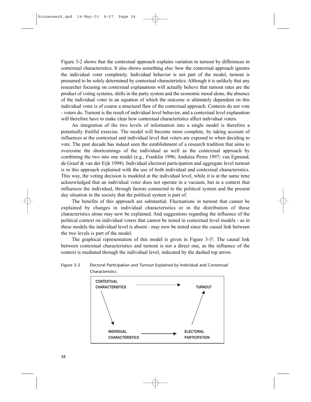Figure 3-2 shows that the contextual approach explains variation in turnout by differences in contextual characteristics. It also shows something else: how the contextual approach ignores the individual voter completely. Individual behavior is not part of the model, turnout is presumed to be solely determined by contextual characteristics. Although it is unlikely that any researcher focusing on contextual explanations will actually believe that turnout rates are the product of voting systems, shifts in the party system and the economic mood alone, the absence of the individual voter in an equation of which the outcome is ultimately dependent on this individual voter is of course a structural flaw of the contextual approach. Contexts do not vote - voters do. Turnout is the result of individual level behavior, and a contextual level explanation will therefore have to make clear how contextual characteristics affect individual voters.

An integration of the two levels of information into a single model is therefore a potentially fruitful exercise. The model will become more complete, by taking account of influences at the contextual and individual level that voters are exposed to when deciding to vote. The past decade has indeed seen the establishment of a research tradition that aims to overcome the shortcomings of the individual as well as the contextual approach by combining the two into one model (e.g., Franklin 1996; Anduiza Perea 1997; van Egmond, de Graaf & van der Eijk 1998). Individual electoral participation and aggregate level turnout is in this approach explained with the use of both individual and contextual characteristics. This way, the voting decision is modeled at the individual level, while it is at the same time acknowledged that an individual voter does not operate in a vacuum, but in a context that influences the individual, through factors connected to the political system and the present day situation in the society that the political system is part of.

The benefits of this approach are substantial. Fluctuations in turnout that cannot be explained by changes in individual characteristics or in the distribution of those characteristics alone may now be explained. And suggestions regarding the influence of the political context on individual voters that cannot be tested in contextual level models - as in these models the individual level is absent - may now be tested since the causal link between the two levels is part of the model.

The graphical representation of this model is given in Figure  $3-3^2$ . The causal link between contextual characteristics and turnout is not a direct one, as the influence of the context is mediated through the individual level, indicated by the dashed top arrow.



Figure 3-3 Electoral Participation and Turnout Explained by Individual and Contextual Characteristics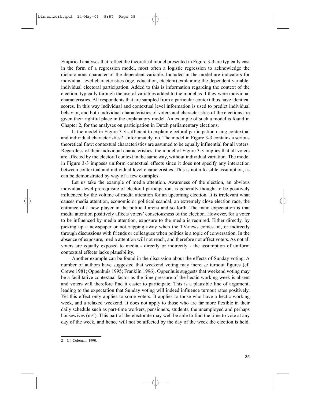Empirical analyses that reflect the theoretical model presented in Figure 3-3 are typically cast in the form of a regression model, most often a logistic regression to acknowledge the dichotomous character of the dependent variable. Included in the model are indicators for individual level characteristics (age, education, etcetera) explaining the dependent variable: individual electoral participation. Added to this is information regarding the context of the election, typically through the use of variables added to the model as if they were individual characteristics. All respondents that are sampled from a particular context thus have identical scores. In this way individual and contextual level information is used to predict individual behavior, and both individual characteristics of voters and characteristics of the elections are given their rightful place in the explanatory model. An example of such a model is found in Chapter 2, for the analyses on participation in Dutch parliamentary elections.

Is the model in Figure 3-3 sufficient to explain electoral participation using contextual and individual characteristics? Unfortunately, no. The model in Figure 3-3 contains a serious theoretical flaw: contextual characteristics are assumed to be equally influential for all voters. Regardless of their individual characteristics, the model of Figure 3-3 implies that all voters are affected by the electoral context in the same way, without individual variation. The model in Figure 3-3 imposes uniform contextual effects since it does not specify any interaction between contextual and individual level characteristics. This is not a feasible assumption, as can be demonstrated by way of a few examples.

Let us take the example of media attention. Awareness of the election, an obvious individual-level prerequisite of electoral participation, is generally thought to be positively influenced by the volume of media attention for an upcoming election. It is irrelevant what causes media attention, economic or political scandal, an extremely close election race, the entrance of a new player in the political arena and so forth. The main expectation is that media attention positively affects voters' consciousness of the election. However, for a voter to be influenced by media attention, exposure to the media is required. Either directly, by picking up a newspaper or not zapping away when the TV-news comes on, or indirectly through discussions with friends or colleagues when politics is a topic of conversation. In the absence of exposure, media attention will not reach, and therefore not affect voters. As not all voters are equally exposed to media - directly or indirectly - the assumption of uniform contextual effects lacks plausibility.

Another example can be found in the discussion about the effects of Sunday voting. A number of authors have suggested that weekend voting may increase turnout figures (cf. Crewe 1981; Oppenhuis 1995; Franklin 1996). Oppenhuis suggests that weekend voting may be a facilitative contextual factor as the time pressure of the hectic working week is absent and voters will therefore find it easier to participate. This is a plausible line of argument, leading to the expectation that Sunday voting will indeed influence turnout rates positively. Yet this effect only applies to some voters. It applies to those who have a hectic working week, and a relaxed weekend. It does not apply to those who are far more flexible in their daily schedule such as part-time workers, pensioners, students, the unemployed and perhaps housewives (m/f). This part of the electorate may well be able to find the time to vote at any day of the week, and hence will not be affected by the day of the week the election is held.

 $\overline{\wedge}$ 

<sup>2</sup> Cf. Coleman, 1990.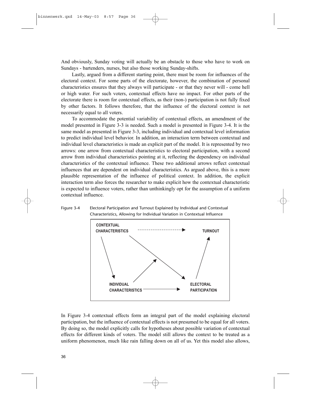And obviously, Sunday voting will actually be an obstacle to those who have to work on Sundays - bartenders, nurses, but also those working Sunday-shifts.

Lastly, argued from a different starting point, there must be room for influences of the electoral context. For some parts of the electorate, however, the combination of personal characteristics ensures that they always will participate - or that they never will - come hell or high water. For such voters, contextual effects have no impact. For other parts of the electorate there is room for contextual effects, as their (non-) participation is not fully fixed by other factors. It follows therefore, that the influence of the electoral context is not necessarily equal to all voters.

To accommodate the potential variability of contextual effects, an amendment of the model presented in Figure 3-3 is needed. Such a model is presented in Figure 3-4. It is the same model as presented in Figure 3-3, including individual and contextual level information to predict individual level behavior. In addition, an interaction term between contextual and individual level characteristics is made an explicit part of the model. It is represented by two arrows: one arrow from contextual characteristics to electoral participation, with a second arrow from individual characteristics pointing at it, reflecting the dependency on individual characteristics of the contextual influence. These two additional arrows reflect contextual influences that are dependent on individual characteristics. As argued above, this is a more plausible representation of the influence of political context. In addition, the explicit interaction term also forces the researcher to make explicit how the contextual characteristic is expected to influence voters, rather than unthinkingly opt for the assumption of a uniform contextual influence.





In Figure 3-4 contextual effects form an integral part of the model explaining electoral participation, but the influence of contextual effects is not presumed to be equal for all voters. By doing so, the model explicitly calls for hypotheses about possible variation of contextual effects for different kinds of voters. The model still allows the context to be treated as a uniform phenomenon, much like rain falling down on all of us. Yet this model also allows,

 $\overline{\overline{}}$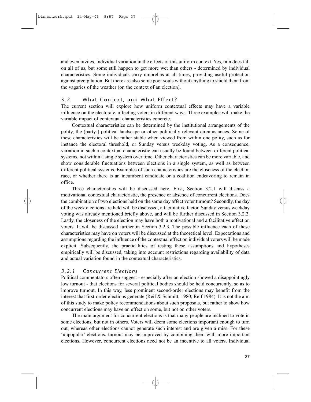and even invites, individual variation in the effects of this uniform context. Yes, rain does fall on all of us, but some still happen to get more wet than others - determined by individual characteristics. Some individuals carry umbrellas at all times, providing useful protection against precipitation. But there are also some poor souls without anything to shield them from the vagaries of the weather (or, the context of an election).

## 3.2 What Context, and What Effect?

The current section will explore how uniform contextual effects may have a variable influence on the electorate, affecting voters in different ways. Three examples will make the variable impact of contextual characteristics concrete.

Contextual characteristics can be determined by the institutional arrangements of the polity, the (party-) political landscape or other politically relevant circumstances. Some of these characteristics will be rather stable when viewed from within one polity, such as for instance the electoral threshold, or Sunday versus weekday voting. As a consequence, variation in such a contextual characteristic can usually be found between different political systems, not within a single system over time. Other characteristics can be more variable, and show considerable fluctuations between elections in a single system, as well as between different political systems. Examples of such characteristics are the closeness of the election race, or whether there is an incumbent candidate or a coalition endeavoring to remain in office.

Three characteristics will be discussed here. First, Section 3.2.1 will discuss a motivational contextual characteristic, the presence or absence of concurrent elections. Does the combination of two elections held on the same day affect voter turnout? Secondly, the day of the week elections are held will be discussed, a facilitative factor. Sunday versus weekday voting was already mentioned briefly above, and will be further discussed in Section 3.2.2. Lastly, the closeness of the election may have both a motivational and a facilitative effect on voters. It will be discussed further in Section 3.2.3. The possible influence each of these characteristics may have on voters will be discussed at the theoretical level. Expectations and assumptions regarding the influence of the contextual effect on individual voters will be made explicit. Subsequently, the practicalities of testing these assumptions and hypotheses empirically will be discussed, taking into account restrictions regarding availability of data and actual variation found in the contextual characteristics.

### *3.2.1 Concurrent Elections*

Political commentators often suggest - especially after an election showed a disappointingly low turnout - that elections for several political bodies should be held concurrently, so as to improve turnout. In this way, less prominent second-order elections may benefit from the interest that first-order elections generate (Reif & Schmitt, 1980; Reif 1984). It is not the aim of this study to make policy recommendations about such proposals, but rather to show how concurrent elections may have an effect on some, but not on other voters.

The main argument for concurrent elections is that many people are inclined to vote in some elections, but not in others. Voters will deem some elections important enough to turn out, whereas other elections cannot generate such interest and are given a miss. For these 'unpopular' elections, turnout may be improved by combining them with more important elections. However, concurrent elections need not be an incentive to all voters. Individual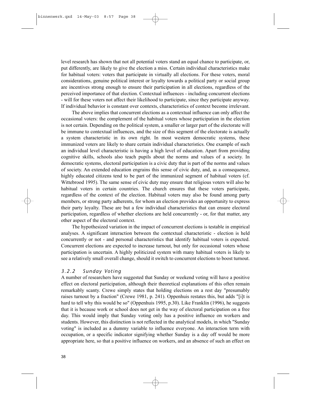level research has shown that not all potential voters stand an equal chance to participate, or, put differently, are likely to give the election a miss. Certain individual characteristics make for habitual voters: voters that participate in virtually all elections. For these voters, moral considerations, genuine political interest or loyalty towards a political party or social group are incentives strong enough to ensure their participation in all elections, regardless of the perceived importance of that election. Contextual influences - including concurrent elections - will for these voters not affect their likelihood to participate, since they participate anyway. If individual behavior is constant over contexts, characteristics of context become irrelevant.

The above implies that concurrent elections as a contextual influence can only affect the occasional voters: the complement of the habitual voters whose participation in the election is not certain. Depending on the political system, a smaller or larger part of the electorate will be immune to contextual influences, and the size of this segment of the electorate is actually a system characteristic in its own right. In most western democratic systems, these immunized voters are likely to share certain individual characteristics. One example of such an individual level characteristic is having a high level of education. Apart from providing cognitive skills, schools also teach pupils about the norms and values of a society. In democratic systems, electoral participation is a civic duty that is part of the norms and values of society. An extended education engrains this sense of civic duty, and, as a consequence, highly educated citizens tend to be part of the immunized segment of habitual voters (cf. Wittebrood 1995). The same sense of civic duty may ensure that religious voters will also be habitual voters in certain countries. The church ensures that these voters participate, regardless of the context of the election. Habitual voters may also be found among party members, or strong party adherents, for whom an election provides an opportunity to express their party loyalty. These are but a few individual characteristics that can ensure electoral participation, regardless of whether elections are held concurrently - or, for that matter, any other aspect of the electoral context.

The hypothesized variation in the impact of concurrent elections is testable in empirical analyses. A significant interaction between the contextual characteristic - election is held concurrently or not - and personal characteristics that identify habitual voters is expected. Concurrent elections are expected to increase turnout, but only for occasional voters whose participation is uncertain. A highly politicized system with many habitual voters is likely to see a relatively small overall change, should it switch to concurrent elections to boost turnout.

#### *3.2.2 Sunday Voting*

A number of researchers have suggested that Sunday or weekend voting will have a positive effect on electoral participation, although their theoretical explanations of this often remain remarkably scanty. Crewe simply states that holding elections on a rest day "presumably raises turnout by a fraction" (Crewe 1981, p. 241). Oppenhuis restates this, but adds "[i]t is hard to tell why this would be so" (Oppenhuis 1995, p.30). Like Franklin (1996), he suggests that it is because work or school does not get in the way of electoral participation on a free day. This would imply that Sunday voting only has a positive influence on workers and students. However, this distinction is not reflected in the analytical models, in which "Sunday voting" is included as a dummy variable to influence everyone. An interaction term with occupation, or a specific indicator signifying whether Sunday is a day off would be more appropriate here, so that a positive influence on workers, and an absence of such an effect on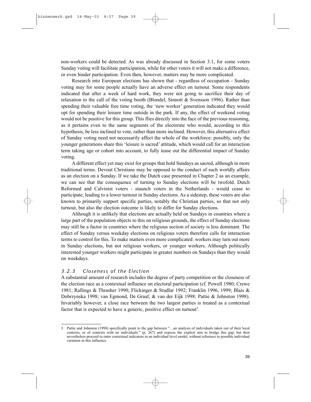non-workers could be detected. As was already discussed in Section 3.1, for some voters Sunday voting will facilitate participation, while for other voters it will not make a difference, or even hinder participation. Even then, however, matters may be more complicated.

Research into European elections has shown that - regardless of occupation - Sunday voting may for some people actually have an adverse effect on turnout. Some respondents indicated that after a week of hard work, they were not going to sacrifice their day of relaxation to the call of the voting booth (Blondel, Sinnott & Svensson 1996). Rather than spending their valuable free time voting, the 'new worker' generation indicated they would opt for spending their leisure time outside in the park. If any, the effect of weekend voting would not be positive for this group. This flies directly into the face of the previous reasoning, as it pertains even to the same segments of the electorate who would, according to this hypothesis, be less inclined to vote, rather than more inclined. However, this alternative effect of Sunday voting need not necessarily affect the whole of the workforce: possibly, only the younger generations share this 'leisure is sacred' attitude, which would call for an interaction term taking age or cohort into account, to fully tease out the differential impact of Sunday voting.

A different effect yet may exist for groups that hold Sundays as sacred, although in more traditional terms. Devout Christians may be opposed to the conduct of such worldly affairs as an election on a Sunday. If we take the Dutch case presented in Chapter 2 as an example, we can see that the consequence of turning to Sunday elections will be twofold. Dutch Reformed and Calvinist voters - staunch voters in the Netherlands - would cease to participate, leading to a lower turnout in Sunday elections. As a sidestep, these voters are also known to primarily support specific parties, notably the Christian parties, so that not only turnout, but also the election outcome is likely to differ for Sunday elections.

Although it is unlikely that elections are actually held on Sundays in countries where a large part of the population objects to this on religious grounds, the effect of Sunday elections may still be a factor in countries where the religious section of society is less dominant. The effect of Sunday versus weekday elections on religious voters therefore calls for interaction terms to control for this. To make matters even more complicated: workers may turn out more in Sunday elections, but not religious workers, or younger workers. Although politically interested younger workers might participate in greater numbers on Sundays than they would on weekdays.

### *3.2.3 Closeness of the Election*

A substantial amount of research includes the degree of party competition or the closeness of the election race as a contextual influence on electoral participation (cf. Powell 1980; Crewe 1981; Rallings & Thrasher 1990; Flickinger & Studlar 1992; Franklin 1996, 1999; Blais & Dobrzynska 1998; van Egmond, De Graaf, & van der Eijk 1998; Pattie & Johnston 1998). Invariably however, a close race between the two largest parties is treated as a contextual factor that is expected to have a generic, positive effect on turnout<sup>3</sup>.

<sup>3</sup> Pattie and Johnston (1998) specifically point to the gap between "...an analysis of individuals taken out of their local contexts, or of contexts with no individuals." (p. 267) and express the explicit aim to bridge this gap, but then nevertheless proceed to enter contextual indicators in an individual level model, without reference to possible individual variation in this influence.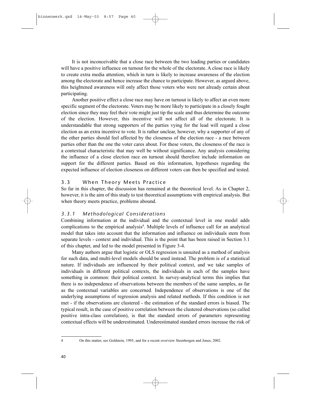It is not inconceivable that a close race between the two leading parties or candidates will have a positive influence on turnout for the whole of the electorate. A close race is likely to create extra media attention, which in turn is likely to increase awareness of the election among the electorate and hence increase the chance to participate. However, as argued above, this heightened awareness will only affect those voters who were not already certain about participating.

Another positive effect a close race may have on turnout is likely to affect an even more specific segment of the electorate. Voters may be more likely to participate in a closely fought election since they may feel their vote might just tip the scale and thus determine the outcome of the election. However, this incentive will not affect all of the electorate. It is understandable that strong supporters of the parties vying for the lead will regard a close election as an extra incentive to vote. It is rather unclear, however, why a supporter of any of the other parties should feel affected by the closeness of the election race - a race between parties other than the one the voter cares about. For these voters, the closeness of the race is a contextual characteristic that may well be without significance. Any analysis considering the influence of a close election race on turnout should therefore include information on support for the different parties. Based on this information, hypotheses regarding the expected influence of election closeness on different voters can then be specified and tested.

## 3.3 When Theory Meets Practice

So far in this chapter, the discussion has remained at the theoretical level. As in Chapter 2, however, it is the aim of this study to test theoretical assumptions with empirical analysis. But when theory meets practice, problems abound.

#### *3.3.1 Methodological Considerations*

Combining information at the individual and the contextual level in one model adds complications to the empirical analysis<sup>4</sup>. Multiple levels of influence call for an analytical model that takes into account that the information and influence on individuals stem from separate levels - context and individual. This is the point that has been raised in Section 3.1 of this chapter, and led to the model presented in Figure 3-4.

Many authors argue that logistic or OLS regression is unsuited as a method of analysis for such data, and multi-level models should be used instead. The problem is of a statistical nature. If individuals are influenced by their political context, and we take samples of individuals in different political contexts, the individuals in each of the samples have something in common: their political context. In survey-analytical terms this implies that there is no independence of observations between the members of the same samples, as far as the contextual variables are concerned. Independence of observations is one of the underlying assumptions of regression analysis and related methods. If this condition is not met - if the observations are clustered - the estimation of the standard errors is biased. The typical result, in the case of positive correlation between the clustered observations (so called positive intra-class correlation), is that the standard errors of parameters representing contextual effects will be underestimated. Underestimated standard errors increase the risk of

<sup>4</sup> On this matter, see Goldstein, 1995, and for a recent overview Steenbergen and Jones, 2002.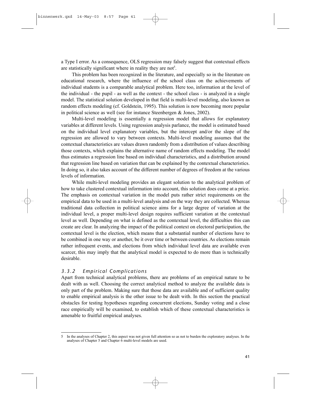a Type I error. As a consequence, OLS regression may falsely suggest that contextual effects are statistically significant where in reality they are not<sup>5</sup>.

This problem has been recognized in the literature, and especially so in the literature on educational research, where the influence of the school class on the achievements of individual students is a comparable analytical problem. Here too, information at the level of the individual - the pupil - as well as the context - the school class - is analyzed in a single model. The statistical solution developed in that field is multi-level modeling, also known as random effects modeling (cf. Goldstein, 1995). This solution is now becoming more popular in political science as well (see for instance Steenbergen & Jones, 2002).

Multi-level modeling is essentially a regression model that allows for explanatory variables at different levels. Using regression analysis parlance, the model is estimated based on the individual level explanatory variables, but the intercept and/or the slope of the regression are allowed to vary between contexts. Multi-level modeling assumes that the contextual characteristics are values drawn randomly from a distribution of values describing those contexts, which explains the alternative name of random effects modeling. The model thus estimates a regression line based on individual characteristics, and a distribution around that regression line based on variation that can be explained by the contextual characteristics. In doing so, it also takes account of the different number of degrees of freedom at the various levels of information.

While multi-level modeling provides an elegant solution to the analytical problem of how to take clustered contextual information into account, this solution does come at a price. The emphasis on contextual variation in the model puts rather strict requirements on the empirical data to be used in a multi-level analysis and on the way they are collected. Whereas traditional data collection in political science aims for a large degree of variation at the individual level, a proper multi-level design requires sufficient variation at the contextual level as well. Depending on what is defined as the contextual level, the difficulties this can create are clear. In analyzing the impact of the political context on electoral participation, the contextual level is the election, which means that a substantial number of elections have to be combined in one way or another, be it over time or between countries. As elections remain rather infrequent events, and elections from which individual level data are available even scarcer, this may imply that the analytical model is expected to do more than is technically desirable.

#### *3.3.2 Empirical Complications*

Apart from technical analytical problems, there are problems of an empirical nature to be dealt with as well. Choosing the correct analytical method to analyze the available data is only part of the problem. Making sure that those data are available and of sufficient quality to enable empirical analysis is the other issue to be dealt with. In this section the practical obstacles for testing hypotheses regarding concurrent elections, Sunday voting and a close race empirically will be examined, to establish which of these contextual characteristics is amenable to fruitful empirical analyses.

<sup>5</sup> In the analyses of Chapter 2, this aspect was not given full attention so as not to burden the exploratory analyses. In the analyses of Chapter 5 and Chapter 6 multi-level models are used.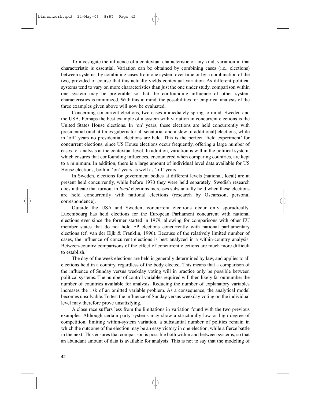To investigate the influence of a contextual characteristic of any kind, variation in that characteristic is essential. Variation can be obtained by combining cases (i.e., elections) between systems, by combining cases from one system over time or by a combination of the two, provided of course that this actually yields contextual variation. As different political systems tend to vary on more characteristics than just the one under study, comparison within one system may be preferable so that the confounding influence of other system characteristics is minimized. With this in mind, the possibilities for empirical analysis of the three examples given above will now be evaluated.

Concerning concurrent elections, two cases immediately spring to mind: Sweden and the USA. Perhaps the best example of a system with variation in concurrent elections is the United States House elections. In 'on' years, these elections are held concurrently with presidential (and at times gubernatorial, senatorial and a slew of additional) elections, while in 'off' years no presidential elections are held. This is the perfect 'field experiment' for concurrent elections, since US House elections occur frequently, offering a large number of cases for analysis at the contextual level. In addition, variation is within the political system, which ensures that confounding influences, encountered when comparing countries, are kept to a minimum. In addition, there is a large amount of individual level data available for US House elections, both in 'on' years as well as 'off' years.

In Sweden, elections for government bodies at different levels (national, local) are at present held concurrently, while before 1970 they were held separately. Swedish research does indicate that turnout in *local* elections increases substantially held when these elections are held concurrently with national elections (research by Oscarsson, personal correspondence).

Outside the USA and Sweden, concurrent elections occur only sporadically. Luxembourg has held elections for the European Parliament concurrent with national elections ever since the former started in 1979, allowing for comparisons with other EU member states that do not hold EP elections concurrently with national parliamentary elections (cf. van der Eijk & Franklin, 1996). Because of the relatively limited number of cases, the influence of concurrent elections is best analyzed in a within-country analysis. Between-country comparisons of the effect of concurrent elections are much more difficult to establish.

The day of the week elections are held is generally determined by law, and applies to all elections held in a country, regardless of the body elected. This means that a comparison of the influence of Sunday versus weekday voting will in practice only be possible between political systems. The number of control variables required will then likely far outnumber the number of countries available for analysis. Reducing the number of explanatory variables increases the risk of an omitted variable problem. As a consequence, the analytical model becomes unsolvable. To test the influence of Sunday versus weekday voting on the individual level may therefore prove unsatisfying.

A close race suffers less from the limitations in variation found with the two previous examples. Although certain party systems may show a structurally low or high degree of competition, limiting within-system variation, a substantial number of polities remain in which the outcome of the election may be an easy victory in one election, while a fierce battle in the next. This ensures that comparison is possible both within and between systems, so that an abundant amount of data is available for analysis. This is not to say that the modeling of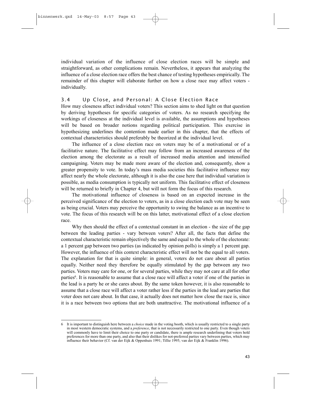individual variation of the influence of close election races will be simple and straightforward, as other complications remain. Nevertheless, it appears that analyzing the influence of a close election race offers the best chance of testing hypotheses empirically. The remainder of this chapter will elaborate further on how a close race may affect voters individually.

## 3.4 Up Close, and Personal: A Close Election Race

How may closeness affect individual voters? This section aims to shed light on that question by deriving hypotheses for specific categories of voters. As no research specifying the workings of closeness at the individual level is available, the assumptions and hypotheses will be based on broader notions regarding political participation. This exercise in hypothesizing underlines the contention made earlier in this chapter, that the effects of contextual characteristics should preferably be theorized at the individual level.

The influence of a close election race on voters may be of a motivational or of a facilitative nature. The facilitative effect may follow from an increased awareness of the election among the electorate as a result of increased media attention and intensified campaigning. Voters may be made more aware of the election and, consequently, show a greater propensity to vote. In today's mass media societies this facilitative influence may affect nearly the whole electorate, although it is also the case here that individual variation is possible, as media consumption is typically not uniform. This facilitative effect of closeness will be returned to briefly in Chapter 4, but will not form the focus of this research.

The motivational influence of closeness is based on an expected increase in the perceived significance of the election to voters, as in a close election each vote may be seen as being crucial. Voters may perceive the opportunity to swing the balance as an incentive to vote. The focus of this research will be on this latter, motivational effect of a close election race.

Why then should the effect of a contextual constant in an election - the size of the gap between the leading parties - vary between voters? After all, the facts that define the contextual characteristic remain objectively the same and equal to the whole of the electorate: a 1 percent gap between two parties (as indicated by opinion polls) is simply a 1 percent gap. However, the influence of this context characteristic effect will not be the equal to all voters. The explanation for that is quite simple: in general, voters do not care about all parties equally. Neither need they therefore be equally stimulated by the gap between any two parties. Voters may care for one, or for several parties, while they may not care at all for other parties<sup>6</sup>. It is reasonable to assume that a close race will affect a voter if one of the parties in the lead is a party he or she cares about. By the same token however, it is also reasonable to assume that a close race will affect a voter rather less if the parties in the lead are parties that voter does not care about. In that case, it actually does not matter how close the race is, since it is a race between two options that are both unattractive. The motivational influence of a

<sup>6</sup> It is important to distinguish here between a *choice* made in the voting booth, which is usually restricted to a single party in most western democratic systems, and a *preference*, that is not necessarily restricted to one party. Even though voters will commonly have to limit their choice to one party or candidate, there is ample research underlining that voters hold preferences for more than one party, and also that their dislikes for not-preferred parties vary between parties, which may influence their behavior (Cf. van der Eijk & Oppenhuis 1991; Tillie 1995; van der Eijk & Franklin 1996).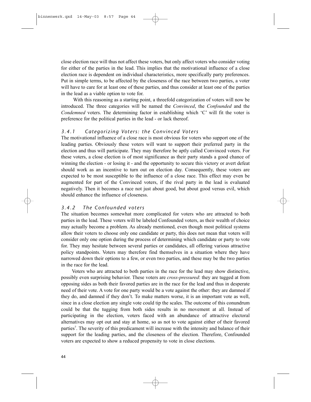close election race will thus not affect these voters, but only affect voters who consider voting for either of the parties in the lead. This implies that the motivational influence of a close election race is dependent on individual characteristics, more specifically party preferences. Put in simple terms, to be affected by the closeness of the race between two parties, a voter will have to care for at least one of these parties, and thus consider at least one of the parties in the lead as a viable option to vote for.

With this reasoning as a starting point, a threefold categorization of voters will now be introduced. The three categories will be named the *Convinced*, the *Confounded* and the *Condemned* voters. The determining factor in establishing which 'C' will fit the voter is preference for the political parties in the lead - or lack thereof.

### *3.4.1 Categorizing Voters: the Convinced Voters*

The motivational influence of a close race is most obvious for voters who support one of the leading parties. Obviously these voters will want to support their preferred party in the election and thus will participate. They may therefore be aptly called Convinced voters. For these voters, a close election is of most significance as their party stands a good chance of winning the election - or losing it - and the opportunity to secure this victory or avert defeat should work as an incentive to turn out on election day. Consequently, these voters are expected to be most susceptible to the influence of a close race. This effect may even be augmented for part of the Convinced voters, if the rival party in the lead is evaluated negatively. Then it becomes a race not just about good, but about good versus evil, which should enhance the influence of closeness.

# *3.4.2 The Confounded voters*

The situation becomes somewhat more complicated for voters who are attracted to both parties in the lead. These voters will be labeled Confounded voters, as their wealth of choice may actually become a problem. As already mentioned, even though most political systems allow their voters to choose only one candidate or party, this does not mean that voters will consider only one option during the process of determining which candidate or party to vote for. They may hesitate between several parties or candidates, all offering various attractive policy standpoints. Voters may therefore find themselves in a situation where they have narrowed down their options to a few, or even two parties, and these may be the two parties in the race for the lead.

Voters who are attracted to both parties in the race for the lead may show distinctive, possibly even surprising behavior. These voters are *cross-pressured*: they are tugged at from opposing sides as both their favored parties are in the race for the lead and thus in desperate need of their vote. A vote for one party would be a vote against the other: they are damned if they do, and damned if they don't. To make matters worse, it is an important vote as well, since in a close election any single vote could tip the scales. The outcome of this conundrum could be that the tugging from both sides results in no movement at all. Instead of participating in the election, voters faced with an abundance of attractive electoral alternatives may opt out and stay at home, so as not to vote against either of their favored parties<sup>7</sup>. The severity of this predicament will increase with the intensity and balance of their support for the leading parties, and the closeness of the election. Therefore, Confounded voters are expected to show a reduced propensity to vote in close elections.

 $\overline{\mathcal{A}}$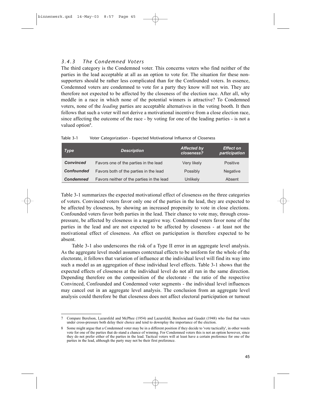## *3.4.3 The Condemned Voters*

The third category is the Condemned voter. This concerns voters who find neither of the parties in the lead acceptable at all as an option to vote for. The situation for these nonsupporters should be rather less complicated than for the Confounded voters. In essence, Condemned voters are condemned to vote for a party they know will not win. They are therefore not expected to be affected by the closeness of the election race. After all, why meddle in a race in which none of the potential winners is attractive? To Condemned voters, none of the *leading* parties are acceptable alternatives in the voting booth. It then follows that such a voter will not derive a motivational incentive from a close election race, since affecting the outcome of the race - by voting for one of the leading parties - is not a valued option<sup>8</sup>.

| <b>Type</b>       | <b>Description</b>                        | Affected by<br>closeness? | <b>Effect on</b><br>participation |
|-------------------|-------------------------------------------|---------------------------|-----------------------------------|
| <b>Convinced</b>  | Favors one of the parties in the lead     | Very likely               | Positive                          |
| <b>Confounded</b> | Favors both of the parties in the lead    | Possibly                  | Negative                          |
| <b>Condemned</b>  | Favors neither of the parties in the lead | Unlikely                  | Absent                            |

| Table 3-1<br>Voter Categorization - Expected Motivational Influence of Closeness |  |
|----------------------------------------------------------------------------------|--|
|----------------------------------------------------------------------------------|--|

Table 3-1 summarizes the expected motivational effect of closeness on the three categories of voters. Convinced voters favor only one of the parties in the lead, they are expected to be affected by closeness, by showing an increased propensity to vote in close elections. Confounded voters favor both parties in the lead. Their chance to vote may, through crosspressure, be affected by closeness in a negative way. Condemned voters favor none of the parties in the lead and are not expected to be affected by closeness - at least not the motivational effect of closeness. An effect on participation is therefore expected to be absent.

Table 3-1 also underscores the risk of a Type II error in an aggregate level analysis. As the aggregate level model assumes contextual effects to be uniform for the whole of the electorate, it follows that variation of influence at the individual level will find its way into such a model as an aggregation of these individual level effects. Table 3-1 shows that the expected effects of closeness at the individual level do not all run in the same direction. Depending therefore on the composition of the electorate - the ratio of the respective Convinced, Confounded and Condemned voter segments - the individual level influences may cancel out in an aggregate level analysis. The conclusion from an aggregate level analysis could therefore be that closeness does not affect electoral participation or turnout

 $\overline{\wedge}$ 

<sup>7</sup> Compare Berelson, Lazarsfeld and McPhee (1954) and Lazarsfeld, Berelson and Gaudet (1948) who find that voters under cross-pressure both delay their choice and tend to downplay the importance of the election.

<sup>8</sup> Some might argue that a Condemned voter may be in a different position if they decide to 'vote tactically', in other words vote for one of the parties that do stand a chance of winning. For Condemned voters this is not an option however, since they do not prefer either of the parties in the lead. Tactical voters will at least have a certain preference for one of the parties in the lead, although the party may not be their first preference.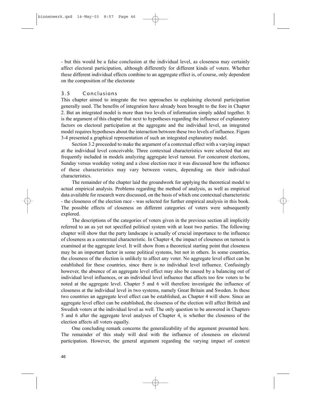- but this would be a false conclusion at the individual level, as closeness may certainly affect electoral participation, although differently for different kinds of voters. Whether these different individual effects combine to an aggregate effect is, of course, only dependent on the composition of the electorate

## 3.5 Conclusions

This chapter aimed to integrate the two approaches to explaining electoral participation generally used. The benefits of integration have already been brought to the fore in Chapter 2. But an integrated model is more than two levels of information simply added together. It is the argument of this chapter that next to hypotheses regarding the influence of explanatory factors on electoral participation at the aggregate and the individual level, an integrated model requires hypotheses about the interaction between these two levels of influence. Figure 3-4 presented a graphical representation of such an integrated explanatory model.

Section 3.2 proceeded to make the argument of a contextual effect with a varying impact at the individual level conceivable. Three contextual characteristics were selected that are frequently included in models analyzing aggregate level turnout. For concurrent elections, Sunday versus weekday voting and a close election race it was discussed how the influence of these characteristics may vary between voters, depending on their individual characteristics.

The remainder of the chapter laid the groundwork for applying the theoretical model to actual empirical analysis. Problems regarding the method of analysis, as well as empirical data available for research were discussed, on the basis of which one contextual characteristic - the closeness of the election race - was selected for further empirical analysis in this book. The possible effects of closeness on different categories of voters were subsequently explored.

The descriptions of the categories of voters given in the previous section all implicitly referred to an as yet not specified political system with at least two parties. The following chapter will show that the party landscape is actually of crucial importance to the influence of closeness as a contextual characteristic. In Chapter 4, the impact of closeness on turnout is examined at the aggregate level. It will show from a theoretical starting point that closeness may be an important factor in some political systems, but not in others. In some countries, the closeness of the election is unlikely to affect any voter. No aggregate level effect can be established for these countries, since there is no individual level influence. Confusingly however, the absence of an aggregate level effect may also be caused by a balancing out of individual level influences, or an individual level influence that affects too few voters to be noted at the aggregate level. Chapter 5 and 6 will therefore investigate the influence of closeness at the individual level in two systems, namely Great Britain and Sweden. In these two countries an aggregate level effect can be established, as Chapter 4 will show. Since an aggregate level effect can be established, the closeness of the election will affect British and Swedish voters at the individual level as well. The only question to be answered in Chapters 5 and 6 after the aggregate level analyses of Chapter 4, is whether the closeness of the election affects all voters equally.

One concluding remark concerns the generalizability of the argument presented here. The remainder of this study will deal with the influence of closeness on electoral participation. However, the general argument regarding the varying impact of context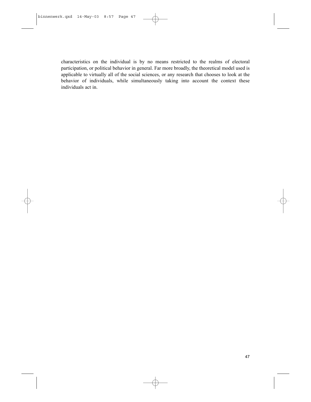characteristics on the individual is by no means restricted to the realms of electoral participation, or political behavior in general. Far more broadly, the theoretical model used is applicable to virtually all of the social sciences, or any research that chooses to look at the behavior of individuals, while simultaneously taking into account the context these individuals act in.

 $\overline{\triangle}$ 

P

Ŧ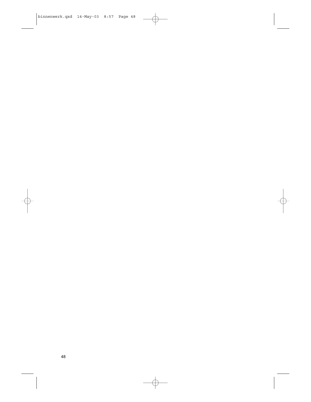48

P

 $\overline{\phantom{0}}$ 

Y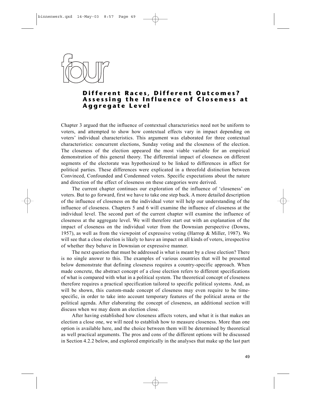

# **Different Races, Different Outcomes? Assessing the Influence of Closeness at Aggregate Level**

Chapter 3 argued that the influence of contextual characteristics need not be uniform to voters, and attempted to show how contextual effects vary in impact depending on voters' individual characteristics. This argument was elaborated for three contextual characteristics: concurrent elections, Sunday voting and the closeness of the election. The closeness of the election appeared the most viable variable for an empirical demonstration of this general theory. The differential impact of closeness on different segments of the electorate was hypothesized to be linked to differences in affect for political parties. These differences were explicated in a threefold distinction between Convinced, Confounded and Condemned voters. Specific expectations about the nature and direction of the effect of closeness on these categories were derived.

The current chapter continues our exploration of the influence of 'closeness' on voters. But to go forward, first we have to take one step back. A more detailed description of the influence of closeness on the individual voter will help our understanding of the influence of closeness. Chapters 5 and 6 will examine the influence of closeness at the individual level. The second part of the current chapter will examine the influence of closeness at the aggregate level. We will therefore start out with an explanation of the impact of closeness on the individual voter from the Downsian perspective (Downs, 1957), as well as from the viewpoint of expressive voting (Harrop & Miller, 1987). We will see that a close election is likely to have an impact on all kinds of voters, irrespective of whether they behave in Downsian or expressive manner.

The next question that must be addressed is what is meant by a close election? There is no single answer to this. The examples of various countries that will be presented below demonstrate that defining closeness requires a country-specific approach. When made concrete, the abstract concept of a close election refers to different specifications of what is compared with what in a political system. The theoretical concept of closeness therefore requires a practical specification tailored to specific political systems. And, as will be shown, this custom-made concept of closeness may even require to be timespecific, in order to take into account temporary features of the political arena or the political agenda. After elaborating the concept of closeness, an additional section will discuss when we may deem an election close.

After having established how closeness affects voters, and what it is that makes an election a close one, we will need to establish how to measure closeness. More than one option is available here, and the choice between them will be determined by theoretical as well practical arguments. The pros and cons of the different options will be discussed in Section 4.2.2 below, and explored empirically in the analyses that make up the last part

 $\overline{\wedge}$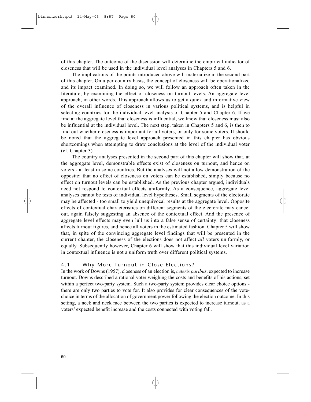of this chapter. The outcome of the discussion will determine the empirical indicator of closeness that will be used in the individual level analyses in Chapters 5 and 6.

The implications of the points introduced above will materialize in the second part of this chapter. On a per country basis, the concept of closeness will be operationalized and its impact examined. In doing so, we will follow an approach often taken in the literature, by examining the effect of closeness on turnout levels. An aggregate level approach, in other words. This approach allows us to get a quick and informative view of the overall influence of closeness in various political systems, and is helpful in selecting countries for the individual level analysis of Chapter 5 and Chapter 6. If we find at the aggregate level that closeness is influential, we know that closeness must also be influential at the individual level. The next step, taken in Chapters 5 and 6, is then to find out whether closeness is important for all voters, or only for some voters. It should be noted that the aggregate level approach presented in this chapter has obvious shortcomings when attempting to draw conclusions at the level of the individual voter (cf. Chapter 3).

The country analyses presented in the second part of this chapter will show that, at the aggregate level, demonstrable effects exist of closeness on turnout, and hence on voters - at least in some countries. But the analyses will not allow demonstration of the opposite: that no effect of closeness on voters can be established, simply because no effect on turnout levels can be established. As the previous chapter argued, individuals need not respond to contextual effects uniformly. As a consequence, aggregate level analyses cannot be tests of individual level hypotheses. Small segments of the electorate may be affected - too small to yield unequivocal results at the aggregate level. Opposite effects of contextual characteristics on different segments of the electorate may cancel out, again falsely suggesting an absence of the contextual effect. And the presence of aggregate level effects may even lull us into a false sense of certainty: that closeness affects turnout figures, and hence all voters in the estimated fashion. Chapter 5 will show that, in spite of the convincing aggregate level findings that will be presented in the current chapter, the closeness of the elections does not affect *all* voters uniformly, or equally. Subsequently however, Chapter 6 will show that this individual level variation in contextual influence is not a uniform truth over different political systems.

### 4.1 Why More Turnout in Close Elections?

In the work of Downs (1957), closeness of an election is, *ceteris paribus*, expected to increase turnout. Downs described a rational voter weighing the costs and benefits of his actions, set within a perfect two-party system. Such a two-party system provides clear choice options there are only two parties to vote for. It also provides for clear consequences of the votechoice in terms of the allocation of government power following the election outcome. In this setting, a neck and neck race between the two parties is expected to increase turnout, as a voters' expected benefit increase and the costs connected with voting fall.

 $\overline{\triangle}$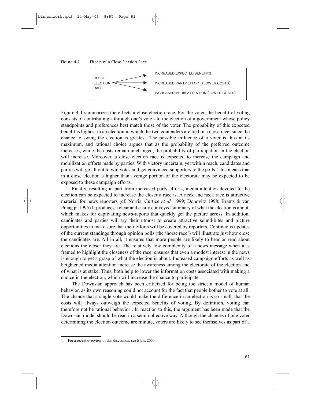



Figure 4-1 summarizes the effects a close election race. For the voter, the benefit of voting consists of contributing - through one's vote - to the election of a government whose policy standpoints and preferences best match those of the voter. The probability of this expected benefit is highest in an election in which the two contenders are tied in a close race, since the chance to swing the election is greatest. The possible influence of a voter is thus at its maximum, and rational choice argues that as the probability of the preferred outcome increases, while the costs remain unchanged, the probability of participation in the election will increase. Moreover, a close election race is expected to increase the campaign and mobilization efforts made by parties. With victory uncertain, yet within reach, candidates and parties will go all out to win votes and get convinced supporters to the polls. This means that in a close election a higher than average portion of the electorate may be expected to be exposed to these campaign efforts.

Finally, resulting in part from increased party efforts, media attention devoted to the election can be expected to increase the closer a race is. A neck and neck race is attractive material for news reporters (cf. Norris, Curtice *et al.* 1999; Donovitz 1998; Brants & van Praag jr. 1995) It produces a clear and easily conveyed summary of what the election is about, which makes for captivating news-reports that quickly get the picture across. In addition, candidates and parties will try their utmost to create attractive sound-bites and picture opportunities to make sure that their efforts will be covered by reporters. Continuous updates of the current standings through opinion polls (the 'horse race') will illustrate just how close the candidates are. All in all, it ensures that more people are likely to hear or read about elections the closer they are. The relatively low complexity of a news message when it is framed to highlight the closeness of the race, ensures that even a modest interest in the news is enough to get a grasp of what the election is about. Increased campaign efforts as well as heightened media attention increase the awareness among the electorate of the election and of what is at stake. Thus, both help to lower the information costs associated with making a choice in the election, which will increase the chance to participate.

The Downsian approach has been criticized for being too strict a model of human behavior, as its own reasoning could not account for the fact that people bother to vote at all. The chance that a single vote would make the difference in an election is so small, that the costs will always outweigh the expected benefits of voting. By definition, voting can therefore not be rational behavior<sup>1</sup>. In reaction to this, the argument has been made that the Downsian model should be read in a semi-collective way. Although the chances of one voter determining the election outcome are minute, voters are likely to see themselves as part of a

<sup>1</sup> For a recent overview of this discussion, see Blais, 2000.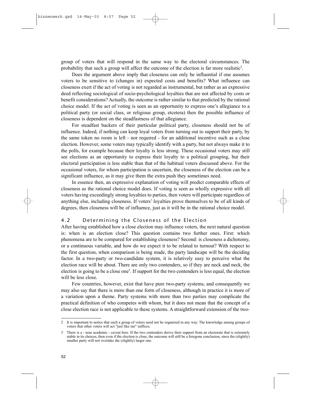group of voters that will respond in the same way to the electoral circumstances. The probability that such a group will affect the outcome of the election is far more realistic<sup>2</sup>.

Does the argument above imply that closeness can only be influential if one assumes voters to be sensitive to (changes in) expected costs and benefits? What influence can closeness exert if the act of voting is not regarded as instrumental, but rather as an expressive deed reflecting sociological of socio-psychological loyalties that are not affected by costs or benefit considerations? Actually, the outcome is rather similar to that predicted by the rational choice model. If the act of voting is seen as an opportunity to express one's allegiance to a political party (or social class, or religious group, etcetera) then the possible influence of closeness is dependent on the steadfastness of that allegiance.

For steadfast backers of their particular political party, closeness should not be of influence. Indeed, if nothing can keep loyal voters from turning out to support their party, by the same token no room is left - nor required - for an additional incentive such as a close election. However, some voters may typically identify with a party, but not always make it to the polls, for example because their loyalty is less strong. These occasional voters may still see elections as an opportunity to express their loyalty to a political grouping, but their electoral participation is less stable than that of the habitual voters discussed above. For the occasional voters, for whom participation is uncertain, the closeness of the election can be a significant influence, as it may give them the extra push they sometimes need.

In essence then, an expressive explanation of voting will predict comparable effects of closeness as the rational choice model does. If voting is seen as wholly expressive with all voters having exceedingly strong loyalties to parties, then voters will participate regardless of anything else, including closeness. If voters' loyalties prove themselves to be of all kinds of degrees, then closeness will be of influence, just as it will be in the rational choice model.

## 4.2 Determining the Closeness of the Election

After having established how a close election may influence voters, the next natural question is: when is an election close? This question contains two further ones. First: which phenomena are to be compared for establishing closeness? Second: is closeness a dichotomy, or a continuous variable, and how do we expect it to be related to turnout? With respect to the first question, when comparison is being made, the party landscape will be the deciding factor. In a two-party or two-candidate system, it is relatively easy to perceive what the election race will be about. There are only two contenders, so if they are neck and neck, the election is going to be a close one<sup>3</sup>. If support for the two contenders is less equal, the election will be less close.

Few countries, however, exist that have pure two-party systems, and consequently we may also say that there is more than one form of closeness, although in practice it is more of a variation upon a theme. Party systems with more than two parties may complicate the practical definition of who competes with whom, but it does not mean that the concept of a close election race is not applicable to these systems. A straightforward extension of the two-

<sup>2</sup> It is important to notice that such a group of voters need not be organized in any way. The knowledge among groups of voters that other voters will act "just like me" suffices.

<sup>3</sup> There is a - near academic - caveat here. If the two contenders derive their support from an electorate that is extremely stable in its choices, then even if the election is close, the outcome will still be a foregone conclusion, since the (slightly) smaller party will not overtake the (slightly) larger one.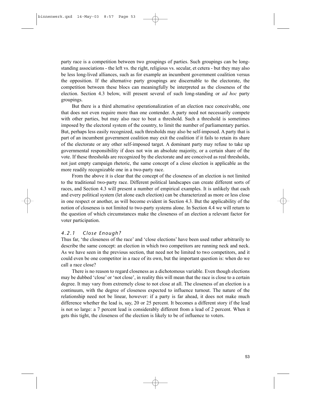party race is a competition between two groupings of parties. Such groupings can be longstanding associations - the left vs. the right, religious vs. secular, et cetera - but they may also be less long-lived alliances, such as for example an incumbent government coalition versus the opposition. If the alternative party groupings are discernable to the electorate, the competition between these blocs can meaningfully be interpreted as the closeness of the election. Section 4.3 below, will present several of such long-standing or *ad hoc* party groupings.

But there is a third alternative operationalization of an election race conceivable, one that does not even require more than one contender. A party need not necessarily compete with other parties, but may also race to beat a threshold. Such a threshold is sometimes imposed by the electoral system of the country, to limit the number of parliamentary parties. But, perhaps less easily recognized, such thresholds may also be self-imposed. A party that is part of an incumbent government coalition may exit the coalition if it fails to retain its share of the electorate or any other self-imposed target. A dominant party may refuse to take up governmental responsibility if does not win an absolute majority, or a certain share of the vote. If these thresholds are recognized by the electorate and are conceived as real thresholds, not just empty campaign rhetoric, the same concept of a close election is applicable as the more readily recognizable one in a two-party race.

From the above it is clear that the concept of the closeness of an election is not limited to the traditional two-party race. Different political landscapes can create different sorts of races, and Section 4.3 will present a number of empirical examples. It is unlikely that each and every political system (let alone each election) can be characterized as more or less close in one respect or another, as will become evident in Section 4.3. But the applicability of the notion of closeness is not limited to two-party systems alone. In Section 4.4 we will return to the question of which circumstances make the closeness of an election a relevant factor for voter participation.

#### *4.2.1 Close Enough?*

Thus far, 'the closeness of the race' and 'close elections' have been used rather arbitrarily to describe the same concept: an election in which two competitors are running neck and neck. As we have seen in the previous section, that need not be limited to two competitors, and it could even be one competitor in a race of its own, but the important question is: when do we call a race close?

There is no reason to regard closeness as a dichotomous variable. Even though elections may be dubbed 'close' or 'not close', in reality this will mean that the race is close to a certain degree. It may vary from extremely close to not close at all. The closeness of an election is a continuum, with the degree of closeness expected to influence turnout. The nature of the relationship need not be linear, however: if a party is far ahead, it does not make much difference whether the lead is, say, 20 or 25 percent. It becomes a different story if the lead is not so large: a 7 percent lead is considerably different from a lead of 2 percent. When it gets this tight, the closeness of the election is likely to be of influence to voters.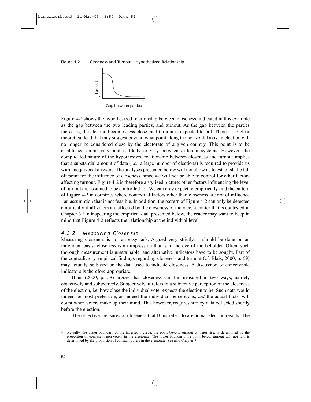



Figure 4-2 shows the hypothesized relationship between closeness, indicated in this example as the gap between the two leading parties, and turnout. As the gap between the parties increases, the election becomes less close, and turnout is expected to fall. There is no clear theoretical lead that may suggest beyond what point along the horizontal axis an election will no longer be considered close by the electorate of a given country. This point is to be established empirically, and is likely to vary between different systems. However, the complicated nature of the hypothesized relationship between closeness and turnout implies that a substantial amount of data (i.e., a large number of elections) is required to provide us with unequivocal answers. The analyses presented below will not allow us to establish the fall off point for the influence of closeness, since we will not be able to control for other factors affecting turnout. Figure 4-2 is therefore a stylized picture: other factors influencing the level of turnout are assumed to be controlled for. We can only expect to empirically find the pattern of Figure 4-2 in countries where contextual factors other than closeness are not of influence - an assumption that is not feasible. In addition, the pattern of Figure 4-2 can only be detected empirically if all voters are affected by the closeness of the race, a matter that is contested in Chapter 3.4 In inspecting the empirical data presented below, the reader may want to keep in mind that Figure 4-2 reflects the relationship at the individual level. Example the hypothesized relationship between closeness, indicated in this example ease.<br>
Cap between the two cleading partics, and unrout As the gap between the particular and  $\lambda$  and  $\lambda$  and  $\lambda$  and  $\lambda$  and  $\lambda$  and

#### *4.2.2 Measuring Closeness*

Measuring closeness is not an easy task. Argued very strictly, it should be done on an individual basis: closeness is an impression that is in the eye of the beholder. Often, such thorough measurement is unattainable, and alternative indicators have to be sought. Part of the contradictory empirical findings regarding closeness and turnout (cf. Blais, 2000, p. 59) may actually be based on the data used to indicate closeness. A discussion of conceivable indicators is therefore appropriate.

Blais (2000, p. 58) argues that closeness can be measured in two ways, namely objectively and subjectively. Subjectively, it refers to a subjective perception of the closeness of the election, i.e. how close the individual voter expects the election to be. Such data would indeed be most preferable, as indeed the individual perceptions, *not* the actual facts, will count when voters make up their mind. This however, requires survey data collected shortly before the election.

<sup>4</sup> Actually, the upper boundary of the inverted s-curve, the point beyond turnout will not rise, is determined by the proportion of consistent non-voters in the electorate. The lower boundary, the point below turnout will not fall, is determined by the proportion of constant voters in the electorate. See also Chapter 7.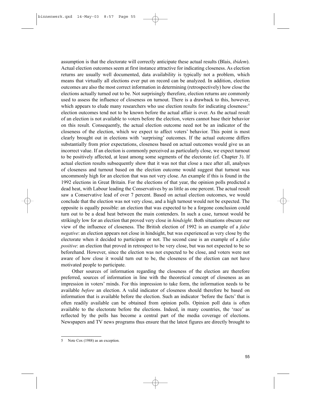assumption is that the electorate will correctly anticipate these actual results (Blais, *ibidem*). Actual election outcomes seem at first instance attractive for indicating closeness. As election returns are usually well documented, data availability is typically not a problem, which means that virtually all elections ever put on record can be analyzed. In addition, election outcomes are also the most correct information in determining (retrospectively) how close the elections actually turned out to be. Not surprisingly therefore, election returns are commonly used to assess the influence of closeness on turnout. There is a drawback to this, however, which appears to elude many researchers who use election results for indicating closeness:<sup>5</sup> election outcomes tend not to be known before the actual affair is over. As the actual result of an election is not available to voters before the election, voters cannot base their behavior on this result. Consequently, the actual election outcome need not be an indicator of the closeness of the election, which we expect to affect voters' behavior. This point is most clearly brought out in elections with 'surprising' outcomes. If the actual outcome differs substantially from prior expectations, closeness based on actual outcomes would give us an incorrect value. If an election is commonly perceived as particularly close, we expect turnout to be positively affected, at least among some segments of the electorate (cf. Chapter 3). If actual election results subsequently show that it was not that close a race after all, analyses of closeness and turnout based on the election outcome would suggest that turnout was uncommonly high for an election that was not very close. An example if this is found in the 1992 elections in Great Britain. For the elections of that year, the opinion polls predicted a dead heat, with Labour leading the Conservatives by as little as one percent. The actual result saw a Conservative lead of over 7 percent. Based on actual election outcomes, we would conclude that the election was not very close, and a high turnout would not be expected. The opposite is equally possible: an election that was expected to be a forgone conclusion could turn out to be a dead heat between the main contenders. In such a case, turnout would be strikingly low for an election that proved very close in *hindsight*. Both situations obscure our view of the influence of closeness. The British election of 1992 is an example of a *false negative*: an election appears not close in hindsight, but was experienced as very close by the electorate when it decided to participate or not. The second case is an example of a *false positive*: an election that proved in retrospect to be very close, but was not expected to be so beforehand. However, since the election was not expected to be close, and voters were not aware of how close it would turn out to be, the closeness of the election can not have motivated people to participate.

Other sources of information regarding the closeness of the election are therefore preferred, sources of information in line with the theoretical concept of closeness as an impression in voters' minds. For this impression to take form, the information needs to be available *before* an election. A valid indicator of closeness should therefore be based on information that is available before the election. Such an indicator 'before the facts' that is often readily available can be obtained from opinion polls. Opinion poll data is often available to the electorate before the elections. Indeed, in many countries, the 'race' as reflected by the polls has become a central part of the media coverage of elections. Newspapers and TV news programs thus ensure that the latest figures are directly brought to

<sup>5</sup> Note Cox (1988) as an exception.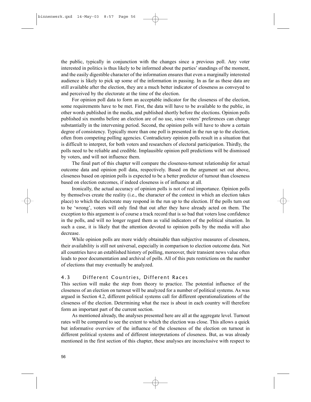the public, typically in conjunction with the changes since a previous poll. Any voter interested in politics is thus likely to be informed about the parties' standings of the moment, and the easily digestible character of the information ensures that even a marginally interested audience is likely to pick up some of the information in passing. In as far as these data are still available after the election, they are a much better indicator of closeness as conveyed to and perceived by the electorate at the time of the election.

For opinion poll data to form an acceptable indicator for the closeness of the election, some requirements have to be met. First, the data will have to be available to the public, in other words published in the media, and published shortly before the elections. Opinion polls published six months before an election are of no use, since voters' preferences can change substantially in the intervening period. Second, the opinion polls will have to show a certain degree of consistency. Typically more than one poll is presented in the run up to the election, often from competing polling agencies. Contradictory opinion polls result in a situation that is difficult to interpret, for both voters and researchers of electoral participation. Thirdly, the polls need to be reliable and credible. Implausible opinion poll predictions will be dismissed by voters, and will not influence them.

The final part of this chapter will compare the closeness-turnout relationship for actual outcome data and opinion poll data, respectively. Based on the argument set out above, closeness based on opinion polls is expected to be a better predictor of turnout than closeness based on election outcomes, if indeed closeness is of influence at all.

Ironically, the actual accuracy of opinion polls is not of real importance. Opinion polls by themselves create the reality (i.e., the character of the context in which an election takes place) to which the electorate may respond in the run up to the election. If the polls turn out to be ëwrongí, voters will only find that out after they have already acted on them. The exception to this argument is of course a track record that is so bad that voters lose confidence in the polls, and will no longer regard them as valid indicators of the political situation. In such a case, it is likely that the attention devoted to opinion polls by the media will also decrease.

While opinion polls are more widely obtainable than subjective measures of closeness, their availability is still not universal, especially in comparison to election outcome data. Not all countries have an established history of polling, moreover, their transient news value often leads to poor documentation and archival of polls. All of this puts restrictions on the number of elections that may eventually be analyzed.

## 4.3 Different Countries, Different Races

This section will make the step from theory to practice. The potential influence of the closeness of an election on turnout will be analyzed for a number of political systems. As was argued in Section 4.2, different political systems call for different operationalizations of the closeness of the election. Determining what the race is about in each country will therefore form an important part of the current section.

As mentioned already, the analyses presented here are all at the aggregate level. Turnout rates will be compared to see the extent to which the election was close. This allows a quick but informative overview of the influence of the closeness of the election on turnout in different political systems and of different interpretations of closeness. But, as was already mentioned in the first section of this chapter, these analyses are inconclusive with respect to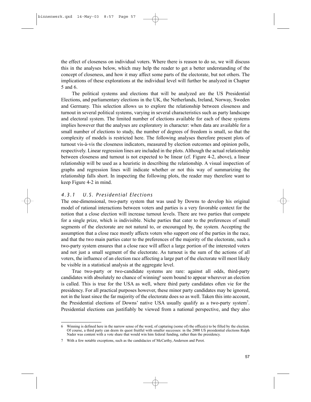the effect of closeness on individual voters. Where there is reason to do so, we will discuss this in the analyses below, which may help the reader to get a better understanding of the concept of closeness, and how it may affect some parts of the electorate, but not others. The implications of these explorations at the individual level will further be analyzed in Chapter 5 and 6.

The political systems and elections that will be analyzed are the US Presidential Elections, and parliamentary elections in the UK, the Netherlands, Ireland, Norway, Sweden and Germany. This selection allows us to explore the relationship between closeness and turnout in several political systems, varying in several characteristics such as party landscape and electoral system. The limited number of elections available for each of these systems implies however that the analyses are exploratory in character: when data are available for a small number of elections to study, the number of degrees of freedom is small, so that the complexity of models is restricted here. The following analyses therefore present plots of turnout vis-‡-vis the closeness indicators, measured by election outcomes and opinion polls, respectively. Linear regression lines are included in the plots. Although the actual relationship between closeness and turnout is not expected to be linear (cf. Figure 4-2, above), a linear relationship will be used as a heuristic in describing the relationship. A visual inspection of graphs and regression lines will indicate whether or not this way of summarizing the relationship falls short. In inspecting the following plots, the reader may therefore want to keep Figure 4-2 in mind.

## *4.3.1 U.S. Presidential Elections*

The one-dimensional, two-party system that was used by Downs to develop his original model of rational interactions between voters and parties is a very favorable context for the notion that a close election will increase turnout levels. There are two parties that compete for a single prize, which is indivisible. Niche parties that cater to the preferences of small segments of the electorate are not natural to, or encouraged by, the system. Accepting the assumption that a close race mostly affects voters who support one of the parties in the race, and that the two main parties cater to the preferences of the majority of the electorate, such a two-party system ensures that a close race will affect a large portion of the interested voters and not just a small segment of the electorate. As turnout is the sum of the actions of all voters, the influence of an election race affecting a large part of the electorate will most likely be visible in a statistical analysis at the aggregate level.

True two-party or two-candidate systems are rare: against all odds, third-party candidates with absolutely no chance of winning<sup>6</sup> seem bound to appear wherever an election is called. This is true for the USA as well, where third party candidates often vie for the presidency. For all practical purposes however, these minor party candidates may be ignored, not in the least since the far majority of the electorate does so as well. Taken this into account, the Presidential elections of Downs' native USA usually qualify as a two-party system<sup>7</sup>. Presidential elections can justifiably be viewed from a national perspective, and they also

<sup>6</sup> Winning is defined here in the narrow sense of the word, of capturing (some of) the office(s) to be filled by the election. Of course, a third party can deem its quest fruitful with smaller successes: in the 2000 US presidential elections Ralph Nader was content with a vote share that would win him federal funding, rather than the presidency.

<sup>7</sup> With a few notable exceptions, such as the candidacies of McCarthy, Anderson and Perot.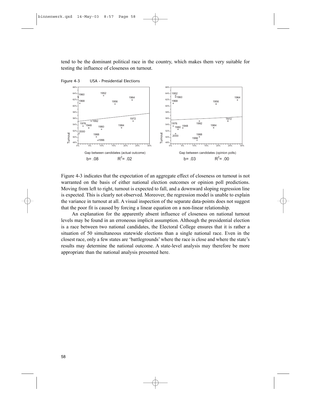tend to be the dominant political race in the country, which makes them very suitable for testing the influence of closeness on turnout.

Ŧ



Figure 4-3 USA - Presidential Elections

Figure 4-3 indicates that the expectation of an aggregate effect of closeness on turnout is not warranted on the basis of either national election outcomes or opinion poll predictions. Moving from left to right, turnout is expected to fall, and a downward sloping regression line is expected. This is clearly not observed. Moreover, the regression model is unable to explain the variance in turnout at all. A visual inspection of the separate data-points does not suggest that the poor fit is caused by forcing a linear equation on a non-linear relationship.

An explanation for the apparently absent influence of closeness on national turnout levels may be found in an erroneous implicit assumption. Although the presidential election is a race between two national candidates, the Electoral College ensures that it is rather a situation of 50 simultaneous statewide elections than a single national race. Even in the closest race, only a few states are 'battlegrounds' where the race is close and where the state's results may determine the national outcome. A state-level analysis may therefore be more appropriate than the national analysis presented here.

 $\overline{\mathcal{A}}$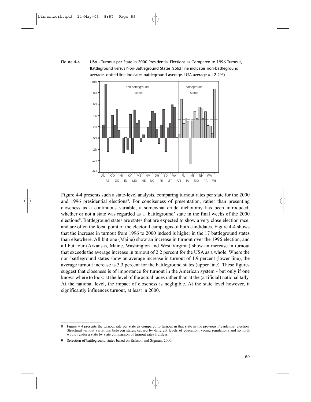Figure 4-4 USA - Turnout per State in 2000 Presidential Elections as Compared to 1996 Turnout, Battleground versus Non-Battleground States (solid line indicates non-battleground average, dotted line indicates battleground average. USA average  $= +2.2\%$ )



Figure 4-4 presents such a state-level analysis, comparing turnout rates per state for the 2000 and 1996 presidential elections<sup>8</sup>. For conciseness of presentation, rather than presenting closeness as a continuous variable, a somewhat crude dichotomy has been introduced: whether or not a state was regarded as a 'battleground' state in the final weeks of the 2000 elections<sup>9</sup>. Battleground states are states that are expected to show a very close election race, and are often the focal point of the electoral campaigns of both candidates. Figure 4-4 shows that the increase in turnout from 1996 to 2000 indeed is higher in the 17 battleground states than elsewhere. All but one (Maine) show an increase in turnout over the 1996 election, and all but four (Arkansas, Maine, Washington and West Virginia) show an increase in turnout that exceeds the average increase in turnout of 2.2 percent for the USA as a whole. Where the non-battleground states show an average increase in turnout of 1.9 percent (lower line), the average turnout increase is 3.3 percent for the battleground states (upper line). These figures suggest that closeness is of importance for turnout in the American system - but only if one knows where to look: at the level of the actual races rather than at the (artificial) national tally. At the national level, the impact of closeness is negligible. At the state level however, it significantly influences turnout, at least in 2000.

<sup>8</sup> Figure 4 4 presents the turnout rate per state as compared to turnout in that state in the previous Presidential election. Structural turnout variations between states, caused by different levels of education, voting regulations and so forth would render a state by state comparison of turnout rates fruitless.

Selection of battleground states based on Erikson and Sigman, 2000.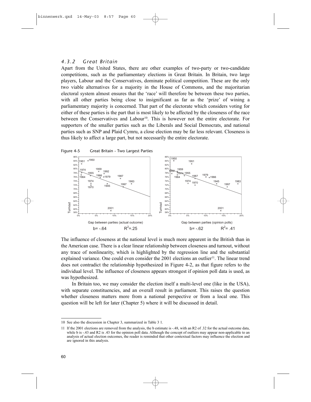# *4.3.2 Great Britain*

Apart from the United States, there are other examples of two-party or two-candidate competitions, such as the parliamentary elections in Great Britain. In Britain, two large players, Labour and the Conservatives, dominate political competition. These are the only two viable alternatives for a majority in the House of Commons, and the majoritarian electoral system almost ensures that the 'race' will therefore be between these two parties, with all other parties being close to insignificant as far as the 'prize' of wining a parliamentary majority is concerned. That part of the electorate which considers voting for either of these parties is the part that is most likely to be affected by the closeness of the race between the Conservatives and Labour<sup>10</sup>. This is however not the entire electorate. For supporters of the smaller parties such as the Liberals and Social Democrats, and national parties such as SNP and Plaid Cymru, a close election may be far less relevant. Closeness is thus likely to affect a large part, but not necessarily the entire electorate.





The influence of closeness at the national level is much more apparent in the British than in the American case. There is a clear linear relationship between closeness and turnout, without any trace of nonlinearity, which is highlighted by the regression line and the substantial explained variance. One could even consider the  $2001$  elections an outlier<sup>11</sup>. The linear trend does not contradict the relationship hypothesized in Figure 4-2, as that figure refers to the individual level. The influence of closeness appears strongest if opinion poll data is used, as was hypothesized.

In Britain too, we may consider the election itself a multi-level one (like in the USA), with separate constituencies, and an overall result in parliament. This raises the question whether closeness matters more from a national perspective or from a local one. This question will be left for later (Chapter 5) where it will be discussed in detail.

<sup>10</sup> See also the discussion in Chapter 3, summarized in Table 3 1.

<sup>11</sup> If the 2001 elections are removed from the analysis, the b estimate is -.48, with an R2 of .32 for the actual outcome data, while b is -.43 and R2 is .43 for the opinion poll data. Although the concept of outliers may appear non-applicable to an analysis of actual election outcomes, the reader is reminded that other contextual factors may influence the election and are ignored in this analysis.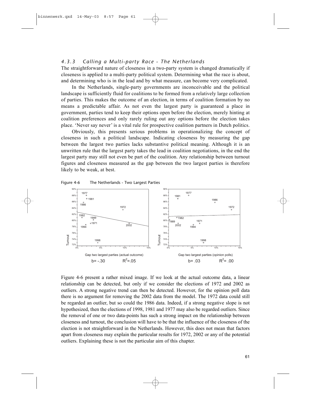## *4.3.3 Calling a Multi-party Race - The Netherlands*

The straightforward nature of closeness in a two-party system is changed dramatically if closeness is applied to a multi-party political system. Determining what the race is about, and determining who is in the lead and by what measure, can become very complicated.

 $\overline{\phantom{0}}$ 

In the Netherlands, single-party governments are inconceivable and the political landscape is sufficiently fluid for coalitions to be formed from a relatively large collection of parties. This makes the outcome of an election, in terms of coalition formation by no means a predictable affair. As not even the largest party is guaranteed a place in government, parties tend to keep their options open before the election, merely hinting at coalition preferences and only rarely ruling out any options before the election takes place. 'Never say never' is a vital rule for prospective coalition partners in Dutch politics.

Obviously, this presents serious problems in operationalizing the concept of closeness in such a political landscape. Indicating closeness by measuring the gap between the largest two parties lacks substantive political meaning. Although it is an unwritten rule that the largest party takes the lead in coalition negotiations, in the end the largest party may still not even be part of the coalition. Any relationship between turnout figures and closeness measured as the gap between the two largest parties is therefore likely to be weak, at best.





Figure 4-6 present a rather mixed image. If we look at the actual outcome data, a linear relationship can be detected, but only if we consider the elections of 1972 and 2002 as outliers. A strong negative trend can then be detected. However, for the opinion poll data there is no argument for removing the 2002 data from the model. The 1972 data could still be regarded an outlier, but so could the 1986 data. Indeed, if a strong negative slope is not hypothesized, then the elections of 1998, 1981 and 1977 may also be regarded outliers. Since the removal of one or two data-points has such a strong impact on the relationship between closeness and turnout, the conclusion will have to be that the influence of the closeness of the election is not straightforward in the Netherlands. However, this does not mean that factors apart from closeness may explain the particular results for 1972, 2002 or any of the potential outliers. Explaining these is not the particular aim of this chapter.

 $\overline{\mathbb{A}}$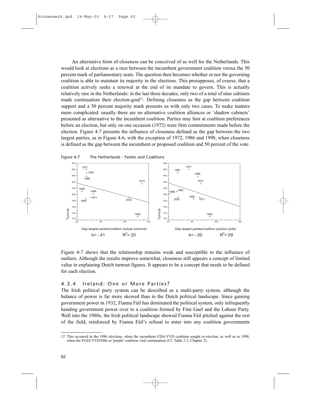An alternative form of closeness can be conceived of as well for the Netherlands. This would look at elections as a race between the incumbent government coalition versus the 50 percent mark of parliamentary seats. The question then becomes whether or not the governing coalition is able to maintain its majority in the elections. This presupposes, of course, that a coalition actively seeks a renewal at the end of its mandate to govern. This is actually relatively rare in the Netherlands: in the last three decades, only two of a total of nine cabinets made continuation their election-goal<sup>12</sup>. Defining closeness as the gap between coalition support and a 50 percent majority mark presents us with only two cases. To make matters more complicated: usually there are no alternative coalition alliances or 'shadow cabinets' presented as alternative to the incumbent coalition. Parties may hint at coalition preferences before an election, but only on one occasion (1972) were firm commitments made before the election. Figure 4-7 presents the influence of closeness defined as the gap between the two largest parties, as in Figure 4-6, with the exception of 1972, 1986 and 1998, when closeness is defined as the gap between the incumbent or proposed coalition and 50 percent of the vote.



Figure 4-7 shows that the relationship remains weak and susceptible to the influence of outliers. Although the results improve somewhat, closeness still appears a concept of limited value in explaining Dutch turnout figures. It appears to be a concept that needs to be defined for each election.

## 4.3.4 Ireland: One or More Parties?

The Irish political party system can be described as a multi-party system, although the balance of power is far more skewed than in the Dutch political landscape. Since gaining government power in 1932, Fianna Fáil has dominated the political system, only infrequently handing government power over to a coalition formed by Fine Gael and the Labour Party. Well into the 1980s, the Irish political landscape showed Fianna Fáil pitched against the rest of the field, reinforced by Fianna Fáil's refusal to enter into any coalition governments

<sup>12</sup> This occurred in the 1986 elections, when the incumbent CDA/VVD coalition sought re-election, as well as in 1998, when the PvdA/VVD/D66 or 'purple' coalition vied continuation (Cf. Table 2 2, Chapter 2).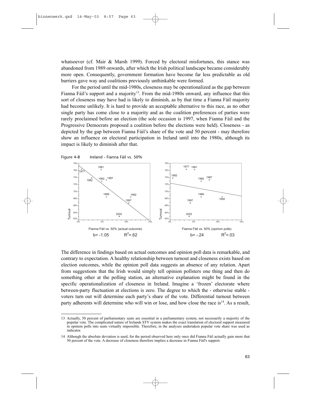whatsoever (cf. Mair & Marsh 1999). Forced by electoral misfortunes, this stance was abandoned from 1989 onwards, after which the Irish political landscape became considerably more open. Consequently, government formation have become far less predictable as old barriers gave way and coalitions previously unthinkable were formed.

For the period until the mid-1980s, closeness may be operationalized as the gap between Fianna Fáil's support and a majority<sup>13</sup>. From the mid-1980s onward, any influence that this sort of closeness may have had is likely to diminish, as by that time a Fianna Fáil majority had become unlikely. It is hard to provide an acceptable alternative to this race, as no other single party has come close to a majority and as the coalition preferences of parties were rarely proclaimed before an election (the sole occasion is 1997, when Fianna Fáil and the Progressive Democrats proposed a coalition before the elections were held). Closeness - as depicted by the gap between Fianna Fáil's share of the vote and 50 percent - may therefore show an influence on electoral participation in Ireland until into the 1980s, although its impact is likely to diminish after that.



The difference in findings based on actual outcomes and opinion poll data is remarkable, and contrary to expectation. A healthy relationship between turnout and closeness exists based on election outcomes, while the opinion poll data suggests an absence of any relation. Apart from suggestions that the Irish would simply tell opinion pollsters one thing and then do something other at the polling station, an alternative explanation might be found in the specific operationalization of closeness in Ireland. Imagine a 'frozen' electorate where between-party fluctuation at elections is zero. The degree to which the - otherwise stable voters turn out will determine each partyís share of the vote. Differential turnout between party adherents will determine who will win or lose, and how close the race is<sup>14</sup>. As a result,

<sup>13</sup> Actually, 50 percent of parliamentary seats are essential in a parliamentary system, not necessarily a majority of the popular vote. The complicated nature of Irelands STV system makes the exact translation of electoral support measured in opinion polls into seats virtually impossible. Therefore, in the analyses undertaken popular vote share was used as indicator.

<sup>14</sup> Although the absolute deviation is used, for the period observed here only once did Fianna Fáil actually gain more that 50 percent of the vote. A decrease of closeness therefore implies a decrease in Fianna Fáil's support.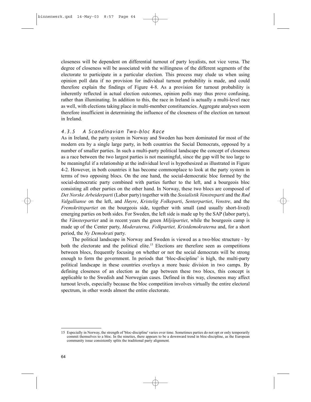closeness will be dependent on differential turnout of party loyalists, not vice versa. The degree of closeness will be associated with the willingness of the different segments of the electorate to participate in a particular election. This process may elude us when using opinion poll data if no provision for individual turnout probability is made, and could therefore explain the findings of Figure 4-8. As a provision for turnout probability is inherently reflected in actual election outcomes, opinion polls may thus prove confusing, rather than illuminating. In addition to this, the race in Ireland is actually a multi-level race as well, with elections taking place in multi-member constituencies. Aggregate analyses seem therefore insufficient in determining the influence of the closeness of the election on turnout in Ireland.

# *4.3.5 A Scandinavian Two-bloc Race*

As in Ireland, the party system in Norway and Sweden has been dominated for most of the modern era by a single large party, in both countries the Social Democrats, opposed by a number of smaller parties. In such a multi-party political landscape the concept of closeness as a race between the two largest parties is not meaningful, since the gap will be too large to be meaningful if a relationship at the individual level is hypothesized as illustrated in Figure 4-2. However, in both countries it has become commonplace to look at the party system in terms of two opposing blocs. On the one hand, the social-democratic bloc formed by the social-democratic party combined with parties further to the left, and a bourgeois bloc consisting all other parties on the other hand. In Norway, these two blocs are composed of *Det Norske Arbeiderparti* (Labor party) together with the *Sosialistik Venstreparti* and the *Rød Valgallianse* on the left, and *Høyre*, *Kristelig Folkeparti*, *Senterpartiet*, *Venstre*, and the *Fremskrittspartiet* on the bourgeois side, together with small (and usually short-lived) emerging parties on both sides. For Sweden, the left side is made up by the SAP (labor party), the *Vänsterpartiet* and in recent years the green *Miljöpartiet*, while the bourgeois camp is made up of the Center party, *Moderaterna, Folkpartiet, Kristdemokraterna* and, for a short period, the *Ny Demokrati* party.

The political landscape in Norway and Sweden is viewed as a two-bloc structure - by both the electorate and the political elite.<sup>15</sup> Elections are therefore seen as competitions between blocs, frequently focusing on whether or not the social democrats will be strong enough to form the government. In periods that 'bloc-discipline' is high, the multi-party political landscape in these countries overlays a more basic division in two camps. By defining closeness of an election as the gap between these two blocs, this concept is applicable to the Swedish and Norwegian cases. Defined in this way, closeness may affect turnout levels, especially because the bloc competition involves virtually the entire electoral spectrum, in other words almost the entire electorate.

<sup>15</sup> Especially in Norway, the strength of 'bloc-discipline' varies over time. Sometimes parties do not opt or only temporarily commit themselves to a bloc. In the nineties, there appears to be a downward trend in bloc-discipline, as the European community issue consistently splits the traditional party alignment.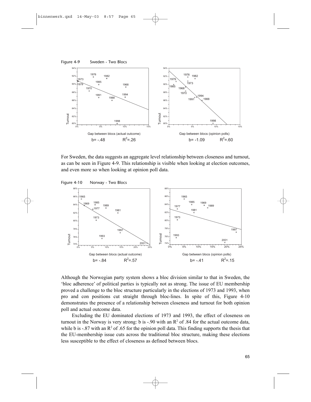

Ŧ

For Sweden, the data suggests an aggregate level relationship between closeness and turnout, as can be seen in Figure 4-9. This relationship is visible when looking at election outcomes, and even more so when looking at opinion poll data.





Although the Norwegian party system shows a bloc division similar to that in Sweden, the ëbloc adherenceí of political parties is typically not as strong. The issue of EU membership proved a challenge to the bloc structure particularly in the elections of 1973 and 1993, when pro and con positions cut straight through bloc-lines. In spite of this, Figure 4-10 demonstrates the presence of a relationship between closeness and turnout for both opinion poll and actual outcome data.

Excluding the EU dominated elections of 1973 and 1993, the effect of closeness on turnout in the Norway is very strong: b is -.90 with an  $\mathbb{R}^2$  of .84 for the actual outcome data, while b is  $-87$  with an  $\mathbb{R}^2$  of .65 for the opinion poll data. This finding supports the thesis that the EU-membership issue cuts across the traditional bloc structure, making these elections less susceptible to the effect of closeness as defined between blocs.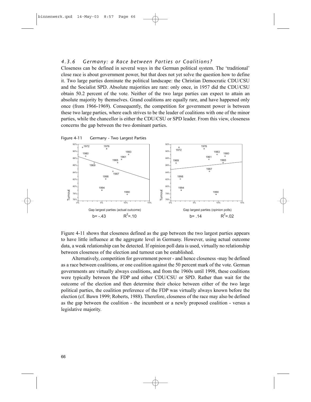## *4.3.6 Germany: a Race between Parties or Coalitions?*

Closeness can be defined in several ways in the German political system. The 'traditional' close race is about government power, but that does not yet solve the question how to define it. Two large parties dominate the political landscape: the Christian Democratic CDU/CSU and the Socialist SPD. Absolute majorities are rare: only once, in 1957 did the CDU/CSU obtain 50.2 percent of the vote. Neither of the two large parties can expect to attain an absolute majority by themselves. Grand coalitions are equally rare, and have happened only once (from 1966-1969). Consequently, the competition for government power is between these two large parties, where each strives to be the leader of coalitions with one of the minor parties, while the chancellor is either the CDU/CSU or SPD leader. From this view, closeness concerns the gap between the two dominant parties.



Figure 4-11 shows that closeness defined as the gap between the two largest parties appears to have little influence at the aggregate level in Germany. However, using actual outcome data, a weak relationship can be detected. If opinion poll data is used, virtually no relationship between closeness of the election and turnout can be established.

Alternatively, competition for government power - and hence closeness -may be defined as a race between coalitions, or one coalition against the 50 percent mark of the vote. German governments are virtually always coalitions, and from the 1960s until 1998, these coalitions were typically between the FDP and either CDU/CSU or SPD. Rather than wait for the outcome of the election and then determine their choice between either of the two large political parties, the coalition preference of the FDP was virtually always known before the election (cf. Bawn 1999; Roberts, 1988). Therefore, closeness of the race may also be defined as the gap between the coalition - the incumbent or a newly proposed coalition - versus a legislative majority.

 $\overline{\mathcal{A}}$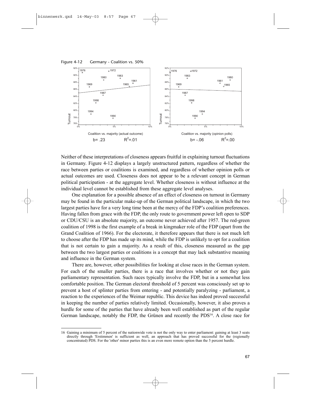

Figure 4-12 Germany - Coalition vs. 50%

Neither of these interpretations of closeness appears fruitful in explaining turnout fluctuations in Germany. Figure 4-12 displays a largely unstructured pattern, regardless of whether the race between parties or coalitions is examined, and regardless of whether opinion polls or actual outcomes are used. Closeness does not appear to be a relevant concept in German political participation - at the aggregate level. Whether closeness is without influence at the individual level cannot be established from these aggregate level analyses.

One explanation for a possible absence of an effect of closeness on turnout in Germany may be found in the particular make-up of the German political landscape, in which the two largest parties have for a very long time been at the mercy of the FDP's coalition preferences. Having fallen from grace with the FDP, the only route to government power left open to SDP or CDU/CSU is an absolute majority, an outcome never achieved after 1957. The red-green coalition of 1998 is the first example of a break in kingmaker role of the FDP (apart from the Grand Coalition of 1966). For the electorate, it therefore appears that there is not much left to choose after the FDP has made up its mind, while the FDP is unlikely to opt for a coalition that is not certain to gain a majority. As a result of this, closeness measured as the gap between the two largest parties or coalitions is a concept that may lack substantive meaning and influence in the German system.

There are, however, other possibilities for looking at close races in the German system. For each of the smaller parties, there is a race that involves whether or not they gain parliamentary representation. Such races typically involve the FDP, but in a somewhat less comfortable position. The German electoral threshold of 5 percent was consciously set up to prevent a host of splinter parties from entering - and potentially paralyzing - parliament, a reaction to the experiences of the Weimar republic. This device has indeed proved successful in keeping the number of parties relatively limited. Occasionally, however, it also proves a hurdle for some of the parties that have already been well established as part of the regular German landscape, notably the FDP, the Grünen and recently the  $PDS<sup>16</sup>$ . A close race for

<sup>16</sup> Gaining a minimum of 5 percent of the nationwide vote is not the only way to enter parliament: gaining at least 3 seats directly through 'Erstimmen' is sufficient as well, an approach that has proved successful for the (regionally concentrated) PDS. For the 'other' minor parties this is an even more remote option than the 5 percent hurdle.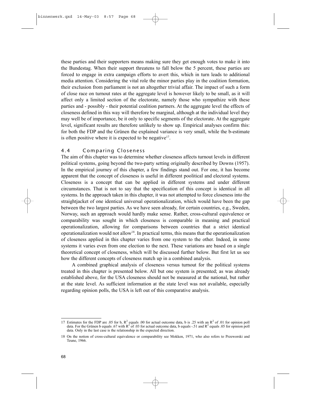these parties and their supporters means making sure they get enough votes to make it into the Bundestag. When their support threatens to fall below the 5 percent, these parties are forced to engage in extra campaign efforts to avert this, which in turn leads to additional media attention. Considering the vital role the minor parties play in the coalition formation, their exclusion from parliament is not an altogether trivial affair. The impact of such a form of close race on turnout rates at the aggregate level is however likely to be small, as it will affect only a limited section of the electorate, namely those who sympathize with these parties and - possibly - their potential coalition partners. At the aggregate level the effects of closeness defined in this way will therefore be marginal, although at the individual level they may well be of importance, be it only to specific segments of the electorate. At the aggregate level, significant results are therefore unlikely to show up. Empirical analyses confirm this: for both the FDP and the Grünen the explained variance is very small, while the b-estimate is often positive where it is expected to be negative $17$ .

# 4.4 Comparing Closeness

The aim of this chapter was to determine whether closeness affects turnout levels in different political systems, going beyond the two-party setting originally described by Downs (1957). In the empirical journey of this chapter, a few findings stand out. For one, it has become apparent that the concept of closeness is useful in different poolitical and electoral systems. Closeness is a concept that can be applied in different systems and under different circumstances. That is not to say that the specification of this concept is identical in all systems. In the approach taken in this chapter, it was not attempted to force closeness into the straightjacket of one identical universal operationalization, which would have been the gap between the two largest parties. As we have seen already, for certain countries, e.g., Sweden, Norway, such an approach would hardly make sense. Rather, cross-cultural equivalence or comparability was sought in which closeness is comparable in meaning and practical operationalization, allowing for comparisons between countries that a strict identical operationalization would not allow<sup>18</sup>. In practical terms, this means that the operationalization of closeness applied in this chapter varies from one system to the other. Indeed, in some systems it varies even from one election to the next. These variations are based on a single theoretical concept of closeness, which will be discussed further below. But first let us see how the different concepts of closeness match up in a combined analysis.

A combined graphical analysis of closeness versus turnout for the political systems treated in this chapter is presented below. All but one system is presented; as was already established above, for the USA closeness should not be measured at the national, but rather at the state level. As sufficient information at the state level was not available, especially regarding opinion polls, the USA is left out of this comparative analysis.

<sup>17</sup> Estimates for the FDP are .05 for b,  $R^2$  equals .00 for actual outcome data, b is .25 with an  $R^2$  of .01 for opinion poll data. For the Grünen b equals .67 with  $R^2$  of .03 for actual outcome data, b equals -.51 and  $R^2$  equals .05 for opinion poll data. Only in the last case is the relationship in the expected direction.

<sup>18</sup> On the notion of cross-cultural equivalence or comparability see Mokken, 1971, who also refers to Przeworski and Teune, 1966.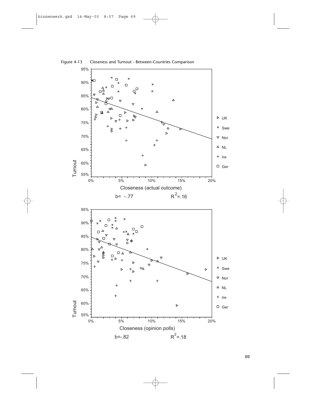

 $\overline{\phantom{a}}$ 

Figure 4-13 Closeness and Turnout - Between-Countries Comparison

Y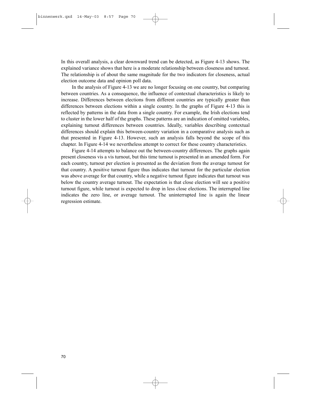In this overall analysis, a clear downward trend can be detected, as Figure 4-13 shows. The explained variance shows that here is a moderate relationship between closeness and turnout. The relationship is of about the same magnitude for the two indicators for closeness, actual election outcome data and opinion poll data.

In the analysis of Figure 4-13 we are no longer focusing on one country, but comparing between countries. As a consequence, the influence of contextual characteristics is likely to increase. Differences between elections from different countries are typically greater than differences between elections within a single country. In the graphs of Figure 4-13 this is reflected by patterns in the data from a single country. For example, the Irish elections tend to cluster in the lower half of the graphs. These patterns are an indication of omitted variables, explaining turnout differences between countries. Ideally, variables describing contextual differences should explain this between-country variation in a comparative analysis such as that presented in Figure 4-13. However, such an analysis falls beyond the scope of this chapter. In Figure 4-14 we nevertheless attempt to correct for these country characteristics.

Figure 4-14 attempts to balance out the between-country differences. The graphs again present closeness vis a vis turnout, but this time turnout is presented in an amended form. For each country, turnout per election is presented as the deviation from the average turnout for that country. A positive turnout figure thus indicates that turnout for the particular election was above average for that country, while a negative turnout figure indicates that turnout was below the country average turnout. The expectation is that close election will see a positive turnout figure, while turnout is expected to drop in less close elections. The interrupted line indicates the zero line, or average turnout. The uninterrupted line is again the linear regression estimate.

 $\overline{\triangle}$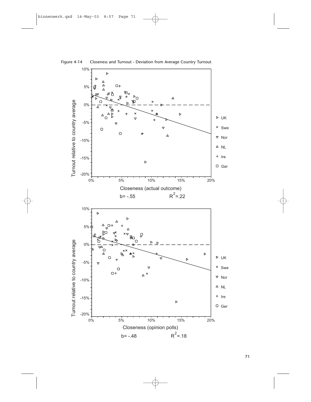

 $\overline{\phantom{a}}$ 

Figure 4-14 Closeness and Turnout - Deviation from Average Country Turnout

Y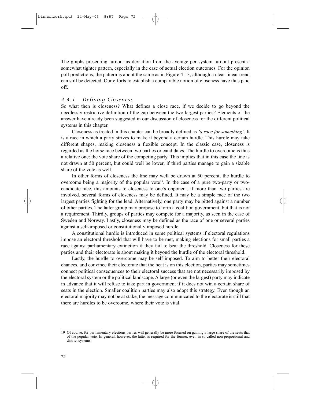The graphs presenting turnout as deviation from the average per system turnout present a somewhat tighter pattern, especially in the case of actual election outcomes. For the opinion poll predictions, the pattern is about the same as in Figure 4-13, although a clear linear trend can still be detected. Our efforts to establish a comparable notion of closeness have thus paid off.

# *4.4.1 Defining Closeness*

So what then is closeness? What defines a close race, if we decide to go beyond the needlessly restrictive definition of the gap between the two largest parties? Elements of the answer have already been suggested in our discussion of closeness for the different political systems in this chapter.

Closeness as treated in this chapter can be broadly defined as *ëa race for something*í. It is a race in which a party strives to make it beyond a certain hurdle. This hurdle may take different shapes, making closeness a flexible concept. In the classic case, closeness is regarded as the horse race between two parties or candidates. The hurdle to overcome is thus a relative one: the vote share of the competing party. This implies that in this case the line is not drawn at 50 percent, but could well be lower, if third parties manage to gain a sizable share of the vote as well.

In other forms of closeness the line may well be drawn at 50 percent, the hurdle to overcome being a majority of the popular vote<sup>19</sup>. In the case of a pure two-party or twocandidate race, this amounts to closeness to one's opponent. If more than two parties are involved, several forms of closeness may be defined. It may be a simple race of the two largest parties fighting for the lead. Alternatively, one party may be pitted against a number of other parties. The latter group may propose to form a coalition government, but that is not a requirement. Thirdly, groups of parties may compete for a majority, as seen in the case of Sweden and Norway. Lastly, closeness may be defined as the race of one or several parties against a self-imposed or constitutionally imposed hurdle.

A constitutional hurdle is introduced in some political systems if electoral regulations impose an electoral threshold that will have to be met, making elections for small parties a race against parliamentary extinction if they fail to beat the threshold. Closeness for these parties and their electorate is about making it beyond the hurdle of the electoral threshold.

Lastly, the hurdle to overcome may be self-imposed. To aim to better their electoral chances, and convince their electorate that the heat is on this election, parties may sometimes connect political consequences to their electoral success that are not necessarily imposed by the electoral system or the political landscape. A large (or even the largest) party may indicate in advance that it will refuse to take part in government if it does not win a certain share of seats in the election. Smaller coalition parties may also adopt this strategy. Even though an electoral majority may not be at stake, the message communicated to the electorate is still that there are hurdles to be overcome, where their vote is vital.

<sup>19</sup> Of course, for parliamentary elections parties will generally be more focused on gaining a large share of the seats that of the popular vote. In general, however, the latter is required for the former, even in so-called non-proportional and district systems.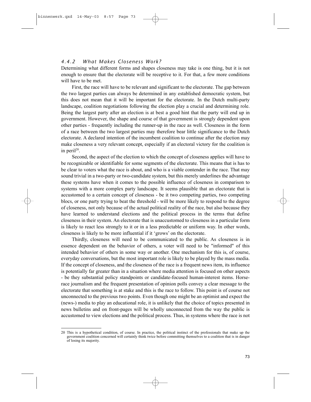# *4.4.2 What Makes Closeness Work?*

Determining what different forms and shapes closeness may take is one thing, but it is not enough to ensure that the electorate will be receptive to it. For that, a few more conditions will have to be met.

First, the race will have to be relevant and significant to the electorate. The gap between the two largest parties can always be determined in any established democratic system, but this does not mean that it will be important for the electorate. In the Dutch multi-party landscape, coalition negotiations following the election play a crucial and determining role. Being the largest party after an election is at best a good hint that the party will end up in government. However, the shape and course of that government is strongly dependent upon other parties - frequently including the runner-up in the race as well. Closeness in the form of a race between the two largest parties may therefore bear little significance to the Dutch electorate. A declared intention of the incumbent coalition to continue after the election may make closeness a very relevant concept, especially if an electoral victory for the coalition is in peril<sup>20</sup>.

Second, the aspect of the election to which the concept of closeness applies will have to be recognizable or identifiable for some segments of the electorate. This means that is has to be clear to voters what the race is about, and who is a viable contender in the race. That may sound trivial in a two-party or two-candidate system, but this merely underlines the advantage these systems have when it comes to the possible influence of closeness in comparison to systems with a more complex party landscape. It seems plausible that an electorate that is accustomed to a certain concept of closeness - be it two competing parties, two competing blocs, or one party trying to beat the threshold - will be more likely to respond to the degree of closeness, not only because of the actual political reality of the race, but also because they have learned to understand elections and the political process in the terms that define closeness in their system. An electorate that is unaccustomed to closeness in a particular form is likely to react less strongly to it or in a less predictable or uniform way. In other words, closeness is likely to be more influential if it 'grows' on the electorate.

Thirdly, closeness will need to be communicated to the public. As closeness is in essence dependent on the behavior of others, a voter will need to be "informed" of this intended behavior of others in some way or another. One mechanism for this is, of course, everyday conversations, but the most important role is likely to be played by the mass media. If the concept of closeness, and the closeness of the race is a frequent news item, its influence is potentially far greater than in a situation where media attention is focused on other aspects - be they substantial policy standpoints or candidate-focused human-interest items. Horserace journalism and the frequent presentation of opinion polls convey a clear message to the electorate that something is at stake and this is the race to follow. This point is of course not unconnected to the previous two points. Even though one might be an optimist and expect the (news-) media to play an educational role, it is unlikely that the choice of topics presented in news bulletins and on front-pages will be wholly unconnected from the way the public is accustomed to view elections and the political process. Thus, in systems where the race is not

<sup>20</sup> This is a hypothetical condition, of course. In practice, the political instinct of the professionals that make up the government coalition concerned will certainly think twice before committing themselves to a coalition that is in danger of losing its majority.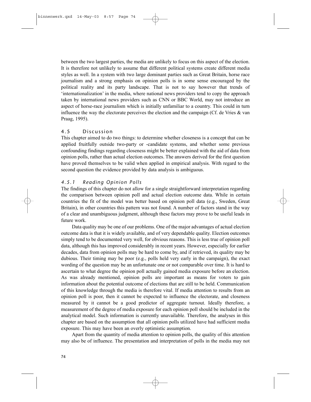between the two largest parties, the media are unlikely to focus on this aspect of the election. It is therefore not unlikely to assume that different political systems create different media styles as well. In a system with two large dominant parties such as Great Britain, horse race journalism and a strong emphasis on opinion polls is in some sense encouraged by the political reality and its party landscape. That is not to say however that trends of internationalization' in the media, where national news providers tend to copy the approach taken by international news providers such as CNN or BBC World, may not introduce an aspect of horse-race journalism which is initially unfamiliar to a country. This could in turn influence the way the electorate perceives the election and the campaign (Cf. de Vries  $\&$  van Praag, 1995).

# 4.5 Discussion

This chapter aimed to do two things: to determine whether closeness is a concept that can be applied fruitfully outside two-party or -candidate systems, and whether some previous confounding findings regarding closeness might be better explained with the aid of data from opinion polls, rather than actual election outcomes. The answers derived for the first question have proved themselves to be valid when applied in empirical analysis. With regard to the second question the evidence provided by data analysis is ambiguous.

# *4.5.1 Reading Opinion Polls*

The findings of this chapter do not allow for a single straightforward interpretation regarding the comparison between opinion poll and actual election outcome data. While in certain countries the fit of the model was better based on opinion poll data (e.g., Sweden, Great Britain), in other countries this pattern was not found. A number of factors stand in the way of a clear and unambiguous judgment, although these factors may prove to be useful leads in future work.

Data quality may be one of our problems. One of the major advantages of actual election outcome data is that it is widely available, and of very dependable quality. Election outcomes simply tend to be documented very well, for obvious reasons. This is less true of opinion poll data, although this has improved considerably in recent years. However, especially for earlier decades, data from opinion polls may be hard to come by, and if retrieved, its quality may be dubious. Their timing may be poor (e.g., polls held very early in the campaign), the exact wording of the question may be an unfortunate one or not comparable over time. It is hard to ascertain to what degree the opinion poll actually gained media exposure before an election. As was already mentioned, opinion polls are important as means for voters to gain information about the potential outcome of elections that are still to be held. Communication of this knowledge through the media is therefore vital. If media attention to results from an opinion poll is poor, then it cannot be expected to influence the electorate, and closeness measured by it cannot be a good predictor of aggregate turnout. Ideally therefore, a measurement of the degree of media exposure for each opinion poll should be included in the analytical model. Such information is currently unavailable. Therefore, the analyses in this chapter are based on the assumption that all opinion polls utilized have had sufficient media exposure. This may have been an overly optimistic assumption.

Apart from the quantity of media attention to opinion polls, the quality of this attention may also be of influence. The presentation and interpretation of polls in the media may not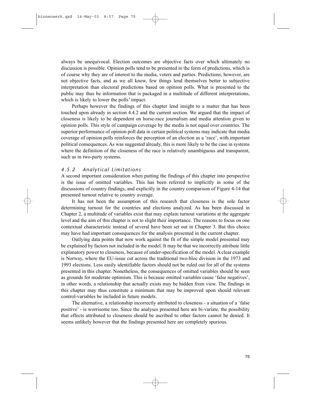always be unequivocal. Election outcomes are objective facts over which ultimately no discussion is possible. Opinion polls tend to be presented in the form of predictions, which is of course why they are of interest to the media, voters and parties. Predictions, however, are not objective facts, and as we all know, few things lend themselves better to subjective interpretation than electoral predictions based on opinion polls. What is presented to the public may thus be information that is packaged in a multitude of different interpretations, which is likely to lower the polls' impact.

Perhaps however the findings of this chapter lend insight to a matter that has been touched upon already in section 4.4.2 and the current section. We argued that the impact of closeness is likely to be dependent on horse-race journalism and media attention given to opinion polls. This style of campaign coverage by the media is not equal over countries. The superior performance of opinion poll data in certain political systems may indicate that media coverage of opinion polls reinforces the perception of an election as a 'race', with important political consequences. As was suggested already, this is more likely to be the case in systems where the definition of the closeness of the race is relatively unambiguous and transparent, such as in two-party systems.

# *4.5.2 Analytical Limitations*

A second important consideration when putting the findings of this chapter into perspective is the issue of omitted variables. This has been referred to implicitly in some of the discussions of country findings, and explicitly in the country comparison of Figure 4-14 that presented turnout relative to country average.

It has not been the assumption of this research that closeness is the sole factor determining turnout for the countries and elections analyzed. As has been discussed in Chapter 2, a multitude of variables exist that may explain turnout variations at the aggregate level and the aim of this chapter is not to slight their importance. The reasons to focus on one contextual characteristic instead of several have been set out in Chapter 3. But this choice may have had important consequences for the analysis presented in the current chapter.

Outlying data points that now work against the fit of the simple model presented may be explained by factors not included in the model. It may be that we incorrectly attribute little explanatory power to closeness, because of under-specification of the model. A clear example is Norway, where the EU-issue cut across the traditional two-bloc division in the 1973 and 1993 elections. Less easily identifiable factors should not be ruled out for all of the systems presented in this chapter. Nonetheless, the consequences of omitted variables should be seen as grounds for moderate optimism. This is because omitted variables cause 'false negatives', in other words, a relationship that actually exists may be hidden from view. The findings in this chapter may thus constitute a minimum that may be improved upon should relevant control-variables be included in future models.

The alternative, a relationship incorrectly attributed to closeness - a situation of a 'false positive' - is worrisome too. Since the analyses presented here are bi-variate, the possibility that effects attributed to closeness should be ascribed to other factors cannot be denied. It seems unlikely however that the findings presented here are completely spurious.

 $\overline{\mathcal{A}}$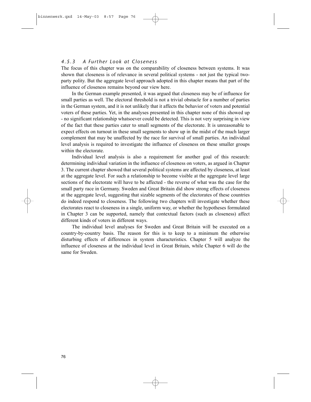# *4.5.3 A Further Look at Closeness*

The focus of this chapter was on the comparability of closeness between systems. It was shown that closeness is of relevance in several political systems - not just the typical twoparty polity. But the aggregate level approach adopted in this chapter means that part of the influence of closeness remains beyond our view here.

In the German example presented, it was argued that closeness may be of influence for small parties as well. The electoral threshold is not a trivial obstacle for a number of parties in the German system, and it is not unlikely that it affects the behavior of voters and potential voters of these parties. Yet, in the analyses presented in this chapter none of this showed up - no significant relationship whatsoever could be detected. This is not very surprising in view of the fact that these parties cater to small segments of the electorate. It is unreasonable to expect effects on turnout in these small segments to show up in the midst of the much larger complement that may be unaffected by the race for survival of small parties. An individual level analysis is required to investigate the influence of closeness on these smaller groups within the electorate.

Individual level analysis is also a requirement for another goal of this research: determining individual variation in the influence of closeness on voters, as argued in Chapter 3. The current chapter showed that several political systems are affected by closeness, at least at the aggregate level. For such a relationship to become visible at the aggregate level large sections of the electorate will have to be affected - the reverse of what was the case for the small party race in Germany. Sweden and Great Britain did show strong effects of closeness at the aggregate level, suggesting that sizable segments of the electorates of these countries do indeed respond to closeness. The following two chapters will investigate whether these electorates react to closeness in a single, uniform way, or whether the hypotheses formulated in Chapter 3 can be supported, namely that contextual factors (such as closeness) affect different kinds of voters in different ways.

The individual level analyses for Sweden and Great Britain will be executed on a country-by-country basis. The reason for this is to keep to a minimum the otherwise disturbing effects of differences in system characteristics. Chapter 5 will analyze the influence of closeness at the individual level in Great Britain, while Chapter 6 will do the same for Sweden.

 $\overline{\triangle}$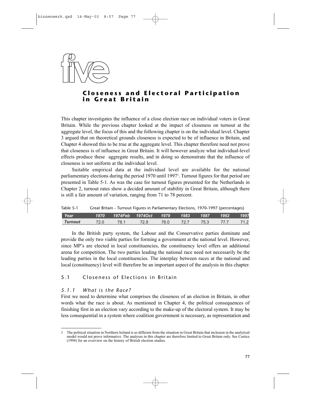

# **Closeness and Electoral Participation in Great Britain**

This chapter investigates the influence of a close election race on individual voters in Great Britain. While the previous chapter looked at the impact of closeness on turnout at the aggregate level, the focus of this and the following chapter is on the individual level. Chapter 3 argued that on theoretical grounds closeness is expected to be of influence in Britain, and Chapter 4 showed this to be true at the aggregate level. This chapter therefore need not prove that closeness is of influence in Great Britain. It will however analyze what individual-level effects produce these aggregate results, and in doing so demonstrate that the influence of closeness is not uniform at the individual level.

Suitable empirical data at the individual level are available for the national parliamentary elections during the period 1970 until 19971 . Turnout figures for that period are presented in Table 5-1. As was the case for turnout figures presented for the Netherlands in Chapter 2, turnout rates show a decided amount of stability in Great Britain, although there is still a fair amount of variation, ranging from 71 to 78 percent.

| Table 5-1 |  |  | Great Britain - Turnout Figures in Parliamentary Elections, 1970-1997 (percentages) |  |  |
|-----------|--|--|-------------------------------------------------------------------------------------|--|--|
|-----------|--|--|-------------------------------------------------------------------------------------|--|--|

| Year           | 1970 |      | 1974Feb 1974Oct | 1979 | 1983 | 1987 | 1992 | 1997 |
|----------------|------|------|-----------------|------|------|------|------|------|
| <b>Turnout</b> | 72.0 | 78.1 | 72.8            | 76.0 | 72.7 | 75.3 | 777  | 71.2 |

In the British party system, the Labour and the Conservative parties dominate and provide the only two viable parties for forming a government at the national level. However, since MP's are elected in local constituencies, the constituency level offers an additional arena for competition. The two parties leading the national race need not necessarily be the leading parties in the local constituencies. The interplay between races at the national and local (constituency) level will therefore be an important aspect of the analysis in this chapter.

# 5.1 Closeness of Elections in Britain

## *5.1.1 What is the Race?*

First we need to determine what comprises the closeness of an election in Britain, in other words what the race is about. As mentioned in Chapter 4, the political consequences of finishing first in an election vary according to the make-up of the electoral system. It may be less consequential in a system where coalition government is necessary, as representation and

<sup>1</sup> The political situation in Northern Ireland is so different from the situation in Great Britain that inclusion in the analytical model would not prove informative. The analyses in this chapter are therefore limited to Great Britain only. See Curtice (1994) for an overview on the history of British election studies.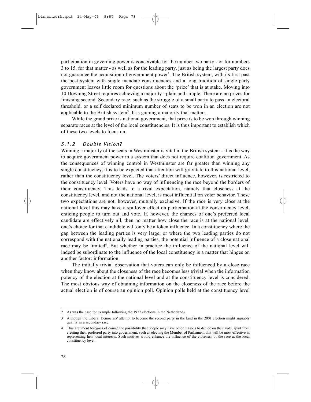participation in governing power is conceivable for the number two party - or for numbers 3 to 15, for that matter - as well as for the leading party, just as being the largest party does not guarantee the acquisition of government power<sup>2</sup>. The British system, with its first past the post system with single mandate constituencies and a long tradition of single party government leaves little room for questions about the 'prize' that is at stake. Moving into 10 Downing Street requires achieving a majority - plain and simple. There are no prizes for finishing second. Secondary race, such as the struggle of a small party to pass an electoral threshold, or a self declared minimum number of seats to be won in an election are not applicable to the British system<sup>3</sup>. It is gaining a majority that matters.

While the grand prize is national government, that prize is to be won through winning separate races at the level of the local constituencies. It is thus important to establish which of these two levels to focus on.

### *5.1.2 Double Vision?*

Winning a majority of the seats in Westminster is vital in the British system - it is the way to acquire government power in a system that does not require coalition government. As the consequences of winning control in Westminster are far greater than winning any single constituency, it is to be expected that attention will gravitate to this national level, rather than the constituency level. The voters' direct influence, however, is restricted to the constituency level. Voters have no way of influencing the race beyond the borders of their constituency. This leads to a rival expectation, namely that closeness at the constituency level, and not the national level, is most influential on voter behavior. These two expectations are not, however, mutually exclusive. If the race is very close at the national level this may have a spillover effect on participation at the constituency level, enticing people to turn out and vote. If, however, the chances of one's preferred local candidate are effectively nil, then no matter how close the race is at the national level, one's choice for that candidate will only be a token influence. In a constituency where the gap between the leading parties is very large, or where the two leading parties do not correspond with the nationally leading parties, the potential influence of a close national race may be limited<sup>4</sup>. But whether in practice the influence of the national level will indeed be subordinate to the influence of the local constituency is a matter that hinges on another factor: information.

The initially trivial observation that voters can only be influenced by a close race when they know about the closeness of the race becomes less trivial when the information potency of the election at the national level and at the constituency level is considered. The most obvious way of obtaining information on the closeness of the race before the actual election is of course an opinion poll. Opinion polls held at the constituency level

<sup>2</sup> As was the case for example following the 1977 elections in the Netherlands.

<sup>3</sup> Although the Liberal Democrats' attempt to become the second party in the land in the 2001 election might arguably qualify as a secondary race.

<sup>4</sup> This argument foregoes of course the possibility that people may have other reasons to decide on their vote, apart from electing their preferred party into government, such as electing the Member of Parliament that will be most effective in representing heir local interests. Such motives would enhance the influence of the closeness of the race at the local constituency level.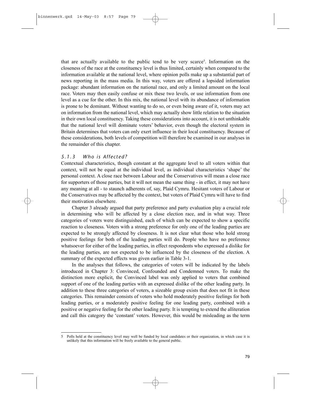that are actually available to the public tend to be very scarce<sup>5</sup>. Information on the closeness of the race at the constituency level is thus limited, certainly when compared to the information available at the national level, where opinion polls make up a substantial part of news reporting in the mass media. In this way, voters are offered a lopsided information package: abundant information on the national race, and only a limited amount on the local race. Voters may then easily confuse or mix these two levels, or use information from one level as a cue for the other. In this mix, the national level with its abundance of information is prone to be dominant. Without wanting to do so, or even being aware of it, voters may act on information from the national level, which may actually show little relation to the situation in their own local constituency. Taking these considerations into account, it is not unthinkable that the national level will dominate voters' behavior, even though the electoral system in Britain determines that voters can only exert influence in their local constituency. Because of these considerations, both levels of competition will therefore be examined in our analyses in the remainder of this chapter.

## *5.1.3 Who is Affected?*

Contextual characteristics, though constant at the aggregate level to all voters within that context, will not be equal at the individual level, as individual characteristics 'shape' the personal context. A close race between Labour and the Conservatives will mean a close race for supporters of those parties, but it will not mean the same thing - in effect, it may not have any meaning at all - to staunch adherents of, say, Plaid Cymru. Hesitant voters of Labour or the Conservatives may be affected by the context, but voters of Plaid Cymru will have to find their motivation elsewhere.

Chapter 3 already argued that party preference and party evaluation play a crucial role in determining who will be affected by a close election race, and in what way. Three categories of voters were distinguished, each of which can be expected to show a specific reaction to closeness. Voters with a strong preference for only one of the leading parties are expected to be strongly affected by closeness. It is not clear what those who hold strong positive feelings for both of the leading parties will do. People who have no preference whatsoever for either of the leading parties, in effect respondents who expressed a dislike for the leading parties, are not expected to be influenced by the closeness of the election. A summary of the expected effects was given earlier in Table 3-1.

In the analyses that follows, the categories of voters will be indicated by the labels introduced in Chapter 3: Convinced, Confounded and Condemned voters. To make the distinction more explicit, the Convinced label was only applied to voters that combined support of one of the leading parties with an expressed dislike of the other leading party. In addition to these three categories of voters, a sizeable group exists that does not fit in these categories. This remainder consists of voters who hold moderately positive feelings for both leading parties, or a moderately positive feeling for one leading party, combined with a positive or negative feeling for the other leading party. It is tempting to extend the alliteration and call this category the 'constant' voters. However, this would be misleading as the term

<sup>5</sup> Polls held at the constituency level may well be funded by local candidates or their organization, in which case it is unlikely that this information will be freely available to the general public.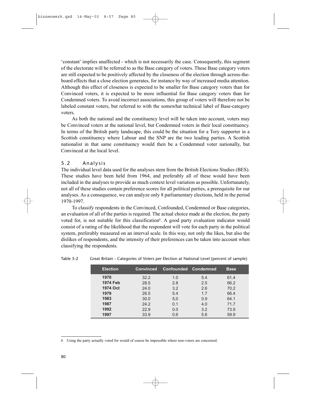ëconstantí implies unaffected - which is not necessarily the case. Consequently, this segment of the electorate will be referred to as the Base category of voters. These Base category voters are still expected to be positively affected by the closeness of the election through across-theboard effects that a close election generates, for instance by way of increased media attention. Although this effect of closeness is expected to be smaller for Base category voters than for Convinced voters, it is expected to be more influential for Base category voters than for Condemned voters. To avoid incorrect associations, this group of voters will therefore not be labeled constant voters, but referred to with the somewhat technical label of Base-category voters.

As both the national and the constituency level will be taken into account, voters may be Convinced voters at the national level, but Condemned voters in their local constituency. In terms of the British party landscape, this could be the situation for a Tory supporter in a Scottish constituency where Labour and the SNP are the two leading parties. A Scottish nationalist in that same constituency would then be a Condemned voter nationally, but Convinced at the local level.

# 5.2 Analysis

The individual level data used for the analyses stem from the British Elections Studies (BES). These studies have been held from 1964, and preferably all of these would have been included in the analyses to provide as much context level variation as possible. Unfortunately, not all of these studies contain preference scores for all political parties, a prerequisite for our analyses. As a consequence, we can analyze only 8 parliamentary elections, held in the period 1970-1997.

To classify respondents in the Convinced, Confounded, Condemned or Base categories, an evaluation of all of the parties is required. The actual choice made at the election, the party voted for, is not suitable for this classification<sup>6</sup>. A good party evaluation indicator would consist of a rating of the likelihood that the respondent will vote for each party in the political system, preferably measured on an interval scale. In this way, not only the likes, but also the dislikes of respondents, and the intensity of their preferences can be taken into account when classifying the respondents.

| <b>Election</b> | <b>Convinced</b> |     | Confounded Condemned | <b>Base</b> |
|-----------------|------------------|-----|----------------------|-------------|
| 1970            | 32.2             | 1.0 | 5.4                  | 61.4        |
| 1974 Feb        | 28.5             | 2.8 | 2.5                  | 66.2        |
| 1974 Oct        | 24.0             | 3.2 | 2.6                  | 70.2        |
| 1979            | 26.5             | 5.4 | 1.7                  | 66.4        |
| 1983            | 30.0             | 5.0 | 0.9                  | 64.1        |
| 1987            | 24.2             | 0.1 | 4.0                  | 71.7        |
| 1992            | 22.9             | 0.0 | 3.2                  | 73.9        |
| 1997            | 33.9             | 0.6 | 5.6                  | 59.9        |

Table 5-2 Great Britain - Categories of Voters per Election at National Level (percent of sample)

<sup>6</sup> Using the party actually voted for would of course be impossible where non-voters are concerned.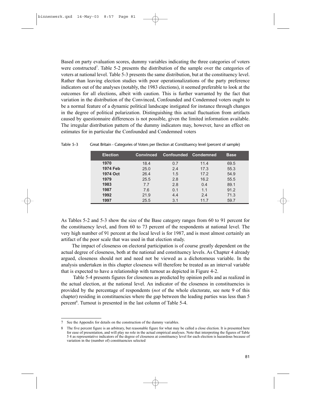Based on party evaluation scores, dummy variables indicating the three categories of voters were constructed<sup>7</sup>. Table 5-2 presents the distribution of the sample over the categories of voters at national level. Table 5-3 presents the same distribution, but at the constituency level. Rather than leaving election studies with poor operationalizations of the party preference indicators out of the analyses (notably, the 1983 elections), it seemed preferable to look at the outcomes for all elections, albeit with caution. This is further warranted by the fact that variation in the distribution of the Convinced, Confounded and Condemned voters ought to be a normal feature of a dynamic political landscape instigated for instance through changes in the degree of political polarization. Distinguishing this actual fluctuation from artifacts caused by questionnaire differences is not possible, given the limited information available. The irregular distribution pattern of the dummy indicators may, however, have an effect on estimates for in particular the Confounded and Condemned voters

| <b>Election</b> | <b>Convinced</b> | <b>Confounded Condemned</b> |      | <b>Base</b> |
|-----------------|------------------|-----------------------------|------|-------------|
| 1970            | 18.4             | 0.7                         | 11.4 | 69.5        |
| 1974 Feb        | 25.0             | 2.4                         | 17.3 | 55.3        |
| 1974 Oct        | 26.4             | 1.5                         | 17.2 | 54.9        |
| 1979            | 25.5             | 2.8                         | 16.2 | 55.5        |
| 1983            | 7.7              | 2.8                         | 0.4  | 89.1        |
| 1987            | 7.6              | 0.1                         | 1.1  | 91.2        |
| 1992            | 21.9             | 4.4                         | 2.4  | 71.3        |
| 1997            | 25.5             | 3.1                         | 11.7 | 59.7        |

| Table 5-3 | Great Britain - Categories of Voters per Election at Constituency level (percent of sample) |  |  |  |  |
|-----------|---------------------------------------------------------------------------------------------|--|--|--|--|
|           |                                                                                             |  |  |  |  |

As Tables 5-2 and 5-3 show the size of the Base category ranges from 60 to 91 percent for the constituency level, and from 60 to 73 percent of the respondents at national level. The very high number of 91 percent at the local level is for 1987, and is most almost certainly an artifact of the poor scale that was used in that election study.

The impact of closeness on electoral participation is of course greatly dependent on the actual degree of closeness, both at the national and constituency levels. As Chapter 4 already argued, closeness should not and need not be viewed as a dichotomous variable. In the analysis undertaken in this chapter closeness will therefore be treated as an interval variable that is expected to have a relationship with turnout as depicted in Figure 4-2.

Table 5-4 presents figures for closeness as predicted by opinion polls and as realized in the actual election, at the national level. An indicator of the closeness in constituencies is provided by the percentage of respondents (*not* of the whole electorate, see note 9 of this chapter) residing in constituencies where the gap between the leading parties was less than 5 percent<sup>8</sup>. Turnout is presented in the last column of Table 5-4.

<sup>7</sup> See the Appendix for details on the construction of the dummy variables.

<sup>8</sup> The five percent figure is an arbitrary, but reasonable figure for what may be called a close election. It is presented here for ease of presentation, and will play no role in the actual empirical analyses. Note that interpreting the figures of Table 5 4 as representative indicators of the degree of closeness at constituency level for each election is hazardous because of variation in the (number of) constituencies selected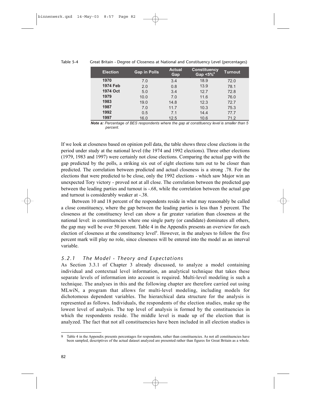| <b>Election</b> | <b>Gap in Polls</b> | <b>Actual</b><br>Gap | <b>Constituency</b><br>$\overline{\text{Gap}}$ <5% <sup>a</sup> | Turnout |
|-----------------|---------------------|----------------------|-----------------------------------------------------------------|---------|
| 1970            | 7.0                 | 3.4                  | 18.9                                                            | 72.0    |
| 1974 Feb        | 2.0                 | 0.8                  | 13.9                                                            | 78.1    |
| 1974 Oct        | 5.0                 | 3.4                  | 12.7                                                            | 72.8    |
| 1979            | 10.0                | 7.0                  | 11.6                                                            | 76.0    |
| 1983            | 19.0                | 14.8                 | 12.3                                                            | 72.7    |
| 1987            | 7.0                 | 11.7                 | 10.3                                                            | 75.3    |
| 1992            | 0.5                 | 7.1                  | 14.4                                                            | 77.7    |
| 1997            | 16.0                | 12.5                 | 10.6                                                            | 71.2    |

Table 5-4 Great Britain - Degree of Closeness at National and Constituency Level (percentages)

*Note a: Percentage of BES respondents where the gap at constituency level is smaller than 5 percent.* 

If we look at closeness based on opinion poll data, the table shows three close elections in the period under study at the national level (the 1974 and 1992 elections). Three other elections (1979, 1983 and 1997) were certainly not close elections. Comparing the actual gap with the gap predicted by the polls, a striking six out of eight elections turn out to be closer than predicted. The correlation between predicted and actual closeness is a strong .78. For the elections that were predicted to be close, only the 1992 elections - which saw Major win an unexpected Tory victory - proved not at all close. The correlation between the predicted gap between the leading parties and turnout is -.68, while the correlation between the actual gap and turnout is considerably weaker at -.38.

Between 10 and 18 percent of the respondents reside in what may reasonably be called a close constituency, where the gap between the leading parties is less than 5 percent. The closeness at the constituency level can show a far greater variation than closeness at the national level: in constituencies where one single party (or candidate) dominates all others, the gap may well be over 50 percent. Table 4 in the Appendix presents an overview for each election of closeness at the constituency level<sup>9</sup>. However, in the analyses to follow the five percent mark will play no role, since closeness will be entered into the model as an interval variable.

## *5.2.1 The Model - Theory and Expectations*

As Section 3.3.1 of Chapter 3 already discussed, to analyze a model containing individual and contextual level information, an analytical technique that takes these separate levels of information into account is required. Multi-level modeling is such a technique. The analyses in this and the following chapter are therefore carried out using MLwiN, a program that allows for multi-level modeling, including models for dichotomous dependent variables. The hierarchical data structure for the analysis is represented as follows. Individuals, the respondents of the election studies, make up the lowest level of analysis. The top level of analysis is formed by the constituencies in which the respondents reside. The middle level is made up of the election that is analyzed. The fact that not all constituencies have been included in all election studies is

<sup>9</sup> Table 4 in the Appendix presents percentages for respondents, rather than constituencies. As not all constituencies have been sampled, descriptives of the actual dataset analyzed are presented rather than figures for Great Britain as a whole.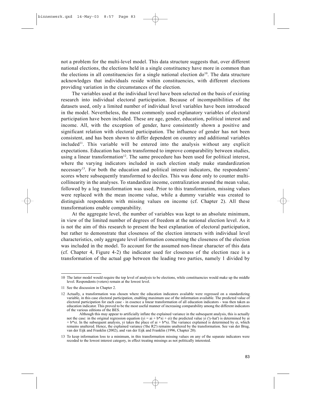not a problem for the multi-level model. This data structure suggests that, over different national elections, the elections held in a single constituency have more in common than the elections in all constituencies for a single national election  $d_0$ <sup>10</sup>. The data structure acknowledges that individuals reside within constituencies, with different elections providing variation in the circumstances of the election.

The variables used at the individual level have been selected on the basis of existing research into individual electoral participation. Because of incompatibilities of the datasets used, only a limited number of individual level variables have been introduced in the model. Nevertheless, the most commonly used explanatory variables of electoral participation have been included. These are age, gender, education, political interest and income. All, with the exception of gender, have consistently shown a positive and significant relation with electoral participation. The influence of gender has not been consistent, and has been shown to differ dependent on country and additional variables  $included<sup>11</sup>$ . This variable will be entered into the analysis without any explicit expectations. Education has been transformed to improve comparability between studies, using a linear transformation $12$ . The same procedure has been used for political interest, where the varying indicators included in each election study make standardization necessary<sup>13</sup>. For both the education and political interest indicators, the respondents' scores where subsequently transformed to deciles. This was done only to counter multicollinearity in the analyses. To standardize income, centralization around the mean value, followed by a log transformation was used. Prior to this transformation, missing values were replaced with the mean income value, while a dummy variable was created to distinguish respondents with missing values on income (cf. Chapter 2). All these transformations enable comparability.

At the aggregate level, the number of variables was kept to an absolute minimum, in view of the limited number of degrees of freedom at the national election level. As it is not the aim of this research to present the best explanation of electoral participation, but rather to demonstrate that closeness of the election interacts with individual level characteristics, only aggregate level information concerning the closeness of the election was included in the model. To account for the assumed non-linear character of this data (cf. Chapter 4, Figure 4-2) the indicator used for closeness of the election race is a transformation of the actual gap between the leading two parties, namely 1 divided by

<sup>10</sup> The latter model would require the top level of analysis to be elections, while constituencies would make up the middle level. Respondents (voters) remain at the lowest level.

<sup>11</sup> See the discussion in Chapter 2.

<sup>12</sup> Actually, a transformation was chosen where the education indicators available were regressed on a standardizing variable, in this case electoral participation, enabling maximum use of the information available. The predicted value of electoral participation for each case - in essence a linear transformation of all education indicators - was then taken as education indicator. This proved to be the most useful manner of increasing comparability among the different indicators of the various editions of the BES.

Although this may appear to artificially inflate the explained variance in the subsequent analysis, this is actually not the case: in the original regression equation (yi = ai + b\*xi + ei) the predicted value yi ('y-hat') is determined by ai  $+$  b\*xi. In the subsequent analysis, yi takes the place of ai  $+$  b\*xi. The variance explained is determined by ei, which remains unaltered. Hence, the explained variance ('the R2') remains unaltered by the transformation. See van der Brug, van der Eijk and Franklin (2002), and van der Eijk and Franklin (1996, Chapter 20).

<sup>13</sup> To keep information loss to a minimum, in this transformation missing values on any of the separate indicators were recoded to the lowest interest category, in effect treating missings as not politically interested.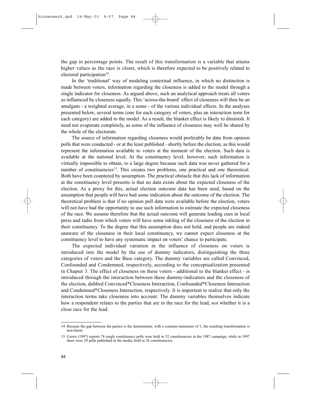the gap in percentage points. The result of this transformation is a variable that attains higher values as the race is closer, which is therefore expected to be positively related to electoral participation $14$ .

In the 'traditional' way of modeling contextual influence, in which no distinction is made between voters, information regarding the closeness is added to the model through a single indicator for closeness. As argued above, such an analytical approach treats all voters as influenced by closeness equally. This 'across-the-board' effect of closeness will then be an amalgam - a weighted average, in a sense - of the various individual effects. In the analyses presented below, several terms (one for each category of voters, plus an interaction term for each category) are added to the model. As a result, the blanket effect is likely to diminish. It need not evaporate completely, as some of the influence of closeness may well be shared by the whole of the electorate.

The source of information regarding closeness would preferably be data from opinion polls that were conducted - or at the least published - shortly before the election, as this would represent the information available to voters at the moment of the election. Such data is available at the national level. At the constituency level, however, such information is virtually impossible to obtain, to a large degree because such data was never gathered for a number of constituencies<sup>15</sup>. This creates two problems, one practical and one theoretical. Both have been countered by assumption. The practical obstacle that this lack of information at the constituency level presents is that no data exists about the expected closeness of the election. As a proxy for this, actual election outcome data has been used, based on the assumption that people will have had some indication about the outcome of the election. The theoretical problem is that if no opinion poll data were available before the election, voters will not have had the opportunity to use such information to estimate the expected closeness of the race. We assume therefore that the actual outcome will generate leading cues in local press and radio from which voters will have some inkling of the closeness of the election in their constituency. To the degree that this assumption does not hold, and people are indeed unaware of the closeness in their local constituency, we cannot expect closeness at the constituency level to have any systematic impact on voters' chance to participate.

The expected individual variation in the influence of closeness on voters is introduced into the model by the use of dummy indicators, distinguishing the three categories of voters and the Base category. The dummy variables are called Convinced, Confounded and Condemned, respectively, according to the conceptualization presented in Chapter 3. The effect of closeness on these voters - additional to the blanket effect - is introduced through the interaction between these dummy-indicators and the closeness of the election, dubbed Convinced\*Closeness Interaction, Confounded\*Closeness Interaction and Condemned\*Closeness Interaction, respectively. It is important to realize that only the interaction terms take closeness into account. The dummy variables themselves indicate how a respondent relates to the parties that are in the race for the lead, *not* whether it is a close race for the lead.

<sup>14</sup> Because the gap between the parties is the denominator, with a constant numerator of 1, the resulting transformation is non-linear.

<sup>15</sup> Crewe (1997) reports 78 single constituency polls were held in 52 constituencies in the 1987 campaign, while in 1997 there were 29 polls published in the media, held in 26 constituencies.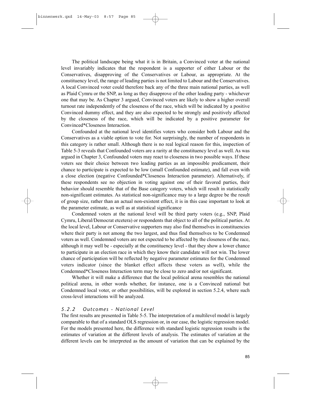The political landscape being what it is in Britain, a Convinced voter at the national level invariably indicates that the respondent is a supporter of either Labour or the Conservatives, disapproving of the Conservatives or Labour, as appropriate. At the constituency level, the range of leading parties is not limited to Labour and the Conservatives. A local Convinced voter could therefore back any of the three main national parties, as well as Plaid Cymru or the SNP, as long as they disapprove of the other leading party - whichever one that may be. As Chapter 3 argued, Convinced voters are likely to show a higher overall turnout rate independently of the closeness of the race, which will be indicated by a positive Convinced dummy effect, and they are also expected to be strongly and positively affected by the closeness of the race, which will be indicated by a positive parameter for Convinced\*Closeness Interaction.

Confounded at the national level identifies voters who consider both Labour and the Conservatives as a viable option to vote for. Not surprisingly, the number of respondents in this category is rather small. Although there is no real logical reason for this, inspection of Table 5-3 reveals that Confounded voters are a rarity at the constituency level as well. As was argued in Chapter 3, Confounded voters may react to closeness in two possible ways. If these voters see their choice between two leading parties as an impossible predicament, their chance to participate is expected to be low (small Confounded estimate), and fall even with a close election (negative Confounded\*Closeness Interaction parameter). Alternatively, if these respondents see no objection in voting against one of their favored parties, their behavior should resemble that of the Base category voters, which will result in statistically non-significant estimates. As statistical non-significance may to a large degree be the result of group size, rather than an actual non-existent effect, it is in this case important to look at the parameter estimate, as well as at statistical significance

Condemned voters at the national level will be third party voters (e.g., SNP, Plaid Cymru, Liberal/Democrat etcetera) or respondents that object to all of the political parties. At the local level, Labour or Conservative supporters may also find themselves in constituencies where their party is not among the two largest, and thus find themselves to be Condemned voters as well. Condemned voters are not expected to be affected by the closeness of the race, although it may well be - especially at the constituency level - that they show a lower chance to participate in an election race in which they know their candidate will not win. The lower chance of participation will be reflected by negative parameter estimates for the Condemned voters indicator (since the blanket effect affects these voters as well), while the Condemned\*Closeness Interaction term may be close to zero and/or not significant.

Whether it will make a difference that the local political arena resembles the national political arena, in other words whether, for instance, one is a Convinced national but Condemned local voter, or other possibilities, will be explored in section 5.2.4, where such cross-level interactions will be analyzed.

#### *5.2.2 Outcomes - National Level*

The first results are presented in Table 5-5. The interpretation of a multilevel model is largely comparable to that of a standard OLS regression or, in our case, the logistic regression model. For the models presented here, the difference with standard logistic regression results is the estimates of variation at the different levels of analysis. The estimates of variation at the different levels can be interpreted as the amount of variation that can be explained by the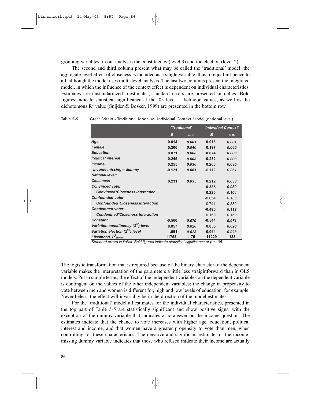grouping variables: in our analyses the constituency (level 3) and the election (level 2).

The second and third column present what may be called the 'traditional' model: the aggregate level effect of closeness is included as a single variable, thus of equal influence to all, although the model uses multi-level analysis. The last two columns present the integrated model, in which the influence of the context effect is dependent on individual characteristics. Estimates are unstandardized b-estimates; standard errors are presented in italics. Bold figures indicate statistical significance at the .05 level. Likelihood values, as well as the dichotomous  $\mathbb{R}^2$  value (Snijder & Bosker, 1999) are presented in the bottom row.

#### Table 5-5 Great Britain - Traditional Model vs. Individual Context Model (national level)

|                                         | 'Traditional' |       |          | 'Individual Context' |
|-----------------------------------------|---------------|-------|----------|----------------------|
|                                         | В             | S.e.  | В        | s.e.                 |
| Age                                     | 0.014         | 0.001 | 0.013    | 0.001                |
| Female                                  | 0.206         | 0.040 | 0.197    | 0.040                |
| <b>Education</b>                        | 0.071         | 0.008 | 0.074    | 0.008                |
| <b>Political interest</b>               | 0.245         | 0.008 | 0.232    | 0.008                |
| <b>Income</b>                           | 0.255         | 0.030 | 0.260    | 0.030                |
| Income missing - dummy                  | $-0.121$      | 0.061 | $-0.112$ | 0.061                |
| <b>National level:</b>                  |               |       |          |                      |
| <b>Closeness</b>                        | 0.231         | 0.035 | 0.212    | 0.038                |
| <b>Convinced voter</b>                  |               |       | 0.385    | 0.059                |
| <b>Convinced*Closeness Interaction</b>  |               |       | 0.220    | 0.104                |
| <b>Confounded voter</b>                 |               |       | $-0.054$ | 0.183                |
| <b>Confounded*Closeness Interaction</b> |               |       | 0.741    | 0.889                |
| <b>Condemned voter</b>                  |               |       | $-0.495$ | 0.112                |
| <b>Condemned*Closeness Interaction</b>  |               |       | 0.159    | 0.160                |
| <b>Constant</b>                         | $-0.560$      | 0.070 | $-0.544$ | 0.071                |
| Variation constituency (3rd) level      | 0.057         | 0.020 | 0.055    | 0.020                |
| Variation election $(2^{nd})$ level     | .061          | 0.028 | 0.064    | 0.028                |
| Likelihood, $R^2$ <sub>dicho</sub>      | 11753         | .175  | 11229    | .188                 |

*Standard errors in italics. Bold figures indicate statistical significance at p < .05.*

The logistic transformation that is required because of the binary character of the dependent variable makes the interpretation of the parameters a little less straightforward than in OLS models. Put in simple terms, the effect of the independent variables on the dependent variable is contingent on the values of the other independent variables; the change in propensity to vote between men and women is different for, high and low levels of education, for example. Nevertheless, the effect will invariably be in the direction of the model estimates.

For the 'traditional' model all estimates for the individual characteristics, presented in the top part of Table 5-5 are statistically significant and show positive signs, with the exception of the dummy-variable that indicates a no-answer on the income question. The estimates indicate that the chance to vote increases with higher age, education, political interest and income, and that women have a greater propensity to vote than men, when controlling for these characteristics. The negative and significant estimate for the incomemissing dummy variable indicates that those who refused inidcate their income are actually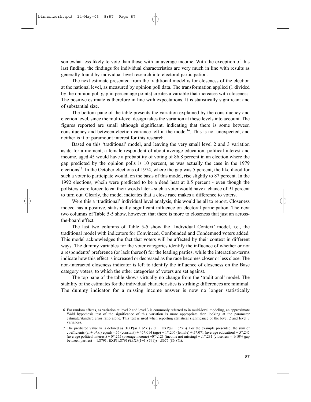somewhat less likely to vote than those with an average income. With the exception of this last finding, the findings for individual characteristics are very much in line with results as generally found by individual level research into electoral participation.

The next estimate presented from the traditional model is for closeness of the election at the national level, as measured by opinion poll data. The transformation applied (1 divided by the opinion poll gap in percentage points) creates a variable that increases with closeness. The positive estimate is therefore in line with expectations. It is statistically significant and of substantial size.

The bottom pane of the table presents the variation explained by the constituency and election level, since the multi-level design takes the variation at these levels into account. The figures reported are small although significant, indicating that there is some between constituency and between-election variance left in the model16. This is not unexpected, and neither is it of paramount interest for this research.

Based on this 'traditional' model, and leaving the very small level 2 and 3 variation aside for a moment, a female respondent of about average education, political interest and income, aged 45 would have a probability of voting of 86.8 percent in an election where the gap predicted by the opinion polls is 10 percent, as was actually the case in the 1979 elections<sup>17</sup>. In the October elections of 1974, where the gap was 5 percent, the likelihood for such a voter to participate would, on the basis of this model, rise slightly to 87 percent. In the 1992 elections, whcih were predicted to be a dead heat at 0.5 percent - even though the pollsters were forced to eat their words later - such a voter would have a chance of 91 percent to turn out. Clearly, the model indicates that a close race makes a difference to voters.

Were this a 'traditional' individual level analysis, this would be all to report. Closeness indeed has a positive, statistically significant influence on electoral participation. The next two columns of Table 5-5 show, however, that there is more to closeness that just an acrossthe-board effect.

The last two columns of Table 5-5 show the 'Individual Context' model, i.e., the traditional model with indicators for Convinced, Confounded and Condemned voters added. This model acknowledges the fact that voters will be affected by their context in different ways. The dummy variables for the voter categories identify the influence of whether or not a respondents' preference (or lack thereof) for the leading parties, while the interaction-terms indicate how this effect is increased or decreased as the race becomes closer or less close. The non-interacted closeness indicator is left to identify the influence of closeness on the Base category voters, to which the other categories of voters are set against.

The top pane of the table shows virtually no change from the 'traditional' model. The stability of the estimates for the individual characteristics is striking: differences are minimal. The dummy indicator for a missing income answer is now no longer statistically

<sup>16</sup> For random effects, as variation at level 2 and level 3 is commonly referred to in multi-level modeling, an approximate Wald hypothesis test of the significance of this variation is more appropriate than looking at the parameter estimate/standard error ratio alone. This test is used when reporting statistical significance of the level 2 and level 3 variances.

<sup>17</sup> The predicted value yi is defined as  $(EXP(ai + b*xi) / (1 + EXP(ai + b*xi))$ . For the example presented, the sum of coefficients (ai + b\*xi) equals -.56 (constant) +  $45*.014$  (age) + 1\*.206 (female) +  $5*.071$  (average education) +  $5*.245$ (average political interest) +  $0^*$ .255 (average income) + $0^*$ -.121 (income not missing) + .1\*.231 (closeness = 1/10% gap between parties) = 1.8791. EXP(1.8791)/(EXP(1+1.8791))= .8675 (86.8%).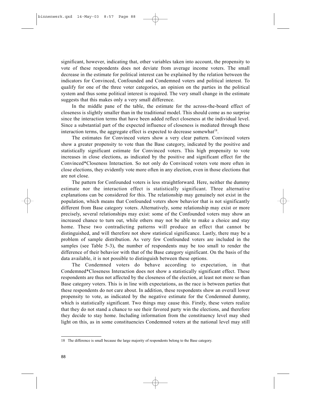significant, however, indicating that, other variables taken into account, the propensity to vote of these respondents does not deviate from average income voters. The small decrease in the estimate for political interest can be explained by the relation between the indicators for Convinced, Confounded and Condemned voters and political interest. To qualify for one of the three voter categories, an opinion on the parties in the political system and thus some political interest is required. The very small change in the estimate suggests that this makes only a very small difference.

In the middle pane of the table, the estimate for the across-the-board effect of closeness is slightly smaller than in the traditional model. This should come as no surprise since the interaction terms that have been added reflect closeness at the individual level. Since a substantial part of the expected influence of closeness is mediated through these interaction terms, the aggregate effect is expected to decrease somewhat<sup>18</sup>.

The estimates for Convinced voters show a very clear pattern. Convinced voters show a greater propensity to vote than the Base category, indicated by the positive and statistically significant estimate for Convinced voters. This high propensity to vote increases in close elections, as indicated by the positive and significant effect for the Convinced\*Closeness Interaction. So not only do Convinced voters vote more often in close elections, they evidently vote more often in any election, even in those elections that are not close.

The pattern for Confounded voters is less straightforward. Here, neither the dummy estimate nor the interaction effect is statistically significant. Three alternative explanations can be considered for this. The relationship may genuinely not exist in the population, which means that Confounded voters show behavior that is not significantly different from Base category voters. Alternatively, some relationship may exist or more precisely, several relationships may exist: some of the Confounded voters may show an increased chance to turn out, while others may not be able to make a choice and stay home. These two contradicting patterns will produce an effect that cannot be distinguished, and will therefore not show statistical significance. Lastly, there may be a problem of sample distribution. As very few Confounded voters are included in the samples (see Table 5-3), the number of respondents may be too small to render the difference of their behavior with that of the Base category significant. On the basis of the data available, it is not possible to distinguish between these options.

The Condemned voters do behave according to expectation, in that Condemned\*Closeness Interaction does not show a statistically significant effect. These respondents are thus not affected by the closeness of the election, at least not more so than Base category voters. This is in line with expectations, as the race is between parties that these respondents do not care about. In addition, these respondents show an overall lower propensity to vote, as indicated by the negative estimate for the Condemned dummy, which is statistically significant. Two things may cause this. Firstly, these voters realize that they do not stand a chance to see their favored party win the elections, and therefore they decide to stay home. Including information from the constituency level may shed light on this, as in some constituencies Condemned voters at the national level may still

<sup>18</sup> The difference is small because the large majority of respondents belong to the Base category.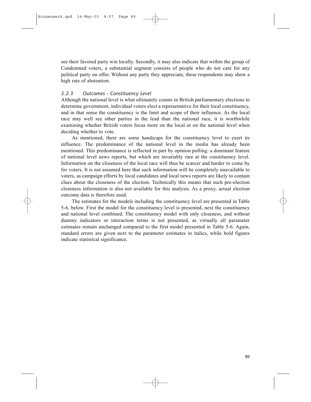see their favored party win locally. Secondly, it may also indicate that within the group of Condemned voters, a substantial segment consists of people who do not care for any political party on offer. Without any party they appreciate, these respondents may show a high rate of abstention.

# *5.2.3 Outcomes - Constituency Level*

Although the national level is what ultimately counts in British parliamentary elections to determine government, individual voters elect a representative for their local constituency, and in that sense the constituency is the limit and scope of their influence. As the local race may well see other parties in the lead than the national race, it is worthwhile examining whether British voters focus more on the local or on the national level when deciding whether to vote.

As mentioned, there are some handicaps for the constituency level to exert its influence. The predominance of the national level in the media has already been mentioned. This predominance is reflected in part by opinion polling: a dominant feature of national level news reports, but which are invariably rare at the constituency level. Information on the closeness of the local race will thus be scarcer and harder to come by for voters. It is not assumed here that such information will be completely unavailable to voters, as campaign efforts by local candidates and local news reports are likely to contain clues about the closeness of the election. Technically this means that such pre-election closeness information is also not available for this analysis. As a proxy, actual election outcome data is therefore used.

The estimates for the models including the constituency level are presented in Table 5-6, below. First the model for the constituency level is presented, next the constituency and national level combined. The constituency model with only closeness, and without dummy indicators or interaction terms is not presented, as virtually all parameter estimates remain unchanged compared to the first model presented in Table 5-6. Again, standard errors are given next to the parameter estimates in italics, while bold figures indicate statistical significance.

 $\overline{\mathcal{A}}$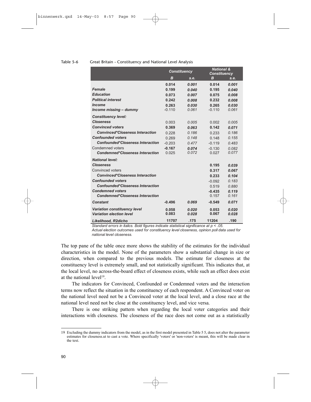## Table 5-6 Great Britain - Constituency and National Level Analysis

|                                         | <b>Constituency</b> |       | <b>National &amp;</b><br><b>Constituency</b> |       |
|-----------------------------------------|---------------------|-------|----------------------------------------------|-------|
|                                         | B                   | s.e.  | B                                            | s.e.  |
|                                         | 0.014               | 0.001 | 0.014                                        | 0.001 |
| <b>Female</b>                           | 0.199               | 0.040 | 0.195                                        | 0.040 |
| <b>Education</b>                        | 0.073               | 0.007 | 0.075                                        | 0.008 |
| <b>Political interest</b>               | 0.242               | 0.008 | 0.232                                        | 0.008 |
| <i><b>Income</b></i>                    | 0.263               | 0.030 | 0.265                                        | 0.030 |
| Income missing - dummy                  | $-0.110$            | 0.061 | $-0.110$                                     | 0.061 |
| <b>Constituency level:</b>              |                     |       |                                              |       |
| <b>Closeness</b>                        | 0.003               | 0.005 | 0.002                                        | 0.005 |
| <b>Convinced voters</b>                 | 0.369               | 0.063 | 0.142                                        | 0.071 |
| <b>Convinced*Closeness Interaction</b>  | 0.228               | 0.186 | 0.233                                        | 0.186 |
| <b>Confounded voters</b>                | 0.269               | 0.148 | 0.148                                        | 0.155 |
| <b>Confounded*Closeness Interaction</b> | $-0.203$            | 0.477 | $-0.119$                                     | 0.483 |
| Condemned voters                        | $-0.167$            | 0.074 | $-0.130$                                     | 0.082 |
| <b>Condemned*Closeness Interaction</b>  | 0.025               | 0.072 | 0.027                                        | 0.077 |
| <b>National level:</b>                  |                     |       |                                              |       |
| <b>Closeness</b>                        |                     |       | 0.195                                        | 0.039 |
| Convinced voters                        |                     |       | 0.317                                        | 0.067 |
| <b>Convinced*Closeness Interaction</b>  |                     |       | 0.233                                        | 0.104 |
| <b>Confounded voters</b>                |                     |       | $-0.092$                                     | 0.183 |
| <b>Confounded*Closeness Interaction</b> |                     |       | 0.519                                        | 0.880 |
| <b>Condemned voters</b>                 |                     |       | $-0.435$                                     | 0.119 |
| <b>Condemned*Closeness Interaction</b>  |                     |       | 0.157                                        | 0.161 |
| <b>Constant</b>                         | $-0.496$            | 0.069 | $-0.549$                                     | 0.071 |
| <b>Variation constituency level</b>     | 0.058               | 0.020 | 0.053                                        | 0.020 |
| <b>Variation election level</b>         | 0.083               | 0.028 | 0.067                                        | 0.028 |
| Likelihood, R2dicho                     | 11707               | .175  | 11204                                        | .190  |

*Standard errors in italics. Bold figures indicate statistical significance at p < .05. Actual election outcomes used for constituency level closeness, opinion poll data used for national level closeness.*

The top pane of the table once more shows the stability of the estimates for the individual characteristics in the model. None of the parameters show a substantial change in size or direction, when compared to the previous models. The estimate for closeness at the constituency level is extremely small, and not statistically significant. This indicates that, at the local level, no across-the-board effect of closeness exists, while such an effect does exist at the national level<sup>19</sup>.

The indicators for Convinced, Confounded or Condemned voters and the interaction terms now reflect the situation in the constituency of each respondent. A Convinced voter on the national level need not be a Convinced voter at the local level, and a close race at the national level need not be close at the constituency level, and vice versa.

There is one striking pattern when regarding the local voter categories and their interactions with closeness. The closeness of the race does not come out as a statistically

<sup>19</sup> Excluding the dummy indicators from the model, as in the first model presented in Table 5 5, does not alter the parameter estimates for closeness.ut to cast a vote. Where specifically 'voters' or 'non-voters' is meant, this will be made clear in the text.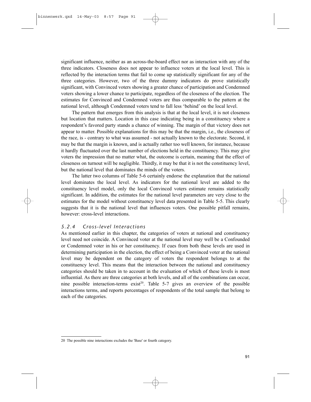significant influence, neither as an across-the-board effect nor as interaction with any of the three indicators. Closeness does not appear to influence voters at the local level. This is reflected by the interaction terms that fail to come up statistically significant for any of the three categories. However, two of the three dummy indicators do prove statistically significant, with Convinced voters showing a greater chance of participation and Condemned voters showing a lower chance to participate, regardless of the closeness of the election. The estimates for Convinced and Condemned voters are thus comparable to the pattern at the national level, although Condemned voters tend to fall less 'behind' on the local level.

The pattern that emerges from this analysis is that at the local level, it is not closeness but location that matters. Location in this case indicating being in a constituency where a respondent's favored party stands a chance of winning. The margin of that victory does not appear to matter. Possible explanations for this may be that the margin, i.e., the closeness of the race, is - contrary to what was assumed - not actually known to the electorate. Second, it may be that the margin is known, and is actually rather too well known, for instance, because it hardly fluctuated over the last number of elections held in the constituency. This may give voters the impression that no matter what, the outcome is certain, meaning that the effect of closeness on turnout will be negligible. Thirdly, it may be that it is not the constituency level, but the national level that dominates the minds of the voters.

The latter two columns of Table 5-6 certainly endorse the explanation that the national level dominates the local level. As indicators for the national level are added to the constituency level model, only the local Convinced voters estimate remains statistically significant. In addition, the estimates for the national level parameters are very close to the estimates for the model without constituency level data presented in Table 5-5. This clearly suggests that it is the national level that influences voters. One possible pitfall remains, however: cross-level interactions.

## *5.2.4 Cross-level Interactions*

As mentioned earlier in this chapter, the categories of voters at national and constituency level need not coincide. A Convinced voter at the national level may well be a Confounded or Condemned voter in his or her constituency. If cues from both these levels are used in determining participation in the election, the effect of being a Convinced voter at the national level may be dependent on the category of voters the respondent belongs to at the constituency level. This means that the interaction between the national and constituency categories should be taken in to account in the evaluation of which of these levels is most influential. As there are three categories at both levels, and all of the combinations can occur, nine possible interaction-terms exist<sup>20</sup>. Table 5-7 gives an overview of the possible interactions terms, and reports percentages of respondents of the total sample that belong to each of the categories.

<sup>20</sup> The possible nine interactions excludes the 'Base' or fourth category.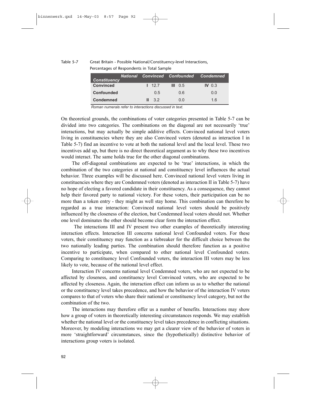Table 5-7 Great Britain - Possible National/Constituency-level Interactions, Percentages of Respondents in Total Sample

| National Convinced Confounded Condemned<br><b>Constituency</b> |    |                 |           |          |
|----------------------------------------------------------------|----|-----------------|-----------|----------|
| <b>Convinced</b>                                               |    | 1.127           | $III$ 0.5 | IV $0.3$ |
| <b>Confounded</b>                                              |    | 0.5             | 0.6       | 0.0      |
| <b>Condemned</b>                                               | Ш. | $\overline{32}$ | n n       | 1.6      |

*Roman numerals refer to interactions discussed in text.* 

On theoretical grounds, the combinations of voter categories presented in Table 5-7 can be divided into two categories. The combinations on the diagonal are not necessarily 'true' interactions, but may actually be simple additive effects. Convinced national level voters living in constituencies where they are also Convinced voters (denoted as interaction I in Table 5-7) find an incentive to vote at both the national level and the local level. These two incentives add up, but there is no direct theoretical argument as to why these two incentives would interact. The same holds true for the other diagonal combinations.

The off-diagonal combinations are expected to be 'true' interactions, in which the combination of the two categories at national and constituency level influences the actual behavior. Three examples will be discussed here. Convinced national level voters living in constituencies where they are Condemned voters (denoted as interaction II in Table 5-7) have no hope of electing a favored candidate in their constituency. As a consequence, they cannot help their favored party to national victory. For these voters, their participation can be no more than a token entry - they might as well stay home. This combination can therefore be regarded as a true interaction: Convinced national level voters should be positively influenced by the closeness of the election, but Condemned local voters should not. Whether one level dominates the other should become clear form the interaction effect.

The interactions III and IV present two other examples of theoretically interesting interaction effects. Interaction III concerns national level Confounded voters. For these voters, their constituency may function as a tiebreaker for the difficult choice between the two nationally leading parties. The combination should therefore function as a positive incentive to participate, when compared to other national level Confounded voters. Comparing to constituency level Confounded voters, the interaction III voters may be less likely to vote, because of the national level effect.

Interaction IV concerns national level Condemned voters, who are not expected to be affected by closeness, and constituency level Convinced voters, who are expected to be affected by closeness. Again, the interaction effect can inform us as to whether the national or the constituency level takes precedence, and how the behavior of the interaction IV voters compares to that of voters who share their national or constituency level category, but not the combination of the two.

The interactions may therefore offer us a number of benefits. Interactions may show how a group of voters in theoretically interesting circumstances responds. We may establish whether the national level or the constituency level takes precedence in conflicting situations. Moreover, by modeling interactions we may get a clearer view of the behavior of voters in more 'straightforward' circumstances, since the (hypothetically) distinctive behavior of interactions group voters is isolated.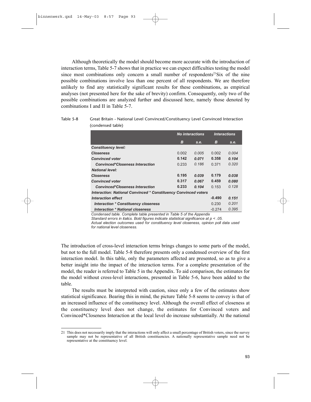Although theoretically the model should become more accurate with the introduction of interaction terms, Table 5-7 shows that in practice we can expect difficulties testing the model since most combinations only concern a small number of respondents<sup>21</sup>Six of the nine possible combinations involve less than one percent of all respondents. We are therefore unlikely to find any statistically significant results for these combinations, as empirical analyses (not presented here for the sake of brevity) confirm. Consequently, only two of the possible combinations are analyzed further and discussed here, namely those denoted by combinations I and II in Table 5-7.

Table 5-8 Great Britain - National Level Convinced/Constituency Level Convinced Interaction (condensed table)

|                                                                        |       | <b>No interactions</b> |          | <b>Interactions</b> |
|------------------------------------------------------------------------|-------|------------------------|----------|---------------------|
|                                                                        | В     | s.e.                   | В        | S.e.                |
| <b>Constituency level:</b>                                             |       |                        |          |                     |
| <b>Closeness</b>                                                       | 0.002 | 0.005                  | 0.002    | 0.004               |
| <b>Convinced voter</b>                                                 | 0.142 | 0.071                  | 0.358    | 0.104               |
| <b>Convinced*Closeness Interaction</b>                                 | 0.233 | 0.186                  | 0.371    | 0.320               |
| <b>National level:</b>                                                 |       |                        |          |                     |
| <b>Closeness</b>                                                       | 0.195 | 0.039                  | 0.179    | 0.038               |
| <b>Convinced voter</b>                                                 | 0.317 | 0.067                  | 0.459    | 0.080               |
| <b>Convinced*Closeness Interaction</b>                                 | 0.233 | 0.104                  | 0.153    | 0.128               |
| <b>Interaction: National Convinced * Constituency Convinced voters</b> |       |                        |          |                     |
| Interaction effect                                                     |       |                        | $-0.490$ | 0.151               |
| Interaction * Constituency closeness                                   |       |                        | 0.230    | 0.201               |
| <b>Interaction * National closeness</b>                                |       |                        | $-0.274$ | 0.395               |

*Condensed table. Complete table presented in Table 5 of the Appendix* 

*Standard errors in italics. Bold figures indicate statistical significance at p < .05. Actual election outcomes used for constituency level closeness, opinion poll data used for national level closeness.* 

The introduction of cross-level interaction terms brings changes to some parts of the model, but not to the full model. Table 5-8 therefore presents only a condensed overview of the first interaction model. In this table, only the parameters affected are presented, so as to give a better insight into the impact of the interaction terms. For a complete presentation of the model, the reader is referred to Table 5 in the Appendix. To aid comparison, the estimates for the model without cross-level interactions, presented in Table 5-6, have been added to the table.

The results must be interpreted with caution, since only a few of the estimates show statistical significance. Bearing this in mind, the picture Table 5-8 seems to convey is that of an increased influence of the constituency level. Although the overall effect of closeness at the constituency level does not change, the estimates for Convinced voters and Convinced\*Closeness Interaction at the local level do increase substantially. At the national

<sup>21</sup> This does not necessarily imply that the interactions will only affect a small percentage of British voters, since the survey sample may not be representative of all British constituencies. A nationally representative sample need not be representative at the constituency level.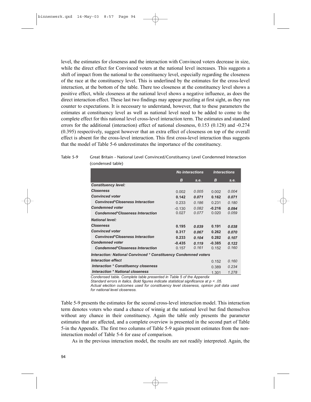level, the estimates for closeness and the interaction with Convinced voters decrease in size, while the direct effect for Convinced voters at the national level increases. This suggests a shift of impact from the national to the constituency level, especially regarding the closeness of the race at the constituency level. This is underlined by the estimates for the cross-level interaction, at the bottom of the table. There too closeness at the constituency level shows a positive effect, while closeness at the national level shows a negative influence, as does the direct interaction effect. These last two findings may appear puzzling at first sight, as they run counter to expectations. It is necessary to understand, however, that to these parameters the estimates at constituency level as well as national level need to be added to come to the complete effect for this national level cross-level interaction term. The estimates and standard errors for the additional (interaction) effect of national closeness, 0.153 (0.128) and -0.274 (0.395) respectively, suggest however that an extra effect of closeness on top of the overall effect is absent for the cross-level interaction. This first cross-level interaction thus suggests that the model of Table 5-6 underestimates the importance of the constituency.

|                                                                 |          | <b>No interactions</b> | <b>Interactions</b> |         |
|-----------------------------------------------------------------|----------|------------------------|---------------------|---------|
|                                                                 | B        | S.e.                   | В                   | S.e.    |
| <b>Constituency level:</b>                                      |          |                        |                     |         |
| <b>Closeness</b>                                                | 0.002    | 0.005                  | 0.002               | 0.004   |
| <b>Convinced voter</b>                                          | 0.142    | 0.071                  | 0.162               | 0.071   |
| <b>Convinced*Closeness Interaction</b>                          | 0.233    | 0.186                  | 0 231               | 0.180   |
| <b>Condemned voter</b>                                          | $-0.130$ | 0.082                  | $-0.216$            | 0.094   |
| <b>Condemned*Closeness Interaction</b>                          | 0.027    | 0.077                  | 0.020               | 0.059   |
| <b>National level:</b>                                          |          |                        |                     |         |
| <b>Closeness</b>                                                | 0.195    | 0.039                  | 0.191               | 0.038   |
| <b>Convinced voter</b>                                          | 0.317    | 0.067                  | 0.262               | 0.070   |
| <b>Convinced*Closeness Interaction</b>                          | 0.233    | 0.104                  | 0.282               | 0.107   |
| <b>Condemned voter</b>                                          | $-0.435$ | 0.119                  | $-0.385$            | 0 1 2 2 |
| <b>Condemned*Closeness Interaction</b>                          | 0.157    | 0.161                  | 0.152               | 0,160   |
| Interaction: National Convinced * Constituency Condemned voters |          |                        |                     |         |
| <b>Interaction effect</b>                                       |          |                        | 0.152               | 0.160   |
| <b>Interaction * Constituency closeness</b>                     |          |                        | 0.389               | 0.234   |
| <b>Interaction * National closeness</b>                         |          |                        | 1.301               | 1.278   |

Table 5-9 Great Britain - National Level Convinced/Constituency Level Condemned Interaction (condensed table)

*Condensed table. Complete table presented in Table 5 of the Appendix* 

*Standard errors in italics. Bold figures indicate statistical significance at p < .05. Actual election outcomes used for constituency level closeness, opinion poll data used for national level closeness.* 

Table 5-9 presents the estimates for the second cross-level interaction model. This interaction term denotes voters who stand a chance of winnig at the national level but find themselves without any chance in their constituency. Again the table only presents the parameter estimates that are affected, and a complete overview is presented in the second part of Table 5-in the Appendix. The first two columns of Table 5-9 again present estimates from the noninteraction model of Table 5-6 for ease of comparison.

 $\overline{\mathbb{A}}$ 

As in the previous interaction model, the results are not readily interpreted. Again, the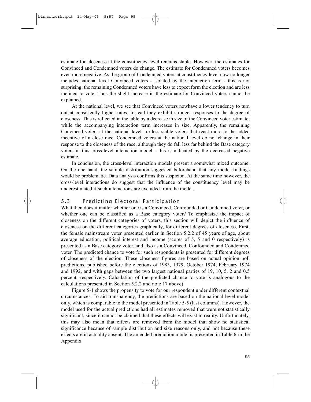estimate for closeness at the constituency level remains stable. However, the estimates for Convinced and Condemned voters do change. The estimate for Condemned voters becomes even more negative. As the group of Condemned voters at constituency level now no longer includes national level Convinced voters - isolated by the interaction term - this is not surprising: the remaining Condemned voters have less to expect form the election and are less inclined to vote. Thus the slight increase in the estimate for Convinced voters cannot be explained.

At the national level, we see that Convinced voters nowhave a lower tendency to turn out at consistently higher rates. Instead they exhibit stronger responses to the degree of closeness. This is reflected in the table by a decrease in size of the Convinced voter estimate, while the accompanying interaction term increases in size. Apparently, the remaining Convinced voters at the national level are less stable voters that react more to the added incentive of a close race. Condemned voters at the national level do not change in their response to the closeness of the race, although they do fall less far behind the Base category voters in this cross-level interaction model - this is indicated by the decreased negative estimate.

In conclusion, the cross-level interaction models present a somewhat mixed outcome. On the one hand, the sample distribution suggested beforehand that any model findings would be problematic. Data analysis confirms this suspicion. At the same time however, the cross-level interactions do suggest that the influence of the constituency level may be underestimated if such interactions are excluded from the model.

### 5.3 Predicting Electoral Participation

What then does it matter whether one is a Convinced, Confounded or Condemned voter, or whether one can be classified as a Base category voter? To emphasize the impact of closeness on the different categories of voters, this section will depict the influence of closeness on the different categories graphically, for different degrees of closeness. First, the female mainstream voter presented earlier in Section 5.2.2 of 45 years of age, about average education, political interest and income (scores of 5, 5 and 0 respectively) is presented as a Base category voter, and also as a Convinced, Confounded and Condemned voter. The predicted chance to vote for such respondents is presented for different degrees of closeness of the election. These closeness figures are based on actual opinion poll predictions, published before the elections of 1983, 1979, October 1974, February 1974 and 1992, and with gaps between the two largest national parties of 19, 10, 5, 2 and 0.5 percent, respectively. Calculation of the predicted chance to vote is analogous to the calculations presented in Section 5.2.2 and note 17 above)

Figure 5-1 shows the propensity to vote for our respondent under different contextual circumstances. To aid transparency, the predictions are based on the national level model only, which is comparable to the model presented in Table 5-5 (last columns). However, the model used for the actual predictions had all estimates removed that were not statistically significant, since it cannot be claimed that these effects will exist in reality. Unfortunately, this may also mean that effects are removed from the model that show no statistical significance because of sample distribution and size reasons only, and not because these effects are in actuality absent. The amended prediction model is presented in Table 6-in the Appendix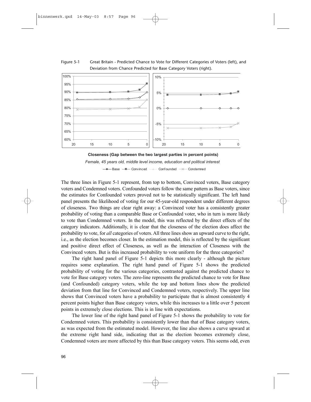

Figure 5-1 Great Britain - Predicted Chance to Vote for Different Categories of Voters (left), and Deviation from Chance Predicted for Base Category Voters (right).



The three lines in Figure 5-1 represent, from top to bottom, Convinced voters, Base category voters and Condemned voters. Confounded voters follow the same pattern as Base voters, since the estimates for Confounded voters proved not to be statistically significant. The left hand panel presents the likelihood of voting for our 45-year-old respondent under different degrees of closeness. Two things are clear right away: a Convinced voter has a consistently greater probability of voting than a comparable Base or Confounded voter, who in turn is more likely to vote than Condemned voters. In the model, this was reflected by the direct effects of the category indicators. Additionally, it is clear that the closeness of the election does affect the probability to vote, for *all* categories of voters. All three lines show an upward curve to the right, i.e., as the election becomes closer. In the estimation model, this is reflected by the significant and positive direct effect of Closeness, as well as the interaction of Closeness with the Convinced voters. But is this increased probability to vote uniform for the three categories?

The right hand panel of Figure 5-1 depicts this more clearly - although the picture requires some explanation. The right hand panel of Figure 5-1 shows the predicted probability of voting for the various categories, contrasted against the predicted chance to vote for Base category voters. The zero-line represents the predicted chance to vote for Base (and Confounded) category voters, while the top and bottom lines show the predicted deviation from that line for Convinced and Condemned voters, respectively. The upper line shows that Convinced voters have a probability to participate that is almost consistently 4 percent points higher than Base category voters, while this increases to a little over 5 percent points in extremely close elections. This is in line with expectations.

The lower line of the right hand panel of Figure 5-1 shows the probability to vote for Condemned voters. This probability is consistently lower than that of Base category voters, as was expected from the estimated model. However, the line also shows a curve upward at the extreme right hand side, indicating that as the election becomes extremely close, Condemned voters are more affected by this than Base category voters. This seems odd, even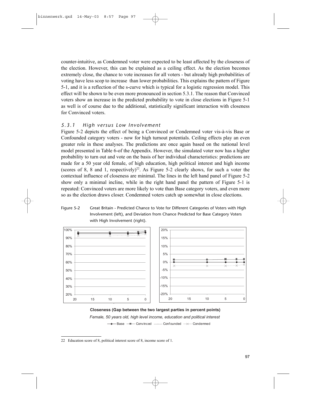counter-intuitive, as Condemned voter were expected to be least affected by the closeness of the election. However, this can be explained as a ceiling effect. As the election becomes extremely close, the chance to vote increases for all voters - but already high probabilities of voting have less scop to increase than lower probabilities. This explains the pattern of Figure 5-1, and it is a reflection of the s-curve which is typical for a logistic regression model. This effect will be shown to be even more pronounced in section 5.3.1. The reason that Convinced voters show an increase in the predicted probability to vote in close elections in Figure 5-1 as well is of course due to the additional, statistically significant interaction with closeness for Convinced voters.

# *5.3.1 High versus Low Involvement*

Figure 5-2 depicts the effect of being a Convinced or Condemned voter vis-à-vis Base or Confounded category voters - now for high turnout potentials. Ceiling effects play an even greater role in these analyses. The predictions are once again based on the national level model presented in Table 6-of the Appendix. However, the simulated voter now has a higher probability to turn out and vote on the basis of her individual characteristics: predictions are made for a 50 year old female, of high education, high political interest and high income (scores of 8, 8 and 1, respectively)<sup>22</sup>. As Figure 5-2 clearly shows, for such a voter the contextual influence of closeness are minimal. The lines in the left hand panel of Figure 5-2 show only a minimal incline, while in the right hand panel the pattern of Figure 5-1 is repeated: Convinced voters are more likely to vote than Base category voters, and even more so as the election draws closer. Condemned voters catch up somewhat in close elections.

# Figure 5-2 Great Britain - Predicted Chance to Vote for Different Categories of Voters with High Involvement (left), and Deviation from Chance Predicted for Base Category Voters with High Involvement (right).



**Closeness (Gap between the two largest parties in percent points)**  *Female, 50 years old, high level income, education and political interest* -Base  $-\blacksquare$  Convinced  $-\blacksquare$  Confounded  $-\times$  Condemned

<sup>22</sup> Education score of 8, political interest score of 8, income score of 1.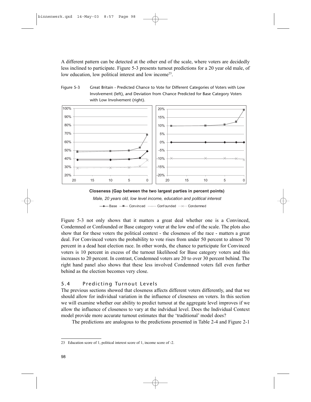A different pattern can be detected at the other end of the scale, where voters are decidedly less inclined to participate. Figure 5-3 presents turnout predictions for a 20 year old male, of low education, low political interest and low income<sup>23</sup>.







*Male, 20 years old, low level income, education and political interest* -Base  $-\blacksquare$  Convinced  $-\blacksquare$  Confounded  $-\times$  Condemned

Figure 5-3 not only shows that it matters a great deal whether one is a Convinced, Condemned or Confounded or Base category voter at the low end of the scale. The plots also show that for these voters the political context - the closeness of the race - matters a great deal. For Convinced voters the probability to vote rises from under 50 percent to almost 70 percent in a dead heat election race. In other words, the chance to participate for Convinced voters is 10 percent in excess of the turnout likelihood for Base category voters and this increases to 20 percent. In contrast, Condemned voters are 20 to over 30 percent behind. The right hand panel also shows that these less involved Condemned voters fall even further behind as the election becomes very close.

# 5.4 Predicting Turnout Levels

The previous sections showed that closeness affects different voters differently, and that we should allow for individual variation in the influence of closeness on voters. In this section we will examine whether our ability to predict turnout at the aggregate level improves if we allow the influence of closeness to vary at the indvidual level. Does the Individual Context model provide more accurate turnout estimates that the 'traditional' model does?

The predictions are analogous to the predictions presented in Table 2-4 and Figure 2-1

<sup>23</sup> Education score of 1, political interest score of 1, income score of -2.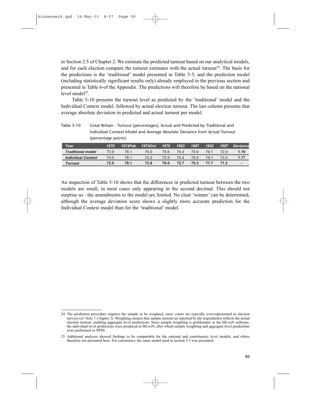in Section 2.5 of Chapter 2. We estimate the predicted turnout based on our analytical models, and for each election compare the turnout estimates with the actual turnout<sup>24</sup>. The basis for the predictions is the 'traditional' model presented in Table 5-5, and the prediction model (including statistically significant results only) already employed in the previous section and presented in Table 6-of the Appendix. The predictions will therefore be based on the national level model<sup>25</sup>.

Table 5-10 presents the turnout level as predicted by the 'traditional' model and the Individual Context model, followed by actual election turnout. The last column presents that average absolute deviation in predicted and actual turnout per model.

Table 5-10 Great Britain - Turnout (percentages), Actual and Predicted by Traditional and Individual Context Model and Average Absolute Deviance from Actual Turnout (percentage points)

| Year                      | 1970 | 1974Feb | 1974Oct | 1979 | 1983 | 1987 | 1992 | 1997 | <b>Deviance</b> |
|---------------------------|------|---------|---------|------|------|------|------|------|-----------------|
| <b>Traditional model</b>  | 73.9 | 78.1    | 74.5    | 75.6 | 74.4 | 75.9 | 79.1 | 729  | 1.19            |
| <b>Individual Context</b> | 74.0 | 78.1    | 74.5    | 75.9 | 74.4 | 75.9 | 79.1 | 73.0 | 1.17            |
| <b>Turnout</b>            | 72.0 | 78.1    | 72.8    | 76.0 | 72.7 | 75.3 | 77.7 | 71.2 | $\blacksquare$  |

An inspection of Table 5-10 shows that the differences in predicted turnout between the two models are small, in most cases only appearing in the second decimal. This should not surprise us - the amendments to the model are limited. No clear 'winner' can be determined, although the average deviation score shows a slightly more accurate prediction for the Individual Context model than for the 'traditional' model.

 $\triangle$ 

<sup>24</sup> The prediction procedure requires the sample to be weighted, since voters are typically over-represented in election surveys (cf. Note 7, Chapter 2). Weighting ensures that sample turnout (as reported by the respondents) reflects the actual election turnout, enabling aggregate level predictions. Since sample weighting is problematic in the MLwiN software, the individual level predictions were produced in MLwiN, after which sample weighting and aggregate level predictions were performed in SPSS.

<sup>25</sup> Additional analyses showed findings to be comparable for the national and constituency level models, and where therefore not presented here. For consistency the same model used in section 5.3 was presented.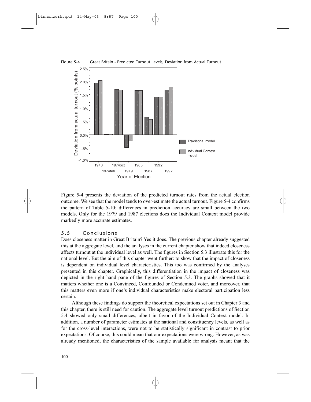

Figure 5-4 Great Britain - Predicted Turnout Levels, Deviation from Actual Turnout

 $\overline{\phantom{0}}$ 

Figure 5-4 presents the deviation of the predicted turnout rates from the actual election outcome. We see that the model tends to over-estimate the actual turnout. Figure 5-4 confirms the pattern of Table 5-10: differences in prediction accuracy are small between the two models. Only for the 1979 and 1987 elections does the Individual Context model provide markedly more accurate estimates.

#### 5.5 Conclusions

Does closeness matter in Great Britain? Yes it does. The previous chapter already suggested this at the aggregate level, and the analyses in the current chapter show that indeed closeness affects turnout at the individual level as well. The figures in Section 5.3 illustrate this for the national level. But the aim of this chapter went further: to show that the impact of closeness is dependent on individual level characteristics. This too was confirmed by the analyses presented in this chapter. Graphically, this differentiation in the impact of closeness was depicted in the right hand pane of the figures of Section 5.3. The graphs showed that it matters whether one is a Convinced, Confounded or Condemned voter, and moreover, that this matters even more if one's individual characteristics make electoral participation less certain.

Although these findings do support the theoretical expectations set out in Chapter 3 and this chapter, there is still need for caution. The aggregate level turnout predictions of Section 5.4 showed only small differences, albeit in favor of the Individual Context model. In addition, a number of parameter estimates at the national and constituency levels, as well as for the cross-level interactions, were not to be statistically significant in contrast to prior expectations. Of course, this could mean that our expectations were wrong. However, as was already mentioned, the characteristics of the sample available for analysis meant that the

 $\overline{\triangle}$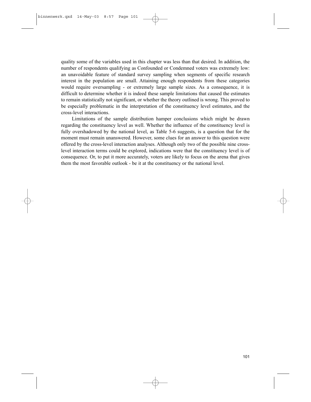quality some of the variables used in this chapter was less than that desired. In addition, the number of respondents qualifying as Confounded or Condemned voters was extremely low: an unavoidable feature of standard survey sampling when segments of specific research interest in the population are small. Attaining enough respondents from these categories would require oversampling - or extremely large sample sizes. As a consequence, it is difficult to determine whether it is indeed these sample limitations that caused the estimates to remain statistically not significant, or whether the theory outlined is wrong. This proved to be especially problematic in the interpretation of the constituency level estimates, and the cross-level interactions.

Limitations of the sample distribution hamper conclusions which might be drawn regarding the constituency level as well. Whether the influence of the constituency level is fully overshadowed by the national level, as Table 5-6 suggests, is a question that for the moment must remain unanswered. However, some clues for an answer to this question were offered by the cross-level interaction analyses. Although only two of the possible nine crosslevel interaction terms could be explored, indications were that the constituency level is of consequence. Or, to put it more accurately, voters are likely to focus on the arena that gives them the most favorable outlook - be it at the constituency or the national level.

 $\overline{\bigtriangleup}$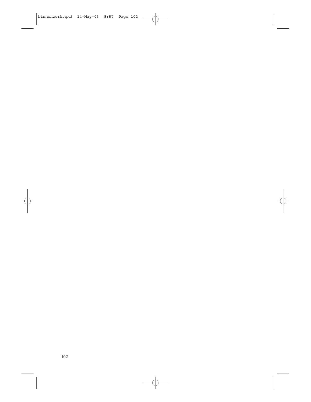102

 $\overline{\phantom{0}}$ 

Y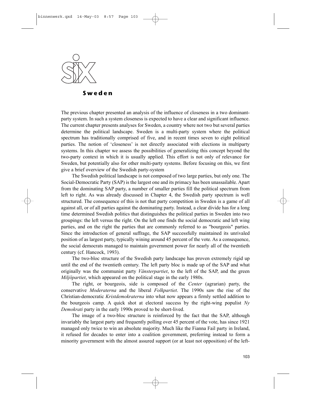

**Sweden**

The previous chapter presented an analysis of the influence of closeness in a two dominantparty system. In such a system closeness is expected to have a clear and significant influence. The current chapter presents analyses for Sweden, a country where not two but several parties determine the political landscape. Sweden is a multi-party system where the political spectrum has traditionally comprised of five, and in recent times seven to eight political parties. The notion of 'closeness' is not directly associated with elections in multiparty systems. In this chapter we assess the possibilities of generalizing this concept beyond the two-party context in which it is usually applied. This effort is not only of relevance for Sweden, but potentially also for other multi-party systems. Before focusing on this, we first give a brief overview of the Swedish party-system

The Swedish political landscape is not composed of two large parties, but only one. The Social-Democratic Party (SAP) is the largest one and its primacy has been unassailable. Apart from the dominating SAP party, a number of smaller parties fill the political spectrum from left to right. As was already discussed in Chapter 4, the Swedish party spectrum is well structured. The consequence of this is not that party competition in Sweden is a game of all against all, or of all parties against the dominating party. Instead, a clear divide has for a long time determined Swedish politics that distinguishes the political parties in Sweden into two groupings: the left versus the right. On the left one finds the social democratic and left wing parties, and on the right the parties that are commonly referred to as "bourgeois" parties. Since the introduction of general suffrage, the SAP successfully maintained its unrivaled position of as largest party, typically wining around 45 percent of the vote. As a consequence, the social democrats managed to maintain government power for nearly all of the twentieth century (cf. Hancock, 1993).

The two-bloc structure of the Swedish party landscape has proven extremely rigid up until the end of the twentieth century. The left party bloc is made up of the SAP and what originally was the communist party *Vänsterpartiet*, to the left of the SAP, and the green *Miljöpartiet*, which appeared on the political stage in the early 1980s.

The right, or bourgeois, side is composed of the *Center* (agrarian) party, the conservative *Moderaterna* and the liberal *Folkpartiet*. The 1990s saw the rise of the Christian-democratic *Kristdemokraterna* into what now appears a firmly settled addition to the bourgeois camp. A quick shot at electoral success by the right-wing populist *Ny Demokrati* party in the early 1990s proved to be short-lived.

The image of a two-bloc structure is reinforced by the fact that the SAP, although invariably the largest party and frequently polling over 45 percent of the vote, has since 1921 managed only twice to win an absolute majority. Much like the Fianna Fail party in Ireland, it refused for decades to enter into a coalition government, preferring instead to form a minority government with the almost assured support (or at least not opposition) of the left-

 $\overline{\wedge}$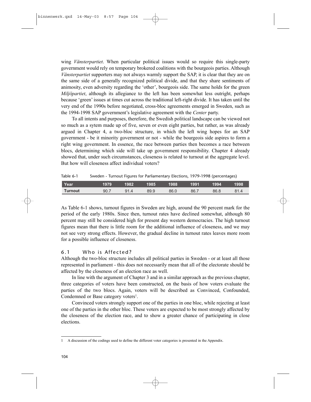wing *Vänsterpartiet*. When particular political issues would so require this single-party government would rely on temporary brokered coalitions with the bourgeois parties. Although Vänsterpartiet supporters may not always warmly support the SAP, it is clear that they are on the same side of a generally recognized political divide, and that they share sentiments of animosity, even adversity regarding the 'other', bourgeois side. The same holds for the green *Miljöpartiet*, although its allegiance to the left has been somewhat less outright, perhaps because 'green' issues at times cut across the traditional left-right divide. It has taken until the very end of the 1990s before negotiated, cross-bloc agreements emerged in Sweden, such as the 1994-1998 SAP government's legislative agreement with the *Center* party.

To all intents and purposes, therefore, the Swedish political landscape can be viewed not so much as a sytem made up of five, seven or even eight parties, but rather, as was already argued in Chapter 4, a two-bloc structure, in which the left wing hopes for an SAP government - be it minority government or not - while the bourgeois side aspires to form a right wing government. In essence, the race between parties then becomes a race between blocs, determining which side will take up government responsibility. Chapter 4 already showed that, under such circumstances, closeness is related to turnout at the aggregate level. But how will closeness affect individual voters?

Table 6-1 Sweden - Turnout Figures for Parliamentary Elections, 1979-1998 (percentages)

| Year           | 1979 | 1982 | 1985 | 1988 | 1991 | 1994 | 1998    |
|----------------|------|------|------|------|------|------|---------|
| <b>Turnout</b> | 90.7 | 91.4 | 89.9 | 86.0 | 86.7 | 86.8 | $-81.5$ |

As Table 6-1 shows, turnout figures in Sweden are high, around the 90 percent mark for the period of the early 1980s. Since then, turnout rates have declined somewhat, although 80 percent may still be considered high for present day western democracies. The high turnout figures mean that there is little room for the additional influence of closeness, and we may not see very strong effects. However, the gradual decline in turnout rates leaves more room for a possible influence of closeness.

#### 6.1 Who is Affected?

Although the two-bloc structure includes all political parties in Sweden - or at least all those represented in parliament - this does not necessarily mean that all of the electorate should be affected by the closeness of an election race as well.

In line with the argument of Chapter 3 and in a similar approach as the previous chapter, three categories of voters have been constructed, on the basis of how voters evaluate the parties of the two blocs. Again, voters will be described as Convinced, Confounded, Condemned or Base category voters<sup>1</sup>.

Convinced voters strongly support one of the parties in one bloc, while rejecting at least one of the parties in the other bloc. These voters are expected to be most strongly affected by the closeness of the election race, and to show a greater chance of participating in close elections.

<sup>1</sup> A discussion of the codings used to define the different voter categories is presented in the Appendix.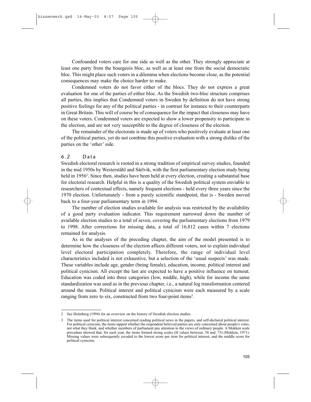Confounded voters care for one side as well as the other. They strongly appreciate at least one party from the bourgeois bloc, as well as at least one from the social democratic bloc. This might place such voters in a dilemma when elections become close, as the potential consequences may make the choice harder to make.

Condemned voters do not favor either of the blocs. They do not express a great evaluation for one of the parties of either bloc. As the Swedish two-bloc structure comprises all parties, this implies that Condemned voters in Sweden by definition do not have strong positive feelings for any of the political parties - in contrast for instance to their counterparts in Great Britain. This will of course be of consequence for the impact that closeness may have on these voters. Condemned voters are expected to show a lower propensity to participate in the election, and are not very susceptible to the degree of closeness of the election.

The remainder of the electorate is made up of voters who positively evaluate at least one of the political parties, yet do not combine this positive evaluation with a strong dislike of the parties on the 'other' side.

# 6.2 Data

Swedish electoral research is rooted in a strong tradition of empirical survey studies, founded in the mid 1950s by Westerståhl and Särlvik, with the first parliamentary election study being held in 1956<sup>2</sup>. Since then, studies have been held at every election, creating a substantial base for electoral research. Helpful in this is a quality of the Swedish political system enviable to researchers of contextual effects, namely frequent elections - held every three years since the 1970 election. Unfortunately - from a purely scientific standpoint, that is - Sweden moved back to a four-year parliamentary term in 1994.

The number of election studies available for analysis was restricted by the availability of a good party evaluation indicator. This requirement narrowed down the number of available election studies to a total of seven, covering the parliamentary elections from 1979 to 1998. After corrections for missing data, a total of 16,812 cases within 7 elections remained for analysis.

As in the analyses of the preceding chapter, the aim of the model presented is to determine how the closeness of the election affects different voters, not to explain individual level electoral participation completely. Therefore, the range of individual level characteristics included is not exhaustive, but a selection of the 'usual suspects' was made. These variables include age, gender (being female), education, income, political interest and political cynicism. All except the last are expected to have a positive influence on turnout. Education was coded into three categories (low, middle, high), while for income the same standardization was used as in the previous chapter, i.e., a natural log transformation centered around the mean. Political interest and political cynicism were each measured by a scale ranging from zero to six, constructed from two four-point items<sup>3</sup>.

 $\overline{\wedge}$ 

<sup>2</sup> See Holmberg (1994) for an overview on the history of Swedish election studies.

<sup>3</sup> The items used for political interest concerned reading political news in the papers, and self-declared political interest. For political cynicism, the items tapped whether the respondent believed parties are only concerned about people's votes, not what they think, and whether members of parliament pay attention to the views of ordinary people. A Mokken scale procedure showed that, for each year, the items formed strong scales (H values between .58 and .73) (Mokken, 1971). Missing values were subsequently recoded to the lowest score per item for political interest, and the middle score for political cynicism.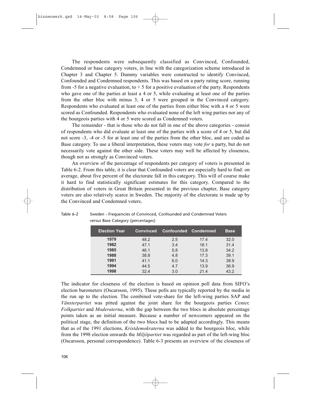The respondents were subsequently classified as Convinced, Confounded, Condemned or base category voters, in line with the categorization scheme introduced in Chapter 3 and Chapter 5. Dummy variables were constructed to identify Convinced, Confounded and Condemned respondents. This was based on a party rating score, running from -5 for a negative evaluation, to  $+5$  for a positive evaluation of the party. Respondents who gave one of the parties at least a 4 or 5, while evaluating at least one of the parties from the other bloc with minus 3, 4 or 5 were grouped in the Convinced category. Respondents who evaluated at least one of the parties from either bloc with a 4 or 5 were scored as Confounded. Respondents who evaluated none of the left wing parties nor any of the bourgeois parties with 4 or 5 were scored as Condemned voters.

The remainder - that is those who do not fall in one of the above categories - consist of respondents who did evaluate at least one of the parties with a score of 4 or 5, but did not score -3, -4 or -5 for at least one of the parties from the other bloc, and are coded as Base category. To use a liberal interpretation, these voters may vote *for* a party, but do not necessarily vote against the other side. These voters may well be affected by closeness, though not as strongly as Convinced voters.

An overview of the percentage of respondents per category of voters is presented in Table 6-2. From this table, it is clear that Confounded voters are especially hard to find: on average, about five percent of the electorate fall in this category. This will of course make it hard to find statistically significant estimates for this category. Compared to the distribution of voters in Great Britain presented in the previous chapter, Base category voters are also relatively scarce in Sweden. The majority of the electorate is made up by the Convinced and Condemned voters.

| <b>Election Year</b> | <b>Convinced</b> | Confounded Condemned |      | <b>Base</b> |
|----------------------|------------------|----------------------|------|-------------|
| 1979                 | 48.2             | 2.5                  | 17.4 | 32.0        |
| 1982                 | 47.1             | 3.4                  | 18.1 | 31.4        |
| 1985                 | 46.1             | 5.8                  | 13.8 | 34.2        |
| 1988                 | 38.8             | 4.8                  | 17.3 | 39.1        |
| 1991                 | 41.1             | 6.0                  | 14.3 | 38.9        |
| 1994                 | 44.5             | 4.7                  | 13.9 | 36.9        |
| 1998                 | 32.4             | 3.0                  | 21.4 | 43.2        |

### Table 6-2 Sweden - Frequencies of Convinced, Confounded and Condemned Voters versus Base Category (percentages)

The indicator for closeness of the election is based on opinion poll data from SIFOís election barometers (Oscarsson, 1995). These polls are typically reported by the media in the run up to the election. The combined vote-share for the left-wing parties SAP and *Vänsterpartiet* was pitted against the joint share for the bourgeois parties *Center*, *Folkpartiet* and *Moderaterna*, with the gap between the two blocs in absolute percentage points taken as an initial measure. Because a number of newcomers appeared on the political stage, the definition of the two blocs had to be adapted accordingly. This means that as of the 1991 elections, *Kristdemokraterna* was added to the bourgeois bloc, while from the 1998 election onwards the *Miljöpartiet* was regarded as part of the left-wing bloc (Oscarsson, personal correspondence). Table 6-3 presents an overview of the closeness of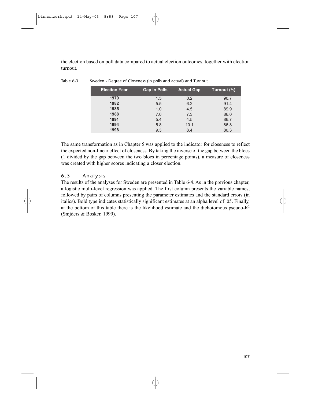the election based on poll data compared to actual election outcomes, together with election turnout.

| <b>Election Year</b> | <b>Gap in Polls</b> | <b>Actual Gap</b> | Turnout (%) |
|----------------------|---------------------|-------------------|-------------|
| 1979                 | 1.5                 | 0.2               | 90.7        |
| 1982                 | 5.5                 | 6.2               | 91.4        |
| 1985                 | 1.0                 | 4.5               | 89.9        |
| 1988                 | 7.0                 | 7.3               | 86.0        |
| 1991                 | 5.4                 | 4.5               | 86.7        |
| 1994                 | 5.8                 | 10.1              | 86.8        |
| 1998                 | 9.3                 | 8.4               | 80.3        |

| Table 6-3 | Sweden - Degree of Closeness (in polls and actual) and Turnout |  |  |  |  |
|-----------|----------------------------------------------------------------|--|--|--|--|
|-----------|----------------------------------------------------------------|--|--|--|--|

The same transformation as in Chapter 5 was applied to the indicator for closeness to reflect the expected non-linear effect of closeness. By taking the inverse of the gap between the blocs (1 divided by the gap between the two blocs in percentage points), a measure of closeness was created with higher scores indicating a closer election.

# 6.3 Analysis

The results of the analyses for Sweden are presented in Table 6-4. As in the previous chapter, a logistic multi-level regression was applied. The first column presents the variable names, followed by pairs of columns presenting the parameter estimates and the standard errors (in italics). Bold type indicates statistically significant estimates at an alpha level of .05. Finally, at the bottom of this table there is the likelihood estimate and the dichotomous pseudo- $R^2$ (Snijders & Bosker, 1999).

 $\overline{\triangle}$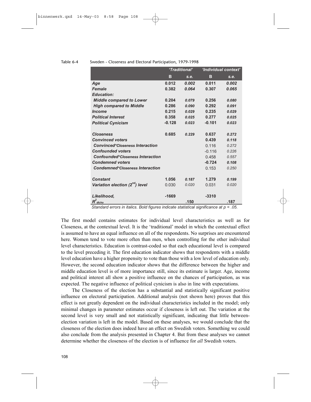|                                         |          | 'Traditional' |          | 'Individual context' |
|-----------------------------------------|----------|---------------|----------|----------------------|
|                                         | в        | s.e.          | в        | s.e.                 |
| Age                                     | 0.012    | 0.002         | 0.011    | 0.002                |
| <b>Female</b>                           | 0.382    | 0.064         | 0.307    | 0.065                |
| <b>Education:</b>                       |          |               |          |                      |
| <b>Middle compared to Lower</b>         | 0.204    | 0.079         | 0.256    | 0.080                |
| <b>High compared to Middle</b>          | 0.286    | 0.090         | 0.292    | 0.091                |
| <b>Income</b>                           | 0.215    | 0.029         | 0.235    | 0.029                |
| <b>Political Interest</b>               | 0.358    | 0.025         | 0.277    | 0.025                |
| <b>Political Cynicism</b>               | $-0.128$ | 0.023         | $-0.101$ | 0.023                |
|                                         |          |               |          |                      |
| <b>Closeness</b>                        | 0.685    | 0.229         | 0.637    | 0.272                |
| <b>Convinced voters</b>                 |          |               | 0.439    | 0.118                |
| <b>Convinced*Closeness Interaction</b>  |          |               | 0.116    | 0.272                |
| <b>Confounded voters</b>                |          |               | $-0.116$ | 0.226                |
| <b>Confounded*Closeness Interaction</b> |          |               | 0.458    | 0.557                |
| <b>Condemned voters</b>                 |          |               | $-0.724$ | 0.108                |
| <b>Condemned*Closeness Interaction</b>  |          |               | 0.153    | 0.250                |
|                                         |          |               |          |                      |
| <b>Constant</b>                         | 1.056    | 0.187         | 1.279    | 0.199                |
| Variation election $(2^{nd})$ level     | 0.030    | 0.020         | 0.031    | 0.020                |
|                                         |          |               |          |                      |
| Likelihood,                             | $-1669$  |               | $-3310$  |                      |
| $R^2$ dicho                             |          | .150          |          | .187                 |

Table 6-4 Sweden - Closeness and Electoral Participation, 1979-1998

*Standard errors in italics. Bold figures indicate statistical significance at p < .05.*

The first model contains estimates for individual level characteristics as well as for Closeness, at the contextual level. It is the 'traditional' model in which the contextual effect is assumed to have an equal influence on all of the respondents. No surprises are encountered here. Women tend to vote more often than men, when controlling for the other individual level characteristics. Education is contrast-coded so that each educational level is compared to the level preceding it. The first education indicator shows that respondents with a middle level education have a higher propensity to vote than those with a low level of education only. However, the second education indicator shows that the difference between the higher and middle education level is of more importance still, since its estimate is larger. Age, income and political interest all show a positive influence on the chances of participation, as was expected. The negative influence of political cynicism is also in line with expectations.

The Closeness of the election has a substantial and statistically significant positive influence on electoral participation. Additional analysis (not shown here) proves that this effect is not greatly dependent on the individual characteristics included in the model; only minimal changes in parameter estimates occur if closeness is left out. The variation at the second level is very small and not statistically significant, indicating that little betweenelection variation is left in the model. Based on these analyses, we would conclude that the closeness of the election does indeed have an effect on Swedish voters. Something we could also conclude from the analysis presented in Chapter 4. But from these analyses we cannot determine whether the closeness of the election is of influence for *all* Swedish voters.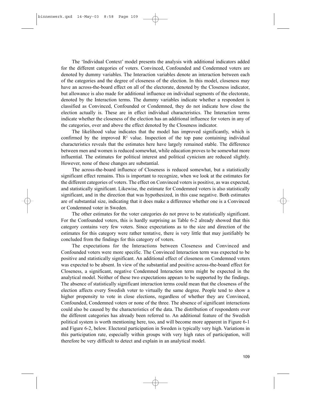The 'Individual Context' model presents the analysis with additional indicators added for the different categories of voters. Convinced, Confounded and Condemned voters are denoted by dummy variables. The Interaction variables denote an interaction between each of the categories and the degree of closeness of the election. In this model, closeness may have an across-the-board effect on all of the electorate, denoted by the Closeness indicator, but allowance is also made for additional influence on individual segments of the electorate, denoted by the Interaction terms. The dummy variables indicate whether a respondent is classified as Convinced, Confounded or Condemned, they do not indicate how close the election actually is. These are in effect individual characteristics. The Interaction terms indicate whether the closeness of the election has an additional influence for voters in any of the categories, over and above the effect denoted by the Closeness indicator.

The likelihood value indicates that the model has improved significantly, which is confirmed by the improved  $\mathbb{R}^2$  value. Inspection of the top pane containing individual characteristics reveals that the estimates here have largely remained stable. The difference between men and women is reduced somewhat, while education proves to be somewhat more influential. The estimates for political interest and political cynicism are reduced slightly. However, none of these changes are substantial.

The across-the-board influence of Closeness is reduced somewhat, but a statistically significant effect remains. This is important to recognize, when we look at the estimates for the different categories of voters. The effect on Convinced voters is positive, as was expected, and statistically significant. Likewise, the estimate for Condemned voters is also statistically significant, and in the direction that was hypothesized, in this case negative. Both estimates are of substantial size, indicating that it does make a difference whether one is a Convinced or Condemned voter in Sweden.

The other estimates for the voter categories do not prove to be statistically significant. For the Confounded voters, this is hardly surprising as Table 6-2 already showed that this category contains very few voters. Since expectations as to the size and direction of the estimates for this category were rather tentative, there is very little that may justifiably be concluded from the findings for this category of voters.

The expectations for the Interactions between Closeness and Convinced and Confounded voters were more specific. The Convinced Interaction term was expected to be positive and statistically significant. An additional effect of closeness on Condemned voters was expected to be absent. In view of the substantial and positive across-the-board effect for Closeness, a significant, negative Condemned Interaction term might be expected in the analytical model. Neither of these two expectations appears to be supported by the findings. The absence of statistically significant interaction terms could mean that the closeness of the election affects every Swedish voter to virtually the same degree. People tend to show a higher propensity to vote in close elections, regardless of whether they are Convinced, Confounded, Condemned voters or none of the three. The absence of significant interactions could also be caused by the characteristics of the data. The distribution of respondents over the different categories has already been referred to. An additional feature of the Swedish political system is worth mentioning here, too, and will become more apparent in Figure 6-1 and Figure 6-2, below. Electoral participation in Sweden is typically very high. Variations in this participation rate, especially within groups with very high rates of participation, will therefore be very difficult to detect and explain in an analytical model.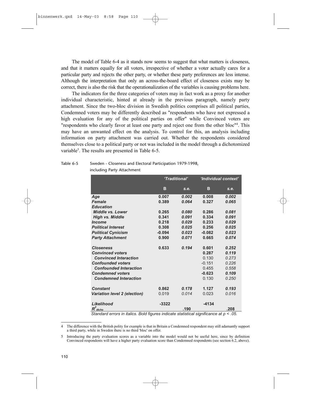The model of Table 6-4 as it stands now seems to suggest that what matters is closeness, and that it matters equally for all voters, irrespective of whether a voter actually cares for a particular party and rejects the other party, or whether these party preferences are less intense. Although the interpretation that only an across-the-board effect of closeness exists may be correct, there is also the risk that the operationalization of the variables is causing problems here.

The indicators for the three categories of voters may in fact work as a proxy for another individual characteristic, hinted at already in the previous paragraph, namely party attachment. Since the two-bloc division in Swedish politics comprises all political parties, Condemned voters may be differently described as "respondents who have not expressed a high evaluation for any of the political parties on offer" while Convinced voters are "respondents who clearly favor at least one party and reject one from the other bloc"4 . This may have an unwanted effect on the analysis. To control for this, an analysis including information on party attachment was carried out. Whether the respondents considered themselves close to a political party or not was included in the model through a dichotomized variable<sup>5</sup>. The results are presented in Table 6-5.

|                                     |          | 'Traditional' |          | 'Individual context' |
|-------------------------------------|----------|---------------|----------|----------------------|
|                                     | в        | s.e.          | в        | S.e.                 |
| Age                                 | 0.007    | 0.002         | 0.008    | 0.002                |
| <b>Female</b>                       | 0.389    | 0.064         | 0.327    | 0.065                |
| <b>Education</b>                    |          |               |          |                      |
| <b>Middle vs. Lower</b>             | 0.265    | 0.080         | 0.286    | 0.081                |
| High vs. Middle                     | 0.341    | 0.091         | 0.334    | 0.091                |
| <b>Income</b>                       | 0.218    | 0.029         | 0.233    | 0.029                |
| <b>Political Interest</b>           | 0.308    | 0.025         | 0.256    | 0.025                |
| <b>Political Cynicism</b>           | $-0.094$ | 0.023         | $-0.082$ | 0.023                |
| <b>Party Attachment</b>             | 0.900    | 0.071         | 0.665    | 0.074                |
| <b>Closeness</b>                    | 0.633    | 0.194         | 0.601    | 0.252                |
| <b>Convinced voters</b>             |          |               | 0.287    | 0.119                |
| <b>Convinced Interaction</b>        |          |               | 0.130    | 0.273                |
| <b>Confounded voters</b>            |          |               | $-0.151$ | 0.226                |
| <b>Confounded Interaction</b>       |          |               | 0.455    | 0.558                |
| <b>Condemned voters</b>             |          |               | $-0.623$ | 0.109                |
| <b>Condemned Interaction</b>        |          |               | 0.130    | 0.250                |
| <b>Constant</b>                     | 0.862    | 0.178         | 1.127    | 0.193                |
| <b>Variation level 2 (election)</b> | 0.019    | 0.014         | 0.023    | 0.016                |
| Likelihood                          | $-3322$  |               | $-4134$  |                      |
| $R^2$ <sub>dicho</sub>              |          | .190          |          | .208                 |

Table 6-5 Sweden - Closeness and Electoral Participation 1979-1998, including Party Attachment

*Standard errors in italics. Bold figures indicate statistical significance at p < .05.*

4 The difference with the British polity for example is that in Britain a Condemned respondent may still adamantly support a third party, while in Sweden there is no third 'bloc' on offer.

<sup>5</sup> Introducing the party evaluation scores as a variable into the model would not be useful here, since by definition Convinced respondents will have a higher party evaluation score than Condemned respondents (see section 6.2, above).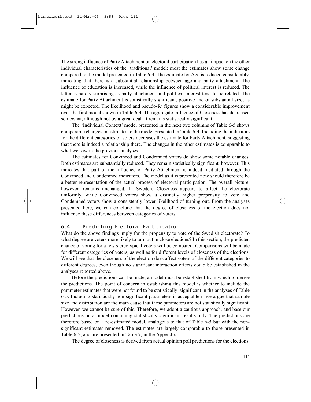The strong influence of Party Attachment on electoral participation has an impact on the other individual characteristics of the 'traditional' model: most the estimates show some change compared to the model presented in Table 6-4. The estimate for Age is reduced considerably, indicating that there is a substantial relationship between age and party attachment. The influence of education is increased, while the influence of political interest is reduced. The latter is hardly surprising as party attachment and political interest tend to be related. The estimate for Party Attachment is statistically significant, positive and of substantial size, as might be expected. The likelihood and pseudo- $R^2$  figures show a considerable improvement over the first model shown in Table 6-4. The aggregate influence of Closeness has decreased somewhat, although not by a great deal. It remains statistically significant.

The 'Individual Context' model presented in the next two columns of Table 6-5 shows comparable changes in estimates to the model presented in Table 6-4. Including the indicators for the different categories of voters decreases the estimate for Party Attachment, suggesting that there is indeed a relationship there. The changes in the other estimates is comparable to what we saw in the previous analyses.

The estimates for Convinced and Condemned voters do show some notable changes. Both estimates are substantially reduced. They remain statistically significant, however. This indicates that part of the influence of Party Attachment is indeed mediated through the Convinced and Condemned indicators. The model as it is presented now should therefore be a better representation of the actual process of electoral participation. The overall picture, however, remains unchanged. In Sweden, Closeness appears to affect the electorate uniformly, while Convinced voters show a distinctly higher propensity to vote and Condemned voters show a consistently lower likelihood of turning out. From the analyses presented here, we can conclude that the degree of closeness of the election does not influence these differences between categories of voters.

# 6.4 Predicting Electoral Participation

What do the above findings imply for the propensity to vote of the Swedish electorate? To what degree are voters more likely to turn out in close elections? In this section, the predicted chance of voting for a few stereotypical voters will be compared. Comparisons will be made for different categories of voters, as well as for different levels of closeness of the elections. We will see that the closeness of the election does affect voters of the different categories to different degrees, even though no significant interaction effects could be established in the analyses reported above.

Before the predictions can be made, a model must be established from which to derive the predictions. The point of concern in establishing this model is whether to include the parameter estimates that were not found to be statistically significant in the analyses of Table 6-5. Including statistically non-significant parameters is acceptable if we argue that sample size and distribution are the main cause that these parameters are not statistically significant. However, we cannot be sure of this. Therefore, we adopt a cautious approach, and base our predictions on a model containing statistically significant results only. The predictions are therefore based on a re-estimated model, analogous to that of Table 6-5 but with the nonsignificant estimates removed. The estimates are largely comparable to those presented in Table 6-5, and are presented in Table 7, in the Appendix.

The degree of closeness is derived from actual opinion poll predictions for the elections.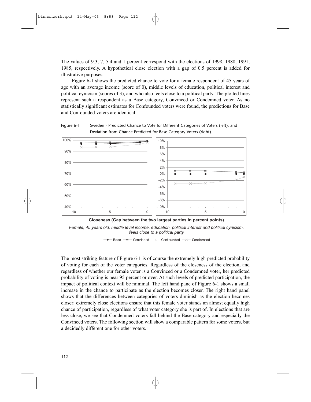The values of 9.3, 7, 5.4 and 1 percent correspond with the elections of 1998, 1988, 1991, 1985, respectively. A hypothetical close election with a gap of 0.5 percent is added for illustrative purposes.

Figure 6-1 shows the predicted chance to vote for a female respondent of 45 years of age with an average income (score of 0), middle levels of education, political interest and political cynicism (scores of 3), and who also feels close to a political party. The plotted lines represent such a respondent as a Base category, Convinced or Condemned voter. As no statistically significant estimates for Confounded voters were found, the predictions for Base and Confounded voters are identical.







*Female, 45 years old, middle level income, education, political interest and political cynicism, feels close to a political party*

Base  $-\blacksquare$  Convinced  $-\blacksquare$  Confounded  $-\times$  Condemned

The most striking feature of Figure 6-1 is of course the extremely high predicted probability of voting for each of the voter categories. Regardless of the closeness of the election, and regardless of whether our female voter is a Convinced or a Condemned voter, her predicted probability of voting is near 95 percent or over. At such levels of predicted participation, the impact of political context will be minimal. The left hand pane of Figure 6-1 shows a small increase in the chance to participate as the election becomes closer. The right hand panel shows that the differences between categories of voters diminish as the election becomes closer: extremely close elections ensure that this female voter stands an almost equally high chance of participation, regardless of what voter category she is part of. In elections that are less close, we see that Condemned voters fall behind the Base category and especially the Convinced voters. The following section will show a comparable pattern for some voters, but a decidedly different one for other voters.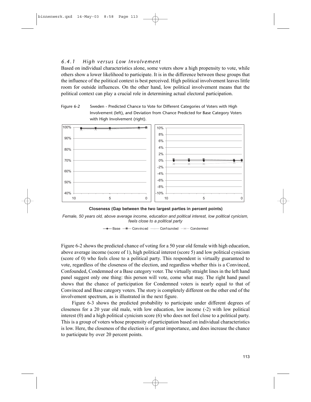# *6.4.1 High versus Low Involvement*

Based on individual characteristics alone, some voters show a high propensity to vote, while others show a lower likelihood to participate. It is in the difference between these groups that the influence of the political context is best perceived. High political involvement leaves little room for outside influences. On the other hand, low political involvement means that the political context can play a crucial role in determining actual electoral participation.





**Closeness (Gap between the two largest parties in percent points)** 

*Female, 50 years old, above average income, education and political interest, low political cynicism, feels close to a political party*

-Base  $-\blacksquare$  Convinced  $-\blacksquare$  Confounded  $-\times$  Condemned

Figure 6-2 shows the predicted chance of voting for a 50 year old female with high education, above average income (score of 1), high political interest (score 5) and low political cynicism (score of 0) who feels close to a political party. This respondent is virtually guaranteed to vote, regardless of the closeness of the election, and regardless whether this is a Convinced, Confounded, Condemned or a Base category voter. The virtually straight lines in the left hand panel suggest only one thing: this person will vote, come what may. The right hand panel shows that the chance of participation for Condemned voters is nearly equal to that of Convinced and Base category voters. The story is completely different on the other end of the involvement spectrum, as is illustrated in the next figure.

Figure 6-3 shows the predicted probability to participate under different degrees of closeness for a 20 year old male, with low education, low income (-2) with low political interest (0) and a high political cynicism score (6) who does not feel close to a political party. This is a group of voters whose propensity of participation based on individual characteristics is low. Here, the closeness of the election is of great importance, and does increase the chance to participate by over 20 percent points.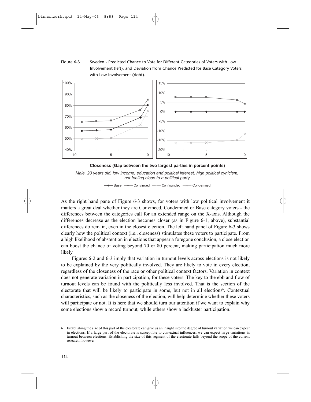Figure 6-3 Sweden - Predicted Chance to Vote for Different Categories of Voters with Low Involvement (left), and Deviation from Chance Predicted for Base Category Voters with Low Involvement (right).





*Male, 20 years old, low income, education and political interest, high political cynicism, not feeling close to a political party*

-Base  $-\blacksquare$  Convinced  $-\blacksquare$  Confounded  $-\times$  Condemned

As the right hand pane of Figure 6-3 shows, for voters with low political involvement it matters a great deal whether they are Convinced, Condemned or Base category voters - the differences between the categories call for an extended range on the X-axis. Although the differences decrease as the election becomes closer (as in Figure 6-1, above), substantial differences do remain, even in the closest election. The left hand panel of Figure 6-3 shows clearly how the political context (i.e., closeness) stimulates these voters to participate. From a high likelihood of abstention in elections that appear a foregone conclusion, a close election can boost the chance of voting beyond 70 or 80 percent, making participation much more likely.

Figures 6-2 and 6-3 imply that variation in turnout levels across elections is not likely to be explained by the very politically involved. They are likely to vote in every election, regardless of the closeness of the race or other political context factors. Variation in context does not generate variation in participation, for these voters. The key to the ebb and flow of turnout levels can be found with the politically less involved. That is the section of the electorate that will be likely to participate in some, but not in all elections<sup>6</sup>. Contextual characteristics, such as the closeness of the election, will help determine whether these voters will participate or not. It is here that we should turn our attention if we want to explain why some elections show a record turnout, while others show a lackluster participation.

Establishing the size of this part of the electorate can give us an insight into the degree of turnout variation we can expect in elections. If a large part of the electorate is susceptible to contextual influences, we can expect large variations in turnout between elections. Establishing the size of this segment of the electorate falls beyond the scope of the current research, however.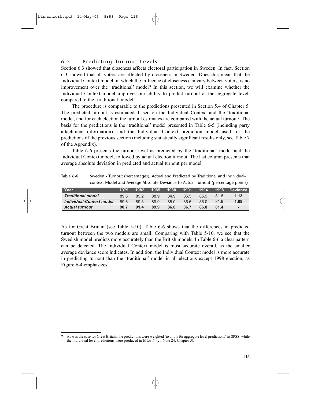# 6.5 Predicting Turnout Levels

Section 6.3 showed that closeness affects electoral participation in Sweden. In fact, Section 6.3 showed that all voters are affected by closeness in Sweden. Does this mean that the Individual Context model, in which the influence of closeness can vary between voters, is no improvement over the ëtraditionalí model? In this section, we will examine whether the Individual Context model improves our ability to predict turnout at the aggregate level, compared to the 'traditional' model.

The procedure is comparable to the predictions presented in Section 5.4 of Chapter 5. The predicted turnout is estimated, based on the Individual Context and the 'traditional model, and for each election the turnout estimates are compared with the actual turnout<sup>7</sup>. The basis for the predictions is the ëtraditionalí model presented in Table 6-5 (including party attachment information), and the Individual Context prediction model used for the predictions of the previous section (including statistically significant results only, see Table 7 of the Appendix).

Table 6-6 presents the turnout level as predicted by the 'traditional' model and the Individual Context model, followed by actual election turnout. The last column presents that average absolute deviation in predicted and actual turnout per model.

|       | context Model and Average Absolute Deviance to Actual Turnout (percentage points) |                                                                                                                                                                                                                                                                                                                                                                                      |  |  |                                             |
|-------|-----------------------------------------------------------------------------------|--------------------------------------------------------------------------------------------------------------------------------------------------------------------------------------------------------------------------------------------------------------------------------------------------------------------------------------------------------------------------------------|--|--|---------------------------------------------|
| Year  |                                                                                   |                                                                                                                                                                                                                                                                                                                                                                                      |  |  | 1979 1982 1985 1988 1991 1994 1998 Deviance |
| _ … . |                                                                                   | $\overline{a}$ $\overline{a}$ $\overline{a}$ $\overline{a}$ $\overline{a}$ $\overline{a}$ $\overline{a}$ $\overline{a}$ $\overline{a}$ $\overline{a}$ $\overline{a}$ $\overline{a}$ $\overline{a}$ $\overline{a}$ $\overline{a}$ $\overline{a}$ $\overline{a}$ $\overline{a}$ $\overline{a}$ $\overline{a}$ $\overline{a}$ $\overline{a}$ $\overline{a}$ $\overline{a}$ $\overline{$ |  |  |                                             |

Table 6-6 Sweden - Turnout (percentages), Actual and Predicted by Traditional and Individual-

| l Year                   | 1979 | 1982      | 1985 | 1988. | 1991 | 1994 | 1998 | <b>Deviance</b> |
|--------------------------|------|-----------|------|-------|------|------|------|-----------------|
| <b>Traditional model</b> | 89.6 | 89.2      | 88.9 | 84.9  | 85.5 | 85.9 | 81.8 | 1.13            |
| Individual-Context model | 89.6 | 89.3      | 89.0 | 85.0  | 85.6 | 86.0 | 81.9 | 1.08            |
| <b>Actual turnout</b>    | 90.7 | $91 \, 4$ | 89.9 | 86.0  | 86.7 | 86.8 | 81 4 | $\blacksquare$  |

As for Great Britain (see Table 5-10), Table 6-6 shows that the differences in predicted turnout between the two models are small. Comparing with Table 5-10, we see that the Swedish model predicts more accurately than the British models. In Table 6-6 a clear pattern can be detected. The Individual Context model is most accurate overall, as the smaller average deviance score indicates. In addition, the Individual Context model is more accurate in predicting turnout than the 'traditional' model in all elections except 1998 election, as Figure 6-4 emphasizes.

<sup>7</sup> As was the case for Great Britain, the predictions were weighted (to allow for aggregate level predictions) in SPSS, while the individual level predictions were produced in MLwiN (cf. Note 24, Chapter 5).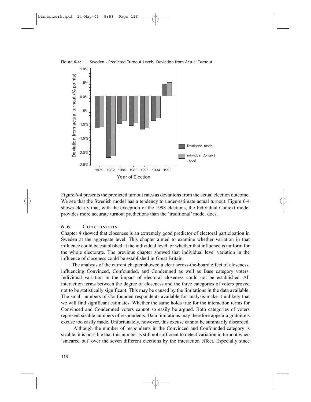

Figure 6-4: Sweden - Predicted Turnout Levels, Deviation from Actual Turnout

Figure 6-4 presents the predicted turnout rates as deviations from the actual election outcome. We see that the Swedish model has a tendency to under-estimate actual turnout. Figure 6-4 shows clearly that, with the exception of the 1998 elections, the Individual Context model provides more accurate turnout predictions than the 'traditional' model does.

# 6.6 Conclusions

Chapter 4 showed that closeness is an extremely good predictor of electoral participation in Sweden at the aggregate level. This chapter aimed to examine whether variation in that influence could be established at the individual level, or whether that influence is uniform for the whole electorate. The previous chapter showed that individual level variation in the influence of closeness could be established in Great Britain.

The analysis of the current chapter showed a clear across-the-board effect of closeness, influencing Convinced, Confounded, and Condemned as well as Base category voters. Individual variation in the impact of electoral closeness could not be established. All interaction terms between the degree of closeness and the three categories of voters proved not to be statistically significant. This may be caused by the limitations in the data available. The small numbers of Confounded respondents available for analysis make it unlikely that we will find significant estimates. Whether the same holds true for the interaction terms for Convinced and Condemned voters cannot so easily be argued. Both categories of voters represent sizable numbers of respondents. Data limitations may therefore appear a gratuitous excuse too easily made. Unfortunately, however, this excuse cannot be summarily discarded.

Although the number of respondents in the Convinced and Confounded category is sizable, it is possible that this number is still not sufficient to detect variation in turnout when 'smeared out' over the seven different elections by the interaction effect. Especially since

 $\overline{\wedge}$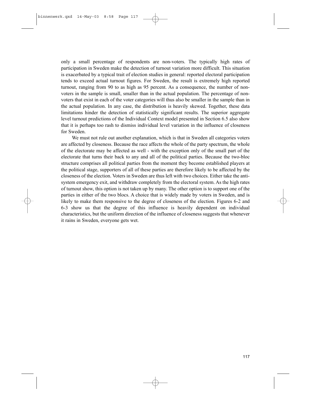only a small percentage of respondents are non-voters. The typically high rates of participation in Sweden make the detection of turnout variation more difficult. This situation is exacerbated by a typical trait of election studies in general: reported electoral participation tends to exceed actual turnout figures. For Sweden, the result is extremely high reported turnout, ranging from 90 to as high as 95 percent. As a consequence, the number of nonvoters in the sample is small, smaller than in the actual population. The percentage of nonvoters that exist in each of the voter categories will thus also be smaller in the sample than in the actual population. In any case, the distribution is heavily skewed. Together, these data limitations hinder the detection of statistically significant results. The superior aggregate level turnout predictions of the Individual Context model presented in Section 6.5 also show that it is perhaps too rash to dismiss individual level variation in the influence of closeness for Sweden.

We must not rule out another explanation, which is that in Sweden all categories voters are affected by closeness. Because the race affects the whole of the party spectrum, the whole of the electorate may be affected as well - with the exception only of the small part of the electorate that turns their back to any and all of the political parties. Because the two-bloc structure comprises all political parties from the moment they become established players at the political stage, supporters of all of these parties are therefore likely to be affected by the closeness of the election. Voters in Sweden are thus left with two choices. Either take the antisystem emergency exit, and withdraw completely from the electoral system. As the high rates of turnout show, this option is not taken up by many. The other option is to support one of the parties in either of the two blocs. A choice that is widely made by voters in Sweden, and is likely to make them responsive to the degree of closeness of the election. Figures 6-2 and 6-3 show us that the degree of this influence is heavily dependent on individual characteristics, but the uniform direction of the influence of closeness suggests that whenever it rains in Sweden, everyone gets wet.

 $\overline{\wedge}$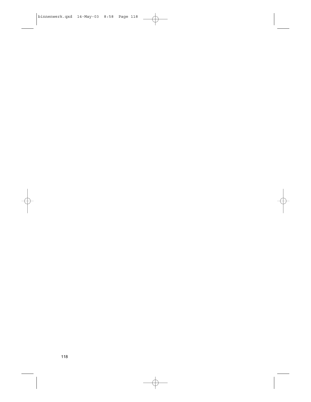118

Ð

 $\overline{\phantom{0}}$ 

 $\overline{\mathcal{A}}$ 

-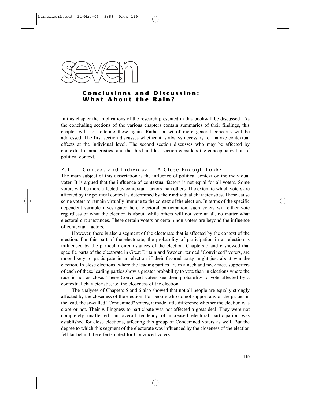

# **Conclusions and Discussion: What About the Rain?**

In this chapter the implications of the research presented in this bookwill be discussed . As the concluding sections of the various chapters contain summaries of their findings, this chapter will not reiterate these again. Rather, a set of more general concerns will be addressed. The first section discusses whether it is always necessary to analyze contextual effects at the individual level. The second section discusses who may be affected by contextual characteristics, and the third and last section considers the conceptualization of political context.

# 7.1 Context and Individual - A Close Enough Look?

The main subject of this dissertation is the influence of political context on the individual voter. It is argued that the influence of contextual factors is not equal for all voters. Some voters will be more affected by contextual factors than others. The extent to which voters are affected by the political context is determined by their individual characteristics. These cause some voters to remain virtually immune to the context of the election. In terms of the specific dependent variable investigated here, electoral participation, such voters will either vote regardless of what the election is about, while others will not vote at all, no matter what electoral circumstances. These certain voters or certain non-voters are beyond the influence of contextual factors.

However, there is also a segment of the electorate that is affected by the context of the election. For this part of the electorate, the probability of participation in an election is influenced by the particular circumstances of the election. Chapters 5 and 6 showed that specific parts of the electorate in Great Britain and Sweden, termed "Convinced" voters, are more likely to participate in an election if their favored party might just about win the election. In close elections, where the leading parties are in a neck and neck race, supporters of each of these leading parties show a greater probability to vote than in elections where the race is not as close. These Convinced voters see their probability to vote affected by a contextual characteristic, i.e. the closeness of the election.

The analyses of Chapters 5 and 6 also showed that not all people are equally strongly affected by the closeness of the election. For people who do not support any of the parties in the lead, the so-called "Condemned" voters, it made little difference whether the election was close or not. Their willingness to participate was not affected a great deal. They were not completely unaffected: an overall tendency of increased electoral participation was established for close elections, affecting this group of Condemned voters as well. But the degree to which this segment of the electorate was influenced by the closeness of the election fell far behind the effects noted for Convinced voters.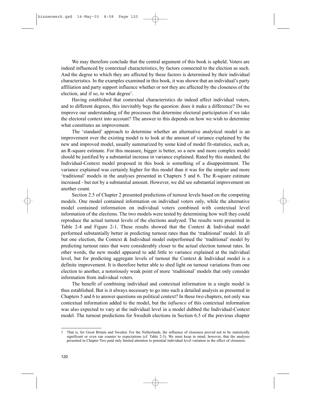We may therefore conclude that the central argument of this book is upheld. Voters are indeed influenced by contextual characteristics, by factors connected to the election as such. And the degree to which they are affected by these factors is determined by their individual characteristics. In the examples examined in this book, it was shown that an individual's party affiliation and party support influence whether or not they are affected by the closeness of the election, and if so, to what degree<sup>1</sup>.

Having established that contextual characteristics do indeed affect individual voters, and to different degrees, this inevitably begs the question: does it make a difference? Do we improve our understanding of the processes that determine electoral participation if we take the electoral context into account? The answer to this depends on how we wish to determine what constitutes an improvement.

The 'standard' approach to determine whether an alternative analytical model is an improvement over the existing model is to look at the amount of variance explained by the new and improved model, usually summarized by some kind of model fit-statistics, such as, an R-square estimate. For this measure, bigger is better, so a new and more complex model should be justified by a substantial increase in variance explained. Rated by this standard, the Individual-Context model proposed in this book is something of a disappointment. The variance explained was certainly higher for this model than it was for the simpler and more ëtraditionalí models in the analyses presented in Chapters 5 and 6. The R-square estimate increased - but not by a substantial amount. However, we did see substantial improvement on another count.

Section 2.5 of Chapter 2 presented predictions of turnout levels based on the competing models. One model contained information on individual voters only, while the alternative model contained information on individual voters combined with contextual level information of the elections. The two models were tested by determining how well they could reproduce the actual turnout levels of the elections analyzed. The results were presented in Table 2-4 and Figure 2-1. These results showed that the Context  $\&$  Individual model performed substantially better in predicting turnout rates than the 'traditional' model. In all but one election, the Context  $\&$  Individual model outperformed the 'traditional' model by predicting turnout rates that were considerably closer to the actual election turnout rates. In other words, the new model appeared to add little to variance explained at the individual level, but for predicting aggregate levels of turnout the Context & Individual model is a definite improvement. It is therefore better able to shed light on turnout variations from one election to another, a notoriously weak point of more 'traditional' models that only consider information from individual voters.

The benefit of combining individual and contextual information in a single model is thus established. But is it always necessary to go into such a detailed analysis as presented in Chapters 5 and 6 to answer questions on political context? In these two chapters, not only was contextual information added to the model, but the *influence* of this contextual information was also expected to vary at the individual level in a model dubbed the Individual-Context model. The turnout predictions for Swedish elections in Section 6.5 of the previous chapter

<sup>1</sup> That is, for Great Britain and Sweden. For the Netherlands, the influence of closeness proved not to be statistically significant or even run counter to expectations (cf. Table 2-3). We must keep in mind, however, that the analyses presented in Chapter Two paid only limited attention to potential individual level variation in the effect of closeness.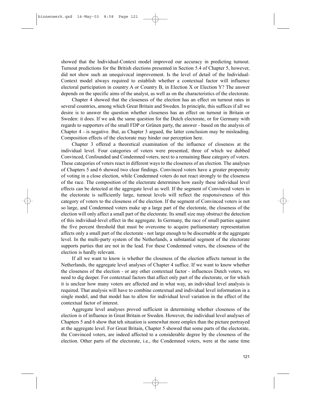showed that the Individual-Context model improved our accuracy in predicting turnout. Turnout predictions for the British elections presented in Section 5.4 of Chapter 5, however, did not show such an unequivocal improvement. Is the level of detail of the Individual-Context model always required to establish whether a contextual factor will influence electoral participation in country A or Country B, in Election X or Election Y? The answer depends on the specific aims of the analyst, as well as on the characteristics of the electorate.

Chapter 4 showed that the closeness of the election has an effect on turnout rates in several countries, among which Great Britain and Sweden. In principle, this suffices if all we desire is to answer the question whether closeness has an effect on turnout in Britain or Sweden: it does. If we ask the same question for the Dutch electorate, or for Germany with regards to supporters of the small FDP or Grünen party, the answer - based on the analysis of Chapter 4 - is negative. But, as Chapter 3 argued, the latter conclusion may be misleading. Composition effects of the electorate may hinder our perception here.

Chapter 3 offered a theoretical examination of the influence of closeness at the individual level. Four categories of voters were presented, three of which we dubbed Convinced, Confounded and Condemned voters, next to a remaining Base category of voters. These categories of voters react in different ways to the closeness of an election. The analyses of Chapters 5 and 6 showed two clear findings. Convinced voters have a greater propensity of voting in a close election, while Condemned voters do not react strongly to the closeness of the race. The composition of the electorate determines how easily these individual level effects can be detected at the aggregate level as well. If the segment of Convinced voters in the electorate is sufficiently large, turnout levels will reflect the responsiveness of this category of voters to the closeness of the election. If the segment of Convinced voters is not so large, and Condemned voters make up a large part of the electorate, the closeness of the election will only affect a small part of the electorate. Its small size may obstruct the detection of this individual-level effect in the aggregate. In Germany, the race of small parties against the five percent threshold that must be overcome to acquire parliamentary representation affects only a small part of the electorate - not large enough to be discernable at the aggregate level. In the multi-party system of the Netherlands, a substantial segment of the electorate supports parties that are not in the lead. For these Condemned voters, the closeness of the election is hardly relevant.

If all we want to know is whether the closeness of the election affects turnout in the Netherlands, the aggregate level analyses of Chapter 4 suffice. If we want to know whether the closeness of the election - or any other contextual factor - influences Dutch voters, we need to dig deeper. For contextual factors that affect only part of the electorate, or for which it is unclear how many voters are affected and in what way, an individual level analysis is required. That analysis will have to combine contextual and individual level information in a single model, and that model has to allow for individual level variation in the effect of the contextual factor of interest.

Aggregate level analyses proved sufficient in determining whether closeness of the election is of influence in Great Britain or Sweden. However, the individual level analyses of Chapters 5 and 6 show that teh situation is somewhat more omplex than the picture portrayed at the aggregate level. For Great Britain, Chapter 5 showed that some parts of the electorate, the Convinced voters, are indeed affected to a considerable degree by the closeness of the election. Other parts of the electorate, i.e., the Condemned voters, were at the same time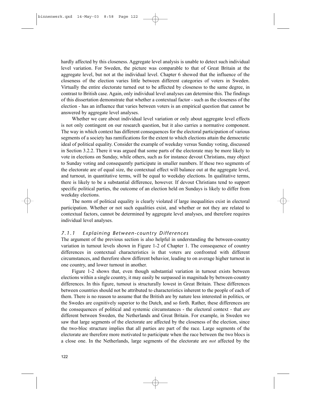hardly affected by this closeness. Aggregate level analysis is unable to detect such individual level variation. For Sweden, the picture was comparable to that of Great Britain at the aggregate level, but not at the individual level. Chapter 6 showed that the influence of the closeness of the election varies little between different categories of voters in Sweden. Virtually the entire electorate turned out to be affected by closeness to the same degree, in contrast to British case. Again, only individual level analyses can determine this. The findings of this dissertation demonstrate that whether a contextual factor - such as the closeness of the election - has an influence that varies between voters is an empirical question that cannot be answered by aggregate level analyses.

Whether we care about individual level variation or only about aggregate level effects is not only contingent on our research question, but it also carries a normative component. The way in which context has different consequences for the electoral participation of various segments of a society has ramifications for the extent to which elections attain the democratic ideal of political equality. Consider the example of weekday versus Sunday voting, discussed in Section 3.2.2. There it was argued that some parts of the electorate may be more likely to vote in elections on Sunday, while others, such as for instance devout Christians, may object to Sunday voting and consequently participate in smaller numbers. If these two segments of the electorate are of equal size, the contextual effect will balance out at the aggregate level, and turnout, in quantitative terms, will be equal to weekday elections. In qualitative terms, there is likely to be a substantial difference, however. If devout Christians tend to support specific political parties, the outcome of an election held on Sundays is likely to differ from weekday elections.

The norm of political equality is clearly violated if large inequalities exist in electoral participation. Whether or not such equalities exist, and whether or not they are related to contextual factors, cannot be determined by aggregate level analyses, and therefore requires individual level analyses.

#### *7.1.1 Explaining Between-country Differences*

The argument of the previous section is also helpful in understanding the between-country variation in turnout levels shown in Figure 1-2 of Chapter 1. The consequence of country differences in contextual characteristics is that voters are confronted with different circumstances, and therefore show different behavior, leading to on average higher turnout in one country, and lower turnout in another.

Figure 1-2 shows that, even though substantial variation in turnout exists between elections within a single country, it may easily be surpassed in magnitude by between-country differences. In this figure, turnout is structurally lowest in Great Britain. These differences between countries should not be attributed to characteristics inherent to the people of each of them. There is no reason to assume that the British are by nature less interested in politics, or the Swedes are cognitively superior to the Dutch, and so forth. Rather, these differences are the consequences of political and systemic circumstances - the electoral context - that *are* different between Sweden, the Netherlands and Great Britain. For example, in Sweden we saw that large segments of the electorate are affected by the closeness of the election, since the two-bloc structure implies that all parties are part of the race. Large segments of the electorate are therefore more motivated to participate when the race between the two blocs is a close one. In the Netherlands, large segments of the electorate are *not* affected by the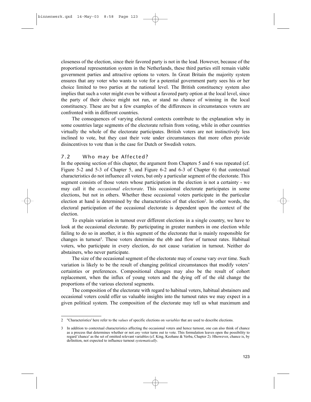closeness of the election, since their favored party is not in the lead. However, because of the proportional representation system in the Netherlands, these third parties still remain viable government parties and attractive options to voters. In Great Britain the majority system ensures that any voter who wants to vote for a potential government party sees his or her choice limited to two parties at the national level. The British constituency system also implies that such a voter might even be without a favored party option at the local level, since the party of their choice might not run, or stand no chance of winning in the local constituency. These are but a few examples of the differences in circumstances voters are confronted with in different countries.

The consequences of varying electoral contexts contribute to the explanation why in some countries large segments of the electorate refrain from voting, while in other countries virtually the whole of the electorate participates. British voters are not instinctively less inclined to vote, but they cast their vote under circumstances that more often provide disincentives to vote than is the case for Dutch or Swedish voters.

# 7.2 Who may be Affected?

In the opening section of this chapter, the argument from Chapters 5 and 6 was repeated (cf. Figure 5-2 and 5-3 of Chapter 5, and Figure 6-2 and 6-3 of Chapter 6) that contextual characteristics do not influence all voters, but only a particular segment of the electorate. This segment consists of those voters whose participation in the election is not a certainty - we may call it the *occasional electorate*. This occasional electorate participates in some elections, but not in others. Whether these occasional voters participate in the particular election at hand is determined by the characteristics of that election<sup>2</sup>. In other words, the electoral participation of the occasional electorate is dependent upon the context of the election.

To explain variation in turnout over different elections in a single country, we have to look at the occasional electorate. By participating in greater numbers in one election while failing to do so in another, it is this segment of the electorate that is mainly responsible for changes in turnout<sup>3</sup>. These voters determine the ebb and flow of turnout rates. Habitual voters, who participate in every election, do not cause variation in turnout. Neither do abstainers, who never participate.

The size of the occasional segment of the electorate may of course vary over time. Such variation is likely to be the result of changing political circumstances that modify voters' certainties or preferences. Compositional changes may also be the result of cohort replacement, when the influx of young voters and the dying off of the old change the proportions of the various electoral segments.

The composition of the electorate with regard to habitual voters, habitual abstainers and occasional voters could offer us valuable insights into the turnout rates we may expect in a given political system. The composition of the electorate may tell us what maximum and

<sup>2 &</sup>quot;Characteristics' here refer to the *values* of specific elections on *variables* that are used to describe elections.

<sup>3</sup> In addition to contextual characteristics affecting the occasional voters and hence turnout, one can also think of chance as a process that determines whether or not *any* voter turns out to vote. This formulation leaves open the possibility to regard 'chance' as the set of omitted relevant variables (cf. King, Keohane & Verba, Chapter 2). Hhowever, chance is, by definition, not expected to influence turnout *systematically*.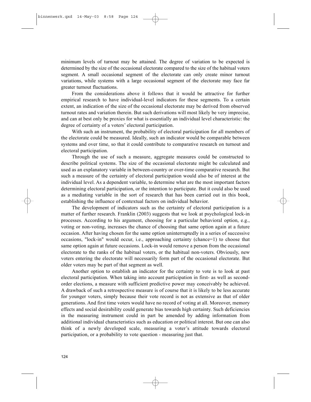minimum levels of turnout may be attained. The degree of variation to be expected is determined by the size of the occasional electorate compared to the size of the habitual voters segment. A small occasional segment of the electorate can only create minor turnout variations, while systems with a large occasional segment of the electorate may face far greater turnout fluctuations.

From the considerations above it follows that it would be attractive for further empirical research to have individual-level indicators for these segments. To a certain extent, an indication of the size of the occasional electorate may be derived from observed turnout rates and variation therein. But such derivations will most likely be very imprecise, and can at best only be proxies for what is essentially an individual level characteristic: the degree of certainty of a voters' electoral participation.

With such an instrument, the probability of electoral participation for all members of the electorate could be measured. Ideally, such an indicator would be comparable between systems and over time, so that it could contribute to comparative research on turnout and electoral participation.

Through the use of such a measure, aggregate measures could be constructed to describe political systems. The size of the occasional electorate might be calculated and used as an explanatory variable in between-country or over-time comparative research. But such a measure of the certainty of electoral participation would also be of interest at the individual level. As a dependent variable, to determine what are the most important factors determining electoral participation, or the intention to participate. But it could also be used as a mediating variable in the sort of research that has been carried out in this book, establishing the influence of contextual factors on individual behavior.

The development of indicators such as the certainty of electoral participation is a matter of further research. Franklin (2003) suggests that we look at psychological lock-in processes. According to his argument, choosing for a particular behavioral option, e.g., voting or non-voting, increases the chance of choosing that same option again at a future occasion. After having chosen for the same option uninterruptedly in a series of successive occasions, "lock-in" would occur, i.e., approaching certainty (chance=1) to choose that same option again at future occasions. Lock-in would remove a person from the occasional electorate to the ranks of the habitual voters, or the habitual non-voters. Obviously, new voters entering the electorate will necessarily form part of the occasional electorate. But older voters may be part of that segment as well.

Another option to establish an indicator for the certainty to vote is to look at past electoral participation. When taking into account participation in first- as well as secondorder elections, a measure with sufficient predictive power may conceivably be achieved. A drawback of such a retrospective measure is of course that it is likely to be less accurate for younger voters, simply because their vote record is not as extensive as that of older generations. And first time voters would have no record of voting at all. Moreover, memory effects and social desirability could generate bias towards high certainty. Such deficiencies in the measuring instrument could in part be amended by adding information from additional individual characteristics such as education or political interest. But one can also think of a newly developed scale, measuring a voter's attitude towards electoral participation, or a probability to vote question - measuring just that.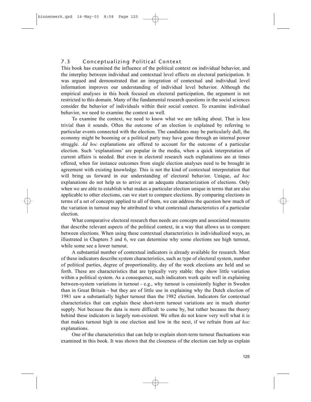# 7.3 Conceptualizing Political Context

This book has examined the influence of the political context on individual behavior, and the interplay between individual and contextual level effects on electoral participation. It was argued and demonstrated that an integration of contextual and individual level information improves our understanding of individual level behavior. Although the empirical analyses in this book focused on electoral participation, the argument is not restricted to this domain. Many of the fundamental research questions in the social sciences consider the behavior of individuals within their social context. To examine individual behavior, we need to examine the context as well.

To examine the context, we need to know what we are talking about. That is less trivial than it sounds. Often the outcome of an election is explained by referring to particular events connected with the election. The candidates may be particularly dull, the economy might be booming or a political party may have gone through an internal power struggle. *Ad hoc* explanations are offered to account for the outcome of a particular election. Such 'explanations' are popular in the media, when a quick interpretation of current affairs is needed. But even in electoral research such explanations are at times offered, when for instance outcomes from single election analyses need to be brought in agreement with existing knowledge. This is not the kind of contextual interpretation that will bring us forward in our understanding of electoral behavior. Unique, *ad hoc* explanations do not help us to arrive at an adequate characterization of elections. Only when we are able to establish what makes a particular election unique in terms that are also applicable to other elections, can we start to compare elections. By comparing elections in terms of a set of concepts applied to all of them, we can address the question how much of the variation in turnout may be attributed to what contextual characteristics of a particular election.

What comparative electoral research thus needs are concepts and associated measures that describe relevant aspects of the political context, in a way that allows us to compare between elections. When using these contextual characteristics in individualized ways, as illustrated in Chapters 5 and 6, we can determine why some elections see high turnout, while some see a lower turnout.

A substantial number of contextual indicators is already available for research. Most of these indicators describe system characteristics, such as type of electoral system, number of political parties, degree of proportionality, day of the week elections are held and so forth. These are characteristics that are typically very stable: they show little variation within a political system. As a consequence, such indicators work quite well in explaining between-system variations in turnout - e.g., why turnout is consistently higher in Sweden than in Great Britain - but they are of little use in explaining why the Dutch election of 1981 saw a substantially higher turnout than the 1982 election. Indicators for contextual characteristics that can explain these short-term turnout variations are in much shorter supply. Not because the data is more difficult to come by, but rather because the theory behind these indicators is largely non-existent. We often do not know very well what it is that makes turnout high in one election and low in the next, if we refrain from *ad hoc* explanations.

One of the characteristics that can help to explain short-term turnout fluctuations was examined in this book. It was shown that the closeness of the election can help us explain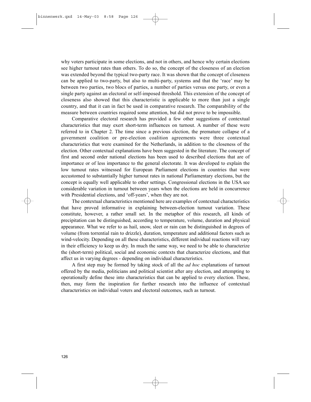why voters participate in some elections, and not in others, and hence why certain elections see higher turnout rates than others. To do so, the concept of the closeness of an election was extended beyond the typical two-party race. It was shown that the concept of closeness can be applied to two-party, but also to multi-party, systems and that the 'race' may be between two parties, two blocs of parties, a number of parties versus one party, or even a single party against an electoral or self-imposed threshold. This extension of the concept of closeness also showed that this characteristic is applicable to more than just a single country, and that it can in fact be used in comparative research. The comparability of the measure between countries required some attention, but did not prove to be impossible.

Comparative electoral research has provided a few other suggestions of contextual characteristics that may exert short-term influences on turnout. A number of these were referred to in Chapter 2. The time since a previous election, the premature collapse of a government coalition or pre-election coalition agreements were three contextual characteristics that were examined for the Netherlands, in addition to the closeness of the election. Other contextual explanations have been suggested in the literature. The concept of first and second order national elections has been used to described elections that are of importance or of less importance to the general electorate. It was developed to explain the low turnout rates witnessed for European Parliament elections in countries that were accustomed to substantially higher turnout rates in national Parliamentary elections, but the concept is equally well applicable to other settings. Congressional elections in the USA see considerable variation in turnout between years when the elections are held in concurrence with Presidential elections, and 'off-years', when they are not.

The contextual characteristics mentioned here are examples of contextual characteristics that have proved informative in explaining between-election turnout variation. These constitute, however, a rather small set. In the metaphor of this research, all kinds of precipitation can be distinguished, according to temperature, volume, duration and physical appearance. What we refer to as hail, snow, sleet or rain can be distinguished in degrees of volume (from torrential rain to drizzle), duration, temperature and additional factors such as wind-velocity. Depending on all these characteristics, different individual reactions will vary in their efficiency to keep us dry. In much the same way, we need to be able to characterize the (short-term) political, social and economic contexts that characterize elections, and that affect us in varying degrees - depending on individual characteristics.

A first step may be formed by taking stock of all the *ad hoc* explanations of turnout offered by the media, politicians and political scientist after any election, and attempting to operationally define these into characteristics that can be applied to every election. These, then, may form the inspiration for further research into the influence of contextual characteristics on individual voters and electoral outcomes, such as turnout.

 $\overline{\triangle}$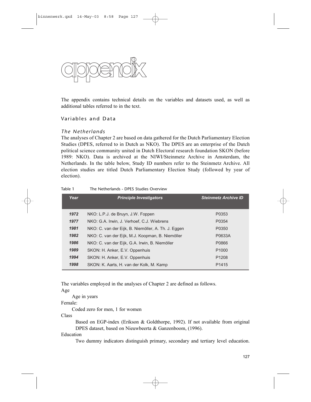

The appendix contains technical details on the variables and datasets used, as well as additional tables referred to in the text.

# Variables and Data

### *The Netherlands*

The analyses of Chapter 2 are based on data gathered for the Dutch Parliamentary Election Studies (DPES, referred to in Dutch as NKO). The DPES are an enterprise of the Dutch political science community united in Dutch Electoral research foundation SKON (before 1989: NKO). Data is archived at the NIWI/Steinmetz Archive in Amsterdam, the Netherlands. In the table below, Study ID numbers refer to the Steinmetz Archive. All election studies are titled Dutch Parliamentary Election Study (followed by year of election).

| Year | <b>Principle Investigators</b>                      | <b>Steinmetz Archive ID</b> |
|------|-----------------------------------------------------|-----------------------------|
| 1972 | NKO: L.P.J. de Bruyn, J.W. Foppen                   | P0353                       |
| 1977 | NKO: G.A. Irwin, J. Verhoef, C.J. Wiebrens          | P0354                       |
| 1981 | NKO: C. van der Eijk, B. Niemöller, A. Th. J. Eggen | P0350                       |
| 1982 | NKO: C. van der Eijk, M.J. Koopman, B. Niemöller    | P0633A                      |
| 1986 | NKO: C. van der Eijk, G.A. Irwin, B. Niemöller      | P0866                       |
| 1989 | SKON: H. Anker, E.V. Oppenhuis                      | P <sub>1000</sub>           |
| 1994 | SKON: H. Anker, E.V. Oppenhuis                      | P <sub>1208</sub>           |
| 1998 | SKON: K. Aarts, H. van der Kolk, M. Kamp            | P <sub>1415</sub>           |

#### Table 1 The Netherlands - DPES Studies Overview

The variables employed in the analyses of Chapter 2 are defined as follows.

#### Age

Age in years

Female:

Coded zero for men, 1 for women

#### Class

Based on EGP-index (Erikson & Goldthorpe, 1992). If not available from original DPES dataset, based on Nieuwbeerta & Ganzenboom, (1996).

# Education

Two dummy indicators distinguish primary, secondary and tertiary level education.

 $\overline{\wedge}$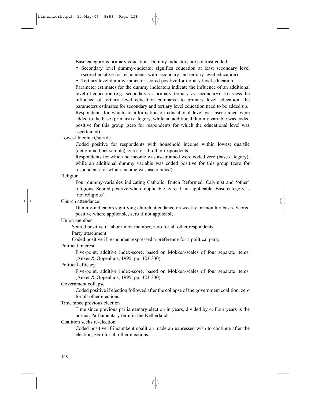Base category is primary education. Dummy indicators are contrast coded:

- · Secondary level dummy-indicator signifies education at least secondary level (scored positive for respondents with secondary and tertiary level education)
- · Tertiary level dummy-indicator scored positive for tertiary level education

Parameter estimates for the dummy indicators indicate the influence of an additional level of education (e.g., secondary vs. primary, tertiary vs. secondary). To assess the influence of tertiary level education compared to primary level education, the parameters estimates for secondary and tertiary level education need to be added up. Respondents for which no information on educational level was ascertained were added to the base (primary) category, while an additional dummy variable was coded positive for this group (zero for respondents for which the educational level was ascertained).

Lowest Income Quartile

Coded positive for respondents with household income within lowest quartile (determined per sample), zero for all other respondents.

Respondents for which no income was ascertained were coded zero (base category), while an additional dummy variable was coded positive for this group (zero for respondents for which income was ascertained).

Religion

Four dummy-variables indicating Catholic, Dutch Reformed, Calvinist and 'other' religions. Scored positive where applicable, zero if not applicable. Base category is 'not religious'.

Church attendance:

Dummy-indicators signifying church attendance on weekly or monthly basis. Scored positive where applicable, zero if not applicable

Union member

Scored positive if labor union member, zero for all other respondents.

Party attachment

Coded positive if respondent expressed a preference for a political party.

Political interest

Five-point, additive index-score, based on Mokken-scales of four separate items. (Anker & Oppenhuis, 1995, pp. 323-330).

Political efficacy

Five-point, additive index-score, based on Mokken-scales of four separate items. (Anker & Oppenhuis, 1995, pp. 323-330).

Government collapse

Coded positive if election followed after the collapse of the government coalition, zero for all other elections.

Time since previous election

Time since previous parliamentary election in years, divided by 4. Four years is the normal Parliamentary term in the Netherlands.

Coalition seeks re-election

Coded positive if incumbent coalition made an expressed wish to continue after the election, zero for all other elections.

 $\overline{\triangle}$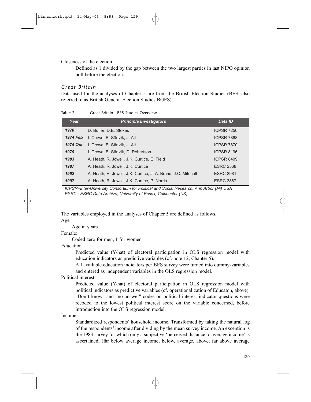Closeness of the election

Defined as 1 divided by the gap between the two largest parties in last NIPO opinion poll before the election.

## *Great Britain*

Data used for the analyses of Chapter 5 are from the British Election Studies (BES, also referred to as British General Election Studies BGES).

| Year     | <b>Principle Investigators</b>                                | Data ID           |
|----------|---------------------------------------------------------------|-------------------|
|          |                                                               |                   |
| 1970     | D. Butler, D.E. Stokes                                        | <b>ICPSR 7250</b> |
| 1974 Feb | I. Crewe, B. Särlvik, J. Alt                                  | <b>ICPSR 7868</b> |
| 1974 Oct | I. Crewe, B. Särlvik, J. Alt                                  | <b>ICPSR 7870</b> |
| 1979     | I. Crewe, B. Särlvik, D. Robertson                            | <b>ICPSR 8196</b> |
| 1983     | A. Heath, R. Jowell, J.K. Curtice, E. Field                   | <b>ICPSR 8409</b> |
| 1987     | A. Heath. R. Jowell. J.K. Curtice                             | <b>ESRC 2568</b>  |
| 1992     | A. Heath, R. Jowell, J.K. Curtice, J. A. Brand, J.C. Mitchell | <b>ESRC 2981</b>  |
| 1997     | A. Heath. R. Jowell. J.K. Curtice. P. Norris                  | <b>ESRC 3887</b>  |

Table 2 Great Britain - BES Studies Overview

*ICPSR=Inter-University Consortium for Political and Social Research, Ann Arbor (Mi) USA ESRC= ESRC Data Archive, University of Essex, Colchester (UK)*

The variables employed in the analyses of Chapter 5 are defined as follows. Age

Age in years

Female:

Coded zero for men, 1 for women

## Education

Predicted value (Y-hat) of electoral participation in OLS regression model with education indicators as predictive variables (cf. note 12, Chapter 5).

All available education indicators per BES survey were turned into dummy-variables and entered as independent variables in the OLS regression model.

## Political interest

Predicted value (Y-hat) of electoral participation in OLS regression model with political indicators as predictive variables (cf. operationalization of Educaton, above). "Don't know" and "no answer" codes on political interest indicator questions were recoded to the lowest political interest score on the variable concerned, before introduction into the OLS regression model.

#### Income

Standardized respondents' household income. Transformed by taking the natural log of the respondents' income after dividing by the mean survey income. An exception is the 1983 survey for which only a subjective 'perceived distance to average income' is ascertained, (far below average income, below, average, above, far above average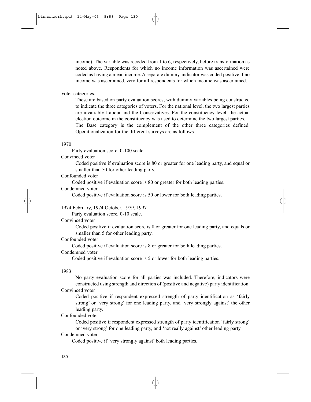income). The variable was recoded from 1 to 6, respectively, before transformation as noted above. Respondents for which no income information was ascertained were coded as having a mean income. A separate dummy-indicator was coded positive if no income was ascertained, zero for all respondents for which income was ascertained.

## Voter categories.

These are based on party evaluation scores, with dummy variables being constructed to indicate the three categories of voters. For the national level, the two largest parties are invariably Labour and the Conservatives. For the constituency level, the actual election outcome in the constituency was used to determine the two largest parties. The Base category is the complement of the other three categories defined. Operationalization for the different surveys are as follows.

#### 1970

Party evaluation score, 0-100 scale.

## Convinced voter

Coded positive if evaluation score is 80 or greater for one leading party, and equal or smaller than 50 for other leading party.

## Confounded voter

Coded positive if evaluation score is 80 or greater for both leading parties.

## Condemned voter

Coded positive if evaluation score is 50 or lower for both leading parties.

#### 1974 February, 1974 October, 1979, 1997

Party evaluation score, 0-10 scale.

## Convinced voter

Coded positive if evaluation score is 8 or greater for one leading party, and equals or smaller than 5 for other leading party.

## Confounded voter

Coded positive if evaluation score is 8 or greater for both leading parties.

### Condemned voter

Coded positive if evaluation score is 5 or lower for both leading parties.

## 1983

No party evaluation score for all parties was included. Therefore, indicators were constructed using strength and direction of (positive and negative) party identification. Convinced voter

Coded positive if respondent expressed strength of party identification as 'fairly strong' or 'very strong' for one leading party, and 'very strongly against' the other leading party.

## Confounded voter

Coded positive if respondent expressed strength of party identification 'fairly strong'

or 'very strong' for one leading party, and 'not really against' other leading party. Condemned voter

 $\overline{\mathbb{A}}$ 

Coded positive if 'very strongly against' both leading parties.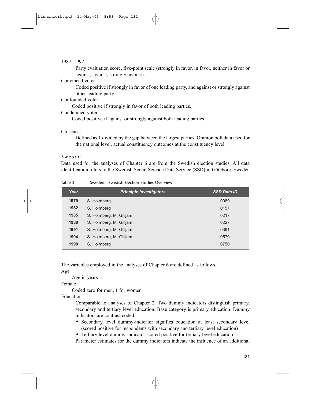## 1987, 1992

Party evaluation score, five-point scale (strongly in favor, in favor, neither in favor or against, against, strongly against).

## Convinced voter

Coded positive if strongly in favor of one leading party, and against or strongly against other leading party.

## Confounded voter

Coded positive if strongly in favor of both leading parties.

## Condemned voter

Coded positive if against or strongly against both leading parties.

#### Closeness

Defined as 1 divided by the gap between the largest parties. Opinion poll data used for the national level, actual constituency outcomes at the constituency level.

## *Sweden*

Data used for the analyses of Chapter 6 are from the Swedish election studies. All data identification refers to the Swedish Social Science Data Service (SSD) in Göteborg, Sweden

| Table 3 |  |  | Sweden - Swedish Election Studies Overview |
|---------|--|--|--------------------------------------------|
|         |  |  |                                            |

| Year | <b>Principle Investigators</b> | <b>SSD Data ID</b> |
|------|--------------------------------|--------------------|
| 1979 | S. Holmberg                    | 0089               |
| 1982 | S. Holmberg                    | 0157               |
| 1985 | S. Holmberg, M. Gilljam        | 0217               |
| 1988 | S. Holmberg, M. Gilljam        | 0227               |
| 1991 | S. Holmberg, M. Gilljam        | 0391               |
| 1994 | S. Holmberg, M. Gilljam        | 0570               |
| 1998 | S. Holmberg                    | 0750               |
|      |                                |                    |

The variables employed in the analyses of Chapter 6 are defined as follows.

Age

Age in years

Female

Coded zero for men, 1 for women

Education

Comparable to analyses of Chapter 2. Two dummy indicators distinguish primary, secondary and tertiary level education. Base category is primary education. Dummy indicators are contrast coded:

- · Secondary level dummy-indicator signifies education at least secondary level (scored positive for respondents with secondary and tertiary level education)
- · Tertiary level dummy-indicator scored positive for tertiary level education

 $\overline{\mathbb{A}}$ 

Parameter estimates for the dummy indicators indicate the influence of an additional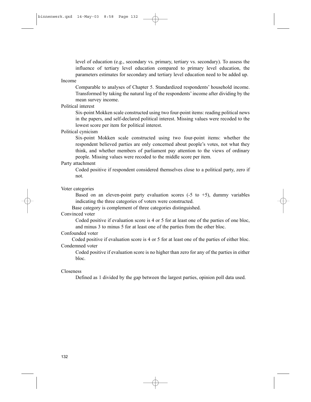level of education (e.g., secondary vs. primary, tertiary vs. secondary). To assess the influence of tertiary level education compared to primary level education, the parameters estimates for secondary and tertiary level education need to be added up.

## Income

Comparable to analyses of Chapter 5. Standardized respondents' household income. Transformed by taking the natural log of the respondents' income after dividing by the mean survey income.

## Political interest

Six-point Mokken scale constructed using two four-point items: reading political news in the papers, and self-declared political interest. Missing values were recoded to the lowest score per item for political interest.

## Political cynicism

Six-point Mokken scale constructed using two four-point items: whether the respondent believed parties are only concerned about people's votes, not what they think, and whether members of parliament pay attention to the views of ordinary people. Missing values were recoded to the middle score per item.

#### Party attachment

Coded positive if respondent considered themselves close to a political party, zero if not.

## Voter categories

Based on an eleven-point party evaluation scores  $(-5 \text{ to } +5)$ , dummy variables indicating the three categories of voters were constructed.

Base category is complement of three categories distinguished.

#### Convinced voter

Coded positive if evaluation score is 4 or 5 for at least one of the parties of one bloc, and minus 3 to minus 5 for at least one of the parties from the other bloc.

#### Confounded voter

Coded positive if evaluation score is 4 or 5 for at least one of the parties of either bloc. Condemned voter

Coded positive if evaluation score is no higher than zero for any of the parties in either bloc.

### Closeness

Defined as 1 divided by the gap between the largest parties, opinion poll data used.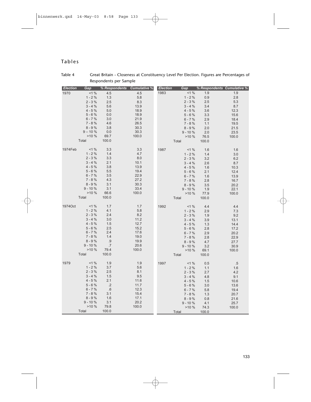# Tables

P

| respondents per sample |           |                            |       |                 |            |       |                            |
|------------------------|-----------|----------------------------|-------|-----------------|------------|-------|----------------------------|
| <b>Election</b>        | Gap       | % Respondents Cumulative % |       | <b>Election</b> | Gap        |       | % Respondents Cumulative % |
| 1970                   | <1%       | 4.5                        | 4.5   | 1983            | <1%        | 1.9   | 1.9                        |
|                        | $1 - 2%$  | 1.3                        | 5.8   |                 | $1 - 2%$   | 0.9   | 2.8                        |
|                        | $2 - 3%$  | 2.5                        | 8.3   |                 | $2 - 3%$   | 2.5   | 5.3                        |
|                        | $3 - 4%$  | 5.6                        | 13.9  |                 | $3 - 4 %$  | 3.4   | 8.7                        |
|                        | $4 - 5%$  | 5.0                        | 18.9  |                 | $4 - 5%$   | 3.6   | 12.3                       |
|                        | $5 - 6%$  | 0.0                        | 18.9  |                 | $5 - 6%$   | 3.3   | 15.6                       |
|                        | $6 - 7 %$ | 3.0                        | 21.9  |                 | $6 - 7%$   | 2.9   | 18.4                       |
|                        | $7 - 8%$  | 4.6                        | 26.5  |                 | $7 - 8%$   | 1.1   | 19.5                       |
|                        | $8 - 9%$  | 3.8                        | 30.3  |                 | $8 - 9%$   | 2.0   | 21.5                       |
|                        | $9 - 10%$ | 0.0                        | 30.3  |                 | $9 - 10%$  | 2.0   | 23.5                       |
|                        | $>10\%$   | 69.7                       | 100.0 |                 | >10%       | 76.5  | 100.0                      |
|                        | Total     | 100.0                      |       |                 | Total      | 100.0 |                            |
| 1974Feb                | $< 1 \%$  | 3.3                        | 3.3   | 1987            | <1%        | 1.6   | 1.6                        |
|                        | $1 - 2%$  | 1.4                        | 4.7   |                 | $1 - 2%$   | 1.4   | 3.0                        |
|                        | $2 - 3%$  | 3.3                        | 8.0   |                 | $2 - 3%$   | 3.2   | 6.2                        |
|                        | $3 - 4%$  | 2.1                        | 10.1  |                 | $3 - 4%$   | 2.6   | 8.7                        |
|                        | $4 - 5%$  | 3.8                        | 13.9  |                 | $4 - 5%$   | 1.6   | 10.3                       |
|                        | $5 - 6%$  | 5.5                        | 19.4  |                 | $5 - 6%$   | 2.1   | 12.4                       |
|                        | $6 - 7%$  | 3.5                        | 22.9  |                 | $6 - 7%$   | 1.6   | 13.9                       |
|                        | $7 - 8%$  | 4.3                        | 27.2  |                 | $7 - 8%$   | 2.8   | 16.7                       |
|                        | $8 - 9%$  | 3.1                        | 30.3  |                 | $8 - 9%$   | 3.5   | 20.2                       |
|                        | $9 - 10%$ | 3.1                        | 33.4  |                 | $9 - 10 %$ | 1.9   | 22.1                       |
|                        | >10%      | 66.6                       | 100.0 |                 | >10%       | 77.9  | 100.0                      |
|                        | Total     | 100.0                      |       |                 | Total      | 100.0 |                            |
| 1974Oct                | $< 1 \%$  | 1.7                        | 1.7   | 1992            | <1%        | 4.4   | 4.4                        |
|                        | $1 - 2%$  | 4.1                        | 5.8   |                 | $1 - 2%$   | 2.9   | 7.3                        |
|                        | $2 - 3%$  | 2.4                        | 8.2   |                 | $2 - 3%$   | 1.9   | 9.2                        |
|                        | $3 - 4%$  | 3.0                        | 11.2  |                 | $3 - 4%$   | 3.9   | 13.1                       |
|                        | $4 - 5%$  | 1.5                        | 12.7  |                 | $4 - 5%$   | 1.3   | 14.4                       |
|                        | $5 - 6%$  | 2.5                        | 15.2  |                 | $5 - 6%$   | 2.8   | 17.2                       |
|                        | $6 - 7%$  | 2.4                        | 17.6  |                 | $6 - 7%$   | 2.9   | 20.2                       |
|                        | $7 - 8%$  | 1.4                        | 19.0  |                 | $7 - 8%$   | 2.8   | 22.9                       |
|                        | $8 - 9%$  | .9                         | 19.9  |                 | $8 - 9%$   | 4.7   | 27.7                       |
|                        | $9 - 10%$ | .7                         | 20.6  |                 | $9 - 10%$  | 3.2   | 30.9                       |
|                        | >10%      | 79.4                       | 100.0 |                 | >10%       | 69.1  | 100.0                      |
|                        | Total     | 100.0                      |       |                 | Total      | 100.0 |                            |
| 1979                   | $<1\%$    | 1.9                        | 1.9   | 1997            | $<1\%$     | 0.5   | .5                         |
|                        | $1 - 2%$  | 3.7                        | 5.6   |                 | $1 - 2%$   | 1.1   | 1.6                        |
|                        | $2 - 3%$  | 2.5                        | 8.1   |                 | $2 - 3%$   | 2.7   | 4.2                        |
|                        | $3 - 4%$  | 1.5                        | 9.5   |                 | $3 - 4%$   | 4.8   | 9.1                        |
|                        | $4 - 5%$  | 2.1                        | 11.6  |                 | $4 - 5%$   | 1.5   | 10.6                       |
|                        | $5 - 6%$  | $\cdot$ .2                 | 11.7  |                 | $5 - 6%$   | 3.0   | 13.6                       |
|                        | $6 - 7%$  | .6                         | 12.3  |                 | $6 - 7%$   | 5.8   | 19.4                       |
|                        | $7 - 8%$  | 3.1                        | 15.4  |                 | $7 - 8%$   | 1.3   | 20.7                       |
|                        | $8 - 9%$  | 1.6                        | 17.1  |                 | $8 - 9%$   | 0.8   | 21.6                       |
|                        | $9 - 10%$ | 3.1                        | 20.2  |                 | $9 - 10%$  | 4.1   | 25.7                       |
|                        | >10%      | 79.8                       | 100.0 |                 | >10%       | 74.3  | 100.0                      |
|                        | Total     | 100.0                      |       |                 | Total      | 100.0 |                            |

 $\overline{\mathbb{A}}$ 

Table 4 Great Britain - Closeness at Constituency Level Per Election. Figures are Percentages of Respondents per Sample

 $\overline{\phantom{a}}$ 

Y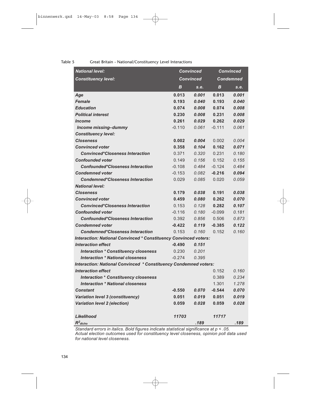| <b>National level:</b>                                                  | Convinced      | <b>Convinced</b> |                  |                  |  |
|-------------------------------------------------------------------------|----------------|------------------|------------------|------------------|--|
| <b>Constituency level:</b>                                              |                | <b>Convinced</b> |                  | <b>Condemned</b> |  |
|                                                                         | $\overline{B}$ | s.e.             | $\boldsymbol{B}$ | s.e.             |  |
| Age                                                                     | 0.013          | 0.001            | 0.013            | 0.001            |  |
| <b>Female</b>                                                           | 0.193          | 0.040            | 0.193            | 0.040            |  |
| <b>Education</b>                                                        | 0.074          | 0.008            | 0.074            | 0.008            |  |
| <b>Political interest</b>                                               | 0.230          | 0.008            | 0.231            | 0.008            |  |
| <i><b>Income</b></i>                                                    | 0.261          | 0.029            | 0.262            | 0.029            |  |
| Income missing-dummy                                                    | $-0.110$       | 0.061            | $-0.111$         | 0.061            |  |
| <b>Constituency level:</b>                                              |                |                  |                  |                  |  |
| <b>Closeness</b>                                                        | 0.002          | 0.004            | 0.002            | 0.004            |  |
| <b>Convinced voter</b>                                                  | 0.358          | 0.104            | 0.162            | 0.071            |  |
| <b>Convinced*Closeness Interaction</b>                                  | 0.371          | 0.320            | 0.231            | 0.180            |  |
| <b>Confounded voter</b>                                                 | 0.149          | 0.156            | 0.152            | 0.155            |  |
| <b>Confounded*Closeness Interaction</b>                                 | $-0.108$       | 0.484            | $-0.124$         | 0.484            |  |
| <b>Condemned voter</b>                                                  | $-0.153$       | 0.082            | $-0.216$         | 0.094            |  |
| <b>Condemned*Closeness Interaction</b>                                  | 0.029          | 0.085            | 0.020            | 0.059            |  |
| <b>National level:</b>                                                  |                |                  |                  |                  |  |
| <b>Closeness</b>                                                        | 0.179          | 0.038            | 0.191            | 0.038            |  |
| <b>Convinced voter</b>                                                  | 0.459          | 0.080            | 0.262            | 0.070            |  |
| <b>Convinced*Closeness Interaction</b>                                  | 0.153          | 0.128            | 0.282            | 0.107            |  |
| <b>Confounded voter</b>                                                 | $-0.116$       | 0.180            | $-0.099$         | 0.181            |  |
| <b>Confounded*Closeness Interaction</b>                                 | 0.392          | 0.856            | 0.506            | 0.873            |  |
| <b>Condemned voter</b>                                                  | $-0.422$       | 0.119            | $-0.385$         | 0.122            |  |
| <b>Condemned*Closeness Interaction</b>                                  | 0.153          | 0.160            | 0.152            | 0.160            |  |
| <b>Interaction: National Convinced * Constituency Convinced voters:</b> |                |                  |                  |                  |  |
| <b>Interaction effect</b>                                               | $-0.490$       | 0.151            |                  |                  |  |
| <b>Interaction * Constituency closeness</b>                             | 0.230          | 0.201            |                  |                  |  |
| <b>Interaction * National closeness</b>                                 | $-0.274$       | 0.395            |                  |                  |  |
| Interaction: National Convinced * Constituency Condemned voters:        |                |                  |                  |                  |  |
| <b>Interaction effect</b>                                               |                |                  | 0.152            | 0.160            |  |
| <b>Interaction * Constituency closeness</b>                             |                |                  | 0.389            | 0.234            |  |
| <b>Interaction * National closeness</b>                                 |                |                  | 1.301            | 1.278            |  |
| <b>Constant</b>                                                         | $-0.550$       | 0.070            | $-0.544$         | 0.070            |  |
| Variation level 3 (constituency)                                        | 0.051          | 0.019            | 0.051            | 0.019            |  |
| Variation level 2 (election)                                            | 0.059          | 0.028            | 0.059            | 0.028            |  |
|                                                                         |                |                  |                  |                  |  |
| <b>Likelihood</b>                                                       | 11703          |                  | 11717            |                  |  |
| $R^2$ dicho                                                             |                | .189             |                  | .189             |  |

Table 5 Great Britain - National/Constituency Level Interactions

Y

*Standard errors in italics. Bold figures indicate statistical significance at p < .05. Actual election outcomes used for constituency level closeness, opinion poll data used for national level closeness.*

 $\overline{\triangle}$ 

Ð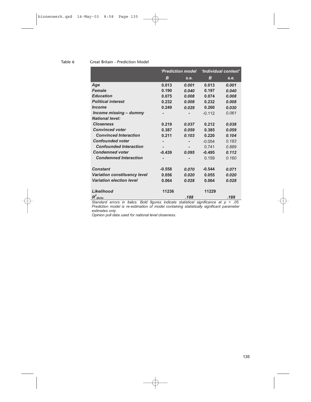P

## Table 6 Great Britain - Prediction Model

|                                                                                              |          | 'Prediction model |          | 'Individual context' |
|----------------------------------------------------------------------------------------------|----------|-------------------|----------|----------------------|
|                                                                                              | B        | S.e.              | B        | S.e.                 |
| Age                                                                                          | 0.013    | 0.001             | 0.013    | 0.001                |
| <b>Female</b>                                                                                | 0.190    | 0.040             | 0.197    | 0.040                |
| <b>Education</b>                                                                             | 0.075    | 0.008             | 0.074    | 0.008                |
| <b>Political interest</b>                                                                    | 0.232    | 0.008             | 0.232    | 0.008                |
| <i><u><b>Income</b></u></i>                                                                  | 0.249    | 0.029             | 0.260    | 0.030                |
| Income missing - dummy                                                                       |          |                   | $-0.112$ | 0.061                |
| <b>National level:</b>                                                                       |          |                   |          |                      |
| <b>Closeness</b>                                                                             | 0.219    | 0.037             | 0.212    | 0.038                |
| <b>Convinced voter</b>                                                                       | 0.387    | 0.059             | 0.385    | 0.059                |
| <b>Convinced Interaction</b>                                                                 | 0.211    | 0.103             | 0.220    | 0.104                |
| <b>Confounded voter</b>                                                                      |          |                   | $-0.054$ | 0.183                |
| <b>Confounded Interaction</b>                                                                |          |                   | 0.741    | 0.889                |
| <b>Condemned voter</b>                                                                       | $-0.439$ | 0.095             | $-0.495$ | 0.112                |
| <b>Condemned Interaction</b>                                                                 |          |                   | 0.159    | 0.160                |
|                                                                                              |          |                   |          |                      |
| <b>Constant</b>                                                                              | $-0.558$ | 0.070             | $-0.544$ | 0.071                |
| <b>Variation constituency level</b>                                                          | 0.056    | 0.020             | 0.055    | 0.020                |
| <b>Variation election level</b>                                                              | 0.064    | 0.028             | 0.064    | 0.028                |
| Likelihood                                                                                   | 11236    |                   | 11229    |                      |
| $R^2$ <sub>dicho</sub>                                                                       |          | .188              |          | .188                 |
| Standard arrare in italian. Pold figures indicate atatiotical pignificance at $n \times 0.5$ |          |                   |          |                      |

Y

*Standard errors in italics. Bold figures indicate statistical significance at p < .05. Prediction model is re-estimation of model containing statistically significant parameter estimates only.* 

 $\overline{\mathbb{A}}$ 

*Opinion poll data used for national level closeness.*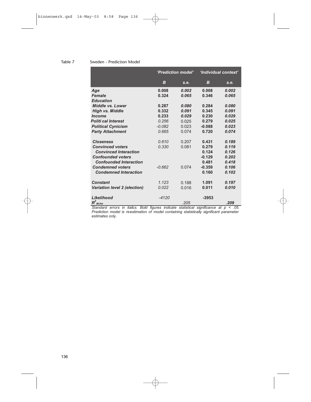P-

#### Table 7 Sweden - Prediction Model

 $\overline{\phantom{a}}$ 

Y

|                                     | 'Prediction model' |       |          | 'Individual context' |
|-------------------------------------|--------------------|-------|----------|----------------------|
|                                     | B                  | S.e.  | В        | S.e.                 |
| Age                                 | 0.008              | 0.002 | 0.008    | 0.002                |
| <b>Female</b>                       | 0.324              | 0.065 | 0.346    | 0.065                |
| <b>Education</b>                    |                    |       |          |                      |
| <b>Middle vs. Lower</b>             | 0.287              | 0.080 | 0.284    | 0.080                |
| <b>High vs. Middle</b>              | 0.332              | 0.091 | 0.345    | 0.091                |
| <i><u><b>Income</b></u></i>         | 0.233              | 0.029 | 0.230    | 0.029                |
| <b>Politi cal Interest</b>          | 0.256              | 0.025 | 0.279    | 0.025                |
| <b>Political Cynicism</b>           | $-0.082$           | 0.023 | $-0.088$ | 0.023                |
| <b>Party Attachment</b>             | 0.665              | 0.074 | 0.720    | 0.074                |
| <b>Closeness</b>                    | 0.610              | 0.207 | 0.431    | 0.189                |
| <b>Convinced voters</b>             | 0.330              | 0.081 | 0.279    | 0.119                |
| <b>Convinced Interaction</b>        |                    |       | 0.124    | 0.126                |
| <b>Confounded voters</b>            |                    |       | $-0.129$ | 0.202                |
| <b>Confounded Interaction</b>       |                    |       | 0.481    | 0.418                |
| <b>Condemned voters</b>             | $-0.662$           | 0.074 | $-0.359$ | 0.106                |
| <b>Condemned Interaction</b>        |                    |       | 0.160    | 0.102                |
| <b>Constant</b>                     | 1.123              | 0.188 | 1.091    | 0.197                |
| <b>Variation level 2 (election)</b> | 0.022              | 0.016 | 0.011    | 0.010                |
| Likelihood                          | $-4120$            |       | -3953    |                      |
| $R^2$ dicho                         |                    | .205  |          | .209                 |

*Standard errors in italics. Bold figures indicate statistical significance at p < .05. Prediction model is re-estimation of model containing statistically significant parameter estimates only.*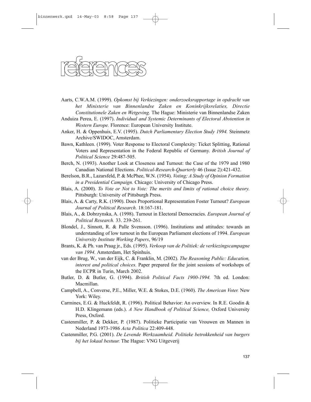

- Aarts, C.W.A.M. (1999). *Opkomst bij Verkiezingen: onderzoeksrapportage in opdracht van het Ministerie van Binnenlandse Zaken en Koninkrijksrelaties, Directie Constitutionele Zaken en Wetgeving.* The Hague: Ministerie van Binnenlandse Zaken
- Anduiza Perea, E. (1997). *Individual and Systemic Determinants of Electoral Abstention in Western Europe.* Florence: European University Institute.
- Anker, H. & Oppenhuis, E.V. (1995). *Dutch Parliamentary Election Study 1994.* Steinmetz Archive/SWIDOC, Amsterdam.
- Bawn, Kathleen. (1999). Voter Response to Electoral Complexity: Ticket Splitting, Rational Voters and Representation in the Federal Republic of Germany. *British Journal of Political Science* 29:487-505.
- Berch, N. (1993). Another Look at Closeness and Turnout: the Case of the 1979 and 1980 Canadian National Elections. *Political-Research-Quarterly* 46 (Issue 2):421-432.
- Berelson, B.R., Lazarsfeld, P. & McPhee, W.N. (1954). *Voting; A Study of Opinion Formation in a Presidential Campaign.* Chicago: University of Chicago Press.
- Blais, A. (2000). *To Vote or Not to Vote: The merits and limits of rational choice theory.* Pittsburgh: University of Pittsburgh Press.
- Blais, A. & Carty, R.K. (1990). Does Proportional Representation Foster Turnout? *European Journal of Political Research.* 18:167-181.
- Blais, A., & Dobrzynska, A. (1998). Turnout in Electoral Democracies. *European Journal of Political Research.* 33. 239-261.
- Blondel, J., Sinnott, R. & Palle Svensson. (1996). Institutions and attitudes: towards an understanding of low turnout in the European Parliament elections of 1994. *European University Institute Working Papers*, 96/19
- Brants, K. & Ph. van Praag jr., Eds. (1995). *Verkoop van de Politiek: de verkiezingscampagne van 1994.* Amsterdam, Het Spinhuis.
- van der Brug, W., van der Eijk, C. & Franklin, M. (2002). *The Reasoning Public: Education, interest and political choices.* Paper prepared for the joint sessions of workshops of the ECPR in Turin, March 2002.
- Butler, D. & Butler, G. (1994). *British Political Facts 1900-1994.* 7th ed. London: Macmillan.
- Campbell, A., Converse, P.E., Miller, W.E. & Stokes, D.E. (1960). *The American Voter.* New York: Wiley.
- Carmines, E.G. & Huckfeldt, R. (1996). Political Behavior: An overview. In R.E. Goodin & H.D. Klingemann (eds.). *A New Handbook of Political Science,* Oxford University Press, Oxford.
- Castenmiller, P. & Dekker, P. (1987). Politieke Participatie van Vrouwen en Mannen in Nederland 1973-1986 *Acta Politica* 22:409-448.
- Castenmiller, P.G. (2001). *De Levende Werkzaamheid. Politieke betrokkenheid van burgers bij het lokaal bestuur.* The Hague: VNG Uitgeverij

 $\overline{\phantom{a}}$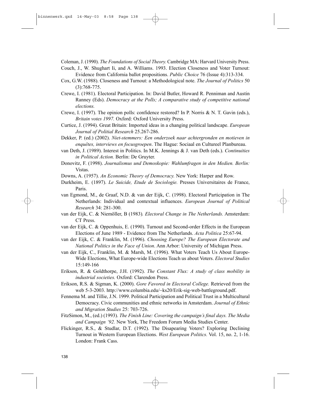Coleman, J. (1990). *The Foundations of Social Theory.* Cambridge MA: Harvard University Press. Couch, J., W. Shughart Ii, and A. Williams. 1993. Election Closeness and Voter Turnout:

Evidence from California ballot propositions. *Public Choice* 76 (Issue 4):313-334.

- Cox, G.W. (1988). Closeness and Turnout: a Methodological note. *The Journal of Politics* 50 (3):768-775.
- Crewe, I. (1981). Electoral Participation. In: David Butler, Howard R. Penniman and Austin Ranney (Eds). *Democracy at the Polls; A comparative study of competitive national elections.*
- Crewe, I. (1997). The opinion polls: confidence restored? In P. Norris & N. T. Gavin (eds.), *Britain votes 1997.* Oxford: Oxford University Press.
- Curtice, J. (1994). Great Britain: Imported ideas in a changing political landscape. *European Journal of Politial Research* 25.267-286.
- Dekker, P. (ed.) (2002). *Niet-stemmers: Een onderzoek naar achtergronden en motieven in enquÍtes, interviews en focusgroepen*. The Hague: Sociaal en Cultureel Planbureau.
- van Deth, J. (1989). Interest in Politics. In M.K. Jennings & J. van Deth (eds.). *Continuities in Political Action.* Berlin: De Gruyter.
- Donovitz, F. (1998). *Journalismus und Demoskopie: Wahlumfragen in den Medien. Berlin:* Vistas.

Downs, A. (1957). *An Economic Theory of Democracy.* New York: Harper and Row.

- Durkheim, E. (1897). *Le Suicide, Etude de Sociologie.* Presses Universitaires de France, Paris.
- van Egmond, M., de Graaf, N.D. & van der Eijk, C. (1998). Electoral Participation in The Netherlands: Individual and contextual influences. *European Journal of Political Research* 34: 281-300.
- van der Eijk, C. & Niemˆller, B (1983)*. Electoral Change in The Netherlands.* Amsterdam: CT Press.
- van der Eijk, C. & Oppenhuis, E. (1990). Turnout and Second-order Effects in the European Elections of June 1989 - Evidence from The Netherlands. *Acta Politica* 25:67-94.
- van der Eijk, C. & Franklin, M. (1996). *Choosing Europe? The European Electorate and National Politics in the Face of Union*. Ann Arbor: University of Michigan Press.
- van der Eijk, C., Franklin, M. & Marsh, M. (1996). What Voters Teach Us About Europe-Wide Elections, What Europe-wide Elections Teach us about Voters. *Electoral Studies* 15:149-166
- Erikson, R. & Goldthorpe, J.H. (1992). *The Constant Flux: A study of class mobility in industrial societies.* Oxford: Clarendon Press.
- Erikson, R.S. & Sigman, K. (2000). *Gore Favored in Electoral College.* Retrieved from the web 5-3-2003. http://www.columbia.edu/~ks20/Erik-sig-web-battleground.pdf.
- Fennema M. and Tillie, J.N. 1999. Political Participation and Political Trust in a Multicultural Democracy. Civic communities and ethnic networks in Amsterdam. *Journal of Ethnic and Migration Studies* 25: 703-726.
- FitzSimon, M., (ed.) (1993). *The Finish Line: Covering the campaignís final days. The Media and Campaign ë92.* New York, The Freedom Forum Media Studies Center.
- Flickinger, R.S., & Studlar, D.T. (1992). The Disapearing Voters? Exploring Declining Turnout in Western European Elections. *West European Politics.* Vol. 15, no. 2, 1-16. London: Frank Cass.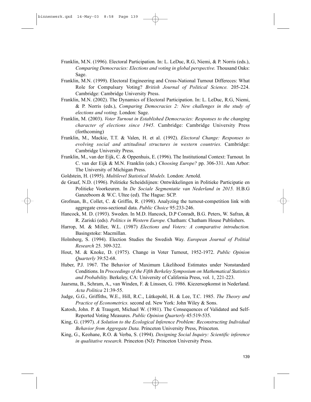- Franklin, M.N. (1996). Electoral Participation. In: L. LeDuc, R.G, Niemi, & P. Norris (eds.), *Comparing Democracies: Elections and voting in global perspective. Thousand Oaks:* Sage.
- Franklin, M.N. (1999). Electoral Engineering and Cross-National Turnout Differeces: What Role for Compulsary Voting? *British Journal of Political Science.* 205-224. Cambridge: Cambridge University Press.
- Franklin, M.N. (2002). The Dynamics of Electoral Participation. In: L. LeDuc, R.G, Niemi, & P. Norris (eds.), *Comparing Democracies 2: New challenges in the study of elections and voting.* London: Sage.
- Franklin, M. (2003). *Voter Turnout in Established Democracies: Responses to the changing character of elections since 1945.* Cambridge: Cambridge University Press (forthcoming)
- Franklin, M., Mackie, T.T. & Valen, H. et al. (1992). *Electoral Change: Responses to evolving social and attitudinal structures in western countries.* Cambridge: Cambridge University Press.
- Franklin, M., van der Eijk, C. & Oppenhuis, E. (1996). The Institutional Context: Turnout. In C. van der Eijk & M.N. Franklin (eds.) *Choosing Europe?* pp. 306-331. Ann Arbor: The University of Michigan Press.

Goldstein, H. (1995). *Multilevel Statistical Models.* London: Arnold.

de Graaf, N.D. (1996). Politieke Scheidslijnen: Ontwikkelingen in Politieke Participatie en Politieke Voorkeuren. In *De Sociale Segmentatie van Nederland in 2015.* H.B.G Ganzeboom & W.C. Ultee (ed). The Hague: SCP.

- Grofman, B., Collet, C. & Griffin, R. (1998). Analyzing the turnout-competition link with aggregate cross-sectional data. *Public Choice* 95:233-246.
- Hancock, M. D. (1993). Sweden. In M.D. Hancock, D.P Conradt, B.G. Peters, W. Safran, & R. Zariski (eds). *Politics in Western Europe.* Chatham: Chatham House Publishers.
- Harrop, M. & Miller, W.L. (1987) *Elections and Voters: A comparative introduction.* Basingstoke: Macmillan.
- Holmberg, S. (1994). Election Studies the Swedish Way. *European Journal of Politial Research* 25. 309-322.
- Hout, M. & Knoke, D. (1975). Change in Voter Turnout, 1952-1972. *Public Opinion Quarterly* 39:52-68.
- Huber, P.J. 1967. The Behavior of Maximum Likelihood Estimates under Nonstandard Conditions. In *Proceedings of the Fifth Berkeley Symposium on Mathematical Statistics and Probability.* Berkeley, CA: University of California Press, vol. 1, 221-223.
- Jaarsma, B., Schram, A., van Winden, F. & Linssen, G. 1986. Kiezersopkomst in Nederland. *Acta Politica* 21:39-55.
- Judge, G.G., Griffiths, W.E., Hill, R.C., Lütkepohl, H. & Lee, T.C. 1985. *The Theory and Practice of Econometrics.* second ed. New York: John Wiley & Sons.
- Katosh, John. P. & Traugott, Michael W. (1981). The Consequences of Validated and Self-Reported Voting Measures. *Public Opinion Quarterly* 45:519-535.
- King, G. (1997). *A Solution to the Ecological Inference Problem: Reconstructing Individual Behavior from Aggregate Data.* Princeton University Press, Princeton.
- King, G., Keohane, R.O. & Verba, S. (1994). *Designing Social Inquiry: Scientific inference in qualitative research.* Princeton (NJ): Princeton University Press.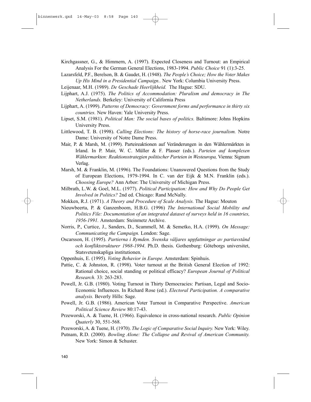Kirchgassner, G., & Himmern, A. (1997). Expected Closeness and Turnout: an Empirical Analysis For the German General Elections, 1983-1994. *Public Choice* 91 (1):3-25.

Lazarsfeld, P.F., Berelson, B. & Gaudet, H. (1948). *The Peopleís Choice; How the Voter Makes Up His Mind in a Presidential Campaign..* New York: Columbia University Press.

Leijenaar, M.H. (1989). *De Geschade Heerlijkheid.* The Hague: SDU.

Lijphart, A.J. (1975). *The Politics of Accommodation: Pluralism and democracy in The Netherlands.* Berkeley: University of California Press

Lijphart, A. (1999). *Patterns of Democracy: Government forms and performance in thirty six countries.* New Haven: Yale University Press.

Lipset, S.M. (1981). *Political Man: The social bases of politics.* Baltimore: Johns Hopkins University Press.

- Littlewood, T. B. (1998). *Calling Elections: The history of horse-race journalism.* Notre Dame: University of Notre Dame Press.
- Mair, P. & Marsh, M. (1999). Parteireaktionen auf Veränderungen in den Wählermärkten in Irland. In P. Mair, W. C. Müller & F. Plasser (eds.). *Parteien auf komplexen W‰hlermarkten: Reaktionsstrategien politischer Parteien in Westeuropa,* Vienna: Signum Verlag.
- Marsh, M. & Franklin, M. (1996). The Foundations: Unanswered Questions from the Study of European Elections, 1979-1994. In C. van der Eijk & M.N. Franklin (eds.). *Choosing Europe?* Ann Arbor: The University of Michigan Press.
- Milbrath, L.W. & Goel, M.L. (1977). *Political Participation: How and Why Do People Get Involved in Politics?* 2nd ed. Chicago: Rand McNally.
- Mokken, R.J. (1971). *A Theory and Procedure of Scale Analysis.* The Hague: Mouton
- Nieuwbeerta, P. & Ganzenboom, H.B.G. (1996) *The International Social Mobility and Politics File: Documentation of an integrated dataset of surveys held in 16 countries, 1956-1991.* Amsterdam: Steinmetz Archive.
- Norris, P., Curtice, J., Sanders, D., Scammell, M. & Semetko, H.A. (1999). *On Message: Communicating the Campaign.* London: Sage.
- Oscarsson, H. (1995). *Partierna i Rymden. Svenska v‰ljares uppfattningar av partiavstÂnd* och konfliktstrukturer 1968-1994. Ph.D. thesis. Gothenburg: Göteborgs universitet, Statsvetenskapliga institutionen.
- Oppenhuis, E. (1995). *Voting Behavior in Europe.* Amsterdam: Spinhuis.
- Pattie, C. & Johnston, R. (1998). Voter turnout at the British General Election of 1992: Rational choice, social standing or political efficacy? *European Journal of Political Research.* 33: 263-283.
- Powell, Jr. G.B. (1980). Voting Turnout in Thirty Democracies: Partisan, Legal and Socio-Economic Influences. In Richard Rose (ed.). *Electoral Participation. A comparative analysis.* Beverly Hills: Sage.
- Powell, Jr. G.B. (1986). American Voter Turnout in Comparative Perspective. *American Political Science Review* 80:17-43.
- Przeworski, A. & Tuene, H. (1966). Equivalence in cross-national research. *Public Opinion Quaterly* 30, 551-568.

Przeworski, A. & Tuene, H. (1970). *The Logic of Comparative Social Inquiry.* New York: Wiley.

Putnam, R.D. (2000). *Bowling Alone: The Collapse and Revival of American Community.* New York: Simon & Schuster.

 $\overline{\phantom{a}}$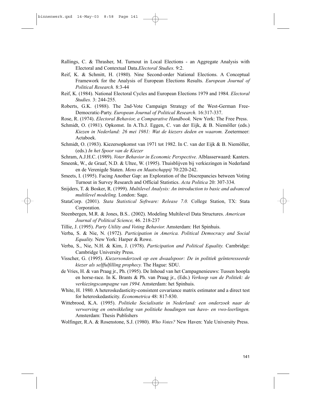- Rallings, C. & Thrasher, M. Turnout in Local Elections an Aggregate Analysis with Electoral and Contextual Data.*Electoral Studies.* 9:2.
- Reif, K. & Schmitt, H. (1980). Nine Second-order National Elections. A Conceptual Framework for the Analysis of European Elections Results. *European Journal of Political Research.* 8:3-44
- Reif, K. (1984). National Electoral Cycles and European Elections 1979 and 1984. *Electoral Studies.* 3: 244-255.
- Roberts, G.K. (1988). The 2nd-Vote Campaign Strategy of the West-German Free-Democratic-Party. *European Journal of Political Research.* 16:317-337.
- Rose, R. (1974). *Electoral Behavior, a Comparative Handbook.* New York: The Free Press.
- Schmidt, O. (1981). Opkomst. In A.Th.J. Eggen, C. van der Eijk, & B. Niemöller (eds.) *Kiezen in Nederland: 26 mei 1981: Wat de kiezers deden en waarom.* Zoetermeer: Actaboek.
- Schmidt, O. (1983). Kiezersopkomst van 1971 tot 1982. In C. van der Eijk & B. Niemöller, (eds.) *In het Spoor van de Kiezer*
- Schram, A.J.H.C. (1989). *Voter Behavior in Economic Perspective.* Alblasserwaard: Kanters.
- Smeenk, W., de Graaf, N.D. & Ultee, W. (1995). Thuisblijven bij verkiezingen in Nederland en de Verenigde Staten. *Mens en Maatschappij* 70:220-242.
- Smeets, I. (1995). Facing Another Gap: an Exploration of the Discrepancies between Voting Turnout in Survey Research and Official Statistics. *Acta Politica* 20: 307-334.
- Snijders, T. & Bosker, R. (1999). *Multilevel Analysis: An introduction to basic and advanced multilevel modeling.* London: Sage.
- StataCorp. (2001). *Stata Statistical Software: Release 7.0.* College Station, TX: Stata Corporation.
- Steenbergen, M.R. & Jones, B.S.. (2002). Modeling Multilevel Data Structures. *American Journal of Political Science,* 46. 218-237
- Tillie, J. (1995). *Party Utility and Voting Behavior.* Amsterdam: Het Spinhuis.
- Verba, S. & Nie, N. (1972). *Participation in America. Political Democracy and Social Equality.* New York: Harper & Rowe.
- Verba, S., Nie, N.H. & Kim, J. (1978). *Participation and Political Equality.* Cambridge: Cambridge University Press.
- Visscher, G. (1995). *Kiezersonderzoek op een dwaalspoor: De in politiek geïnteresseerde kiezer als selffulfilling prophecy.* The Hague: SDU.
- de Vries, H. & van Praag jr., Ph. (1995). De Inhoud van het Campagnenieuws: Tussen hoopla en horse-race. In K. Brants & Ph. van Praag jr., (Eds.) *Verkoop van de Politiek: de verkiezingscampagne van 1994.* Amsterdam: het Spinhuis.
- White, H. 1980. A heteroskedasticity-consistent covariance matrix estimator and a direct test for heteroskedasticity. *Econometrica* 48: 817-830.
- Wittebrood, K.A. (1995). *Politieke Socialisatie in Nederland: een onderzoek naar de verwerving en ontwikkeling van politieke houdingen van havo- en vwo-leerlingen.* Amsterdam: Thesis Publishers
- Wolfinger, R.A. & Rosenstone, S.J. (1980). *Who Votes?* New Haven: Yale University Press.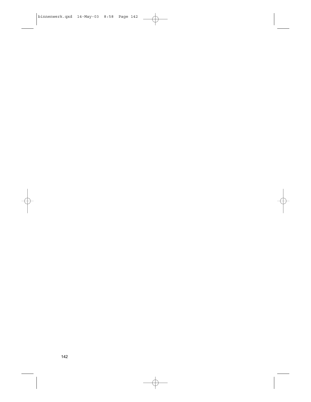142

P

 $\overline{\phantom{0}}$ 

Y

 $\overline{\phantom{a}}$ 

-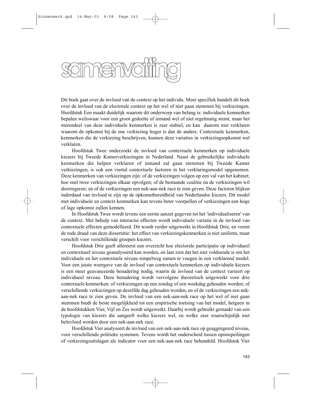

Dit boek gaat over de invloed van de context op het individu. Meer specifiek handelt dit boek over de invloed van de electorale context op het wel of niet gaan stemmen bij verkiezingen. Hoofdstuk Een maakt duidelijk waarom dit onderwerp van belang is: individuele kenmerken bepalen weliswaar voor een groot gedeelte of iemand wel of niet regelmatig stemt, maar het merendeel van deze individuele kenmerken is zeer stabiel, en kan daarom niet verklaren waarom de opkomst bij de ene verkiezing hoger is dan de andere. Contextuele kenmerken, kenmerken die de verkiezing beschrijven, kunnen deze variaties in verkiezingsopkomst wel verklaren.

Hoofdstuk Twee onderzoekt de invloed van contextuele kenmerken op individuele kiezers bij Tweede Kamerverkiezingen in Nederland. Naast de gebruikelijke individuele kenmerken die helpen verklaren of iemand zal gaan stemmen bij Tweede Kamer verkiezingen, is ook een viertal contextuele factoren in het verklaringsmodel opgenomen. Deze kenmerken van verkiezingen zijn: of de verkiezingen volgen op een val van het kabinet; hoe snel twee verkiezingen elkaar opvolgen; of de bestaande coalitie na de verkiezingen wil doorregeren; en of de verkiezingen een nek-aan-nek race te zien geven. Deze factoren blijken inderdaad van invloed te zijn op de opkomstbereidheid van Nederlandse kiezers. Dit model met individuele en context kenmerken kan tevens beter voorpellen of verkiezingen een hoge of lage opkomst zullen kennen.

In Hoofdstuk Twee wordt tevens een eerste aanzet gegeven tot het 'individualiseren' van de context. Met behulp van interactie effecten wordt individuele variatie in de invloed van contextuele effecten gemodelleerd. Dit wordt verder uitgewerkt in Hoofdstuk Drie, en vormt de rode draad van deze dissertatie: het effect van verkiezingskenmerken is niet uniform, maar verschilt voor verschillende groepen kiezers.

Hoofdstuk Drie geeft allereerst een overzicht hoe electorale participatie op individueel en contextueel niveau geanalyseerd kan worden, en laat zien dat het niet voldoende is om het individuele en het contextuele niveau simpelweg samen te voegen in een verklarend model. Voor een juiste weergave van de invloed van contextuele kenmerken op individuele kiezers is een meer geavanceerde benadering nodig, waarin de invloed van de context varieert op individueel niveau. Deze benadering wordt vervolgens theoretisch uitgewerkt voor drie contextuele kenmerken: of verkiezingen op een zondag of een weekdag gehouden worden; of verschillende verkiezingen op dezelfde dag gehouden worden, en of de verkiezingen een nekaan-nek race te zien geven. De invloed van een nek-aan-nek race op het wel of niet gaan stemmen biedt de beste mogelijkheid tot een empirische toetsing van het model, hetgeen in de hoofdstukken Vier, Vijf en Zes wordt uitgewerkt. Daarbij wordt gebruikt gemaakt van een typologie van kiezers die aangeeft welke kiezers wel, en welke zeer waarschijnlijk niet beïnvloed worden door een nek-aan-nek race.

Hoofdstuk Vier analyseert de invloed van een nek-aan-nek race op geaggregeerd niveau, voor verschillende politieke systemen. Tevens wordt het onderscheid tussen opiniepeilingen of verkiezingsuitslagen als indicator voor een nek-aan-nek race behandeld. Hoofdstuk Vier

 $\overline{\wedge}$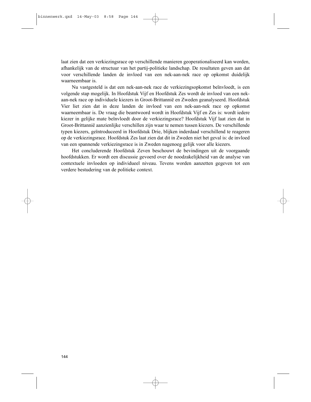laat zien dat een verkiezingsrace op verschillende manieren geoperationaliseerd kan worden, afhankelijk van de structuur van het partij-politieke landschap. De resultaten geven aan dat voor verschillende landen de invloed van een nek-aan-nek race op opkomst duidelijk waarneembaar is.

Nu vastgesteld is dat een nek-aan-nek race de verkiezingsopkomst beïnvloedt, is een volgende stap mogelijk. In Hoofdstuk Vijf en Hoofdstuk Zes wordt de invloed van een nekaan-nek race op individuele kiezers in Groot-Brittannië en Zweden geanalyseerd. Hoofdstuk Vier liet zien dat in deze landen de invloed van een nek-aan-nek race op opkomst waarneembaar is. De vraag die beantwoord wordt in Hoofdstuk Vijf en Zes is: wordt iedere kiezer in gelijke mate beïnvloedt door de verkiezingsrace? Hoofdstuk Vijf laat zien dat in Groot-Brittannië aanzienlijke verschillen zijn waar te nemen tussen kiezers. De verschillende typen kiezers, geïntroduceerd in Hoofdstuk Drie, blijken inderdaad verschillend te reageren op de verkiezingsrace. Hoofdstuk Zes laat zien dat dit in Zweden niet het geval is: de invloed van een spannende verkiezingsrace is in Zweden nagenoeg gelijk voor alle kiezers.

Het concluderende Hoofdstuk Zeven beschouwt de bevindingen uit de voorgaande hoofdstukken. Er wordt een discussie gevoerd over de noodzakelijkheid van de analyse van contextuele invloeden op individueel niveau. Tevens worden aanzetten gegeven tot een verdere bestudering van de politieke context.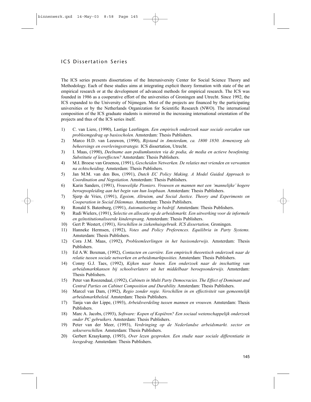## ICS Dissertation Series

The ICS series presents dissertations of the Interuniversity Center for Social Science Theory and Methodology. Each of these studies aims at integrating explicit theory formation with state of the art empirical research or at the development of advanced methods for empirical research. The ICS was founded in 1986 as a cooperative effort of the universities of Groningen and Utrecht. Since 1992, the ICS expanded to the University of Nijmegen. Most of the projects are financed by the participating universities or by the Netherlands Organization for Scientific Research (NWO). The international composition of the ICS graduate students is mirrored in the increasing international orientation of the projects and thus of the ICS series itself.

- 1) C. van Liere, (1990), Lastige Leerlingen. *Een empirisch onderzoek naar sociale oorzaken van probleemgedrag op basisscholen.* Amsterdam: Thesis Publishers.
- 2) Marco H.D. van Leeuwen, (1990), *Bijstand in Amsterdam, ca. 1800 1850. Armenzorg als beheersings en overlevingsstrategie.* ICS dissertation, Utrecht.
- 3) I. Maas, (1990), *Deelname aan podiumkunsten via de podia, de media en actieve beoefening. Substitutie of leereffecten?* Amsterdam: Thesis Publishers.
- 4) M.I. Broese van Groenou, (1991), *Gescheiden Netwerken. De relaties met vrienden en verwanten na echtscheiding.* Amsterdam: Thesis Publishers.
- 5) Jan M.M. van den Bos, (1991), *Dutch EC Policy Making. A Model Guided Approach to Coordination and Negotiation.* Amsterdam: Thesis Publishers.
- 6) Karin Sanders, (1991), *Vrouwelijke Pioniers. Vrouwen en mannen met een ëmannelijkeí hogere beroepsopleiding aan het begin van hun loopbaan.* Amsterdam: Thesis Publishers.
- 7) Sjerp de Vries, (1991), *Egoism, Altruism, and Social Justice. Theory and Experiments on Cooperation in Social Dilemmas.* Amsterdam: Thesis Publishers.
- 8) Ronald S. Batenburg, (1991), *Automatisering in bedrijf.* Amsterdam: Thesis Publishers.
- 9) Rudi Wielers, (1991), *Selectie en allocatie op de arbeidsmarkt. Een uitwerking voor de informele* en geïnstitutionaliseerde kinderopvang. Amsterdam: Thesis Publishers.
- 10) Gert P. Westert, (1991), *Verschillen in ziekenhuisgebruik. ICS dissertation,* Groningen.
- 11) Hanneke Hermsen, (1992), *Votes and Policy Preferences. Equilibria in Party Systems.* Amsterdam: Thesis Publishers.
- 12) Cora J.M. Maas, (1992), *Probleemleerlingen in het basisonderwijs.* Amsterdam: Thesis Publishers.
- 13) Ed A.W. Boxman, (1992), *Contacten en carriËre. Een empirisch theoretisch onderzoek naar de relatie tussen sociale netwerken en arbeidsmarktposities.* Amsterdam: Thesis Publishers.
- 14) Conny G.J. Taes, (1992), *Kijken naar banen. Een onderzoek naar de inschatting van arbeidsmarktkansen bij schoolverlaters uit het middelbaar beroepsonderwijs.* Amsterdam: Thesis Publishers.
- 15) Peter van Roozendaal, (1992), *Cabinets in Multi Party Democracies. The Effect of Dominant and Central Parties on Cabinet Composition and Durability.* Amsterdam: Thesis Publishers.
- 16) Marcel van Dam, (1992), *Regio zonder regie. Verschillen in en effectiviteit van gemeentelijk arbeidsmarktbeleid.* Amsterdam: Thesis Publishers.
- 17) Tanja van der Lippe, (1993), *Arbeidsverdeling tussen mannen en vrouwen.* Amsterdam: Thesis Publishers.
- 18) Marc A. Jacobs, (1993), *Software: Kopen of Kopiëren? Een sociaal wetenschappelijk onderzoek onder PC gebruikers.* Amsterdam: Thesis Publishers.
- 19) Peter van der Meer, (1993), *Verdringing op de Nederlandse arbeidsmarkt. sector en sekseverschillen.* Amsterdam: Thesis Publishers.
- 20) Gerbert Kraaykamp, (1993), *Over lezen gesproken. Een studie naar sociale differentiatie in leesgedrag.* Amsterdam: Thesis Publishers.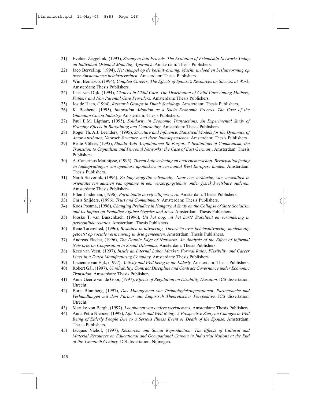- 21) Evelien Zeggelink, (1993), *Strangers into Friends. The Evolution of Friendship Networks Using an Individual Oriented Modeling Approach.* Amsterdam: Thesis Publishers.
- 22) Jaco Berveling, (1994), *Het stempel op de besluitvorming. Macht, invloed en besluitvorming op twee Amsterdamse beleidsterreinen.* Amsterdam: Thesis Publishers.
- 23) Wim Bernasco, (1994), *Coupled Careers. The Effects of Spouseís Resources on Success at Work.* Amsterdam: Thesis Publishers.
- 24) Liset van Dijk, (1994), *Choices in Child Care. The Distribution of Child Care Among Mothers, Fathers and Non Parental Care Providers.* Amsterdam: Thesis Publishers.
- 25) Jos de Haan, (1994), *Research Groups in Dutch Sociology.* Amsterdam: Thesis Publishers.
- 26) K. Boahene, (1995), *Innovation Adoption as a Socio Economic Process. The Case of the Ghanaian Cocoa Industry.* Amsterdam: Thesis Publishers.
- 27) Paul E.M. Ligthart, (1995), *Solidarity in Economic Transactions. An Experimental Study of Framing Effects in Bargaining and Contracting.* Amsterdam: Thesis Publishers.
- 28) Roger Th. A.J. Leenders, (1995), *Structure and Influence. Statistical Models for the Dynamics of Actor Attributes, Network Structure, and their Interdependence.* Amsterdam: Thesis Publishers.
- 29) Beate Völker, (1995), *Should Auld Acquaintance Be Forgot...? Institutions of Communism, the Transition to Capitalism and Personal Networks: the Case of East Germany.* Amsterdam: Thesis Publishers.
- 30) A. Cancrinus Matthijsse, (1995), *Tussen hulpverlening en ondernemerschap. Beroepsuitoefening en taakopvattingen van openbare apothekers in een aantal West Europese landen.* Amsterdam: Thesis Publishers.
- 31) Nardi Steverink, (1996), *Zo lang mogelijk zelfstandig. Naar een verklaring van verschillen in oriÎntatie ten aanzien van opname in een verzorgingstehuis onder fysiek kwetsbare ouderen.* Amsterdam: Thesis Publishers.
- 32) Ellen Lindeman, (1996), *Participatie in vrijwilligerswerk.* Amsterdam: Thesis Publishers.
- 33) Chris Snijders, (1996), *Trust and Commitments.* Amsterdam: Thesis Publishers.
- 34) Koos Postma, (1996), *Changing Prejudice in Hungary. A Study on the Collapse of State Socialism and Its Impact on Prejudice Against Gypsies and Jews.* Amsterdam: Thesis Publishers.
- 35) Jooske T. van Busschbach, (1996), *Uit het oog, uit het hart? Stabiliteit en verandering in persoonlijke relaties.* Amsterdam: Thesis Publishers.
- 36) RenÈ Torenvlied, (1996), *Besluiten in uitvoering. TheorieÎn over beleidsuitvoering modelmatig getoetst op sociale vernieuwing in drie gemeenten.* Amsterdam: Thesis Publishers.
- 37) Andreas Flache, (1996), *The Double Edge of Networks. An Analysis of the Effect of Informal Networks on Cooperation in Social Dilemmas.* Amsterdam: Thesis Publishers.
- 38) Kees van Veen, (1997), *Inside an Internal Labor Market: Formal Rules, Flexibility and Career Lines in a Dutch Manufacturing Company.* Amsterdam: Thesis Publishers.
- 39) Lucienne van Eijk, (1997), *Activity and Well being in the Elderly.* Amsterdam: Thesis Publishers.
- 40) Róbert Gál, (1997), *Unreliability. Contract Discipline and Contract Governance under Economic Transition.* Amsterdam: Thesis Publishers.
- 41) Anne Geerte van de Goor, (1997), *Effects of Regulation on Disability Duration.* ICS dissertation, Utrecht.
- 42) Boris Blumberg, (1997), *Das Management von Technologiekooperationen. Partnersuche und Verhandlungen mit dem Partner aus Empirisch Theoretischer Perspektive.* ICS dissertation, Utrecht.
- 43) Marijke von Bergh, (1997), *Loopbanen van oudere werknemers.* Amsterdam: Thesis Publishers.
- 44) Anna Petra Nieboer, (1997), *Life Events and Well Being: A Prospective Study on Changes in Well Being of Elderly People Due to a Serious Illness Event or Death of the Spouse.* Amsterdam: Thesis Publishers.
- 45) Jacques Niehof, (1997), *Resources and Social Reproduction: The Effects of Cultural and Material Resources on Educational and Occupational Careers in Industrial Nations at the End of the Twentieth Century.* ICS dissertation, Nijmegen.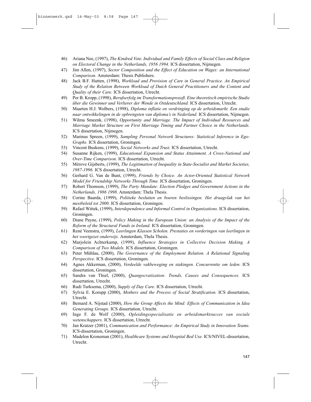- 46) Ariana Nee, (1997), *The Kindred Vote. Individual and Family Effects of Social Class and Religion on Electoral Change in the Netherlands, 1956 1994.* ICS dissertation, Nijmegen.
- 47) Jim Allen, (1997), *Sector Composition and the Effect of Education on Wages: an International Comparison.* Amsterdam: Thesis Publishers.
- 48) Jack B.F. Hutten, (1998), *Workload and Provision of Care in General Practice. An Empirical Study of the Relation Between Workload of Dutch General Practitioners and the Content and Quality of their Care.* ICS dissertation, Utrecht.
- 49) Per B. Kropp, (1998), *Berufserfolg im Transformationsprozefl. Eine theoretisch empirische Studie ¸ber die Gewinner und Verlierer der Wende in Ostdeutschland.* ICS dissertation, Utrecht.
- 50) Maarten H.J. Wolbers, (1998), *Diploma inflatie en verdringing op de arbeidsmarkt. Een studie naar ontwikkelingen in de opbrengsten van diplomaís in Nederland.* ICS dissertation, Nijmegen.
- 51) Wilma Smeenk, (1998), *Opportunity and Marriage. The Impact of Individual Resources and Marriage Market Structure on First Marriage Timing and Partner Choice in the Netherlands.* ICS dissertation, Nijmegen.
- 52) Marinus Spreen, (1999), *Sampling Personal Network Structures: Statistical Inference in Ego-Graphs.* ICS dissertation, Groningen.
- 53) Vincent Buskens, (1999), *Social Networks and Trust.* ICS dissertation, Utrecht.
- 54) Susanne Rijken, (1999), *Educational Expansion and Status Attainment. A Cross-National and Over-Time Comparison.* ICS dissertation, Utrecht.
- 55) MÈrove Gijsberts, (1999), *The Legitimation of Inequality in State-Socialist and Market Societies, 1987-1996.* ICS dissertation, Utrecht.
- 56) Gerhard G. Van de Bunt, (1999), *Friends by Choice. An Actor-Oriented Statistical Network Model for Friendship Networks Through Time.* ICS dissertation, Groningen.
- 57) Robert Thomson, (1999), *The Party Mandate: Election Pledges and Government Actions in the Netherlands, 1986 1998.* Amsterdam: Thela Thesis.
- 58) Corine Baarda, (1999), *Politieke besluiten en boeren beslissingen. Het draagvlak van het mestbeleid tot 2000.* ICS dissertation, Groningen.
- 59) Rafael Wittek, (1999), *Interdependence and Informal Control in Organizations.* ICS dissertation, Groningen.
- 60) Diane Payne, (1999), *Policy Making in the European Union: an Analysis of the Impact of the Reform of the Structural Funds in Ireland.* ICS dissertation, Groningen.
- 61) RenÈ Veenstra, (1999), *Leerlingen Klassen Scholen. Prestaties en vorderingen van leerlingen in het voortgezet onderwijs.* Amsterdam, Thela Thesis.
- 62) Marjolein Achterkamp, (1999), *Influence Strategies in Collective Decision Making. A Comparison of Two Models.* ICS dissertation, Groningen.
- 63) Peter Mühlau, (2000), *The Governance of the Employment Relation. A Relational Signaling Perspective.* ICS dissertation, Groningen.
- 64) Agnes Akkerman, (2000), *Verdeelde vakbeweging en stakingen. Concurrentie om leden.* ICS dissertation, Groningen.
- 65) Sandra van Thiel, (2000), *Quangocratization: Trends, Causes and Consequences.* ICS dissertation, Utrecht.
- 66) Rudi Turksema, (2000), *Supply of Day Care.* ICS dissertation, Utrecht.
- 67) Sylvia E. Korupp (2000), *Mothers and the Process of Social Stratification.* ICS dissertation, Utrecht.
- 68) Bernard A. Nijstad (2000), *How the Group Affects the Mind: Effects of Communication in Idea Generating Groups.* ICS dissertation, Utrecht.
- 69) Inge F. de Wolf (2000), *Opleidingsspecialisatie en arbeidsmarktsucces van sociale wetenschappers.* ICS dissertation, Utrecht.
- 70) Jan Kratzer (2001), *Communication and Performance: An Empirical Study in Innovation Teams.* ICS-dissertation, Groningen.
- 71) Madelon Kroneman (2001), *Healthcare Systems and Hospital Bed Use.* ICS/NIVEL-dissertation, Utrecht.